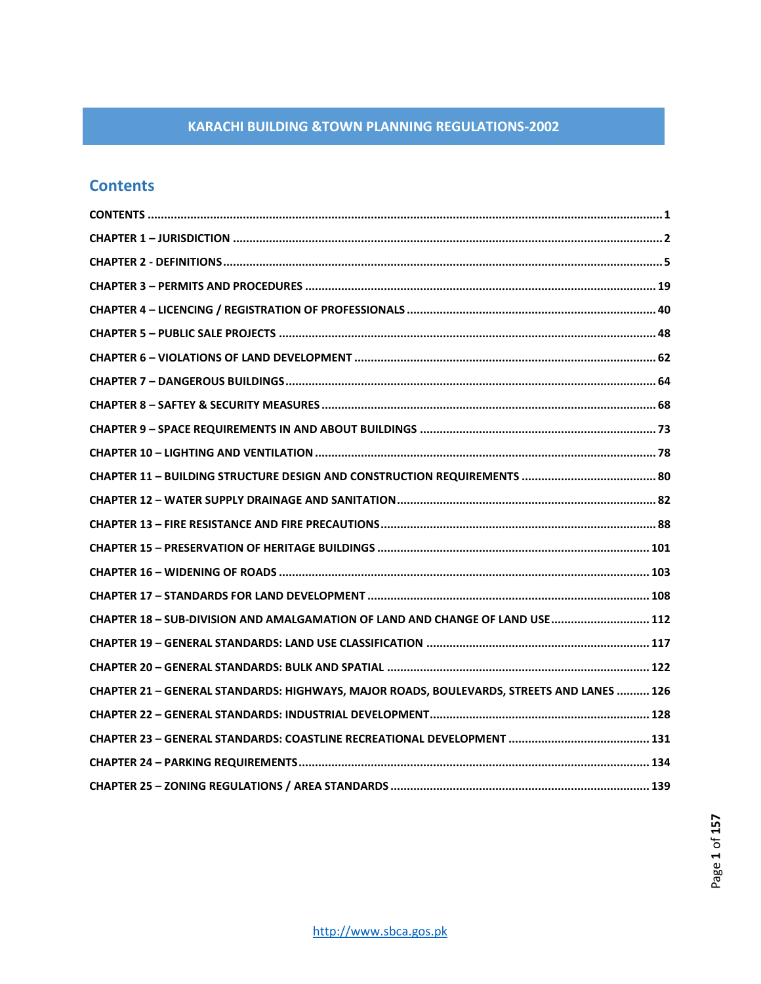# <span id="page-0-0"></span>**Contents**

| CHAPTER 18 - SUB-DIVISION AND AMALGAMATION OF LAND AND CHANGE OF LAND USE 112             |
|-------------------------------------------------------------------------------------------|
|                                                                                           |
|                                                                                           |
| CHAPTER 21 - GENERAL STANDARDS: HIGHWAYS, MAJOR ROADS, BOULEVARDS, STREETS AND LANES  126 |
|                                                                                           |
|                                                                                           |
|                                                                                           |
|                                                                                           |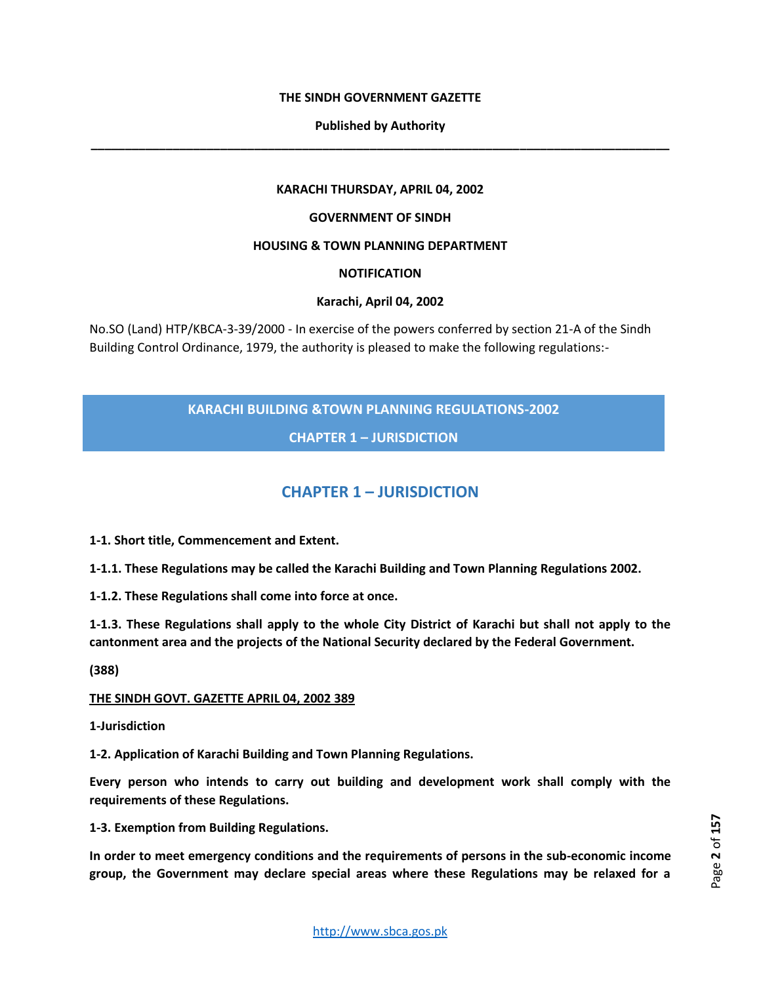## **THE SINDH GOVERNMENT GAZETTE**

# **Published by Authority \_\_\_\_\_\_\_\_\_\_\_\_\_\_\_\_\_\_\_\_\_\_\_\_\_\_\_\_\_\_\_\_\_\_\_\_\_\_\_\_\_\_\_\_\_\_\_\_\_\_\_\_\_\_\_\_\_\_\_\_\_\_\_\_\_\_\_\_\_\_\_\_\_\_\_\_\_\_\_\_\_\_\_\_\_**

#### **KARACHI THURSDAY, APRIL 04, 2002**

#### **GOVERNMENT OF SINDH**

# **HOUSING & TOWN PLANNING DEPARTMENT**

# **NOTIFICATION**

#### **Karachi, April 04, 2002**

No.SO (Land) HTP/KBCA-3-39/2000 - In exercise of the powers conferred by section 21-A of the Sindh Building Control Ordinance, 1979, the authority is pleased to make the following regulations:-

# **KARACHI BUILDING &TOWN PLANNING REGULATIONS-2002**

**CHAPTER 1 – JURISDICTION**

# **CHAPTER 1 – JURISDICTION**

<span id="page-1-0"></span>**1-1. Short title, Commencement and Extent.** 

**1-1.1. These Regulations may be called the Karachi Building and Town Planning Regulations 2002.** 

**1-1.2. These Regulations shall come into force at once.** 

**1-1.3. These Regulations shall apply to the whole City District of Karachi but shall not apply to the cantonment area and the projects of the National Security declared by the Federal Government.** 

**(388)** 

#### **THE SINDH GOVT. GAZETTE APRIL 04, 2002 389**

**1-Jurisdiction** 

**1-2. Application of Karachi Building and Town Planning Regulations.** 

**Every person who intends to carry out building and development work shall comply with the requirements of these Regulations.** 

**1-3. Exemption from Building Regulations.** 

**In order to meet emergency conditions and the requirements of persons in the sub-economic income group, the Government may declare special areas where these Regulations may be relaxed for a**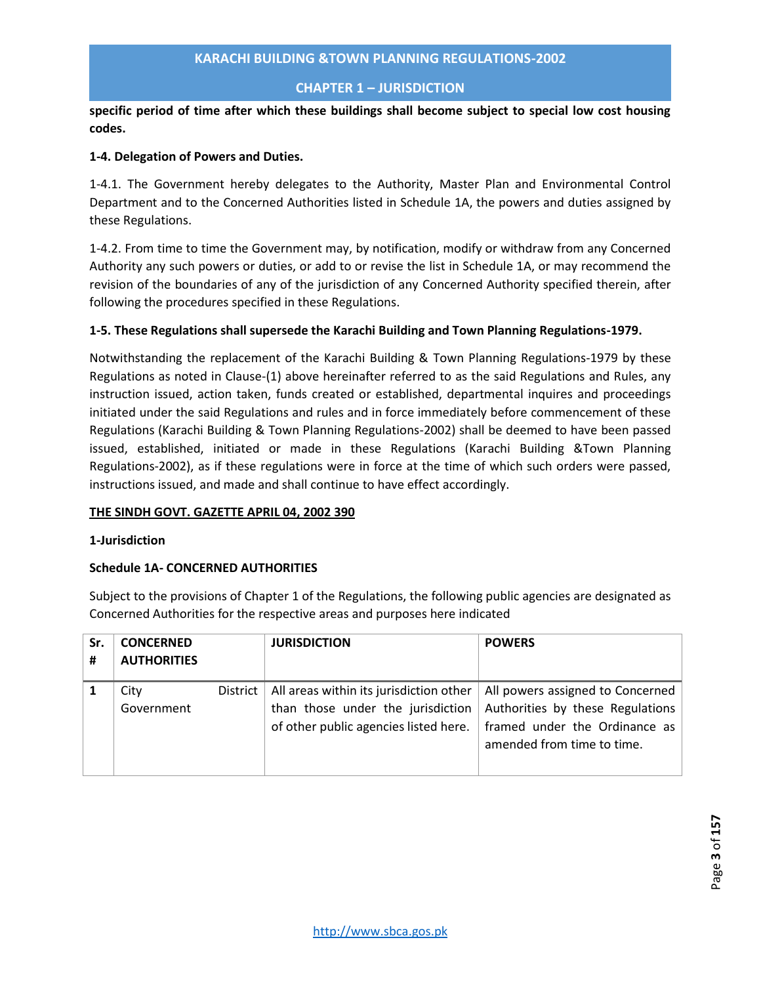# **CHAPTER 1 – JURISDICTION**

**specific period of time after which these buildings shall become subject to special low cost housing codes.** 

# **1-4. Delegation of Powers and Duties.**

1-4.1. The Government hereby delegates to the Authority, Master Plan and Environmental Control Department and to the Concerned Authorities listed in Schedule 1A, the powers and duties assigned by these Regulations.

1-4.2. From time to time the Government may, by notification, modify or withdraw from any Concerned Authority any such powers or duties, or add to or revise the list in Schedule 1A, or may recommend the revision of the boundaries of any of the jurisdiction of any Concerned Authority specified therein, after following the procedures specified in these Regulations.

# **1-5. These Regulations shall supersede the Karachi Building and Town Planning Regulations-1979.**

Notwithstanding the replacement of the Karachi Building & Town Planning Regulations-1979 by these Regulations as noted in Clause-(1) above hereinafter referred to as the said Regulations and Rules, any instruction issued, action taken, funds created or established, departmental inquires and proceedings initiated under the said Regulations and rules and in force immediately before commencement of these Regulations (Karachi Building & Town Planning Regulations-2002) shall be deemed to have been passed issued, established, initiated or made in these Regulations (Karachi Building &Town Planning Regulations-2002), as if these regulations were in force at the time of which such orders were passed, instructions issued, and made and shall continue to have effect accordingly.

# **THE SINDH GOVT. GAZETTE APRIL 04, 2002 390**

#### **1-Jurisdiction**

# **Schedule 1A- CONCERNED AUTHORITIES**

Subject to the provisions of Chapter 1 of the Regulations, the following public agencies are designated as Concerned Authorities for the respective areas and purposes here indicated

| Sr.<br># | <b>CONCERNED</b><br><b>AUTHORITIES</b> |  | <b>JURISDICTION</b>                                                                                                   | <b>POWERS</b>                                                                                                                       |  |  |
|----------|----------------------------------------|--|-----------------------------------------------------------------------------------------------------------------------|-------------------------------------------------------------------------------------------------------------------------------------|--|--|
|          | City<br>District<br>Government         |  | All areas within its jurisdiction other<br>than those under the jurisdiction<br>of other public agencies listed here. | All powers assigned to Concerned<br>Authorities by these Regulations<br>framed under the Ordinance as<br>amended from time to time. |  |  |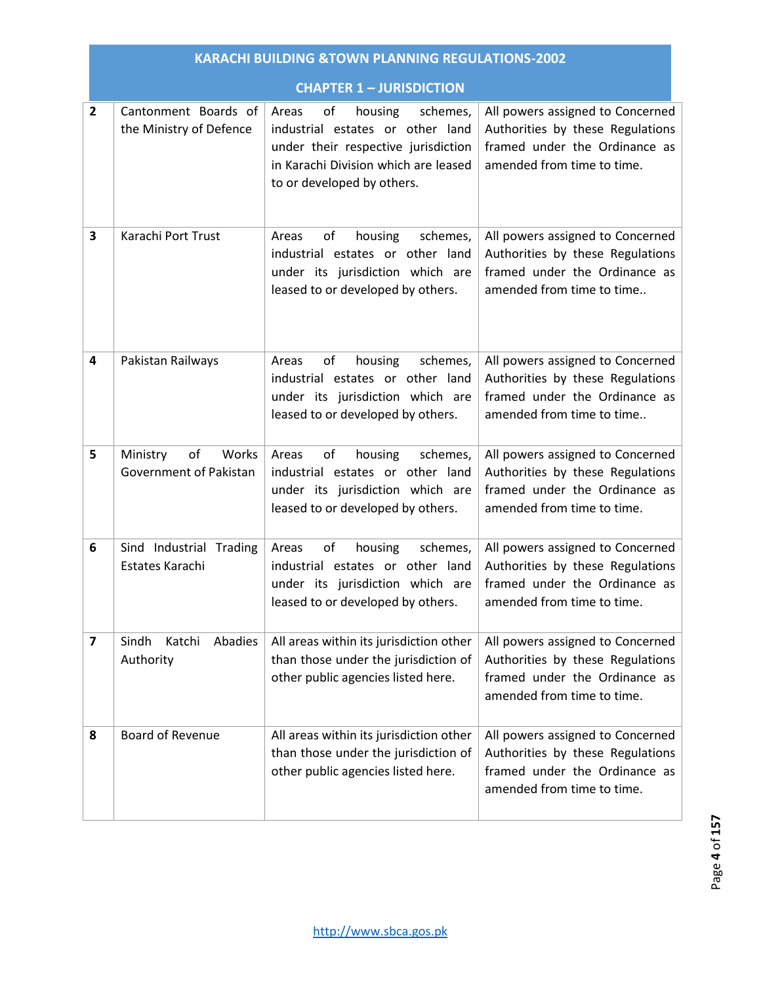|                         |                                                               | <b>KARACHI BUILDING &amp; TOWN PLANNING REGULATIONS-2002</b>                                                                                                                        |                                                                                                                                     |  |  |  |  |  |  |  |  |
|-------------------------|---------------------------------------------------------------|-------------------------------------------------------------------------------------------------------------------------------------------------------------------------------------|-------------------------------------------------------------------------------------------------------------------------------------|--|--|--|--|--|--|--|--|
|                         |                                                               | <b>CHAPTER 1 - JURISDICTION</b>                                                                                                                                                     |                                                                                                                                     |  |  |  |  |  |  |  |  |
| $\overline{2}$          | Cantonment Boards of<br>the Ministry of Defence               | Areas<br>of<br>housing<br>schemes,<br>industrial estates or other land<br>under their respective jurisdiction<br>in Karachi Division which are leased<br>to or developed by others. | All powers assigned to Concerned<br>Authorities by these Regulations<br>framed under the Ordinance as<br>amended from time to time. |  |  |  |  |  |  |  |  |
| 3                       | Karachi Port Trust                                            | of<br>housing<br>schemes,<br>Areas<br>industrial estates or other land<br>under its jurisdiction which are<br>leased to or developed by others.                                     | All powers assigned to Concerned<br>Authorities by these Regulations<br>framed under the Ordinance as<br>amended from time to time  |  |  |  |  |  |  |  |  |
| 4                       | Pakistan Railways                                             | οf<br>housing<br>schemes,<br>Areas<br>industrial estates or other land<br>under its jurisdiction which are<br>leased to or developed by others.                                     | All powers assigned to Concerned<br>Authorities by these Regulations<br>framed under the Ordinance as<br>amended from time to time  |  |  |  |  |  |  |  |  |
| 5                       | o <sub>f</sub><br>Ministry<br>Works<br>Government of Pakistan | Areas<br>of<br>housing<br>schemes,<br>industrial estates or other land<br>under its jurisdiction which are<br>leased to or developed by others.                                     | All powers assigned to Concerned<br>Authorities by these Regulations<br>framed under the Ordinance as<br>amended from time to time. |  |  |  |  |  |  |  |  |
| 6                       | Sind Industrial Trading<br>Estates Karachi                    | Areas<br>of<br>housing<br>schemes,<br>industrial estates or other land<br>under its jurisdiction which are<br>leased to or developed by others.                                     | All powers assigned to Concerned<br>Authorities by these Regulations<br>framed under the Ordinance as<br>amended from time to time. |  |  |  |  |  |  |  |  |
| $\overline{\mathbf{z}}$ | Sindh<br>Katchi<br>Abadies<br>Authority                       | All areas within its jurisdiction other<br>than those under the jurisdiction of<br>other public agencies listed here.                                                               | All powers assigned to Concerned<br>Authorities by these Regulations<br>framed under the Ordinance as<br>amended from time to time. |  |  |  |  |  |  |  |  |
| 8                       | Board of Revenue                                              | All areas within its jurisdiction other<br>than those under the jurisdiction of<br>other public agencies listed here.                                                               | All powers assigned to Concerned<br>Authorities by these Regulations<br>framed under the Ordinance as<br>amended from time to time. |  |  |  |  |  |  |  |  |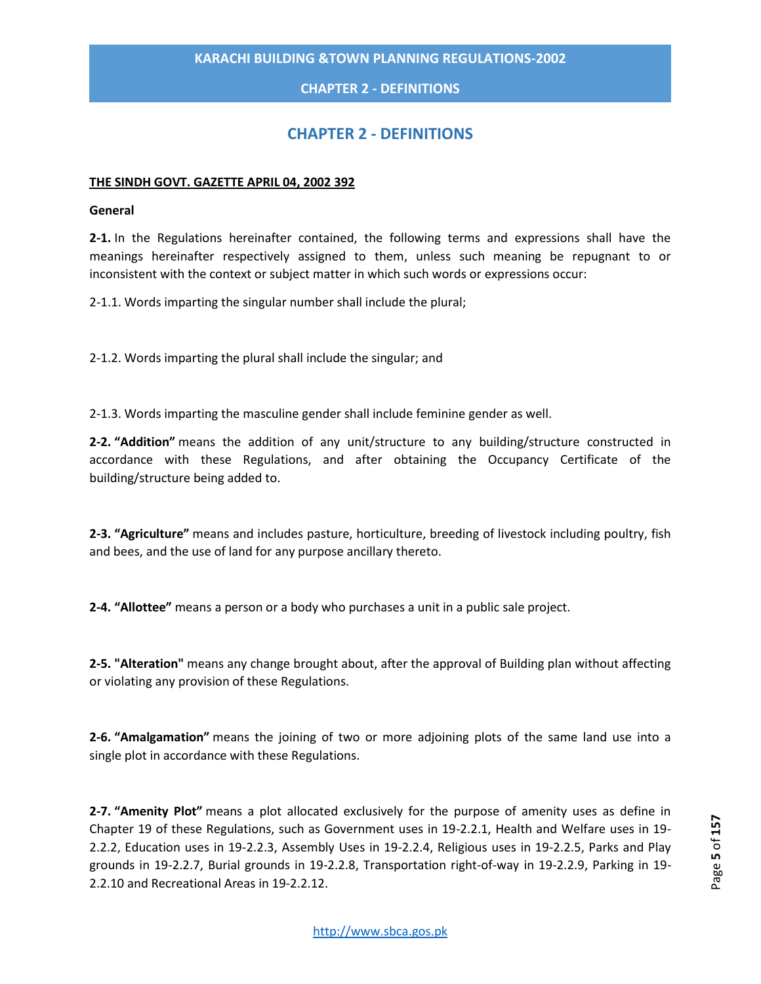# **CHAPTER 2 - DEFINITIONS**

# **CHAPTER 2 - DEFINITIONS**

#### <span id="page-4-0"></span>**THE SINDH GOVT. GAZETTE APRIL 04, 2002 392**

#### **General**

**2-1.** In the Regulations hereinafter contained, the following terms and expressions shall have the meanings hereinafter respectively assigned to them, unless such meaning be repugnant to or inconsistent with the context or subject matter in which such words or expressions occur:

2-1.1. Words imparting the singular number shall include the plural;

2-1.2. Words imparting the plural shall include the singular; and

2-1.3. Words imparting the masculine gender shall include feminine gender as well.

**2-2. "Addition"** means the addition of any unit/structure to any building/structure constructed in accordance with these Regulations, and after obtaining the Occupancy Certificate of the building/structure being added to.

**2-3. "Agriculture"** means and includes pasture, horticulture, breeding of livestock including poultry, fish and bees, and the use of land for any purpose ancillary thereto.

**2-4. "Allottee"** means a person or a body who purchases a unit in a public sale project.

**2-5. "Alteration"** means any change brought about, after the approval of Building plan without affecting or violating any provision of these Regulations.

**2-6. "Amalgamation"** means the joining of two or more adjoining plots of the same land use into a single plot in accordance with these Regulations.

**2-7. "Amenity Plot"** means a plot allocated exclusively for the purpose of amenity uses as define in Chapter 19 of these Regulations, such as Government uses in 19-2.2.1, Health and Welfare uses in 19- 2.2.2, Education uses in 19-2.2.3, Assembly Uses in 19-2.2.4, Religious uses in 19-2.2.5, Parks and Play grounds in 19-2.2.7, Burial grounds in 19-2.2.8, Transportation right-of-way in 19-2.2.9, Parking in 19- 2.2.10 and Recreational Areas in 19-2.2.12.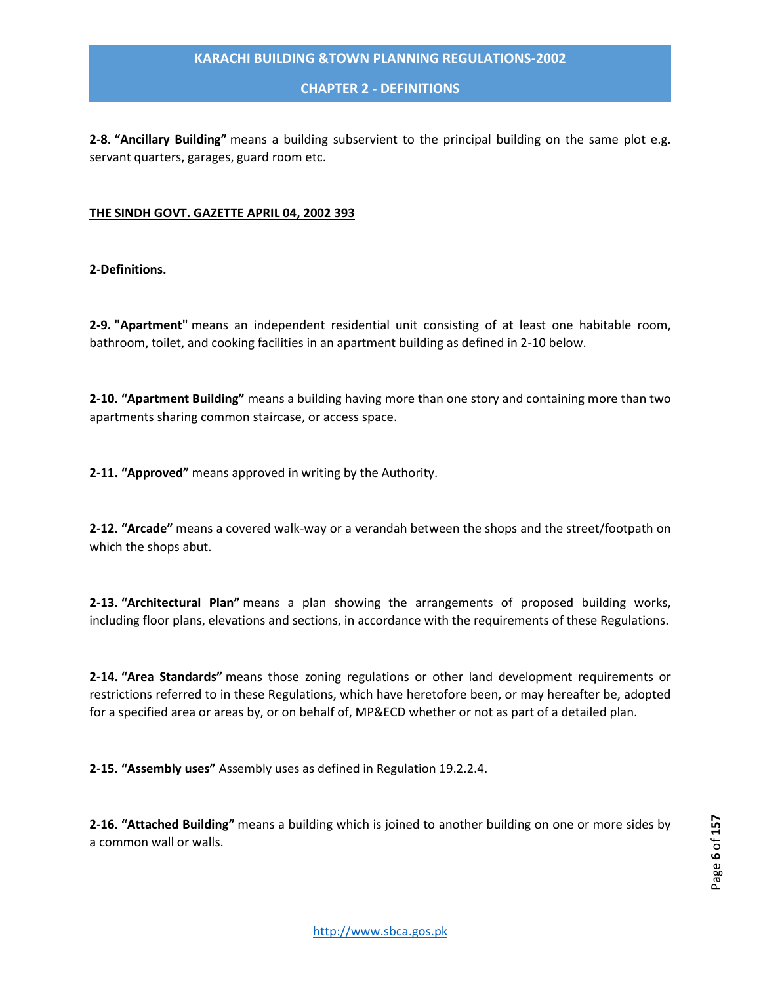#### **CHAPTER 2 - DEFINITIONS**

**2-8. "Ancillary Building"** means a building subservient to the principal building on the same plot e.g. servant quarters, garages, guard room etc.

#### **THE SINDH GOVT. GAZETTE APRIL 04, 2002 393**

#### **2-Definitions.**

**2-9. "Apartment"** means an independent residential unit consisting of at least one habitable room, bathroom, toilet, and cooking facilities in an apartment building as defined in 2-10 below.

**2-10. "Apartment Building"** means a building having more than one story and containing more than two apartments sharing common staircase, or access space.

**2-11. "Approved"** means approved in writing by the Authority.

**2-12. "Arcade"** means a covered walk-way or a verandah between the shops and the street/footpath on which the shops abut.

**2-13. "Architectural Plan"** means a plan showing the arrangements of proposed building works, including floor plans, elevations and sections, in accordance with the requirements of these Regulations.

**2-14. "Area Standards"** means those zoning regulations or other land development requirements or restrictions referred to in these Regulations, which have heretofore been, or may hereafter be, adopted for a specified area or areas by, or on behalf of, MP&ECD whether or not as part of a detailed plan.

**2-15. "Assembly uses"** Assembly uses as defined in Regulation 19.2.2.4.

**2-16. "Attached Building"** means a building which is joined to another building on one or more sides by a common wall or walls.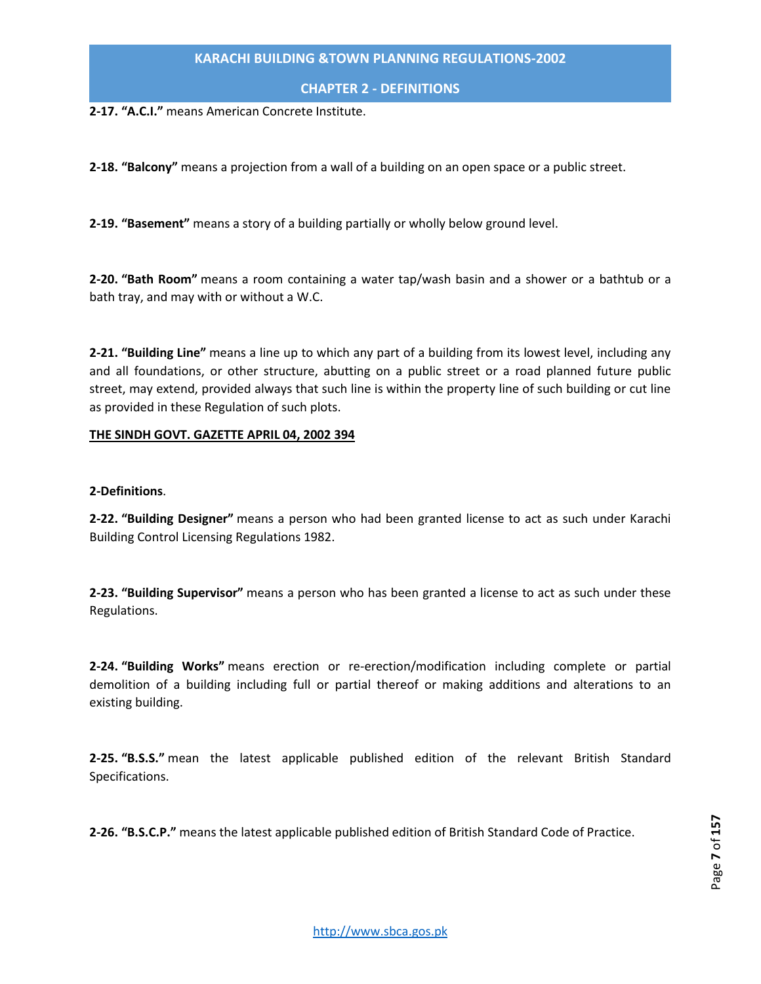**CHAPTER 2 - DEFINITIONS**

**2-17. "A.C.I."** means American Concrete Institute.

**2-18. "Balcony"** means a projection from a wall of a building on an open space or a public street.

**2-19. "Basement"** means a story of a building partially or wholly below ground level.

**2-20. "Bath Room"** means a room containing a water tap/wash basin and a shower or a bathtub or a bath tray, and may with or without a W.C.

**2-21. "Building Line"** means a line up to which any part of a building from its lowest level, including any and all foundations, or other structure, abutting on a public street or a road planned future public street, may extend, provided always that such line is within the property line of such building or cut line as provided in these Regulation of such plots.

#### **THE SINDH GOVT. GAZETTE APRIL 04, 2002 394**

#### **2-Definitions**.

**2-22. "Building Designer"** means a person who had been granted license to act as such under Karachi Building Control Licensing Regulations 1982.

**2-23. "Building Supervisor"** means a person who has been granted a license to act as such under these Regulations.

**2-24. "Building Works"** means erection or re-erection/modification including complete or partial demolition of a building including full or partial thereof or making additions and alterations to an existing building.

**2-25. "B.S.S."** mean the latest applicable published edition of the relevant British Standard Specifications.

**2-26. "B.S.C.P."** means the latest applicable published edition of British Standard Code of Practice.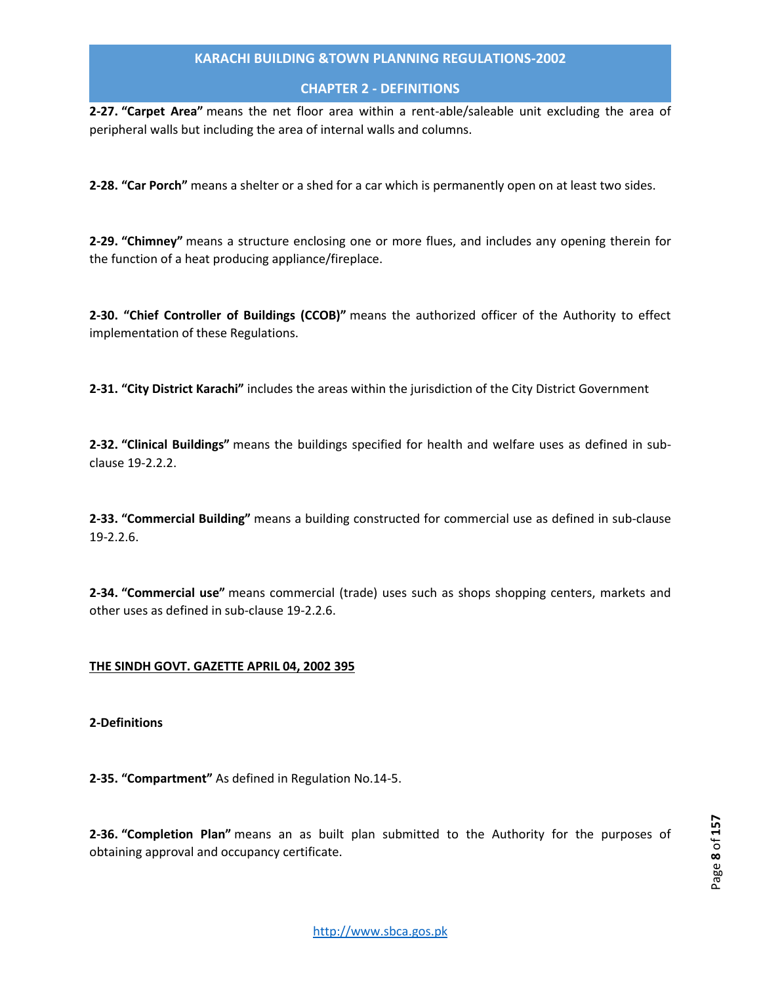# **CHAPTER 2 - DEFINITIONS**

**2-27. "Carpet Area"** means the net floor area within a rent-able/saleable unit excluding the area of peripheral walls but including the area of internal walls and columns.

**2-28. "Car Porch"** means a shelter or a shed for a car which is permanently open on at least two sides.

**2-29. "Chimney"** means a structure enclosing one or more flues, and includes any opening therein for the function of a heat producing appliance/fireplace.

**2-30. "Chief Controller of Buildings (CCOB)"** means the authorized officer of the Authority to effect implementation of these Regulations.

**2-31. "City District Karachi"** includes the areas within the jurisdiction of the City District Government

**2-32. "Clinical Buildings"** means the buildings specified for health and welfare uses as defined in subclause 19-2.2.2.

**2-33. "Commercial Building"** means a building constructed for commercial use as defined in sub-clause 19-2.2.6.

**2-34. "Commercial use"** means commercial (trade) uses such as shops shopping centers, markets and other uses as defined in sub-clause 19-2.2.6.

# **THE SINDH GOVT. GAZETTE APRIL 04, 2002 395**

**2-Definitions**

**2-35. "Compartment"** As defined in Regulation No.14-5.

**2-36. "Completion Plan"** means an as built plan submitted to the Authority for the purposes of obtaining approval and occupancy certificate.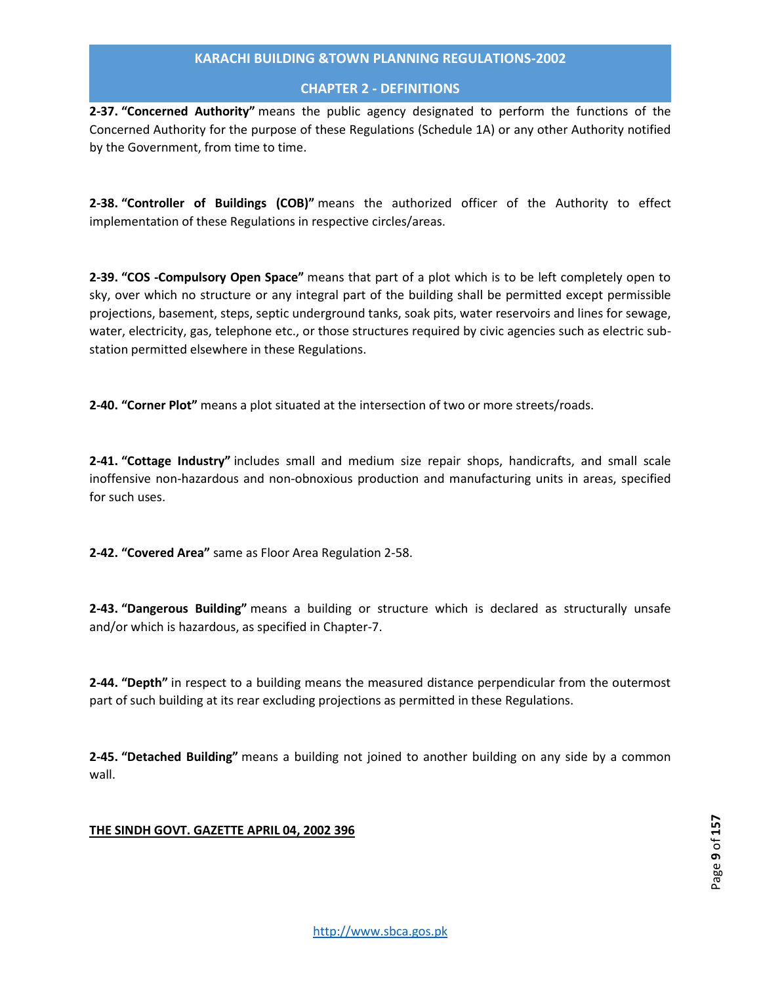# **CHAPTER 2 - DEFINITIONS**

**2-37. "Concerned Authority"** means the public agency designated to perform the functions of the Concerned Authority for the purpose of these Regulations (Schedule 1A) or any other Authority notified by the Government, from time to time.

**2-38. "Controller of Buildings (COB)"** means the authorized officer of the Authority to effect implementation of these Regulations in respective circles/areas.

**2-39. "COS -Compulsory Open Space"** means that part of a plot which is to be left completely open to sky, over which no structure or any integral part of the building shall be permitted except permissible projections, basement, steps, septic underground tanks, soak pits, water reservoirs and lines for sewage, water, electricity, gas, telephone etc., or those structures required by civic agencies such as electric substation permitted elsewhere in these Regulations.

**2-40. "Corner Plot"** means a plot situated at the intersection of two or more streets/roads.

**2-41. "Cottage Industry"** includes small and medium size repair shops, handicrafts, and small scale inoffensive non-hazardous and non-obnoxious production and manufacturing units in areas, specified for such uses.

**2-42. "Covered Area"** same as Floor Area Regulation 2-58.

**2-43. "Dangerous Building"** means a building or structure which is declared as structurally unsafe and/or which is hazardous, as specified in Chapter-7.

**2-44. "Depth"** in respect to a building means the measured distance perpendicular from the outermost part of such building at its rear excluding projections as permitted in these Regulations.

**2-45. "Detached Building"** means a building not joined to another building on any side by a common wall.

# **THE SINDH GOVT. GAZETTE APRIL 04, 2002 396**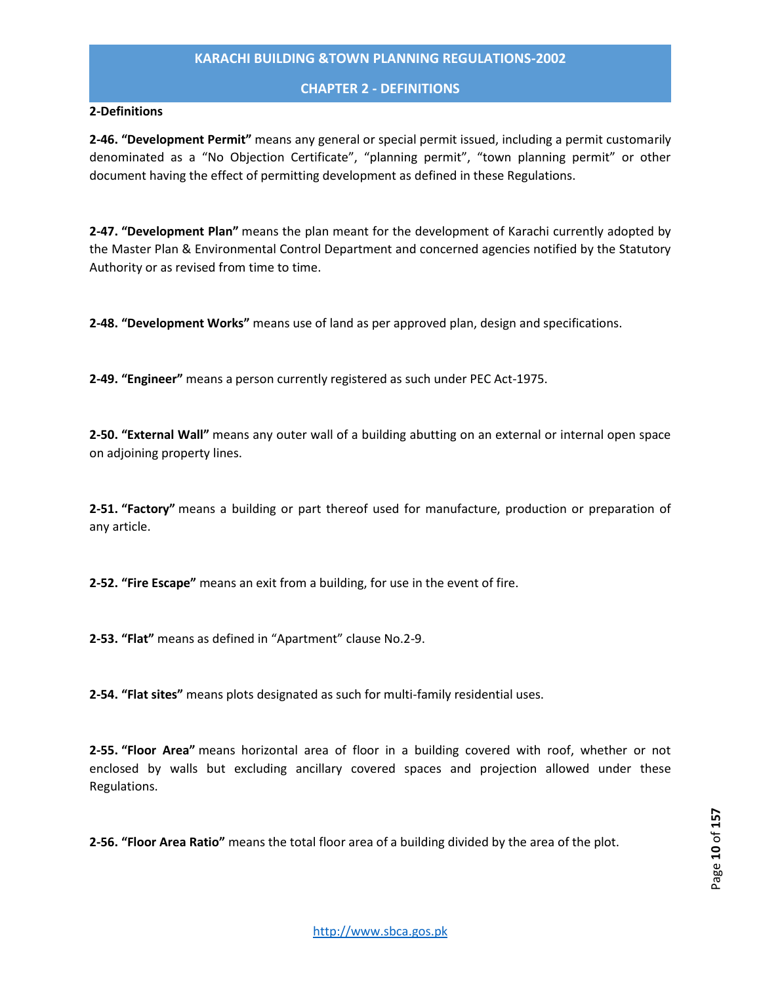# **CHAPTER 2 - DEFINITIONS**

#### **2-Definitions**

**2-46. "Development Permit"** means any general or special permit issued, including a permit customarily denominated as a "No Objection Certificate", "planning permit", "town planning permit" or other document having the effect of permitting development as defined in these Regulations.

**2-47. "Development Plan"** means the plan meant for the development of Karachi currently adopted by the Master Plan & Environmental Control Department and concerned agencies notified by the Statutory Authority or as revised from time to time.

**2-48. "Development Works"** means use of land as per approved plan, design and specifications.

**2-49. "Engineer"** means a person currently registered as such under PEC Act-1975.

**2-50. "External Wall"** means any outer wall of a building abutting on an external or internal open space on adjoining property lines.

**2-51. "Factory"** means a building or part thereof used for manufacture, production or preparation of any article.

**2-52. "Fire Escape"** means an exit from a building, for use in the event of fire.

**2-53. "Flat"** means as defined in "Apartment" clause No.2-9.

**2-54. "Flat sites"** means plots designated as such for multi-family residential uses.

**2-55. "Floor Area"** means horizontal area of floor in a building covered with roof, whether or not enclosed by walls but excluding ancillary covered spaces and projection allowed under these Regulations.

**2-56. "Floor Area Ratio"** means the total floor area of a building divided by the area of the plot.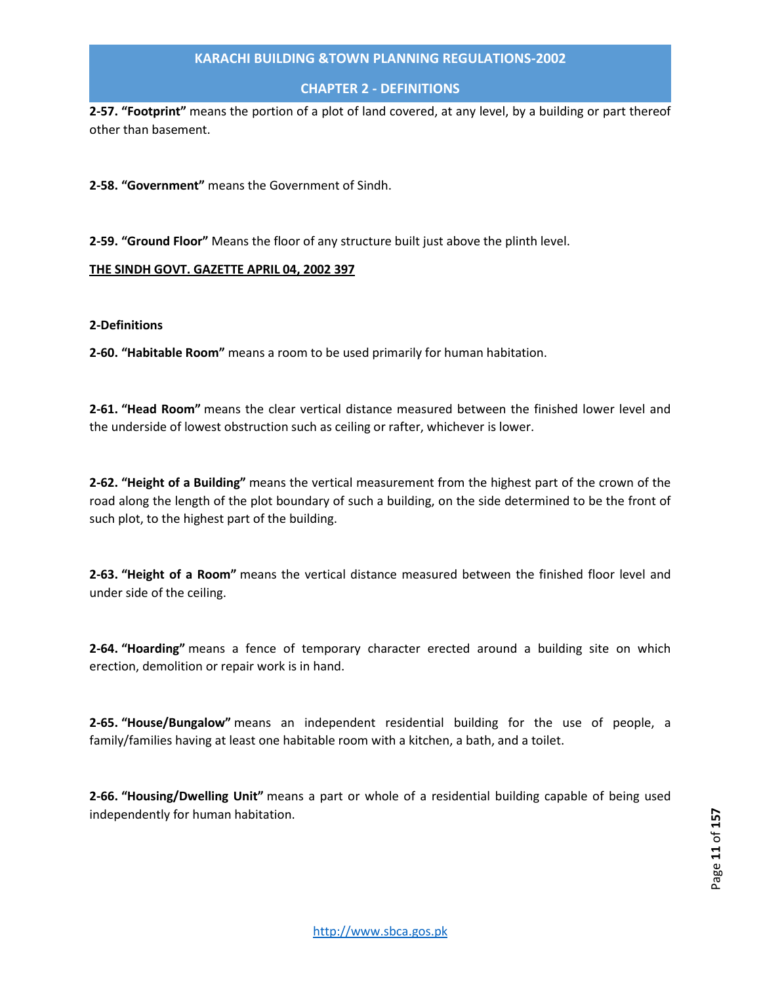# **CHAPTER 2 - DEFINITIONS**

**2-57. "Footprint"** means the portion of a plot of land covered, at any level, by a building or part thereof other than basement.

**2-58. "Government"** means the Government of Sindh.

**2-59. "Ground Floor"** Means the floor of any structure built just above the plinth level.

#### **THE SINDH GOVT. GAZETTE APRIL 04, 2002 397**

**2-Definitions**

**2-60. "Habitable Room"** means a room to be used primarily for human habitation.

**2-61. "Head Room"** means the clear vertical distance measured between the finished lower level and the underside of lowest obstruction such as ceiling or rafter, whichever is lower.

**2-62. "Height of a Building"** means the vertical measurement from the highest part of the crown of the road along the length of the plot boundary of such a building, on the side determined to be the front of such plot, to the highest part of the building.

**2-63. "Height of a Room"** means the vertical distance measured between the finished floor level and under side of the ceiling.

**2-64. "Hoarding"** means a fence of temporary character erected around a building site on which erection, demolition or repair work is in hand.

**2-65. "House/Bungalow"** means an independent residential building for the use of people, a family/families having at least one habitable room with a kitchen, a bath, and a toilet.

**2-66. "Housing/Dwelling Unit"** means a part or whole of a residential building capable of being used independently for human habitation.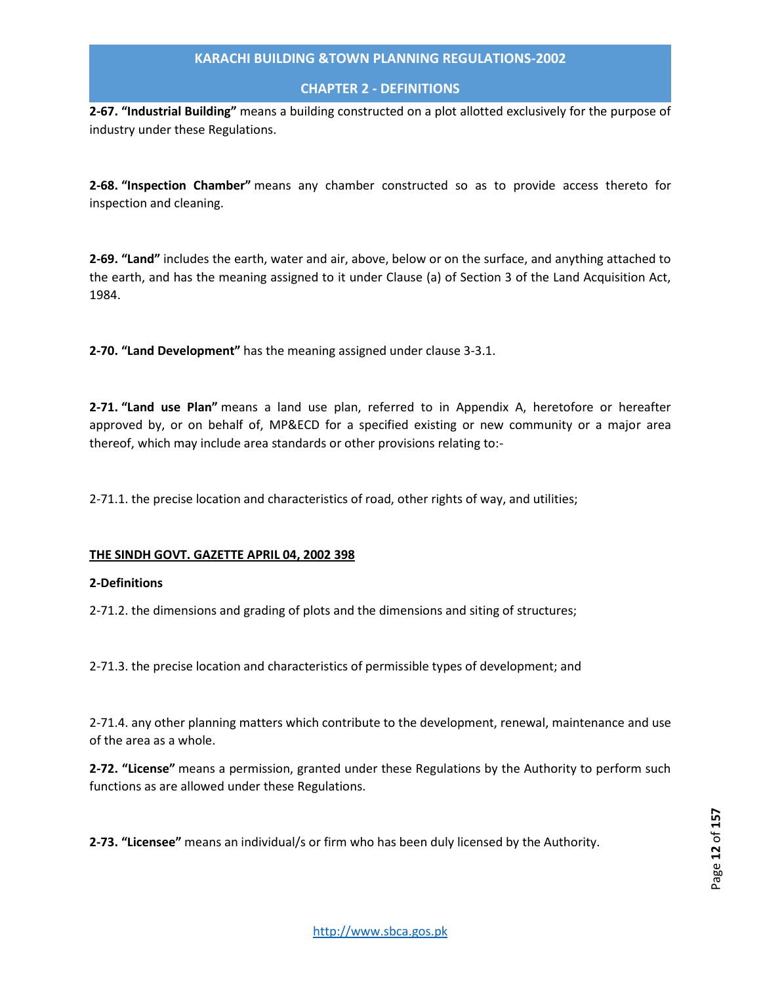# **CHAPTER 2 - DEFINITIONS**

**2-67. "Industrial Building"** means a building constructed on a plot allotted exclusively for the purpose of industry under these Regulations.

**2-68. "Inspection Chamber"** means any chamber constructed so as to provide access thereto for inspection and cleaning.

**2-69. "Land"** includes the earth, water and air, above, below or on the surface, and anything attached to the earth, and has the meaning assigned to it under Clause (a) of Section 3 of the Land Acquisition Act, 1984.

**2-70. "Land Development"** has the meaning assigned under clause 3-3.1.

**2-71. "Land use Plan"** means a land use plan, referred to in Appendix A, heretofore or hereafter approved by, or on behalf of, MP&ECD for a specified existing or new community or a major area thereof, which may include area standards or other provisions relating to:-

2-71.1. the precise location and characteristics of road, other rights of way, and utilities;

#### **THE SINDH GOVT. GAZETTE APRIL 04, 2002 398**

#### **2-Definitions**

2-71.2. the dimensions and grading of plots and the dimensions and siting of structures;

2-71.3. the precise location and characteristics of permissible types of development; and

2-71.4. any other planning matters which contribute to the development, renewal, maintenance and use of the area as a whole.

**2-72. "License"** means a permission, granted under these Regulations by the Authority to perform such functions as are allowed under these Regulations.

**2-73. "Licensee"** means an individual/s or firm who has been duly licensed by the Authority.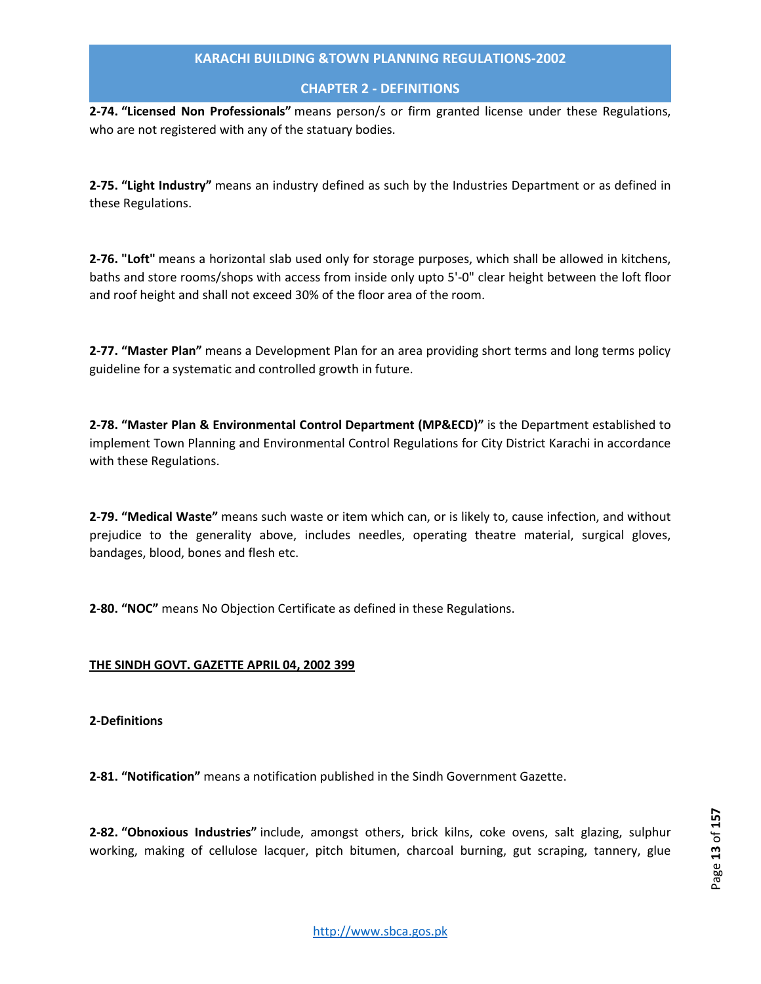# **CHAPTER 2 - DEFINITIONS**

**2-74. "Licensed Non Professionals"** means person/s or firm granted license under these Regulations, who are not registered with any of the statuary bodies.

**2-75. "Light Industry"** means an industry defined as such by the Industries Department or as defined in these Regulations.

**2-76. "Loft"** means a horizontal slab used only for storage purposes, which shall be allowed in kitchens, baths and store rooms/shops with access from inside only upto 5'-0" clear height between the loft floor and roof height and shall not exceed 30% of the floor area of the room.

**2-77. "Master Plan"** means a Development Plan for an area providing short terms and long terms policy guideline for a systematic and controlled growth in future.

**2-78. "Master Plan & Environmental Control Department (MP&ECD)"** is the Department established to implement Town Planning and Environmental Control Regulations for City District Karachi in accordance with these Regulations.

**2-79. "Medical Waste"** means such waste or item which can, or is likely to, cause infection, and without prejudice to the generality above, includes needles, operating theatre material, surgical gloves, bandages, blood, bones and flesh etc.

**2-80. "NOC"** means No Objection Certificate as defined in these Regulations.

# **THE SINDH GOVT. GAZETTE APRIL 04, 2002 399**

# **2-Definitions**

**2-81. "Notification"** means a notification published in the Sindh Government Gazette.

**2-82. "Obnoxious Industries"** include, amongst others, brick kilns, coke ovens, salt glazing, sulphur working, making of cellulose lacquer, pitch bitumen, charcoal burning, gut scraping, tannery, glue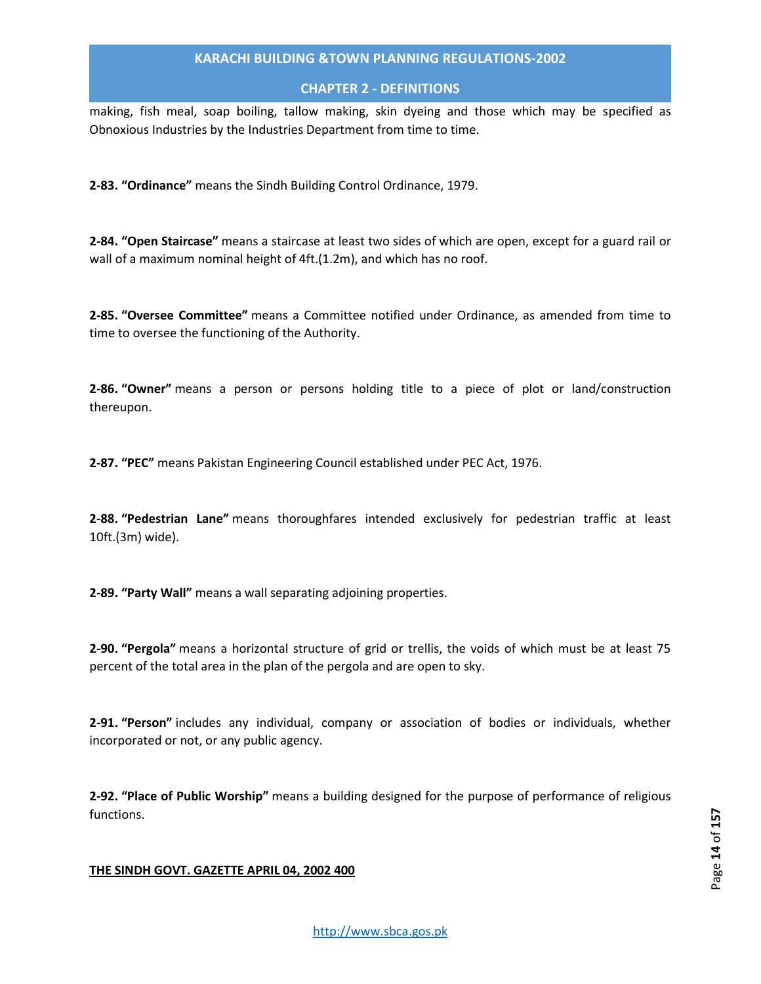# **CHAPTER 2 - DEFINITIONS**

making, fish meal, soap boiling, tallow making, skin dyeing and those which may be specified as Obnoxious Industries by the Industries Department from time to time.

**2-83. "Ordinance"** means the Sindh Building Control Ordinance, 1979.

**2-84. "Open Staircase"** means a staircase at least two sides of which are open, except for a guard rail or wall of a maximum nominal height of 4ft.(1.2m), and which has no roof.

**2-85. "Oversee Committee"** means a Committee notified under Ordinance, as amended from time to time to oversee the functioning of the Authority.

**2-86. "Owner"** means a person or persons holding title to a piece of plot or land/construction thereupon.

**2-87. "PEC"** means Pakistan Engineering Council established under PEC Act, 1976.

**2-88. "Pedestrian Lane"** means thoroughfares intended exclusively for pedestrian traffic at least 10ft.(3m) wide).

**2-89. "Party Wall"** means a wall separating adjoining properties.

**2-90. "Pergola"** means a horizontal structure of grid or trellis, the voids of which must be at least 75 percent of the total area in the plan of the pergola and are open to sky.

**2-91. "Person"** includes any individual, company or association of bodies or individuals, whether incorporated or not, or any public agency.

**2-92. "Place of Public Worship"** means a building designed for the purpose of performance of religious functions.

# **THE SINDH GOVT. GAZETTE APRIL 04, 2002 400**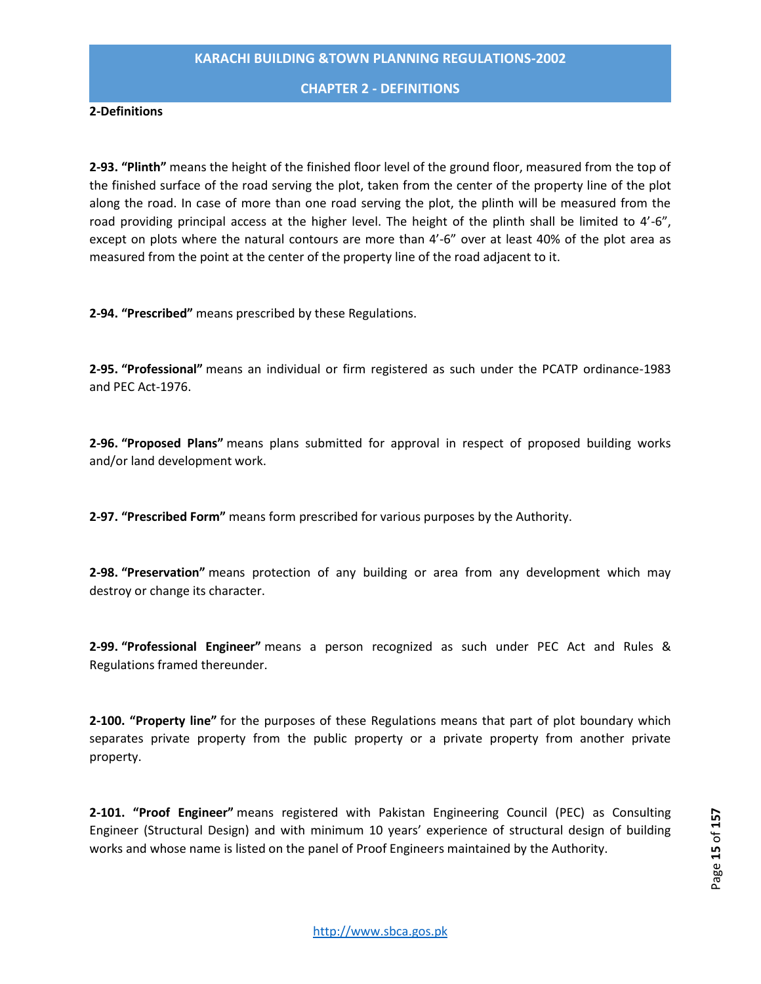#### **CHAPTER 2 - DEFINITIONS**

#### **2-Definitions**

**2-93. "Plinth"** means the height of the finished floor level of the ground floor, measured from the top of the finished surface of the road serving the plot, taken from the center of the property line of the plot along the road. In case of more than one road serving the plot, the plinth will be measured from the road providing principal access at the higher level. The height of the plinth shall be limited to 4'-6", except on plots where the natural contours are more than 4'-6" over at least 40% of the plot area as measured from the point at the center of the property line of the road adjacent to it.

**2-94. "Prescribed"** means prescribed by these Regulations.

**2-95. "Professional"** means an individual or firm registered as such under the PCATP ordinance-1983 and PEC Act-1976.

**2-96. "Proposed Plans"** means plans submitted for approval in respect of proposed building works and/or land development work.

**2-97. "Prescribed Form"** means form prescribed for various purposes by the Authority.

**2-98. "Preservation"** means protection of any building or area from any development which may destroy or change its character.

**2-99. "Professional Engineer"** means a person recognized as such under PEC Act and Rules & Regulations framed thereunder.

**2-100. "Property line"** for the purposes of these Regulations means that part of plot boundary which separates private property from the public property or a private property from another private property.

**2-101. "Proof Engineer"** means registered with Pakistan Engineering Council (PEC) as Consulting Engineer (Structural Design) and with minimum 10 years' experience of structural design of building works and whose name is listed on the panel of Proof Engineers maintained by the Authority.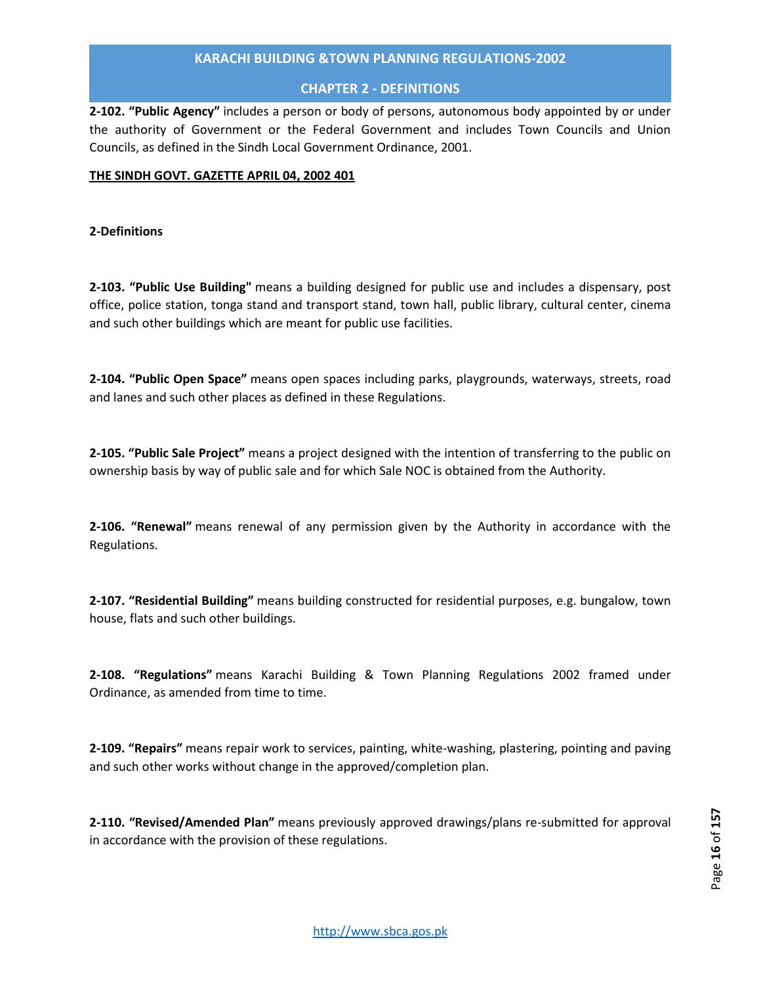# **CHAPTER 2 - DEFINITIONS**

**2-102. "Public Agency"** includes a person or body of persons, autonomous body appointed by or under the authority of Government or the Federal Government and includes Town Councils and Union Councils, as defined in the Sindh Local Government Ordinance, 2001.

# **THE SINDH GOVT. GAZETTE APRIL 04, 2002 401**

# **2-Definitions**

**2-103. "Public Use Building"** means a building designed for public use and includes a dispensary, post office, police station, tonga stand and transport stand, town hall, public library, cultural center, cinema and such other buildings which are meant for public use facilities.

**2-104. "Public Open Space"** means open spaces including parks, playgrounds, waterways, streets, road and lanes and such other places as defined in these Regulations.

**2-105. "Public Sale Project"** means a project designed with the intention of transferring to the public on ownership basis by way of public sale and for which Sale NOC is obtained from the Authority.

**2-106. "Renewal"** means renewal of any permission given by the Authority in accordance with the Regulations.

**2-107. "Residential Building"** means building constructed for residential purposes, e.g. bungalow, town house, flats and such other buildings.

**2-108. "Regulations"** means Karachi Building & Town Planning Regulations 2002 framed under Ordinance, as amended from time to time.

**2-109. "Repairs"** means repair work to services, painting, white-washing, plastering, pointing and paving and such other works without change in the approved/completion plan.

**2-110. "Revised/Amended Plan"** means previously approved drawings/plans re-submitted for approval in accordance with the provision of these regulations.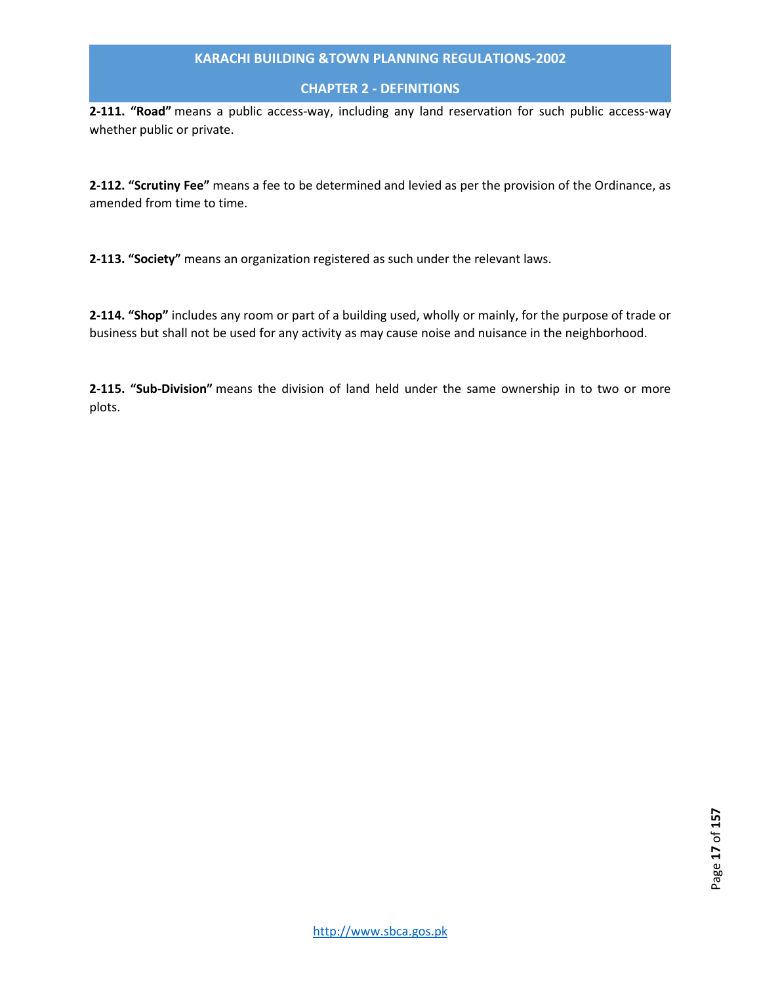# **CHAPTER 2 - DEFINITIONS**

**2-111. "Road"** means a public access-way, including any land reservation for such public access-way whether public or private.

**2-112. "Scrutiny Fee"** means a fee to be determined and levied as per the provision of the Ordinance, as amended from time to time.

**2-113. "Society"** means an organization registered as such under the relevant laws.

**2-114. "Shop"** includes any room or part of a building used, wholly or mainly, for the purpose of trade or business but shall not be used for any activity as may cause noise and nuisance in the neighborhood.

**2-115. "Sub-Division"** means the division of land held under the same ownership in to two or more plots.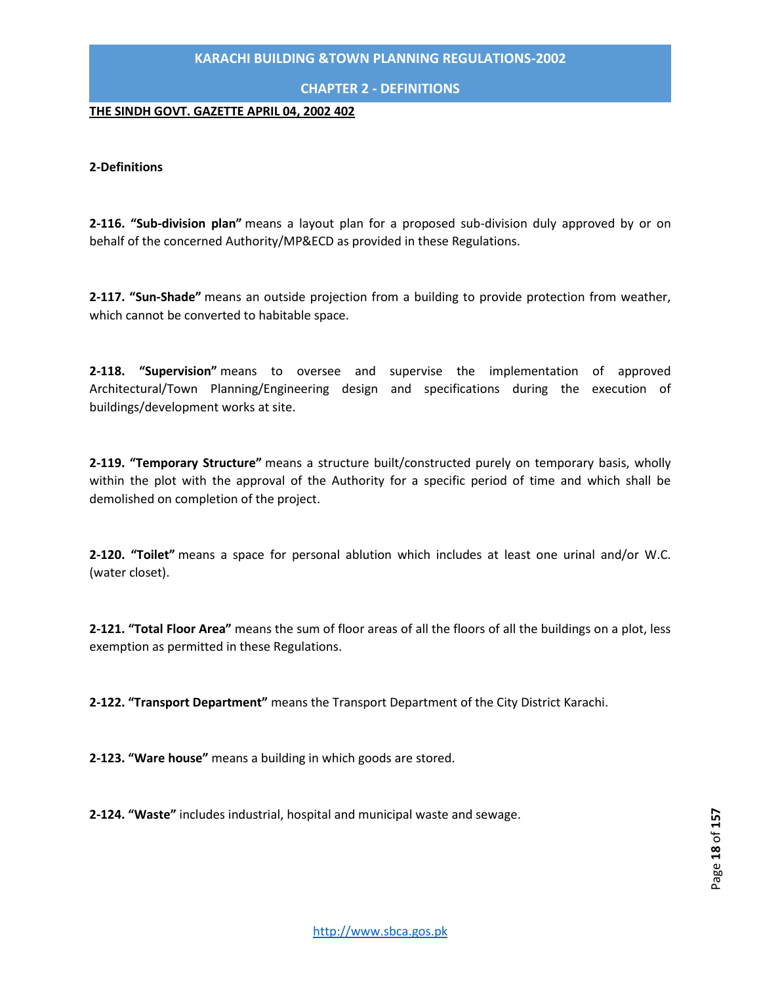# **CHAPTER 2 - DEFINITIONS**

#### **THE SINDH GOVT. GAZETTE APRIL 04, 2002 402**

#### **2-Definitions**

**2-116. "Sub-division plan"** means a layout plan for a proposed sub-division duly approved by or on behalf of the concerned Authority/MP&ECD as provided in these Regulations.

**2-117. "Sun-Shade"** means an outside projection from a building to provide protection from weather, which cannot be converted to habitable space.

**2-118. "Supervision"** means to oversee and supervise the implementation of approved Architectural/Town Planning/Engineering design and specifications during the execution of buildings/development works at site.

**2-119. "Temporary Structure"** means a structure built/constructed purely on temporary basis, wholly within the plot with the approval of the Authority for a specific period of time and which shall be demolished on completion of the project.

**2-120. "Toilet"** means a space for personal ablution which includes at least one urinal and/or W.C. (water closet).

**2-121. "Total Floor Area"** means the sum of floor areas of all the floors of all the buildings on a plot, less exemption as permitted in these Regulations.

**2-122. "Transport Department"** means the Transport Department of the City District Karachi.

**2-123. "Ware house"** means a building in which goods are stored.

**2-124. "Waste"** includes industrial, hospital and municipal waste and sewage.

http://www.sbca.gos.pk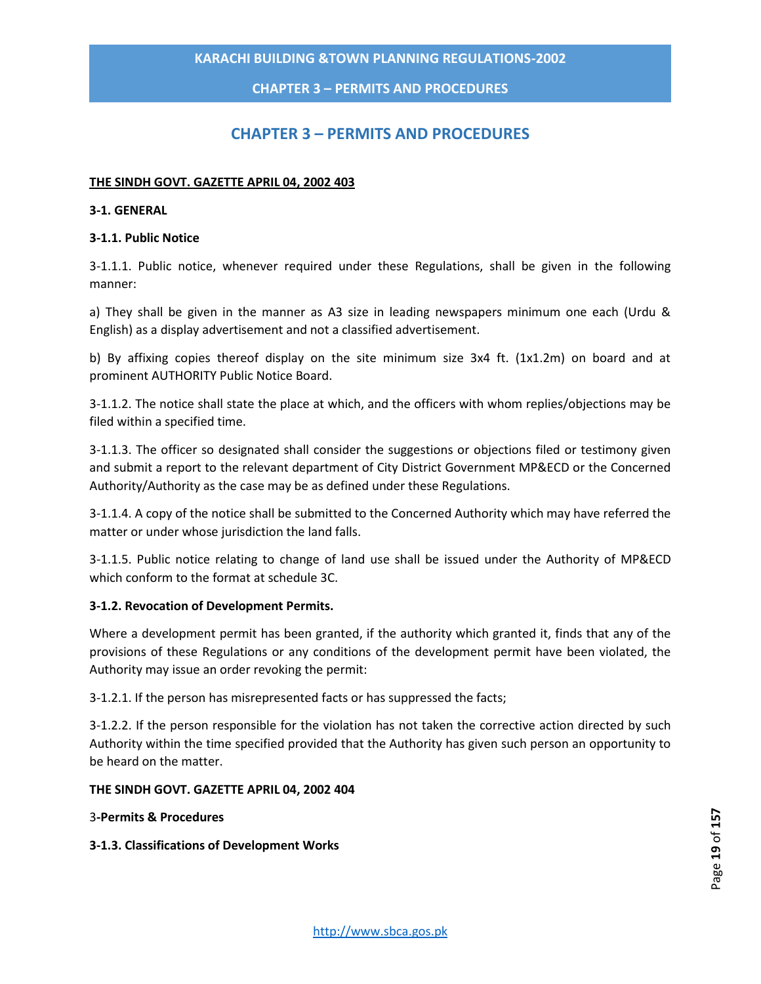**CHAPTER 3 – PERMITS AND PROCEDURES**

# **CHAPTER 3 – PERMITS AND PROCEDURES**

#### <span id="page-18-0"></span>**THE SINDH GOVT. GAZETTE APRIL 04, 2002 403**

#### **3-1. GENERAL**

#### **3-1.1. Public Notice**

3-1.1.1. Public notice, whenever required under these Regulations, shall be given in the following manner:

a) They shall be given in the manner as A3 size in leading newspapers minimum one each (Urdu & English) as a display advertisement and not a classified advertisement.

b) By affixing copies thereof display on the site minimum size 3x4 ft. (1x1.2m) on board and at prominent AUTHORITY Public Notice Board.

3-1.1.2. The notice shall state the place at which, and the officers with whom replies/objections may be filed within a specified time.

3-1.1.3. The officer so designated shall consider the suggestions or objections filed or testimony given and submit a report to the relevant department of City District Government MP&ECD or the Concerned Authority/Authority as the case may be as defined under these Regulations.

3-1.1.4. A copy of the notice shall be submitted to the Concerned Authority which may have referred the matter or under whose jurisdiction the land falls.

3-1.1.5. Public notice relating to change of land use shall be issued under the Authority of MP&ECD which conform to the format at schedule 3C.

#### **3-1.2. Revocation of Development Permits.**

Where a development permit has been granted, if the authority which granted it, finds that any of the provisions of these Regulations or any conditions of the development permit have been violated, the Authority may issue an order revoking the permit:

3-1.2.1. If the person has misrepresented facts or has suppressed the facts;

3-1.2.2. If the person responsible for the violation has not taken the corrective action directed by such Authority within the time specified provided that the Authority has given such person an opportunity to be heard on the matter.

#### **THE SINDH GOVT. GAZETTE APRIL 04, 2002 404**

3**-Permits & Procedures**

**3-1.3. Classifications of Development Works**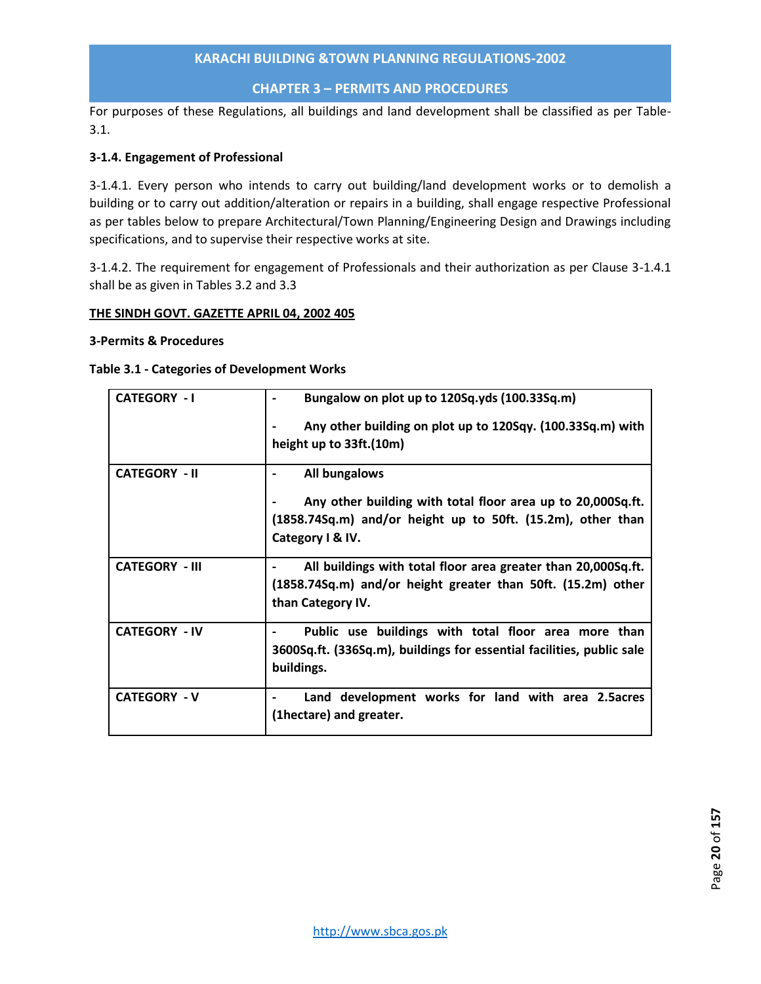# **CHAPTER 3 – PERMITS AND PROCEDURES**

For purposes of these Regulations, all buildings and land development shall be classified as per Table-3.1.

# **3-1.4. Engagement of Professional**

3-1.4.1. Every person who intends to carry out building/land development works or to demolish a building or to carry out addition/alteration or repairs in a building, shall engage respective Professional as per tables below to prepare Architectural/Town Planning/Engineering Design and Drawings including specifications, and to supervise their respective works at site.

3-1.4.2. The requirement for engagement of Professionals and their authorization as per Clause 3-1.4.1 shall be as given in Tables 3.2 and 3.3

#### **THE SINDH GOVT. GAZETTE APRIL 04, 2002 405**

#### **3-Permits & Procedures**

# **Table 3.1 - Categories of Development Works**

| <b>CATEGORY - I</b>   | Bungalow on plot up to 120Sq.yds (100.33Sq.m)                         |  |  |  |  |
|-----------------------|-----------------------------------------------------------------------|--|--|--|--|
|                       | Any other building on plot up to 120Sqy. (100.33Sq.m) with            |  |  |  |  |
|                       | height up to 33ft.(10m)                                               |  |  |  |  |
| <b>CATEGORY - II</b>  | All bungalows                                                         |  |  |  |  |
|                       | Any other building with total floor area up to 20,000Sq.ft.           |  |  |  |  |
|                       | (1858.74Sq.m) and/or height up to 50ft. (15.2m), other than           |  |  |  |  |
|                       | Category I & IV.                                                      |  |  |  |  |
| <b>CATEGORY - III</b> | All buildings with total floor area greater than 20,000Sq.ft.         |  |  |  |  |
|                       | (1858.74Sq.m) and/or height greater than 50ft. (15.2m) other          |  |  |  |  |
|                       | than Category IV.                                                     |  |  |  |  |
| <b>CATEGORY - IV</b>  | Public use buildings with total floor area more than                  |  |  |  |  |
|                       | 3600Sq.ft. (336Sq.m), buildings for essential facilities, public sale |  |  |  |  |
|                       | buildings.                                                            |  |  |  |  |
| <b>CATEGORY - V</b>   | Land development works for land with area 2.5 acres                   |  |  |  |  |
|                       | (1hectare) and greater.                                               |  |  |  |  |
|                       |                                                                       |  |  |  |  |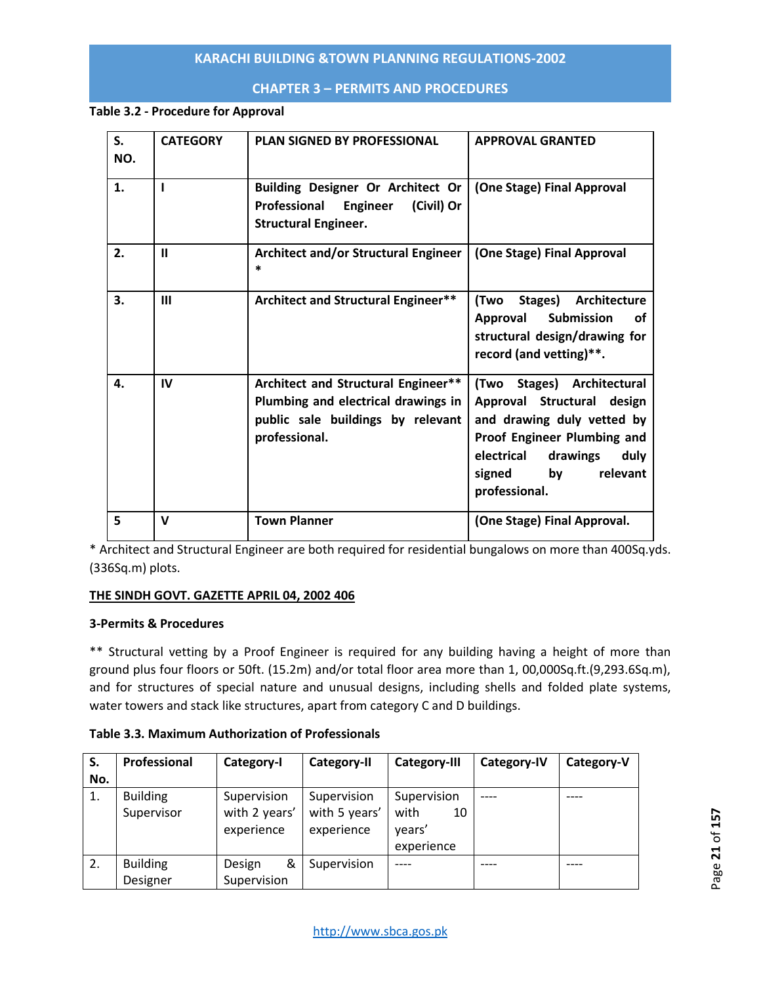# **CHAPTER 3 – PERMITS AND PROCEDURES**

# **Table 3.2 - Procedure for Approval**

| S.<br>NO. | <b>CATEGORY</b> | <b>PLAN SIGNED BY PROFESSIONAL</b>                                                                                               | <b>APPROVAL GRANTED</b>                                                                                                                                                                           |
|-----------|-----------------|----------------------------------------------------------------------------------------------------------------------------------|---------------------------------------------------------------------------------------------------------------------------------------------------------------------------------------------------|
| 1.        |                 | Building Designer Or Architect Or<br>(Civil) Or<br>Professional<br>Engineer<br><b>Structural Engineer.</b>                       | (One Stage) Final Approval                                                                                                                                                                        |
| 2.        | $\mathbf{u}$    | <b>Architect and/or Structural Engineer</b><br>$\ast$                                                                            | (One Stage) Final Approval                                                                                                                                                                        |
| 3.        | Ш               | Architect and Structural Engineer**                                                                                              | (Two<br>Stages) Architecture<br><b>Submission</b><br>Approval<br>οf<br>structural design/drawing for<br>record (and vetting)**.                                                                   |
| 4.        | IV              | Architect and Structural Engineer**<br>Plumbing and electrical drawings in<br>public sale buildings by relevant<br>professional. | (Two Stages) Architectural<br>Approval Structural design<br>and drawing duly vetted by<br>Proof Engineer Plumbing and<br>electrical<br>drawings<br>duly<br>signed by<br>relevant<br>professional. |
| 5         | v               | <b>Town Planner</b>                                                                                                              | (One Stage) Final Approval.                                                                                                                                                                       |

\* Architect and Structural Engineer are both required for residential bungalows on more than 400Sq.yds. (336Sq.m) plots.

# **THE SINDH GOVT. GAZETTE APRIL 04, 2002 406**

# **3-Permits & Procedures**

\*\* Structural vetting by a Proof Engineer is required for any building having a height of more than ground plus four floors or 50ft. (15.2m) and/or total floor area more than 1, 00,000Sq.ft.(9,293.6Sq.m), and for structures of special nature and unusual designs, including shells and folded plate systems, water towers and stack like structures, apart from category C and D buildings.

**Table 3.3. Maximum Authorization of Professionals**

| S.  | Professional    | Category-I    | Category-II   | <b>Category-III</b> | <b>Category-IV</b> | Category-V |  |
|-----|-----------------|---------------|---------------|---------------------|--------------------|------------|--|
| No. |                 |               |               |                     |                    |            |  |
| 1.  | <b>Building</b> | Supervision   | Supervision   | Supervision         |                    |            |  |
|     | Supervisor      | with 2 years' | with 5 years' | with<br>10          |                    |            |  |
|     |                 | experience    | experience    | years'              |                    |            |  |
|     |                 |               |               | experience          |                    |            |  |
| 2.  | <b>Building</b> | &<br>Design   | Supervision   |                     |                    |            |  |
|     | Designer        | Supervision   |               |                     |                    |            |  |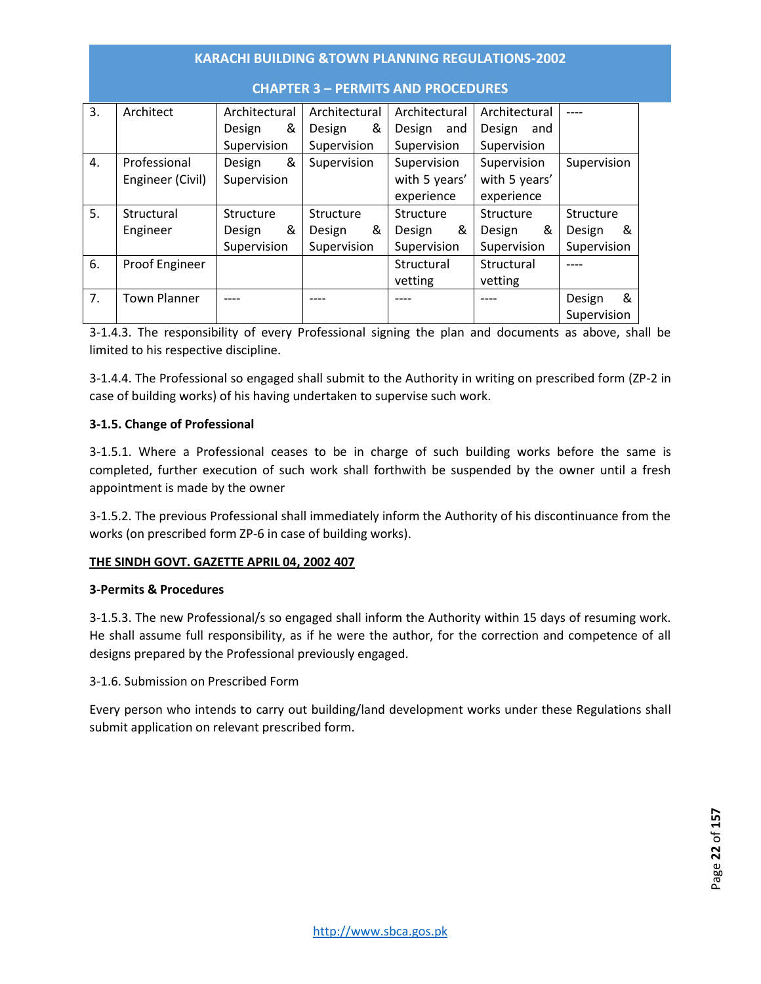| <b>CHAPTER 3 - PERMITS AND PROCEDURES</b> |                     |               |   |               |   |               |     |               |             |             |    |
|-------------------------------------------|---------------------|---------------|---|---------------|---|---------------|-----|---------------|-------------|-------------|----|
| 3.                                        | Architect           | Architectural |   | Architectural |   | Architectural |     | Architectural |             |             |    |
|                                           |                     | &<br>Design   |   | Design        | & | Design        | and | Design and    |             |             |    |
|                                           |                     | Supervision   |   | Supervision   |   | Supervision   |     | Supervision   |             |             |    |
| 4.                                        | Professional        | &<br>Design   |   | Supervision   |   | Supervision   |     | Supervision   |             | Supervision |    |
|                                           | Engineer (Civil)    | Supervision   |   |               |   | with 5 years' |     | with 5 years' |             |             |    |
|                                           |                     |               |   |               |   | experience    |     | experience    |             |             |    |
| 5.                                        | Structural          | Structure     |   | Structure     |   | Structure     |     | Structure     |             | Structure   |    |
|                                           | Engineer            | Design        | & | Design        | & | Design        | &   | Design        | &           | Design      | _& |
|                                           |                     | Supervision   |   | Supervision   |   | Supervision   |     | Supervision   |             | Supervision |    |
| 6.                                        | Proof Engineer      |               |   |               |   | Structural    |     | Structural    |             |             |    |
|                                           |                     |               |   | vetting       |   | vetting       |     |               |             |             |    |
| 7.                                        | <b>Town Planner</b> |               |   |               |   |               |     |               |             | Design      | &  |
|                                           |                     |               |   |               |   |               |     |               | Supervision |             |    |

3-1.4.3. The responsibility of every Professional signing the plan and documents as above, shall be limited to his respective discipline.

3-1.4.4. The Professional so engaged shall submit to the Authority in writing on prescribed form (ZP-2 in case of building works) of his having undertaken to supervise such work.

# **3-1.5. Change of Professional**

3-1.5.1. Where a Professional ceases to be in charge of such building works before the same is completed, further execution of such work shall forthwith be suspended by the owner until a fresh appointment is made by the owner

3-1.5.2. The previous Professional shall immediately inform the Authority of his discontinuance from the works (on prescribed form ZP-6 in case of building works).

# **THE SINDH GOVT. GAZETTE APRIL 04, 2002 407**

#### **3-Permits & Procedures**

3-1.5.3. The new Professional/s so engaged shall inform the Authority within 15 days of resuming work. He shall assume full responsibility, as if he were the author, for the correction and competence of all designs prepared by the Professional previously engaged.

3-1.6. Submission on Prescribed Form

Every person who intends to carry out building/land development works under these Regulations shall submit application on relevant prescribed form.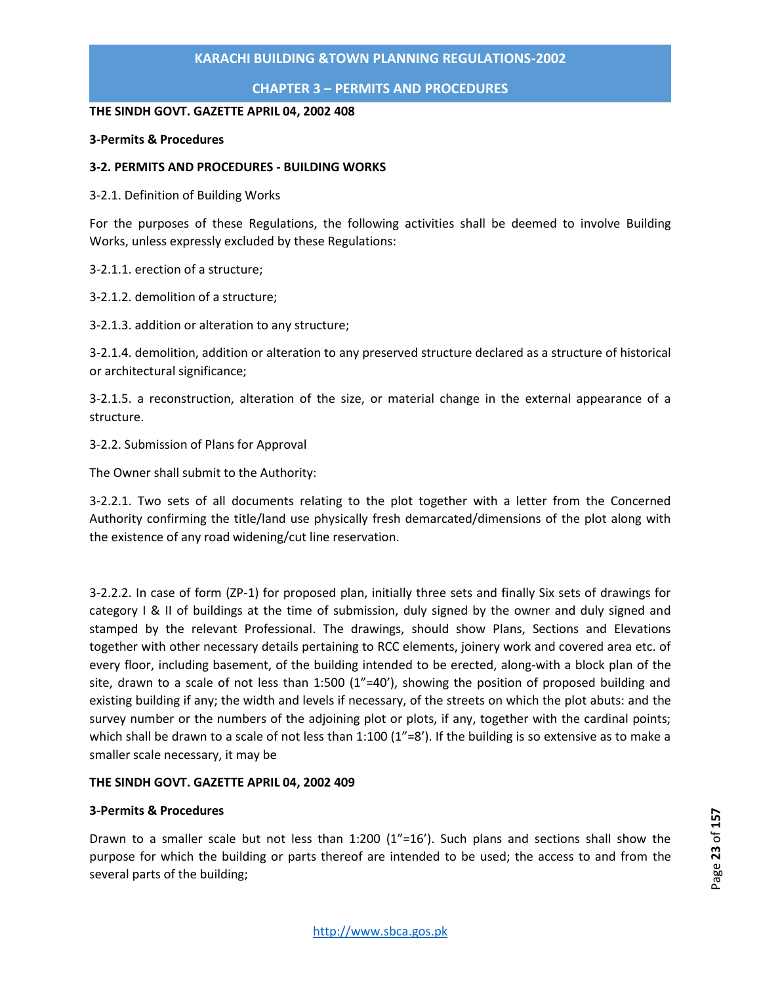**CHAPTER 3 – PERMITS AND PROCEDURES**

#### **THE SINDH GOVT. GAZETTE APRIL 04, 2002 408**

#### **3-Permits & Procedures**

# **3-2. PERMITS AND PROCEDURES - BUILDING WORKS**

3-2.1. Definition of Building Works

For the purposes of these Regulations, the following activities shall be deemed to involve Building Works, unless expressly excluded by these Regulations:

3-2.1.1. erection of a structure;

3-2.1.2. demolition of a structure;

3-2.1.3. addition or alteration to any structure;

3-2.1.4. demolition, addition or alteration to any preserved structure declared as a structure of historical or architectural significance;

3-2.1.5. a reconstruction, alteration of the size, or material change in the external appearance of a structure.

3-2.2. Submission of Plans for Approval

The Owner shall submit to the Authority:

3-2.2.1. Two sets of all documents relating to the plot together with a letter from the Concerned Authority confirming the title/land use physically fresh demarcated/dimensions of the plot along with the existence of any road widening/cut line reservation.

3-2.2.2. In case of form (ZP-1) for proposed plan, initially three sets and finally Six sets of drawings for category I & II of buildings at the time of submission, duly signed by the owner and duly signed and stamped by the relevant Professional. The drawings, should show Plans, Sections and Elevations together with other necessary details pertaining to RCC elements, joinery work and covered area etc. of every floor, including basement, of the building intended to be erected, along-with a block plan of the site, drawn to a scale of not less than 1:500 (1"=40'), showing the position of proposed building and existing building if any; the width and levels if necessary, of the streets on which the plot abuts: and the survey number or the numbers of the adjoining plot or plots, if any, together with the cardinal points; which shall be drawn to a scale of not less than  $1:100 (1"=8')$ . If the building is so extensive as to make a smaller scale necessary, it may be

# **THE SINDH GOVT. GAZETTE APRIL 04, 2002 409**

#### **3-Permits & Procedures**

Drawn to a smaller scale but not less than 1:200 (1"=16'). Such plans and sections shall show the purpose for which the building or parts thereof are intended to be used; the access to and from the several parts of the building;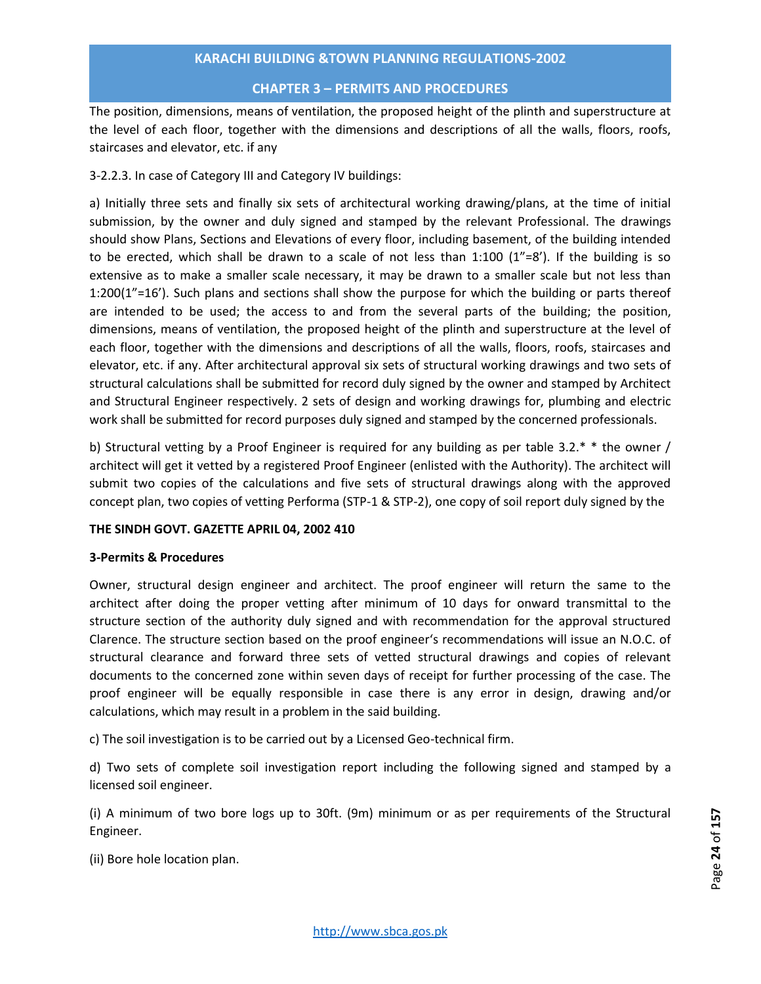#### **CHAPTER 3 – PERMITS AND PROCEDURES**

The position, dimensions, means of ventilation, the proposed height of the plinth and superstructure at the level of each floor, together with the dimensions and descriptions of all the walls, floors, roofs, staircases and elevator, etc. if any

# 3-2.2.3. In case of Category III and Category IV buildings:

a) Initially three sets and finally six sets of architectural working drawing/plans, at the time of initial submission, by the owner and duly signed and stamped by the relevant Professional. The drawings should show Plans, Sections and Elevations of every floor, including basement, of the building intended to be erected, which shall be drawn to a scale of not less than 1:100 (1"=8'). If the building is so extensive as to make a smaller scale necessary, it may be drawn to a smaller scale but not less than 1:200(1"=16'). Such plans and sections shall show the purpose for which the building or parts thereof are intended to be used; the access to and from the several parts of the building; the position, dimensions, means of ventilation, the proposed height of the plinth and superstructure at the level of each floor, together with the dimensions and descriptions of all the walls, floors, roofs, staircases and elevator, etc. if any. After architectural approval six sets of structural working drawings and two sets of structural calculations shall be submitted for record duly signed by the owner and stamped by Architect and Structural Engineer respectively. 2 sets of design and working drawings for, plumbing and electric work shall be submitted for record purposes duly signed and stamped by the concerned professionals.

b) Structural vetting by a Proof Engineer is required for any building as per table 3.2.\* \* the owner / architect will get it vetted by a registered Proof Engineer (enlisted with the Authority). The architect will submit two copies of the calculations and five sets of structural drawings along with the approved concept plan, two copies of vetting Performa (STP-1 & STP-2), one copy of soil report duly signed by the

# **THE SINDH GOVT. GAZETTE APRIL 04, 2002 410**

# **3-Permits & Procedures**

Owner, structural design engineer and architect. The proof engineer will return the same to the architect after doing the proper vetting after minimum of 10 days for onward transmittal to the structure section of the authority duly signed and with recommendation for the approval structured Clarence. The structure section based on the proof engineer's recommendations will issue an N.O.C. of structural clearance and forward three sets of vetted structural drawings and copies of relevant documents to the concerned zone within seven days of receipt for further processing of the case. The proof engineer will be equally responsible in case there is any error in design, drawing and/or calculations, which may result in a problem in the said building.

c) The soil investigation is to be carried out by a Licensed Geo-technical firm.

d) Two sets of complete soil investigation report including the following signed and stamped by a licensed soil engineer.

(i) A minimum of two bore logs up to 30ft. (9m) minimum or as per requirements of the Structural Engineer.

(ii) Bore hole location plan.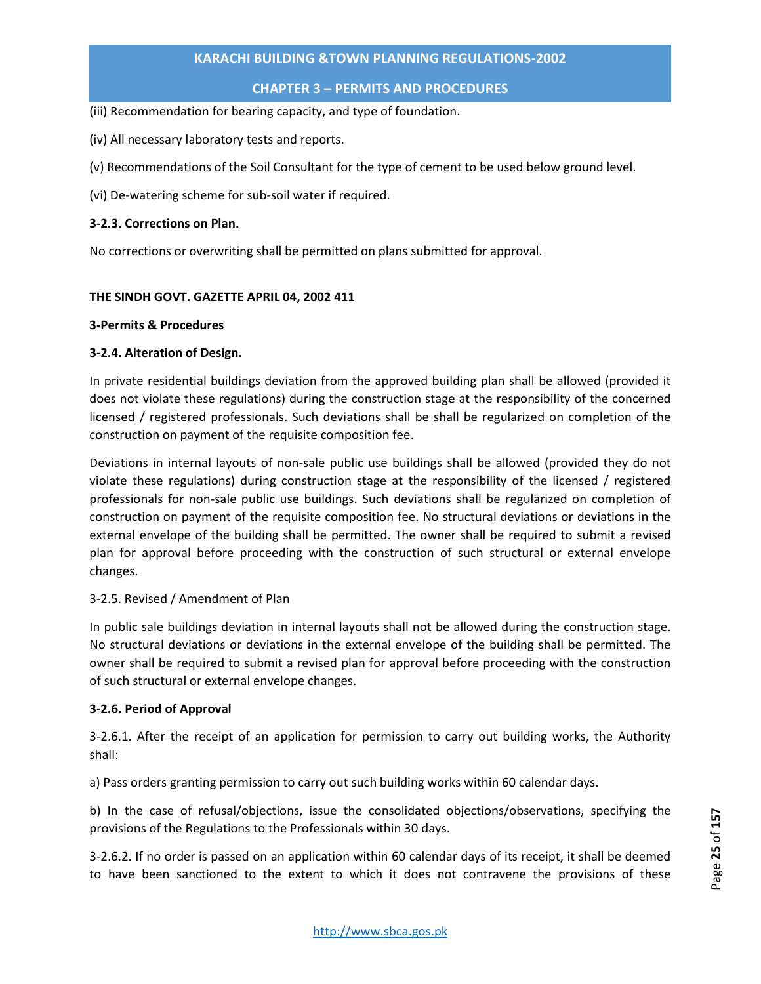# **CHAPTER 3 – PERMITS AND PROCEDURES**

(iii) Recommendation for bearing capacity, and type of foundation.

(iv) All necessary laboratory tests and reports.

(v) Recommendations of the Soil Consultant for the type of cement to be used below ground level.

(vi) De-watering scheme for sub-soil water if required.

#### **3-2.3. Corrections on Plan.**

No corrections or overwriting shall be permitted on plans submitted for approval.

#### **THE SINDH GOVT. GAZETTE APRIL 04, 2002 411**

#### **3-Permits & Procedures**

# **3-2.4. Alteration of Design.**

In private residential buildings deviation from the approved building plan shall be allowed (provided it does not violate these regulations) during the construction stage at the responsibility of the concerned licensed / registered professionals. Such deviations shall be shall be regularized on completion of the construction on payment of the requisite composition fee.

Deviations in internal layouts of non-sale public use buildings shall be allowed (provided they do not violate these regulations) during construction stage at the responsibility of the licensed / registered professionals for non-sale public use buildings. Such deviations shall be regularized on completion of construction on payment of the requisite composition fee. No structural deviations or deviations in the external envelope of the building shall be permitted. The owner shall be required to submit a revised plan for approval before proceeding with the construction of such structural or external envelope changes.

# 3-2.5. Revised / Amendment of Plan

In public sale buildings deviation in internal layouts shall not be allowed during the construction stage. No structural deviations or deviations in the external envelope of the building shall be permitted. The owner shall be required to submit a revised plan for approval before proceeding with the construction of such structural or external envelope changes.

# **3-2.6. Period of Approval**

3-2.6.1. After the receipt of an application for permission to carry out building works, the Authority shall:

a) Pass orders granting permission to carry out such building works within 60 calendar days.

b) In the case of refusal/objections, issue the consolidated objections/observations, specifying the provisions of the Regulations to the Professionals within 30 days.

3-2.6.2. If no order is passed on an application within 60 calendar days of its receipt, it shall be deemed to have been sanctioned to the extent to which it does not contravene the provisions of these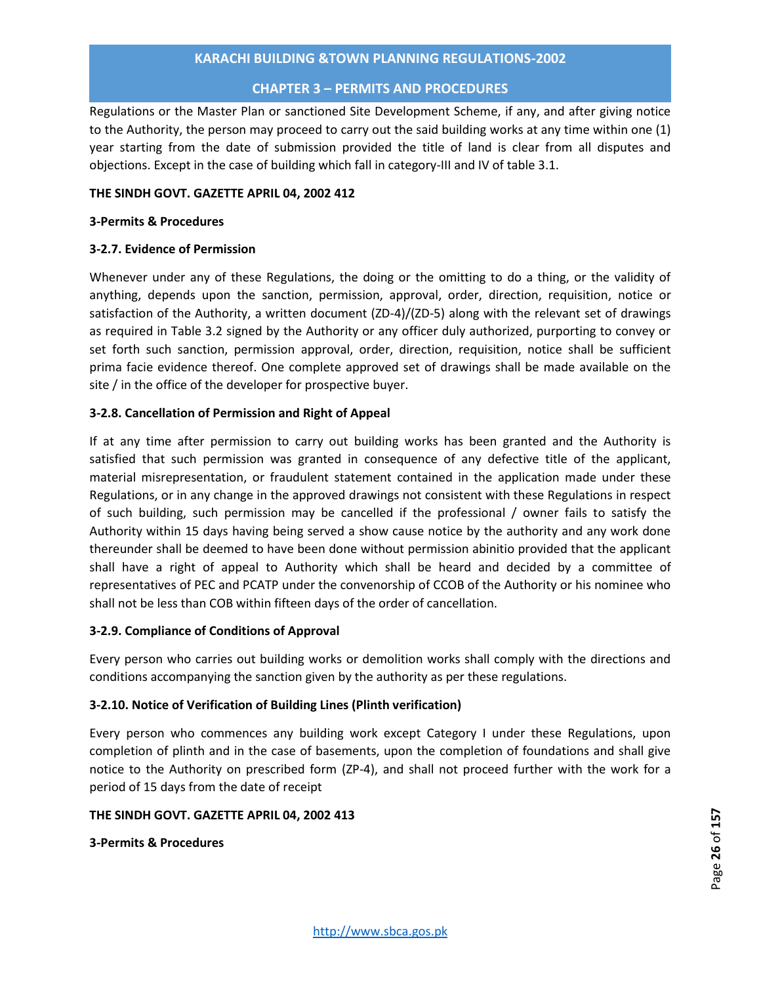#### **CHAPTER 3 – PERMITS AND PROCEDURES**

Regulations or the Master Plan or sanctioned Site Development Scheme, if any, and after giving notice to the Authority, the person may proceed to carry out the said building works at any time within one (1) year starting from the date of submission provided the title of land is clear from all disputes and objections. Except in the case of building which fall in category-III and IV of table 3.1.

#### **THE SINDH GOVT. GAZETTE APRIL 04, 2002 412**

#### **3-Permits & Procedures**

# **3-2.7. Evidence of Permission**

Whenever under any of these Regulations, the doing or the omitting to do a thing, or the validity of anything, depends upon the sanction, permission, approval, order, direction, requisition, notice or satisfaction of the Authority, a written document (ZD-4)/(ZD-5) along with the relevant set of drawings as required in Table 3.2 signed by the Authority or any officer duly authorized, purporting to convey or set forth such sanction, permission approval, order, direction, requisition, notice shall be sufficient prima facie evidence thereof. One complete approved set of drawings shall be made available on the site / in the office of the developer for prospective buyer.

# **3-2.8. Cancellation of Permission and Right of Appeal**

If at any time after permission to carry out building works has been granted and the Authority is satisfied that such permission was granted in consequence of any defective title of the applicant, material misrepresentation, or fraudulent statement contained in the application made under these Regulations, or in any change in the approved drawings not consistent with these Regulations in respect of such building, such permission may be cancelled if the professional / owner fails to satisfy the Authority within 15 days having being served a show cause notice by the authority and any work done thereunder shall be deemed to have been done without permission abinitio provided that the applicant shall have a right of appeal to Authority which shall be heard and decided by a committee of representatives of PEC and PCATP under the convenorship of CCOB of the Authority or his nominee who shall not be less than COB within fifteen days of the order of cancellation.

# **3-2.9. Compliance of Conditions of Approval**

Every person who carries out building works or demolition works shall comply with the directions and conditions accompanying the sanction given by the authority as per these regulations.

# **3-2.10. Notice of Verification of Building Lines (Plinth verification)**

Every person who commences any building work except Category I under these Regulations, upon completion of plinth and in the case of basements, upon the completion of foundations and shall give notice to the Authority on prescribed form (ZP-4), and shall not proceed further with the work for a period of 15 days from the date of receipt

#### **THE SINDH GOVT. GAZETTE APRIL 04, 2002 413**

# **3-Permits & Procedures**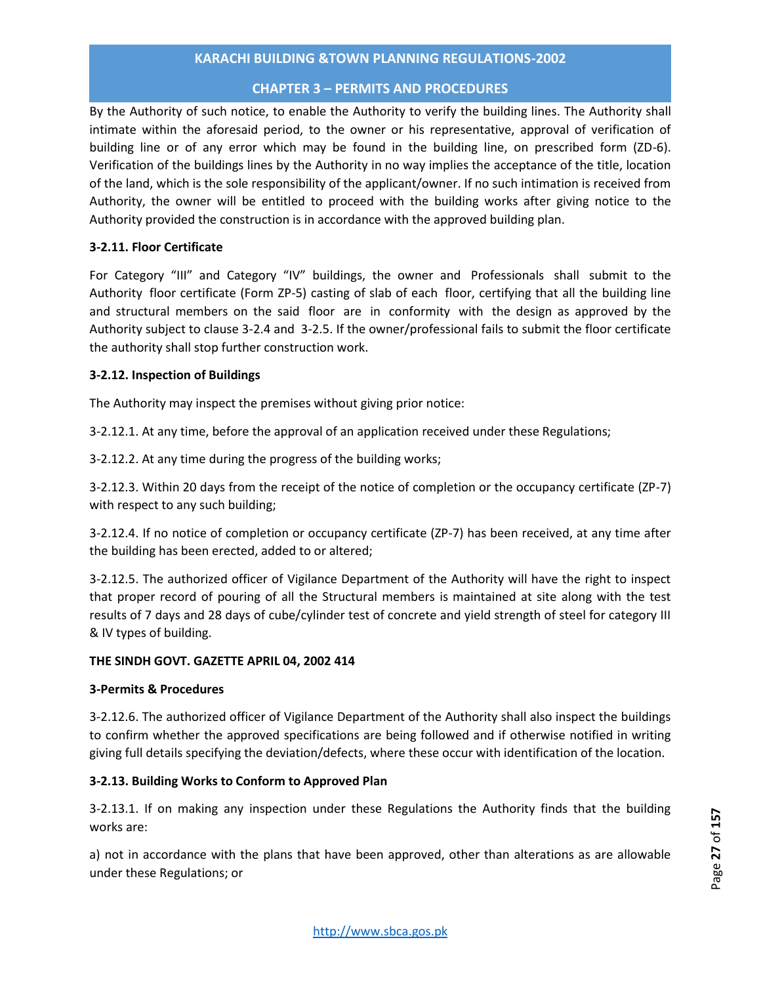# **CHAPTER 3 – PERMITS AND PROCEDURES**

By the Authority of such notice, to enable the Authority to verify the building lines. The Authority shall intimate within the aforesaid period, to the owner or his representative, approval of verification of building line or of any error which may be found in the building line, on prescribed form (ZD-6). Verification of the buildings lines by the Authority in no way implies the acceptance of the title, location of the land, which is the sole responsibility of the applicant/owner. If no such intimation is received from Authority, the owner will be entitled to proceed with the building works after giving notice to the Authority provided the construction is in accordance with the approved building plan.

# **3-2.11. Floor Certificate**

For Category "III" and Category "IV" buildings, the owner and Professionals shall submit to the Authority floor certificate (Form ZP-5) casting of slab of each floor, certifying that all the building line and structural members on the said floor are in conformity with the design as approved by the Authority subject to clause 3-2.4 and 3-2.5. If the owner/professional fails to submit the floor certificate the authority shall stop further construction work.

# **3-2.12. Inspection of Buildings**

The Authority may inspect the premises without giving prior notice:

3-2.12.1. At any time, before the approval of an application received under these Regulations;

3-2.12.2. At any time during the progress of the building works;

3-2.12.3. Within 20 days from the receipt of the notice of completion or the occupancy certificate (ZP-7) with respect to any such building;

3-2.12.4. If no notice of completion or occupancy certificate (ZP-7) has been received, at any time after the building has been erected, added to or altered;

3-2.12.5. The authorized officer of Vigilance Department of the Authority will have the right to inspect that proper record of pouring of all the Structural members is maintained at site along with the test results of 7 days and 28 days of cube/cylinder test of concrete and yield strength of steel for category III & IV types of building.

#### **THE SINDH GOVT. GAZETTE APRIL 04, 2002 414**

# **3-Permits & Procedures**

3-2.12.6. The authorized officer of Vigilance Department of the Authority shall also inspect the buildings to confirm whether the approved specifications are being followed and if otherwise notified in writing giving full details specifying the deviation/defects, where these occur with identification of the location.

# **3-2.13. Building Works to Conform to Approved Plan**

3-2.13.1. If on making any inspection under these Regulations the Authority finds that the building works are:

a) not in accordance with the plans that have been approved, other than alterations as are allowable under these Regulations; or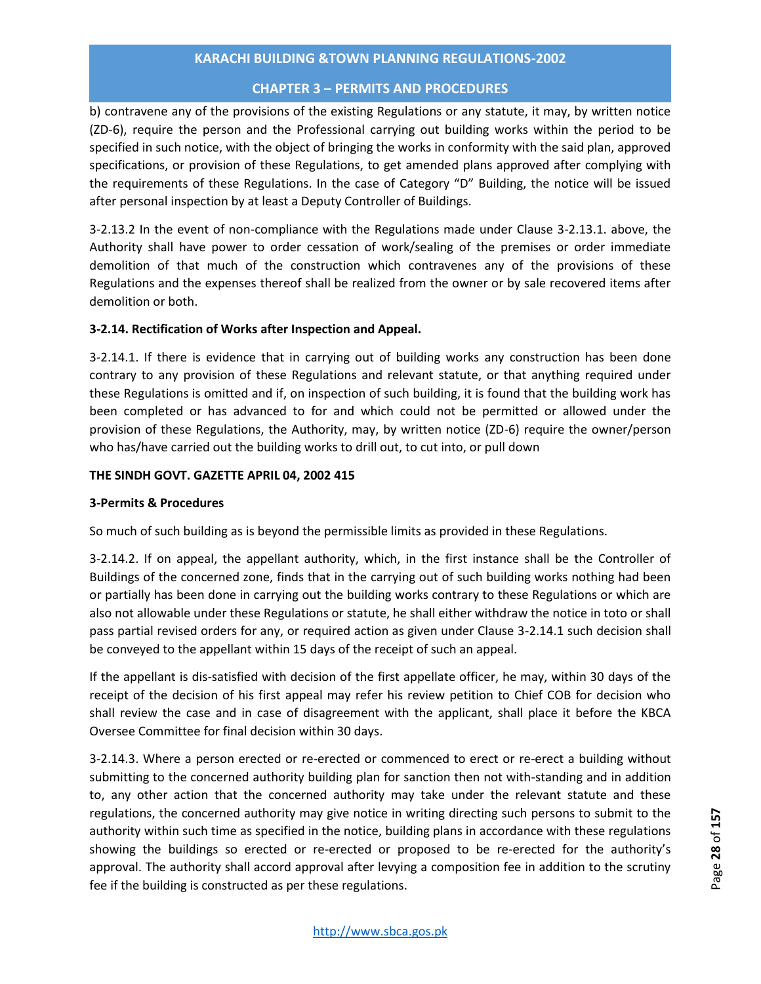# **CHAPTER 3 – PERMITS AND PROCEDURES**

b) contravene any of the provisions of the existing Regulations or any statute, it may, by written notice (ZD-6), require the person and the Professional carrying out building works within the period to be specified in such notice, with the object of bringing the works in conformity with the said plan, approved specifications, or provision of these Regulations, to get amended plans approved after complying with the requirements of these Regulations. In the case of Category "D" Building, the notice will be issued after personal inspection by at least a Deputy Controller of Buildings.

3-2.13.2 In the event of non-compliance with the Regulations made under Clause 3-2.13.1. above, the Authority shall have power to order cessation of work/sealing of the premises or order immediate demolition of that much of the construction which contravenes any of the provisions of these Regulations and the expenses thereof shall be realized from the owner or by sale recovered items after demolition or both.

# **3-2.14. Rectification of Works after Inspection and Appeal.**

3-2.14.1. If there is evidence that in carrying out of building works any construction has been done contrary to any provision of these Regulations and relevant statute, or that anything required under these Regulations is omitted and if, on inspection of such building, it is found that the building work has been completed or has advanced to for and which could not be permitted or allowed under the provision of these Regulations, the Authority, may, by written notice (ZD-6) require the owner/person who has/have carried out the building works to drill out, to cut into, or pull down

# **THE SINDH GOVT. GAZETTE APRIL 04, 2002 415**

# **3-Permits & Procedures**

So much of such building as is beyond the permissible limits as provided in these Regulations.

3-2.14.2. If on appeal, the appellant authority, which, in the first instance shall be the Controller of Buildings of the concerned zone, finds that in the carrying out of such building works nothing had been or partially has been done in carrying out the building works contrary to these Regulations or which are also not allowable under these Regulations or statute, he shall either withdraw the notice in toto or shall pass partial revised orders for any, or required action as given under Clause 3-2.14.1 such decision shall be conveyed to the appellant within 15 days of the receipt of such an appeal.

If the appellant is dis-satisfied with decision of the first appellate officer, he may, within 30 days of the receipt of the decision of his first appeal may refer his review petition to Chief COB for decision who shall review the case and in case of disagreement with the applicant, shall place it before the KBCA Oversee Committee for final decision within 30 days.

3-2.14.3. Where a person erected or re-erected or commenced to erect or re-erect a building without submitting to the concerned authority building plan for sanction then not with-standing and in addition to, any other action that the concerned authority may take under the relevant statute and these regulations, the concerned authority may give notice in writing directing such persons to submit to the authority within such time as specified in the notice, building plans in accordance with these regulations showing the buildings so erected or re-erected or proposed to be re-erected for the authority's approval. The authority shall accord approval after levying a composition fee in addition to the scrutiny fee if the building is constructed as per these regulations.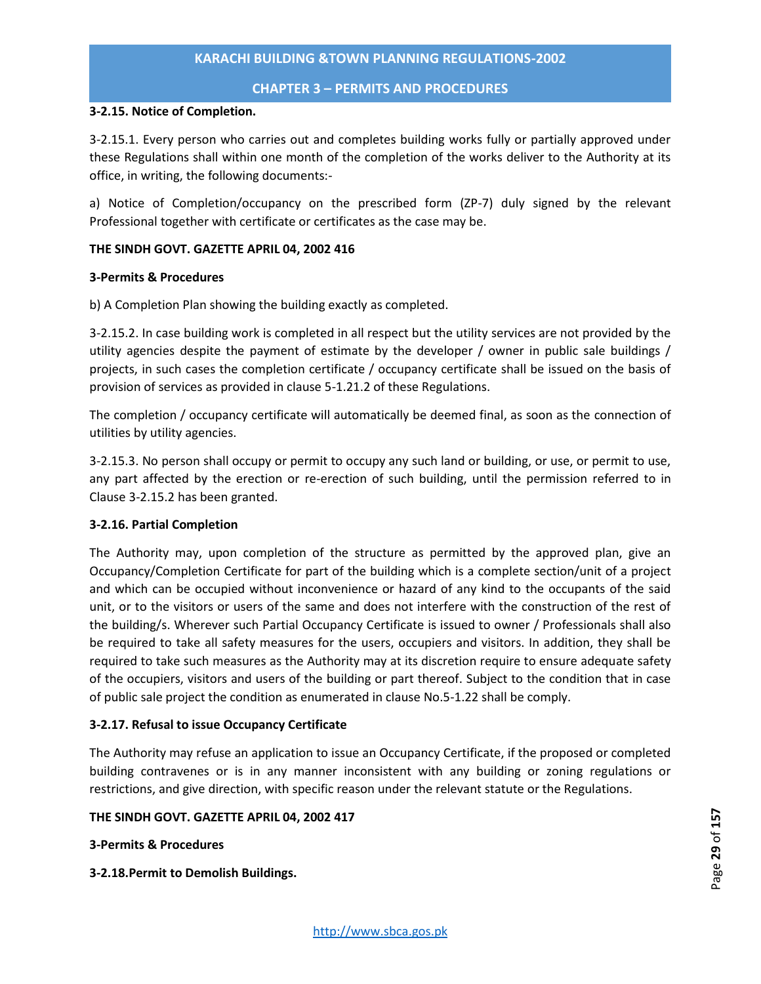#### **CHAPTER 3 – PERMITS AND PROCEDURES**

#### **3-2.15. Notice of Completion.**

3-2.15.1. Every person who carries out and completes building works fully or partially approved under these Regulations shall within one month of the completion of the works deliver to the Authority at its office, in writing, the following documents:-

a) Notice of Completion/occupancy on the prescribed form (ZP-7) duly signed by the relevant Professional together with certificate or certificates as the case may be.

## **THE SINDH GOVT. GAZETTE APRIL 04, 2002 416**

#### **3-Permits & Procedures**

b) A Completion Plan showing the building exactly as completed.

3-2.15.2. In case building work is completed in all respect but the utility services are not provided by the utility agencies despite the payment of estimate by the developer / owner in public sale buildings / projects, in such cases the completion certificate / occupancy certificate shall be issued on the basis of provision of services as provided in clause 5-1.21.2 of these Regulations.

The completion / occupancy certificate will automatically be deemed final, as soon as the connection of utilities by utility agencies.

3-2.15.3. No person shall occupy or permit to occupy any such land or building, or use, or permit to use, any part affected by the erection or re-erection of such building, until the permission referred to in Clause 3-2.15.2 has been granted.

# **3-2.16. Partial Completion**

The Authority may, upon completion of the structure as permitted by the approved plan, give an Occupancy/Completion Certificate for part of the building which is a complete section/unit of a project and which can be occupied without inconvenience or hazard of any kind to the occupants of the said unit, or to the visitors or users of the same and does not interfere with the construction of the rest of the building/s. Wherever such Partial Occupancy Certificate is issued to owner / Professionals shall also be required to take all safety measures for the users, occupiers and visitors. In addition, they shall be required to take such measures as the Authority may at its discretion require to ensure adequate safety of the occupiers, visitors and users of the building or part thereof. Subject to the condition that in case of public sale project the condition as enumerated in clause No.5-1.22 shall be comply.

# **3-2.17. Refusal to issue Occupancy Certificate**

The Authority may refuse an application to issue an Occupancy Certificate, if the proposed or completed building contravenes or is in any manner inconsistent with any building or zoning regulations or restrictions, and give direction, with specific reason under the relevant statute or the Regulations.

#### **THE SINDH GOVT. GAZETTE APRIL 04, 2002 417**

# **3-Permits & Procedures**

**3-2.18.Permit to Demolish Buildings.**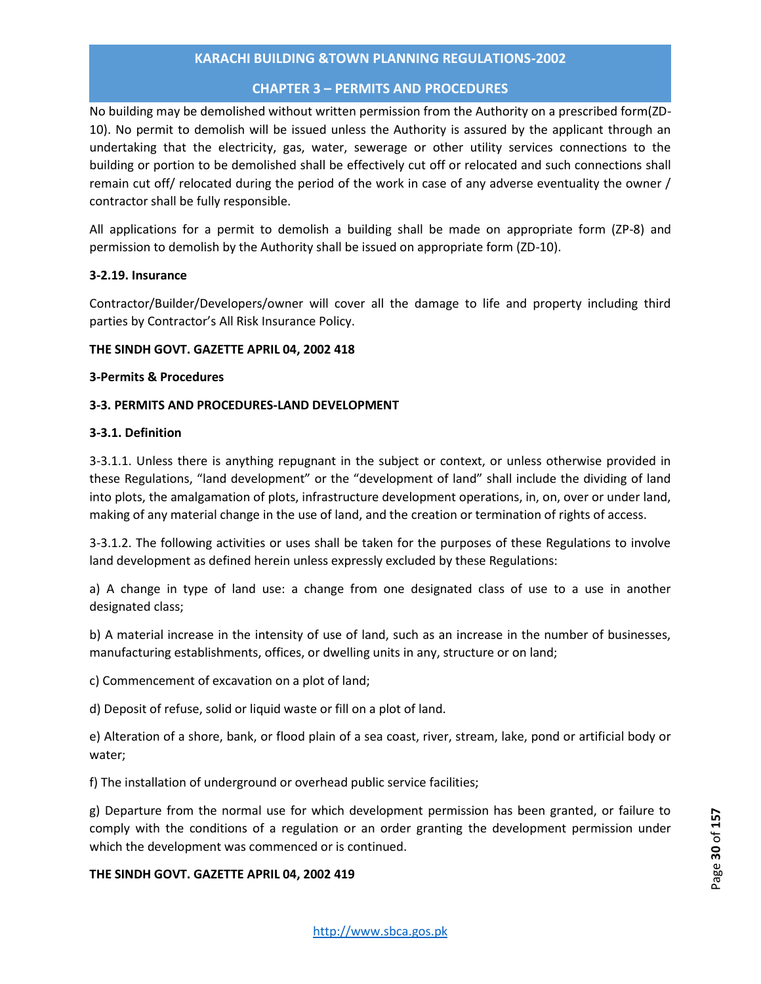# **CHAPTER 3 – PERMITS AND PROCEDURES**

No building may be demolished without written permission from the Authority on a prescribed form(ZD-10). No permit to demolish will be issued unless the Authority is assured by the applicant through an undertaking that the electricity, gas, water, sewerage or other utility services connections to the building or portion to be demolished shall be effectively cut off or relocated and such connections shall remain cut off/ relocated during the period of the work in case of any adverse eventuality the owner / contractor shall be fully responsible.

All applications for a permit to demolish a building shall be made on appropriate form (ZP-8) and permission to demolish by the Authority shall be issued on appropriate form (ZD-10).

# **3-2.19. Insurance**

Contractor/Builder/Developers/owner will cover all the damage to life and property including third parties by Contractor's All Risk Insurance Policy.

#### **THE SINDH GOVT. GAZETTE APRIL 04, 2002 418**

#### **3-Permits & Procedures**

# **3-3. PERMITS AND PROCEDURES-LAND DEVELOPMENT**

#### **3-3.1. Definition**

3-3.1.1. Unless there is anything repugnant in the subject or context, or unless otherwise provided in these Regulations, "land development" or the "development of land" shall include the dividing of land into plots, the amalgamation of plots, infrastructure development operations, in, on, over or under land, making of any material change in the use of land, and the creation or termination of rights of access.

3-3.1.2. The following activities or uses shall be taken for the purposes of these Regulations to involve land development as defined herein unless expressly excluded by these Regulations:

a) A change in type of land use: a change from one designated class of use to a use in another designated class;

b) A material increase in the intensity of use of land, such as an increase in the number of businesses, manufacturing establishments, offices, or dwelling units in any, structure or on land;

c) Commencement of excavation on a plot of land;

d) Deposit of refuse, solid or liquid waste or fill on a plot of land.

e) Alteration of a shore, bank, or flood plain of a sea coast, river, stream, lake, pond or artificial body or water;

f) The installation of underground or overhead public service facilities;

g) Departure from the normal use for which development permission has been granted, or failure to comply with the conditions of a regulation or an order granting the development permission under which the development was commenced or is continued.

# **THE SINDH GOVT. GAZETTE APRIL 04, 2002 419**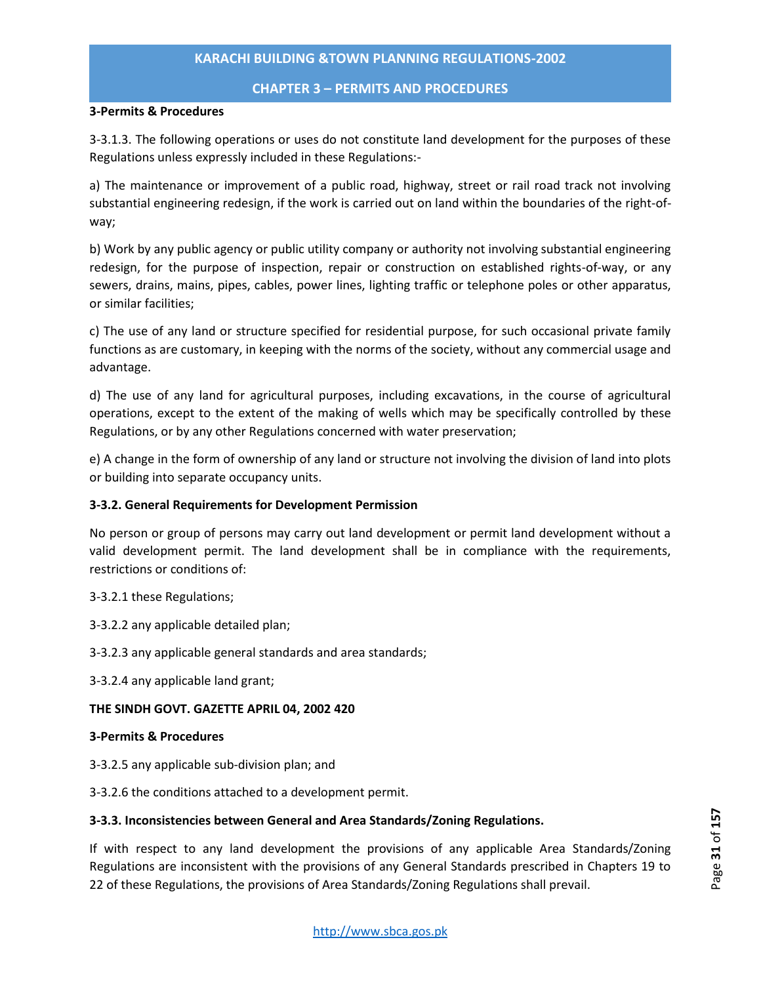#### **CHAPTER 3 – PERMITS AND PROCEDURES**

#### **3-Permits & Procedures**

3-3.1.3. The following operations or uses do not constitute land development for the purposes of these Regulations unless expressly included in these Regulations:-

a) The maintenance or improvement of a public road, highway, street or rail road track not involving substantial engineering redesign, if the work is carried out on land within the boundaries of the right-ofway;

b) Work by any public agency or public utility company or authority not involving substantial engineering redesign, for the purpose of inspection, repair or construction on established rights-of-way, or any sewers, drains, mains, pipes, cables, power lines, lighting traffic or telephone poles or other apparatus, or similar facilities;

c) The use of any land or structure specified for residential purpose, for such occasional private family functions as are customary, in keeping with the norms of the society, without any commercial usage and advantage.

d) The use of any land for agricultural purposes, including excavations, in the course of agricultural operations, except to the extent of the making of wells which may be specifically controlled by these Regulations, or by any other Regulations concerned with water preservation;

e) A change in the form of ownership of any land or structure not involving the division of land into plots or building into separate occupancy units.

# **3-3.2. General Requirements for Development Permission**

No person or group of persons may carry out land development or permit land development without a valid development permit. The land development shall be in compliance with the requirements, restrictions or conditions of:

3-3.2.1 these Regulations;

3-3.2.2 any applicable detailed plan;

- 3-3.2.3 any applicable general standards and area standards;
- 3-3.2.4 any applicable land grant;

#### **THE SINDH GOVT. GAZETTE APRIL 04, 2002 420**

#### **3-Permits & Procedures**

- 3-3.2.5 any applicable sub-division plan; and
- 3-3.2.6 the conditions attached to a development permit.

#### **3-3.3. Inconsistencies between General and Area Standards/Zoning Regulations.**

If with respect to any land development the provisions of any applicable Area Standards/Zoning Regulations are inconsistent with the provisions of any General Standards prescribed in Chapters 19 to 22 of these Regulations, the provisions of Area Standards/Zoning Regulations shall prevail.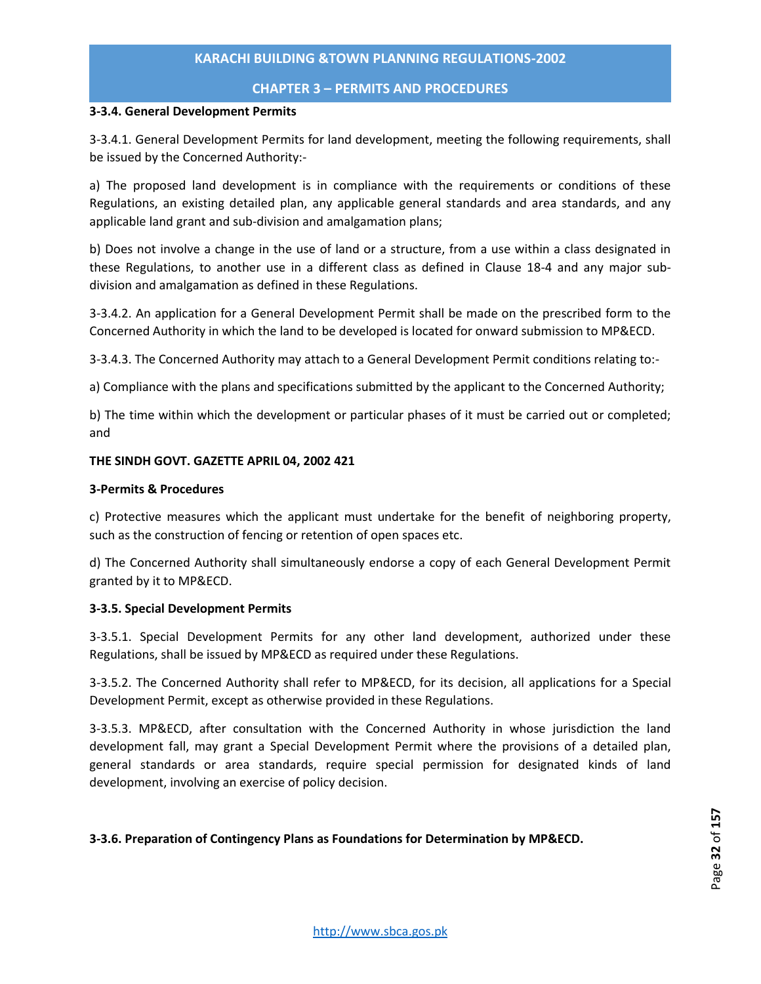#### **CHAPTER 3 – PERMITS AND PROCEDURES**

#### **3-3.4. General Development Permits**

3-3.4.1. General Development Permits for land development, meeting the following requirements, shall be issued by the Concerned Authority:-

a) The proposed land development is in compliance with the requirements or conditions of these Regulations, an existing detailed plan, any applicable general standards and area standards, and any applicable land grant and sub-division and amalgamation plans;

b) Does not involve a change in the use of land or a structure, from a use within a class designated in these Regulations, to another use in a different class as defined in Clause 18-4 and any major subdivision and amalgamation as defined in these Regulations.

3-3.4.2. An application for a General Development Permit shall be made on the prescribed form to the Concerned Authority in which the land to be developed is located for onward submission to MP&ECD.

3-3.4.3. The Concerned Authority may attach to a General Development Permit conditions relating to:-

a) Compliance with the plans and specifications submitted by the applicant to the Concerned Authority;

b) The time within which the development or particular phases of it must be carried out or completed; and

#### **THE SINDH GOVT. GAZETTE APRIL 04, 2002 421**

#### **3-Permits & Procedures**

c) Protective measures which the applicant must undertake for the benefit of neighboring property, such as the construction of fencing or retention of open spaces etc.

d) The Concerned Authority shall simultaneously endorse a copy of each General Development Permit granted by it to MP&ECD.

#### **3-3.5. Special Development Permits**

3-3.5.1. Special Development Permits for any other land development, authorized under these Regulations, shall be issued by MP&ECD as required under these Regulations.

3-3.5.2. The Concerned Authority shall refer to MP&ECD, for its decision, all applications for a Special Development Permit, except as otherwise provided in these Regulations.

3-3.5.3. MP&ECD, after consultation with the Concerned Authority in whose jurisdiction the land development fall, may grant a Special Development Permit where the provisions of a detailed plan, general standards or area standards, require special permission for designated kinds of land development, involving an exercise of policy decision.

# **3-3.6. Preparation of Contingency Plans as Foundations for Determination by MP&ECD.**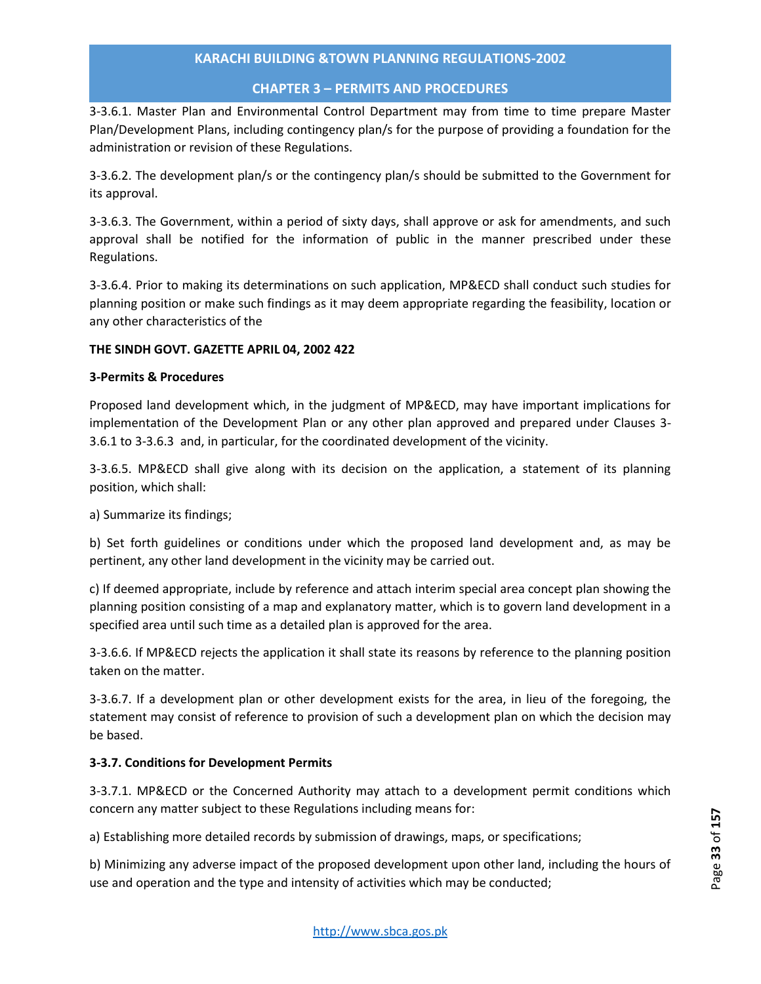# **CHAPTER 3 – PERMITS AND PROCEDURES**

3-3.6.1. Master Plan and Environmental Control Department may from time to time prepare Master Plan/Development Plans, including contingency plan/s for the purpose of providing a foundation for the administration or revision of these Regulations.

3-3.6.2. The development plan/s or the contingency plan/s should be submitted to the Government for its approval.

3-3.6.3. The Government, within a period of sixty days, shall approve or ask for amendments, and such approval shall be notified for the information of public in the manner prescribed under these Regulations.

3-3.6.4. Prior to making its determinations on such application, MP&ECD shall conduct such studies for planning position or make such findings as it may deem appropriate regarding the feasibility, location or any other characteristics of the

# **THE SINDH GOVT. GAZETTE APRIL 04, 2002 422**

#### **3-Permits & Procedures**

Proposed land development which, in the judgment of MP&ECD, may have important implications for implementation of the Development Plan or any other plan approved and prepared under Clauses 3- 3.6.1 to 3-3.6.3 and, in particular, for the coordinated development of the vicinity.

3-3.6.5. MP&ECD shall give along with its decision on the application, a statement of its planning position, which shall:

a) Summarize its findings;

b) Set forth guidelines or conditions under which the proposed land development and, as may be pertinent, any other land development in the vicinity may be carried out.

c) If deemed appropriate, include by reference and attach interim special area concept plan showing the planning position consisting of a map and explanatory matter, which is to govern land development in a specified area until such time as a detailed plan is approved for the area.

3-3.6.6. If MP&ECD rejects the application it shall state its reasons by reference to the planning position taken on the matter.

3-3.6.7. If a development plan or other development exists for the area, in lieu of the foregoing, the statement may consist of reference to provision of such a development plan on which the decision may be based.

# **3-3.7. Conditions for Development Permits**

3-3.7.1. MP&ECD or the Concerned Authority may attach to a development permit conditions which concern any matter subject to these Regulations including means for:

a) Establishing more detailed records by submission of drawings, maps, or specifications;

b) Minimizing any adverse impact of the proposed development upon other land, including the hours of use and operation and the type and intensity of activities which may be conducted;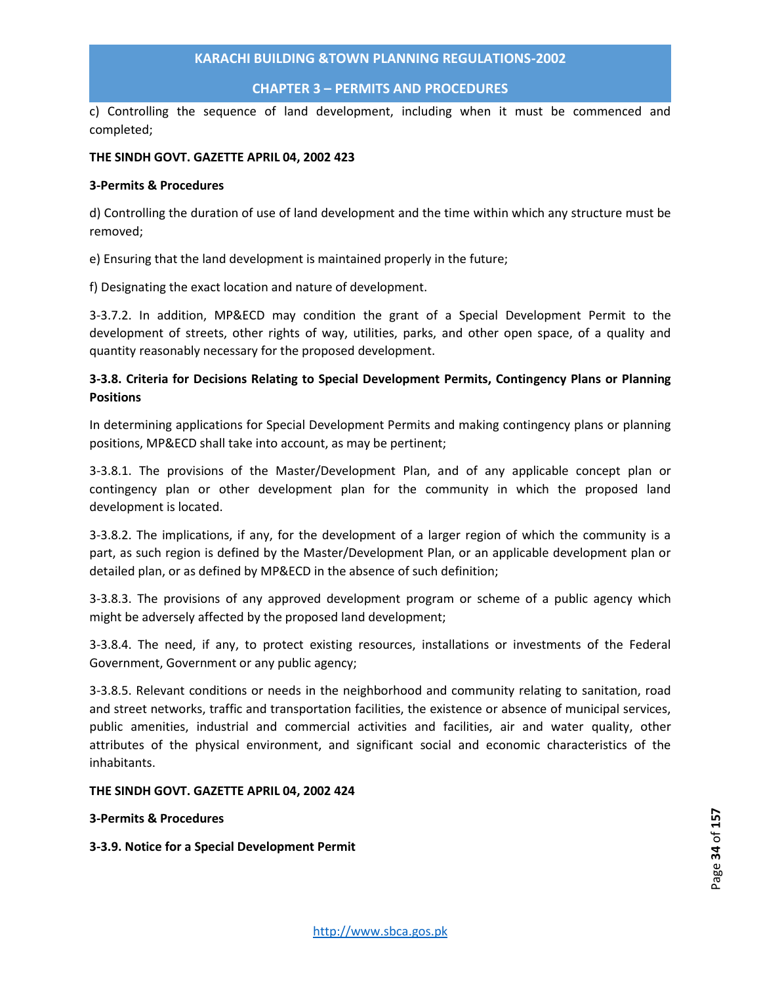## **CHAPTER 3 – PERMITS AND PROCEDURES**

c) Controlling the sequence of land development, including when it must be commenced and completed;

#### **THE SINDH GOVT. GAZETTE APRIL 04, 2002 423**

#### **3-Permits & Procedures**

d) Controlling the duration of use of land development and the time within which any structure must be removed;

e) Ensuring that the land development is maintained properly in the future;

f) Designating the exact location and nature of development.

3-3.7.2. In addition, MP&ECD may condition the grant of a Special Development Permit to the development of streets, other rights of way, utilities, parks, and other open space, of a quality and quantity reasonably necessary for the proposed development.

# **3-3.8. Criteria for Decisions Relating to Special Development Permits, Contingency Plans or Planning Positions**

In determining applications for Special Development Permits and making contingency plans or planning positions, MP&ECD shall take into account, as may be pertinent;

3-3.8.1. The provisions of the Master/Development Plan, and of any applicable concept plan or contingency plan or other development plan for the community in which the proposed land development is located.

3-3.8.2. The implications, if any, for the development of a larger region of which the community is a part, as such region is defined by the Master/Development Plan, or an applicable development plan or detailed plan, or as defined by MP&ECD in the absence of such definition;

3-3.8.3. The provisions of any approved development program or scheme of a public agency which might be adversely affected by the proposed land development;

3-3.8.4. The need, if any, to protect existing resources, installations or investments of the Federal Government, Government or any public agency;

3-3.8.5. Relevant conditions or needs in the neighborhood and community relating to sanitation, road and street networks, traffic and transportation facilities, the existence or absence of municipal services, public amenities, industrial and commercial activities and facilities, air and water quality, other attributes of the physical environment, and significant social and economic characteristics of the inhabitants.

# **THE SINDH GOVT. GAZETTE APRIL 04, 2002 424**

#### **3-Permits & Procedures**

**3-3.9. Notice for a Special Development Permit**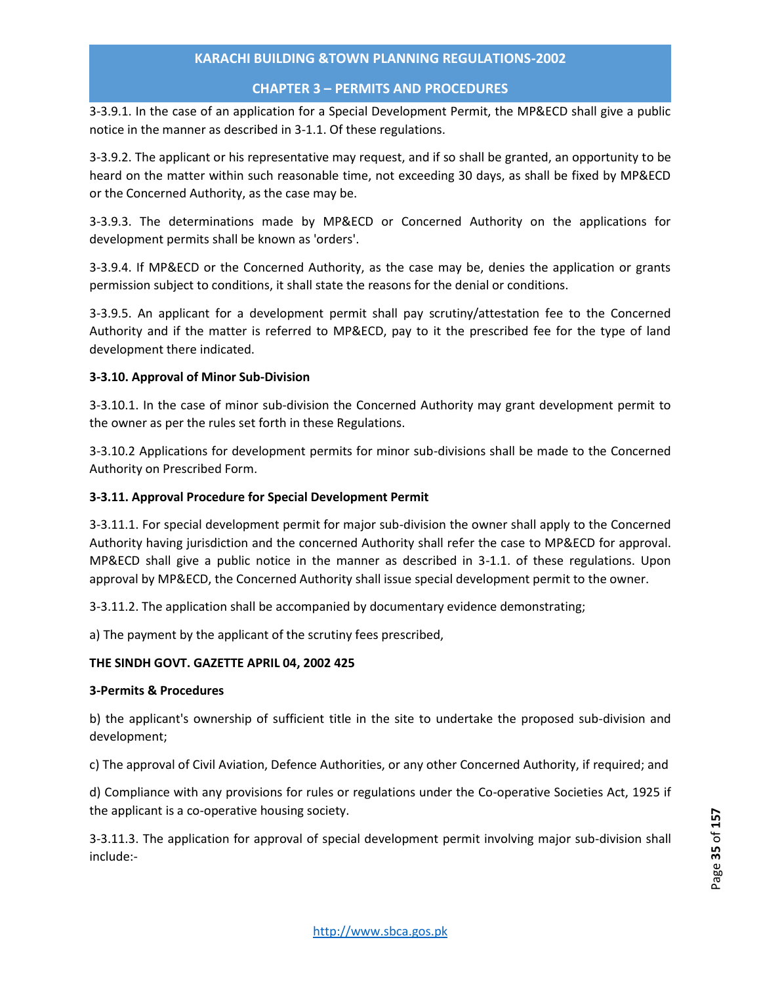# **CHAPTER 3 – PERMITS AND PROCEDURES**

3-3.9.1. In the case of an application for a Special Development Permit, the MP&ECD shall give a public notice in the manner as described in 3-1.1. Of these regulations.

3-3.9.2. The applicant or his representative may request, and if so shall be granted, an opportunity to be heard on the matter within such reasonable time, not exceeding 30 days, as shall be fixed by MP&ECD or the Concerned Authority, as the case may be.

3-3.9.3. The determinations made by MP&ECD or Concerned Authority on the applications for development permits shall be known as 'orders'.

3-3.9.4. If MP&ECD or the Concerned Authority, as the case may be, denies the application or grants permission subject to conditions, it shall state the reasons for the denial or conditions.

3-3.9.5. An applicant for a development permit shall pay scrutiny/attestation fee to the Concerned Authority and if the matter is referred to MP&ECD, pay to it the prescribed fee for the type of land development there indicated.

# **3-3.10. Approval of Minor Sub-Division**

3-3.10.1. In the case of minor sub-division the Concerned Authority may grant development permit to the owner as per the rules set forth in these Regulations.

3-3.10.2 Applications for development permits for minor sub-divisions shall be made to the Concerned Authority on Prescribed Form.

# **3-3.11. Approval Procedure for Special Development Permit**

3-3.11.1. For special development permit for major sub-division the owner shall apply to the Concerned Authority having jurisdiction and the concerned Authority shall refer the case to MP&ECD for approval. MP&ECD shall give a public notice in the manner as described in 3-1.1. of these regulations. Upon approval by MP&ECD, the Concerned Authority shall issue special development permit to the owner.

3-3.11.2. The application shall be accompanied by documentary evidence demonstrating;

a) The payment by the applicant of the scrutiny fees prescribed,

# **THE SINDH GOVT. GAZETTE APRIL 04, 2002 425**

# **3-Permits & Procedures**

b) the applicant's ownership of sufficient title in the site to undertake the proposed sub-division and development;

c) The approval of Civil Aviation, Defence Authorities, or any other Concerned Authority, if required; and

d) Compliance with any provisions for rules or regulations under the Co-operative Societies Act, 1925 if the applicant is a co-operative housing society.

3-3.11.3. The application for approval of special development permit involving major sub-division shall include:-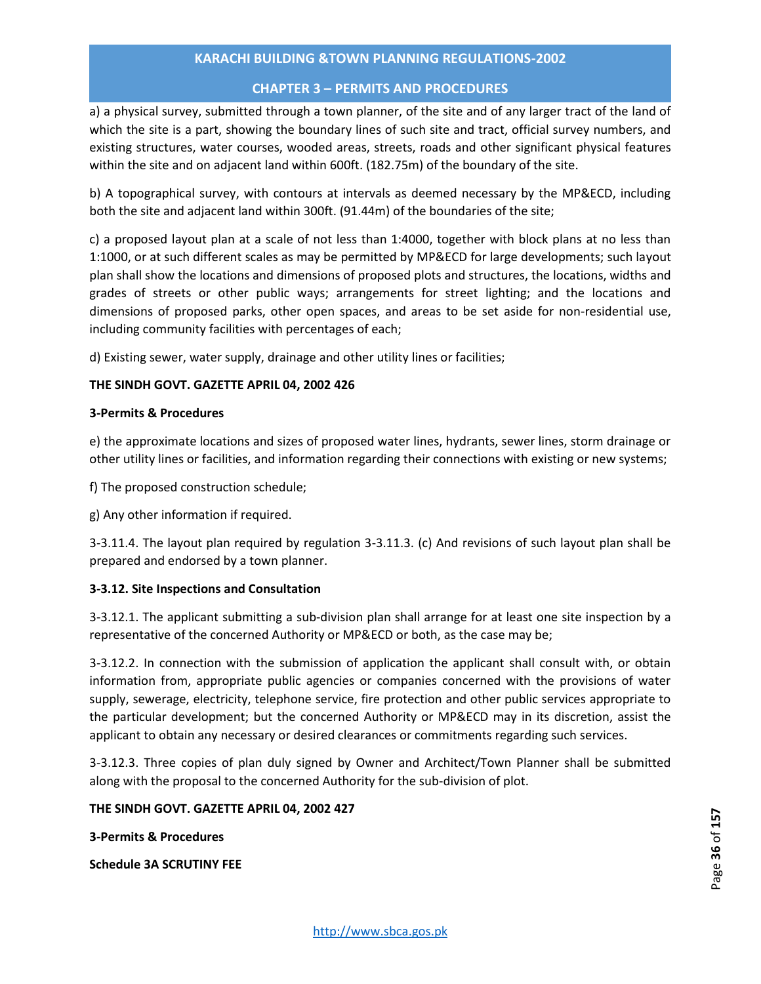# **CHAPTER 3 – PERMITS AND PROCEDURES**

a) a physical survey, submitted through a town planner, of the site and of any larger tract of the land of which the site is a part, showing the boundary lines of such site and tract, official survey numbers, and existing structures, water courses, wooded areas, streets, roads and other significant physical features within the site and on adjacent land within 600ft. (182.75m) of the boundary of the site.

b) A topographical survey, with contours at intervals as deemed necessary by the MP&ECD, including both the site and adjacent land within 300ft. (91.44m) of the boundaries of the site;

c) a proposed layout plan at a scale of not less than 1:4000, together with block plans at no less than 1:1000, or at such different scales as may be permitted by MP&ECD for large developments; such layout plan shall show the locations and dimensions of proposed plots and structures, the locations, widths and grades of streets or other public ways; arrangements for street lighting; and the locations and dimensions of proposed parks, other open spaces, and areas to be set aside for non-residential use, including community facilities with percentages of each;

d) Existing sewer, water supply, drainage and other utility lines or facilities;

# **THE SINDH GOVT. GAZETTE APRIL 04, 2002 426**

#### **3-Permits & Procedures**

e) the approximate locations and sizes of proposed water lines, hydrants, sewer lines, storm drainage or other utility lines or facilities, and information regarding their connections with existing or new systems;

f) The proposed construction schedule;

g) Any other information if required.

3-3.11.4. The layout plan required by regulation 3-3.11.3. (c) And revisions of such layout plan shall be prepared and endorsed by a town planner.

# **3-3.12. Site Inspections and Consultation**

3-3.12.1. The applicant submitting a sub-division plan shall arrange for at least one site inspection by a representative of the concerned Authority or MP&ECD or both, as the case may be;

3-3.12.2. In connection with the submission of application the applicant shall consult with, or obtain information from, appropriate public agencies or companies concerned with the provisions of water supply, sewerage, electricity, telephone service, fire protection and other public services appropriate to the particular development; but the concerned Authority or MP&ECD may in its discretion, assist the applicant to obtain any necessary or desired clearances or commitments regarding such services.

3-3.12.3. Three copies of plan duly signed by Owner and Architect/Town Planner shall be submitted along with the proposal to the concerned Authority for the sub-division of plot.

# **THE SINDH GOVT. GAZETTE APRIL 04, 2002 427**

**3-Permits & Procedures** 

**Schedule 3A SCRUTINY FEE**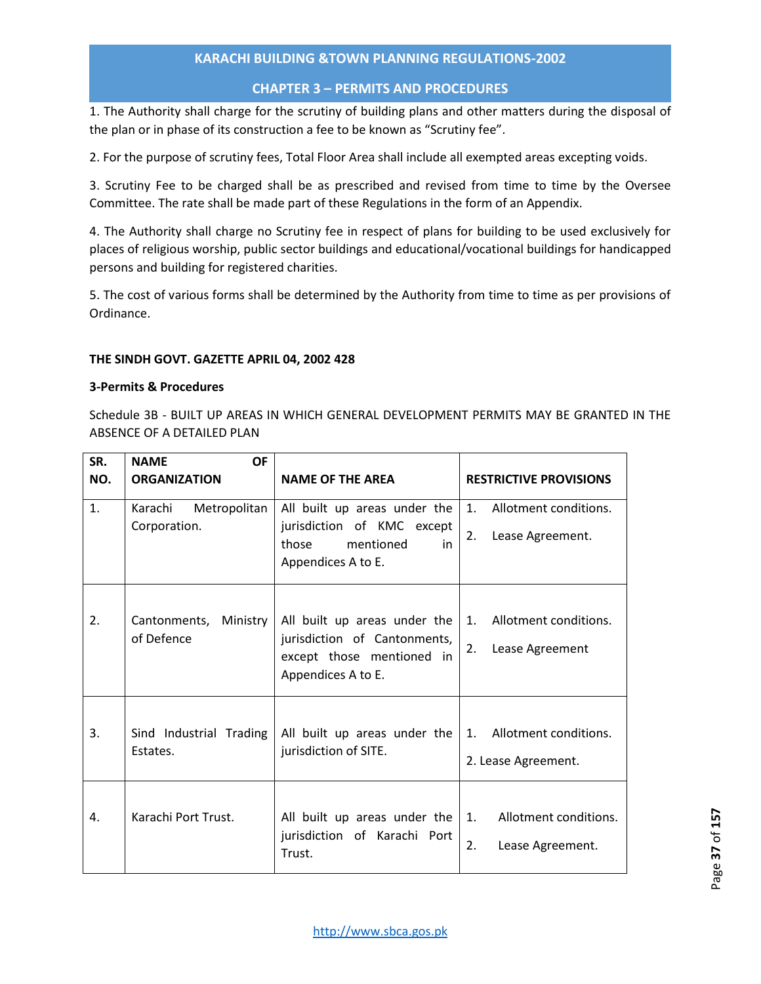# **CHAPTER 3 – PERMITS AND PROCEDURES**

1. The Authority shall charge for the scrutiny of building plans and other matters during the disposal of the plan or in phase of its construction a fee to be known as "Scrutiny fee".

2. For the purpose of scrutiny fees, Total Floor Area shall include all exempted areas excepting voids.

3. Scrutiny Fee to be charged shall be as prescribed and revised from time to time by the Oversee Committee. The rate shall be made part of these Regulations in the form of an Appendix.

4. The Authority shall charge no Scrutiny fee in respect of plans for building to be used exclusively for places of religious worship, public sector buildings and educational/vocational buildings for handicapped persons and building for registered charities.

5. The cost of various forms shall be determined by the Authority from time to time as per provisions of Ordinance.

## **THE SINDH GOVT. GAZETTE APRIL 04, 2002 428**

## **3-Permits & Procedures**

Schedule 3B - BUILT UP AREAS IN WHICH GENERAL DEVELOPMENT PERMITS MAY BE GRANTED IN THE ABSENCE OF A DETAILED PLAN

| SR.            | <b>NAME</b><br><b>OF</b>            |                                                                                                                 |                                                      |  |  |
|----------------|-------------------------------------|-----------------------------------------------------------------------------------------------------------------|------------------------------------------------------|--|--|
| NO.            | <b>ORGANIZATION</b>                 | <b>NAME OF THE AREA</b>                                                                                         | <b>RESTRICTIVE PROVISIONS</b>                        |  |  |
| $\mathbf{1}$ . | Karachi<br>Metropolitan             | All built up areas under the                                                                                    | 1. Allotment conditions.                             |  |  |
|                | Corporation.                        | jurisdiction of KMC except<br>those<br>mentioned<br>in                                                          | 2.<br>Lease Agreement.                               |  |  |
|                |                                     | Appendices A to E.                                                                                              |                                                      |  |  |
| 2.             | Cantonments, Ministry<br>of Defence | All built up areas under the<br>jurisdiction of Cantonments,<br>except those mentioned in<br>Appendices A to E. | Allotment conditions.<br>1.<br>2.<br>Lease Agreement |  |  |
| 3.             | Sind Industrial Trading<br>Estates. | All built up areas under the<br>jurisdiction of SITE.                                                           | 1. Allotment conditions.<br>2. Lease Agreement.      |  |  |
| 4.             | Karachi Port Trust.                 | All built up areas under the $\vert$ 1.<br>jurisdiction of Karachi Port<br>Trust.                               | Allotment conditions.<br>2.<br>Lease Agreement.      |  |  |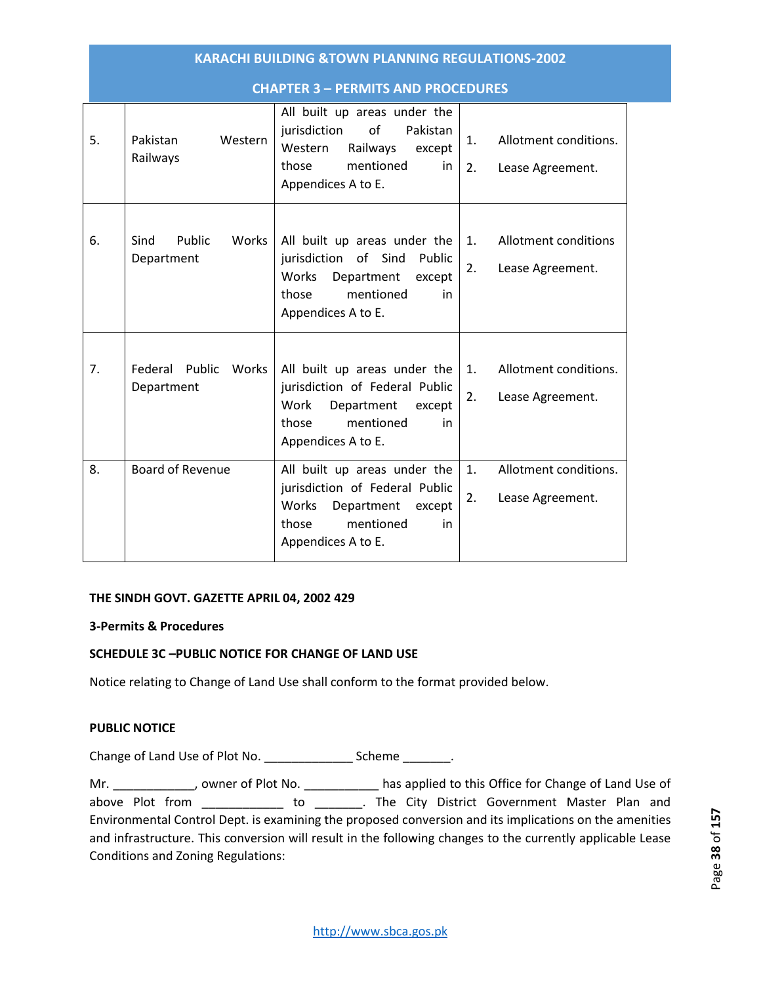|    | <b>KARACHI BUILDING &amp;TOWN PLANNING REGULATIONS-2002</b> |                                                                                                                                                               |                                                                   |  |  |  |  |
|----|-------------------------------------------------------------|---------------------------------------------------------------------------------------------------------------------------------------------------------------|-------------------------------------------------------------------|--|--|--|--|
|    | <b>CHAPTER 3 - PERMITS AND PROCEDURES</b>                   |                                                                                                                                                               |                                                                   |  |  |  |  |
| 5. | Pakistan<br>Western<br>Railways                             | All built up areas under the<br>o <sub>f</sub><br>jurisdiction<br>Pakistan<br>Western<br>Railways<br>except<br>mentioned<br>those<br>in<br>Appendices A to E. | Allotment conditions.<br>1.<br>2.<br>Lease Agreement.             |  |  |  |  |
| 6. | Public<br>Works<br>Sind<br>Department                       | All built up areas under the<br>jurisdiction of Sind Public<br>Department<br>Works<br>except<br>mentioned<br>those<br>in<br>Appendices A to E.                | Allotment conditions<br>1.<br>2.<br>Lease Agreement.              |  |  |  |  |
| 7. | Federal Public<br>Works<br>Department                       | All built up areas under the<br>jurisdiction of Federal Public<br>Work<br>Department<br>except<br>mentioned<br>those<br>in<br>Appendices A to E.              | Allotment conditions.<br>1.<br>2.<br>Lease Agreement.             |  |  |  |  |
| 8. | <b>Board of Revenue</b>                                     | All built up areas under the<br>jurisdiction of Federal Public<br>Works Department<br>except<br>mentioned<br>those<br>in<br>Appendices A to E.                | Allotment conditions.<br>$\mathbf{1}$ .<br>Lease Agreement.<br>2. |  |  |  |  |

## **THE SINDH GOVT. GAZETTE APRIL 04, 2002 429**

#### **3-Permits & Procedures**

## **SCHEDULE 3C –PUBLIC NOTICE FOR CHANGE OF LAND USE**

Notice relating to Change of Land Use shall conform to the format provided below.

#### **PUBLIC NOTICE**

Change of Land Use of Plot No. \_\_\_\_\_\_\_\_\_\_\_\_\_ Scheme \_\_\_\_\_\_\_.

Mr. \_\_\_\_\_\_\_\_\_\_\_\_, owner of Plot No. \_\_\_\_\_\_\_\_\_\_\_\_ has applied to this Office for Change of Land Use of above Plot from The City District Government Master Plan and Environmental Control Dept. is examining the proposed conversion and its implications on the amenities and infrastructure. This conversion will result in the following changes to the currently applicable Lease Conditions and Zoning Regulations: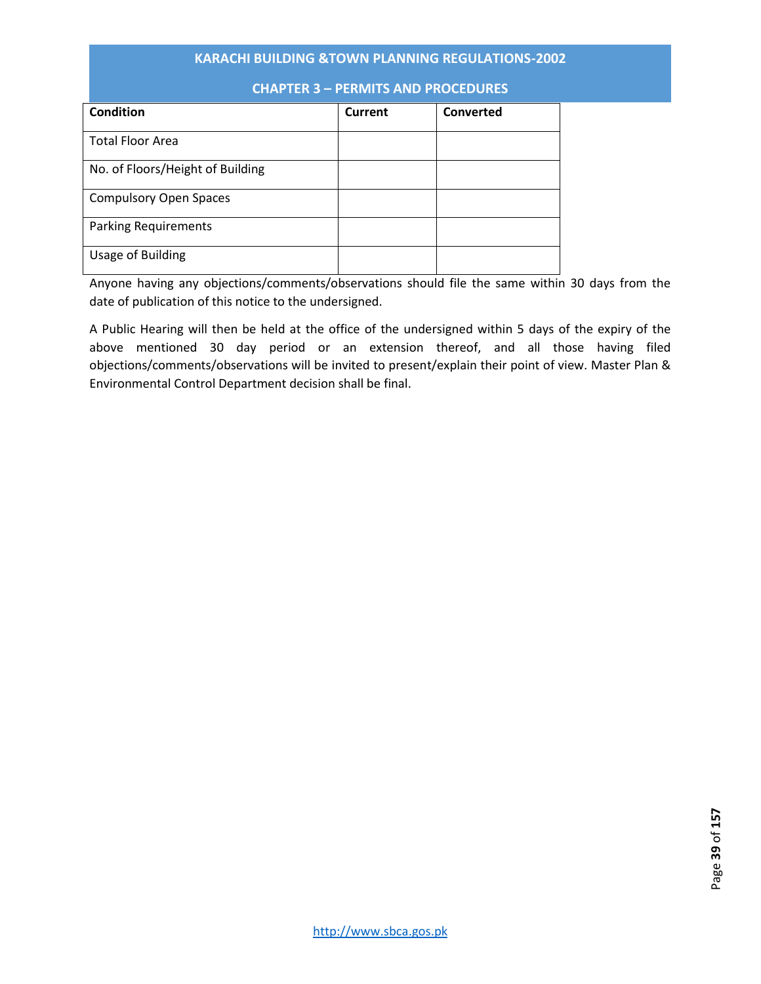| Condition                        | Current | <b>Converted</b> |
|----------------------------------|---------|------------------|
| <b>Total Floor Area</b>          |         |                  |
| No. of Floors/Height of Building |         |                  |
| <b>Compulsory Open Spaces</b>    |         |                  |
| <b>Parking Requirements</b>      |         |                  |
| Usage of Building                |         |                  |

# **CHAPTER 3 – PERMITS AND PROCEDURES**

Anyone having any objections/comments/observations should file the same within 30 days from the date of publication of this notice to the undersigned.

A Public Hearing will then be held at the office of the undersigned within 5 days of the expiry of the above mentioned 30 day period or an extension thereof, and all those having filed objections/comments/observations will be invited to present/explain their point of view. Master Plan & Environmental Control Department decision shall be final.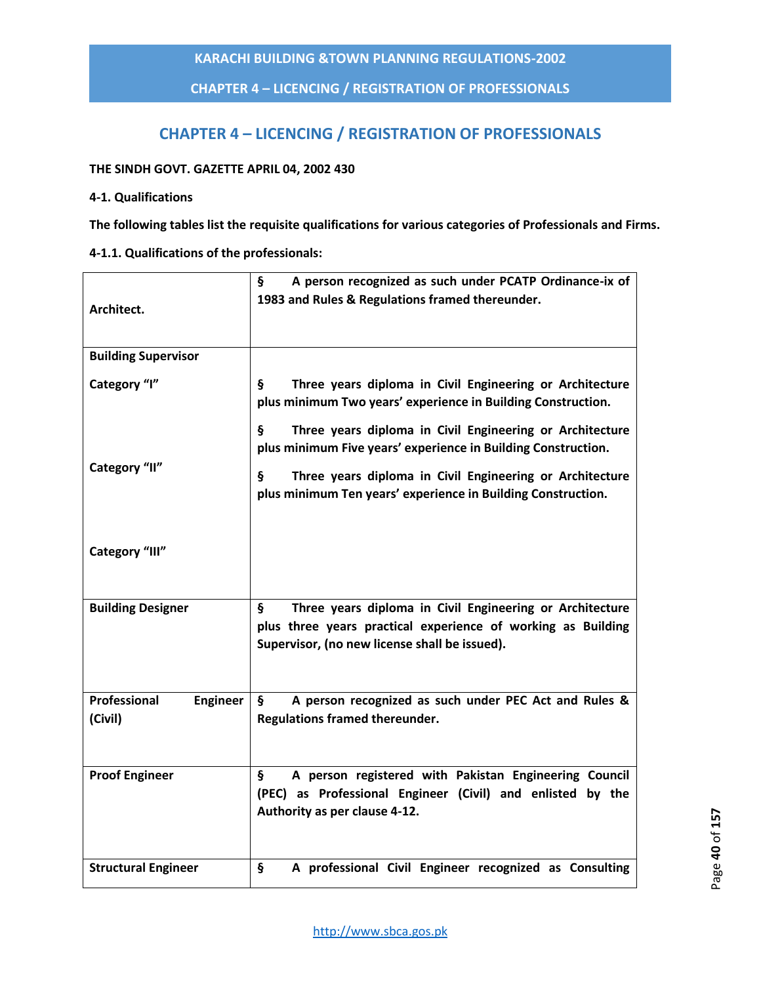**CHAPTER 4 – LICENCING / REGISTRATION OF PROFESSIONALS**

# **CHAPTER 4 – LICENCING / REGISTRATION OF PROFESSIONALS**

## **THE SINDH GOVT. GAZETTE APRIL 04, 2002 430**

## **4-1. Qualifications**

**The following tables list the requisite qualifications for various categories of Professionals and Firms.** 

**4-1.1. Qualifications of the professionals:** 

| Architect.                                 | A person recognized as such under PCATP Ordinance-ix of<br>§<br>1983 and Rules & Regulations framed thereunder.                                                                 |
|--------------------------------------------|---------------------------------------------------------------------------------------------------------------------------------------------------------------------------------|
| <b>Building Supervisor</b>                 |                                                                                                                                                                                 |
| Category "I"                               | Three years diploma in Civil Engineering or Architecture<br>ş.<br>plus minimum Two years' experience in Building Construction.                                                  |
|                                            | Three years diploma in Civil Engineering or Architecture<br>Ş.<br>plus minimum Five years' experience in Building Construction.                                                 |
| Category "II"                              | Three years diploma in Civil Engineering or Architecture<br>ş<br>plus minimum Ten years' experience in Building Construction.                                                   |
| Category "III"                             |                                                                                                                                                                                 |
| <b>Building Designer</b>                   | Three years diploma in Civil Engineering or Architecture<br>Ş.<br>plus three years practical experience of working as Building<br>Supervisor, (no new license shall be issued). |
| Professional<br><b>Engineer</b><br>(Civil) | A person recognized as such under PEC Act and Rules &<br>ş<br>Regulations framed thereunder.                                                                                    |
| <b>Proof Engineer</b>                      | A person registered with Pakistan Engineering Council<br>Ş<br>(PEC) as Professional Engineer (Civil) and enlisted by the<br>Authority as per clause 4-12.                       |
| <b>Structural Engineer</b>                 | ş<br>A professional Civil Engineer recognized as Consulting                                                                                                                     |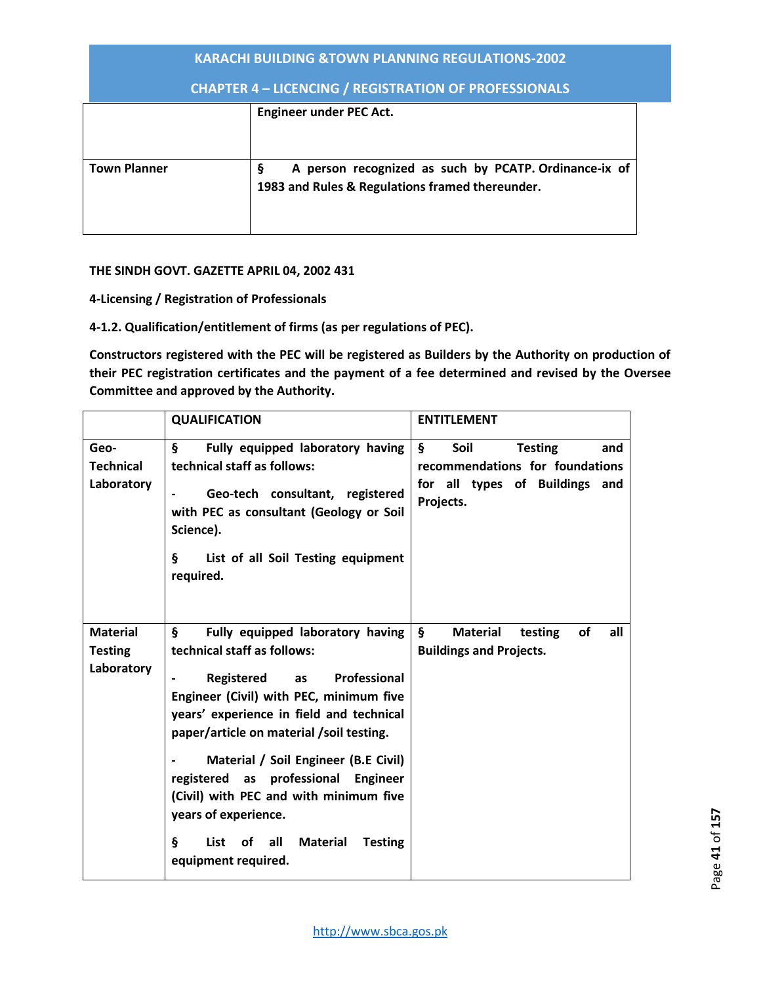| <b>KARACHI BUILDING &amp;TOWN PLANNING REGULATIONS-2002</b>  |                                                                                                               |  |  |  |
|--------------------------------------------------------------|---------------------------------------------------------------------------------------------------------------|--|--|--|
| <b>CHAPTER 4 - LICENCING / REGISTRATION OF PROFESSIONALS</b> |                                                                                                               |  |  |  |
|                                                              | <b>Engineer under PEC Act.</b>                                                                                |  |  |  |
| <b>Town Planner</b>                                          | A person recognized as such by PCATP. Ordinance-ix of<br>Ş<br>1983 and Rules & Regulations framed thereunder. |  |  |  |

## **THE SINDH GOVT. GAZETTE APRIL 04, 2002 431**

**4-Licensing / Registration of Professionals** 

**4-1.2. Qualification/entitlement of firms (as per regulations of PEC).** 

**Constructors registered with the PEC will be registered as Builders by the Authority on production of their PEC registration certificates and the payment of a fee determined and revised by the Oversee Committee and approved by the Authority.** 

|                                                 | <b>QUALIFICATION</b>                                                                                                                                                                                                                                                                                                                                                                                                                                          | <b>ENTITLEMENT</b>                                                                                                              |
|-------------------------------------------------|---------------------------------------------------------------------------------------------------------------------------------------------------------------------------------------------------------------------------------------------------------------------------------------------------------------------------------------------------------------------------------------------------------------------------------------------------------------|---------------------------------------------------------------------------------------------------------------------------------|
| Geo-<br><b>Technical</b><br>Laboratory          | $\S$<br>Fully equipped laboratory having<br>technical staff as follows:<br>Geo-tech consultant, registered<br>with PEC as consultant (Geology or Soil<br>Science).<br>§.<br>List of all Soil Testing equipment<br>required.                                                                                                                                                                                                                                   | $\mathsf{S}$<br>Soil<br><b>Testing</b><br>and<br>recommendations for foundations<br>for all types of Buildings and<br>Projects. |
| <b>Material</b><br><b>Testing</b><br>Laboratory | §.<br>Fully equipped laboratory having<br>technical staff as follows:<br>Registered as Professional<br>Engineer (Civil) with PEC, minimum five<br>years' experience in field and technical<br>paper/article on material /soil testing.<br>Material / Soil Engineer (B.E Civil)<br>registered as professional Engineer<br>(Civil) with PEC and with minimum five<br>years of experience.<br>ş<br>List of all Material<br><b>Testing</b><br>equipment required. | $\S$<br><b>Material</b><br>of<br>all<br>testing<br><b>Buildings and Projects.</b>                                               |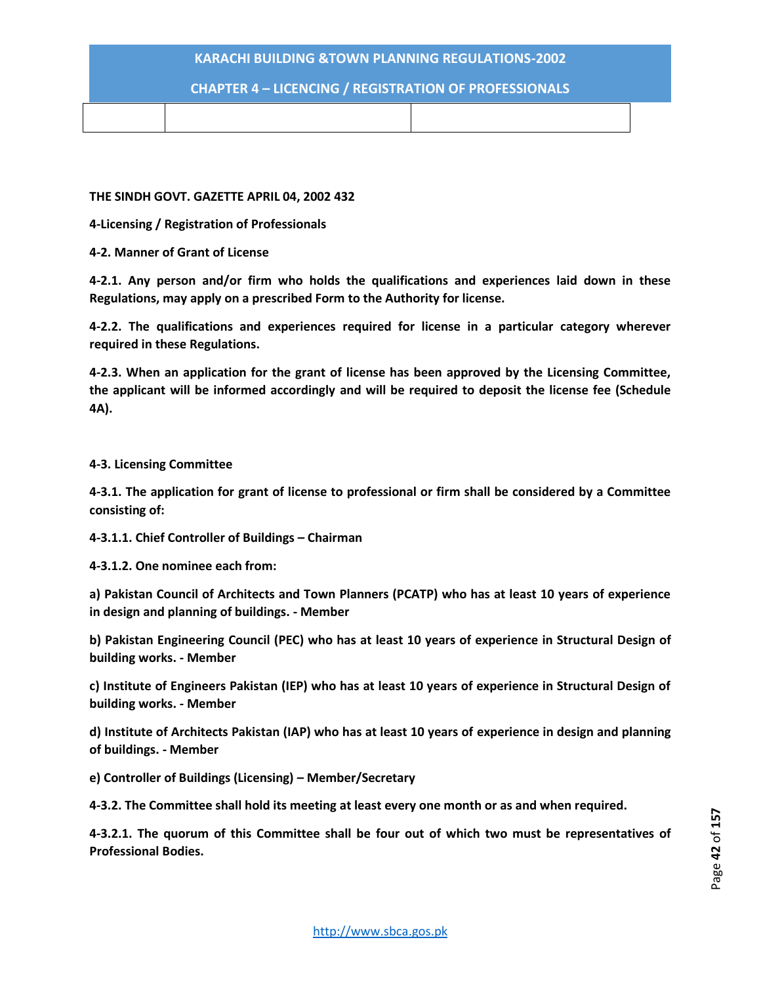# **CHAPTER 4 – LICENCING / REGISTRATION OF PROFESSIONALS**

#### **THE SINDH GOVT. GAZETTE APRIL 04, 2002 432**

**4-Licensing / Registration of Professionals** 

**4-2. Manner of Grant of License** 

**4-2.1. Any person and/or firm who holds the qualifications and experiences laid down in these Regulations, may apply on a prescribed Form to the Authority for license.** 

**4-2.2. The qualifications and experiences required for license in a particular category wherever required in these Regulations.** 

**4-2.3. When an application for the grant of license has been approved by the Licensing Committee, the applicant will be informed accordingly and will be required to deposit the license fee (Schedule 4A).** 

#### **4-3. Licensing Committee**

**4-3.1. The application for grant of license to professional or firm shall be considered by a Committee consisting of:** 

**4-3.1.1. Chief Controller of Buildings – Chairman**

**4-3.1.2. One nominee each from:** 

**a) Pakistan Council of Architects and Town Planners (PCATP) who has at least 10 years of experience in design and planning of buildings. - Member** 

**b) Pakistan Engineering Council (PEC) who has at least 10 years of experience in Structural Design of building works. - Member** 

**c) Institute of Engineers Pakistan (IEP) who has at least 10 years of experience in Structural Design of building works. - Member** 

**d) Institute of Architects Pakistan (IAP) who has at least 10 years of experience in design and planning of buildings. - Member** 

**e) Controller of Buildings (Licensing) – Member/Secretary** 

**4-3.2. The Committee shall hold its meeting at least every one month or as and when required.** 

**4-3.2.1. The quorum of this Committee shall be four out of which two must be representatives of Professional Bodies.**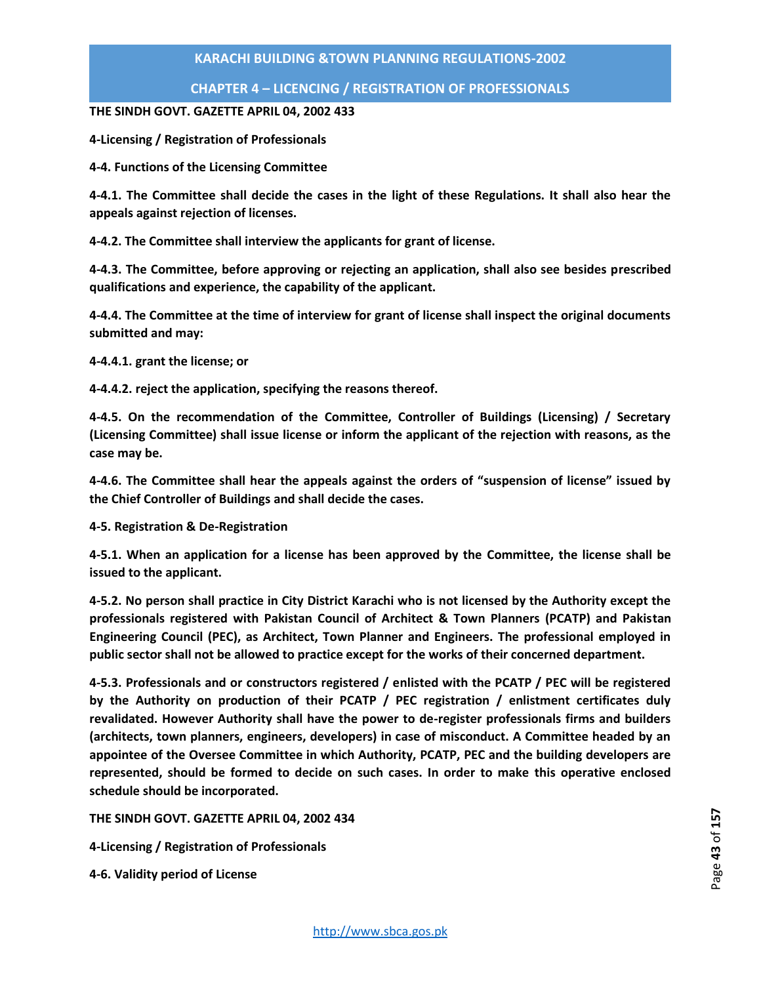# **CHAPTER 4 – LICENCING / REGISTRATION OF PROFESSIONALS**

## **THE SINDH GOVT. GAZETTE APRIL 04, 2002 433**

**4-Licensing / Registration of Professionals** 

**4-4. Functions of the Licensing Committee** 

**4-4.1. The Committee shall decide the cases in the light of these Regulations. It shall also hear the appeals against rejection of licenses.** 

**4-4.2. The Committee shall interview the applicants for grant of license.** 

**4-4.3. The Committee, before approving or rejecting an application, shall also see besides prescribed qualifications and experience, the capability of the applicant.** 

**4-4.4. The Committee at the time of interview for grant of license shall inspect the original documents submitted and may:** 

**4-4.4.1. grant the license; or** 

**4-4.4.2. reject the application, specifying the reasons thereof.** 

**4-4.5. On the recommendation of the Committee, Controller of Buildings (Licensing) / Secretary (Licensing Committee) shall issue license or inform the applicant of the rejection with reasons, as the case may be.** 

**4-4.6. The Committee shall hear the appeals against the orders of "suspension of license" issued by the Chief Controller of Buildings and shall decide the cases.** 

**4-5. Registration & De-Registration** 

**4-5.1. When an application for a license has been approved by the Committee, the license shall be issued to the applicant.** 

**4-5.2. No person shall practice in City District Karachi who is not licensed by the Authority except the professionals registered with Pakistan Council of Architect & Town Planners (PCATP) and Pakistan Engineering Council (PEC), as Architect, Town Planner and Engineers. The professional employed in public sector shall not be allowed to practice except for the works of their concerned department.** 

**4-5.3. Professionals and or constructors registered / enlisted with the PCATP / PEC will be registered by the Authority on production of their PCATP / PEC registration / enlistment certificates duly revalidated. However Authority shall have the power to de-register professionals firms and builders (architects, town planners, engineers, developers) in case of misconduct. A Committee headed by an appointee of the Oversee Committee in which Authority, PCATP, PEC and the building developers are represented, should be formed to decide on such cases. In order to make this operative enclosed schedule should be incorporated.** 

**THE SINDH GOVT. GAZETTE APRIL 04, 2002 434** 

**4-Licensing / Registration of Professionals** 

**4-6. Validity period of License**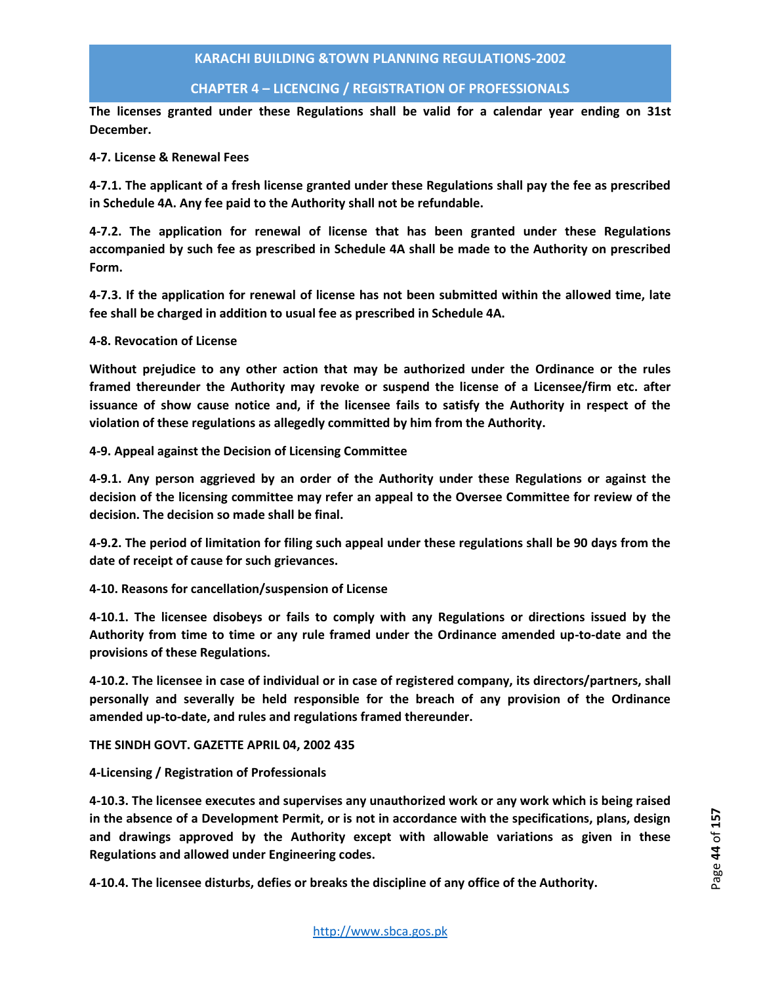# **CHAPTER 4 – LICENCING / REGISTRATION OF PROFESSIONALS**

**The licenses granted under these Regulations shall be valid for a calendar year ending on 31st December.** 

## **4-7. License & Renewal Fees**

**4-7.1. The applicant of a fresh license granted under these Regulations shall pay the fee as prescribed in Schedule 4A. Any fee paid to the Authority shall not be refundable.** 

**4-7.2. The application for renewal of license that has been granted under these Regulations accompanied by such fee as prescribed in Schedule 4A shall be made to the Authority on prescribed Form.** 

**4-7.3. If the application for renewal of license has not been submitted within the allowed time, late fee shall be charged in addition to usual fee as prescribed in Schedule 4A.** 

#### **4-8. Revocation of License**

**Without prejudice to any other action that may be authorized under the Ordinance or the rules framed thereunder the Authority may revoke or suspend the license of a Licensee/firm etc. after issuance of show cause notice and, if the licensee fails to satisfy the Authority in respect of the violation of these regulations as allegedly committed by him from the Authority.** 

**4-9. Appeal against the Decision of Licensing Committee** 

**4-9.1. Any person aggrieved by an order of the Authority under these Regulations or against the decision of the licensing committee may refer an appeal to the Oversee Committee for review of the decision. The decision so made shall be final.** 

**4-9.2. The period of limitation for filing such appeal under these regulations shall be 90 days from the date of receipt of cause for such grievances.** 

**4-10. Reasons for cancellation/suspension of License** 

**4-10.1. The licensee disobeys or fails to comply with any Regulations or directions issued by the Authority from time to time or any rule framed under the Ordinance amended up-to-date and the provisions of these Regulations.** 

**4-10.2. The licensee in case of individual or in case of registered company, its directors/partners, shall personally and severally be held responsible for the breach of any provision of the Ordinance amended up-to-date, and rules and regulations framed thereunder.** 

**THE SINDH GOVT. GAZETTE APRIL 04, 2002 435** 

**4-Licensing / Registration of Professionals** 

**4-10.3. The licensee executes and supervises any unauthorized work or any work which is being raised in the absence of a Development Permit, or is not in accordance with the specifications, plans, design and drawings approved by the Authority except with allowable variations as given in these Regulations and allowed under Engineering codes.** 

**4-10.4. The licensee disturbs, defies or breaks the discipline of any office of the Authority.**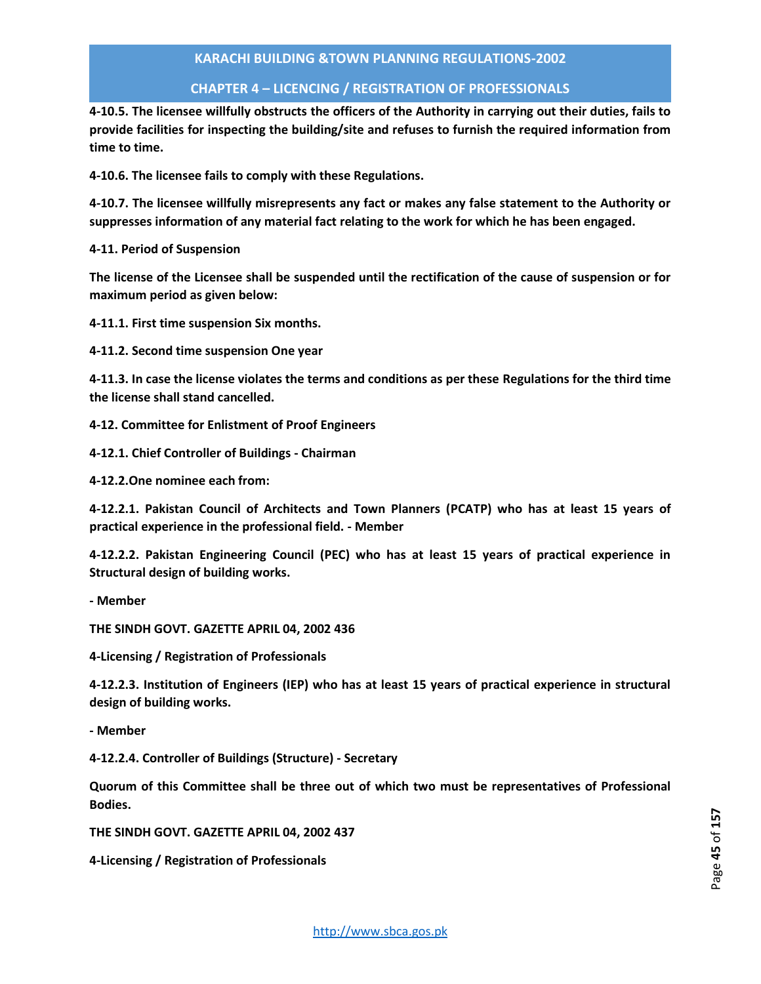# **CHAPTER 4 – LICENCING / REGISTRATION OF PROFESSIONALS**

**4-10.5. The licensee willfully obstructs the officers of the Authority in carrying out their duties, fails to provide facilities for inspecting the building/site and refuses to furnish the required information from time to time.** 

**4-10.6. The licensee fails to comply with these Regulations.** 

**4-10.7. The licensee willfully misrepresents any fact or makes any false statement to the Authority or suppresses information of any material fact relating to the work for which he has been engaged.** 

**4-11. Period of Suspension** 

**The license of the Licensee shall be suspended until the rectification of the cause of suspension or for maximum period as given below:** 

**4-11.1. First time suspension Six months.** 

**4-11.2. Second time suspension One year** 

**4-11.3. In case the license violates the terms and conditions as per these Regulations for the third time the license shall stand cancelled.** 

- **4-12. Committee for Enlistment of Proof Engineers**
- **4-12.1. Chief Controller of Buildings Chairman**
- **4-12.2.One nominee each from:**

**4-12.2.1. Pakistan Council of Architects and Town Planners (PCATP) who has at least 15 years of practical experience in the professional field. - Member** 

**4-12.2.2. Pakistan Engineering Council (PEC) who has at least 15 years of practical experience in Structural design of building works.** 

**- Member** 

**THE SINDH GOVT. GAZETTE APRIL 04, 2002 436** 

**4-Licensing / Registration of Professionals** 

**4-12.2.3. Institution of Engineers (IEP) who has at least 15 years of practical experience in structural design of building works.** 

**- Member** 

**4-12.2.4. Controller of Buildings (Structure) - Secretary** 

**Quorum of this Committee shall be three out of which two must be representatives of Professional Bodies.** 

**THE SINDH GOVT. GAZETTE APRIL 04, 2002 437** 

**4-Licensing / Registration of Professionals**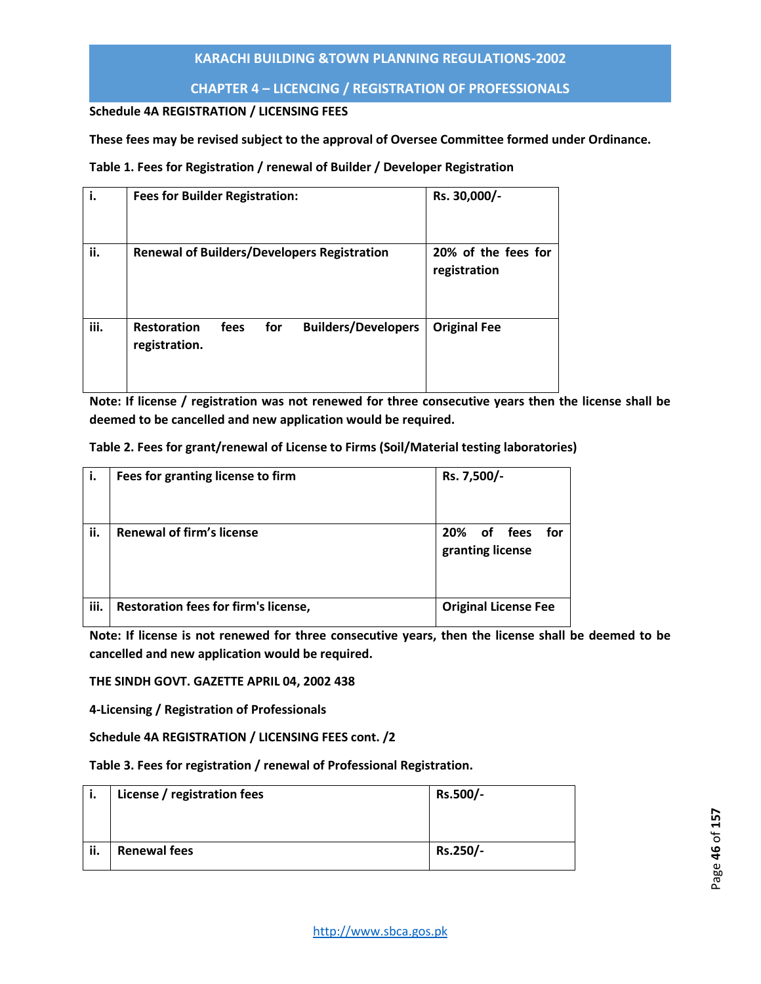# **CHAPTER 4 – LICENCING / REGISTRATION OF PROFESSIONALS**

## **Schedule 4A REGISTRATION / LICENSING FEES**

## **These fees may be revised subject to the approval of Oversee Committee formed under Ordinance.**

## **Table 1. Fees for Registration / renewal of Builder / Developer Registration**

| i.   | <b>Fees for Builder Registration:</b> |      |     |                                                    | Rs. 30,000/-                        |
|------|---------------------------------------|------|-----|----------------------------------------------------|-------------------------------------|
| ii.  |                                       |      |     | <b>Renewal of Builders/Developers Registration</b> | 20% of the fees for<br>registration |
| iii. | <b>Restoration</b><br>registration.   | fees | for | <b>Builders/Developers</b>                         | <b>Original Fee</b>                 |

**Note: If license / registration was not renewed for three consecutive years then the license shall be deemed to be cancelled and new application would be required.** 

| Table 2. Fees for grant/renewal of License to Firms (Soil/Material testing laboratories) |  |  |  |
|------------------------------------------------------------------------------------------|--|--|--|
|------------------------------------------------------------------------------------------|--|--|--|

| i.   | Fees for granting license to firm    | Rs. 7,500/-                               |
|------|--------------------------------------|-------------------------------------------|
| ii.  | <b>Renewal of firm's license</b>     | 20%<br>of fees<br>for<br>granting license |
| iii. | Restoration fees for firm's license, | <b>Original License Fee</b>               |

**Note: If license is not renewed for three consecutive years, then the license shall be deemed to be cancelled and new application would be required.** 

**THE SINDH GOVT. GAZETTE APRIL 04, 2002 438** 

**4-Licensing / Registration of Professionals** 

**Schedule 4A REGISTRATION / LICENSING FEES cont. /2** 

**Table 3. Fees for registration / renewal of Professional Registration.** 

| i.  | License / registration fees | Rs.500/- |
|-----|-----------------------------|----------|
| ii. | <b>Renewal fees</b>         | Rs.250/- |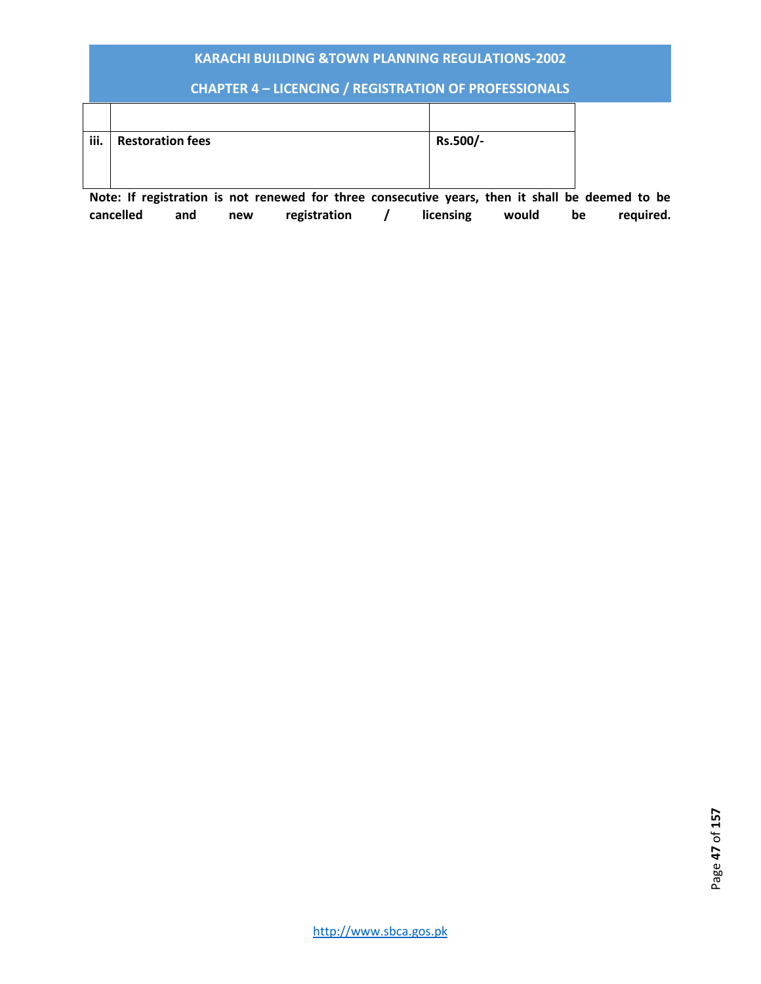# **CHAPTER 4 – LICENCING / REGISTRATION OF PROFESSIONALS**

| iii. | <b>Restoration fees</b> | Rs.500/- |
|------|-------------------------|----------|
|      |                         |          |

**Note: If registration is not renewed for three consecutive years, then it shall be deemed to be cancelled and new registration / licensing would be required.**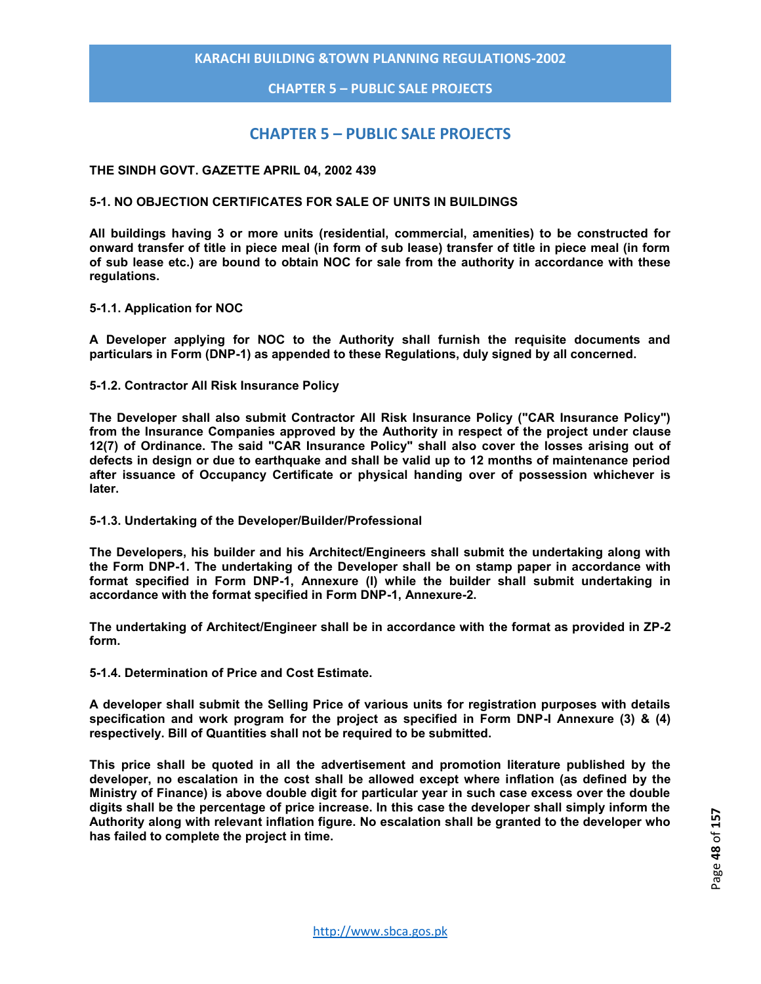**CHAPTER 5 – PUBLIC SALE PROJECTS**

# **CHAPTER 5 – PUBLIC SALE PROJECTS**

#### **THE SINDH GOVT. GAZETTE APRIL 04, 2002 439**

#### **5-1. NO OBJECTION CERTIFICATES FOR SALE OF UNITS IN BUILDINGS**

**All buildings having 3 or more units (residential, commercial, amenities) to be constructed for onward transfer of title in piece meal (in form of sub lease) transfer of title in piece meal (in form of sub lease etc.) are bound to obtain NOC for sale from the authority in accordance with these regulations.** 

#### **5-1.1. Application for NOC**

**A Developer applying for NOC to the Authority shall furnish the requisite documents and particulars in Form (DNP-1) as appended to these Regulations, duly signed by all concerned.** 

#### **5-1.2. Contractor All Risk Insurance Policy**

**The Developer shall also submit Contractor All Risk Insurance Policy ("CAR Insurance Policy") from the Insurance Companies approved by the Authority in respect of the project under clause 12(7) of Ordinance. The said "CAR Insurance Policy" shall also cover the losses arising out of defects in design or due to earthquake and shall be valid up to 12 months of maintenance period after issuance of Occupancy Certificate or physical handing over of possession whichever is later.** 

#### **5-1.3. Undertaking of the Developer/Builder/Professional**

**The Developers, his builder and his Architect/Engineers shall submit the undertaking along with the Form DNP-1. The undertaking of the Developer shall be on stamp paper in accordance with format specified in Form DNP-1, Annexure (I) while the builder shall submit undertaking in accordance with the format specified in Form DNP-1, Annexure-2.**

**The undertaking of Architect/Engineer shall be in accordance with the format as provided in ZP-2 form.** 

**5-1.4. Determination of Price and Cost Estimate.** 

**A developer shall submit the Selling Price of various units for registration purposes with details specification and work program for the project as specified in Form DNP-I Annexure (3) & (4) respectively. Bill of Quantities shall not be required to be submitted.** 

**This price shall be quoted in all the advertisement and promotion literature published by the developer, no escalation in the cost shall be allowed except where inflation (as defined by the Ministry of Finance) is above double digit for particular year in such case excess over the double digits shall be the percentage of price increase. In this case the developer shall simply inform the Authority along with relevant inflation figure. No escalation shall be granted to the developer who has failed to complete the project in time.**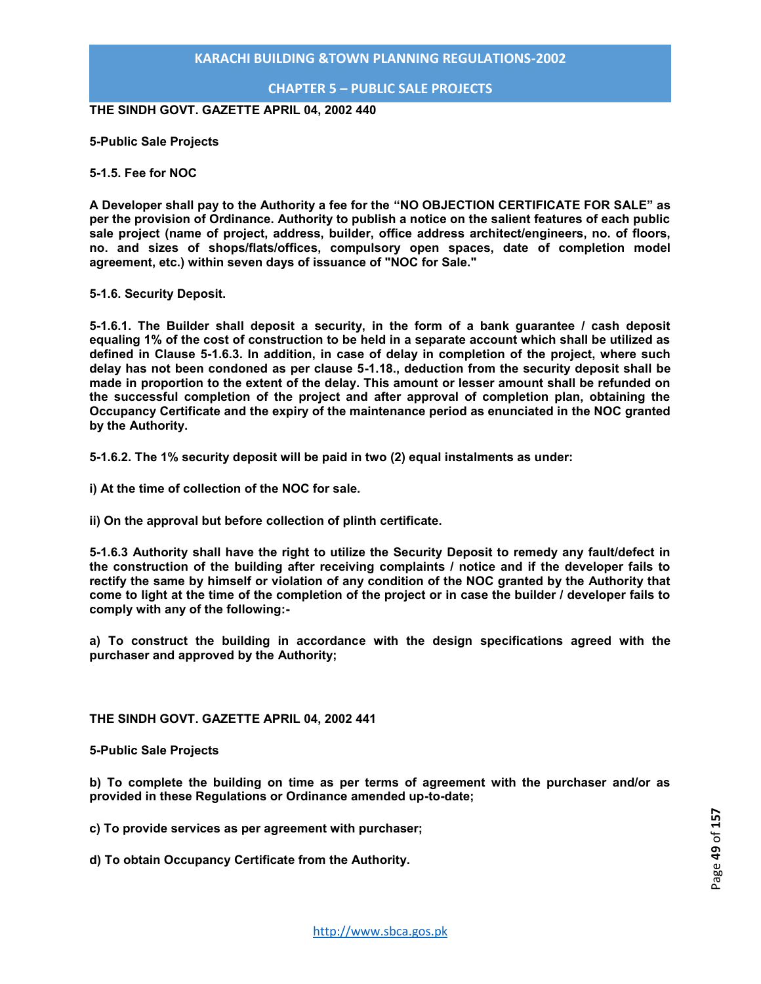## **CHAPTER 5 – PUBLIC SALE PROJECTS**

**THE SINDH GOVT. GAZETTE APRIL 04, 2002 440** 

**5-Public Sale Projects** 

**5-1.5. Fee for NOC** 

**A Developer shall pay to the Authority a fee for the "NO OBJECTION CERTIFICATE FOR SALE" as per the provision of Ordinance. Authority to publish a notice on the salient features of each public sale project (name of project, address, builder, office address architect/engineers, no. of floors, no. and sizes of shops/flats/offices, compulsory open spaces, date of completion model agreement, etc.) within seven days of issuance of "NOC for Sale."** 

**5-1.6. Security Deposit.** 

**5-1.6.1. The Builder shall deposit a security, in the form of a bank guarantee / cash deposit equaling 1% of the cost of construction to be held in a separate account which shall be utilized as defined in Clause 5-1.6.3. In addition, in case of delay in completion of the project, where such delay has not been condoned as per clause 5-1.18., deduction from the security deposit shall be made in proportion to the extent of the delay. This amount or lesser amount shall be refunded on the successful completion of the project and after approval of completion plan, obtaining the Occupancy Certificate and the expiry of the maintenance period as enunciated in the NOC granted by the Authority.** 

**5-1.6.2. The 1% security deposit will be paid in two (2) equal instalments as under:** 

**i) At the time of collection of the NOC for sale.** 

**ii) On the approval but before collection of plinth certificate.** 

**5-1.6.3 Authority shall have the right to utilize the Security Deposit to remedy any fault/defect in the construction of the building after receiving complaints / notice and if the developer fails to rectify the same by himself or violation of any condition of the NOC granted by the Authority that come to light at the time of the completion of the project or in case the builder / developer fails to comply with any of the following:-** 

**a) To construct the building in accordance with the design specifications agreed with the purchaser and approved by the Authority;** 

**THE SINDH GOVT. GAZETTE APRIL 04, 2002 441** 

**5-Public Sale Projects** 

**b) To complete the building on time as per terms of agreement with the purchaser and/or as provided in these Regulations or Ordinance amended up-to-date;** 

**c) To provide services as per agreement with purchaser;** 

**d) To obtain Occupancy Certificate from the Authority.**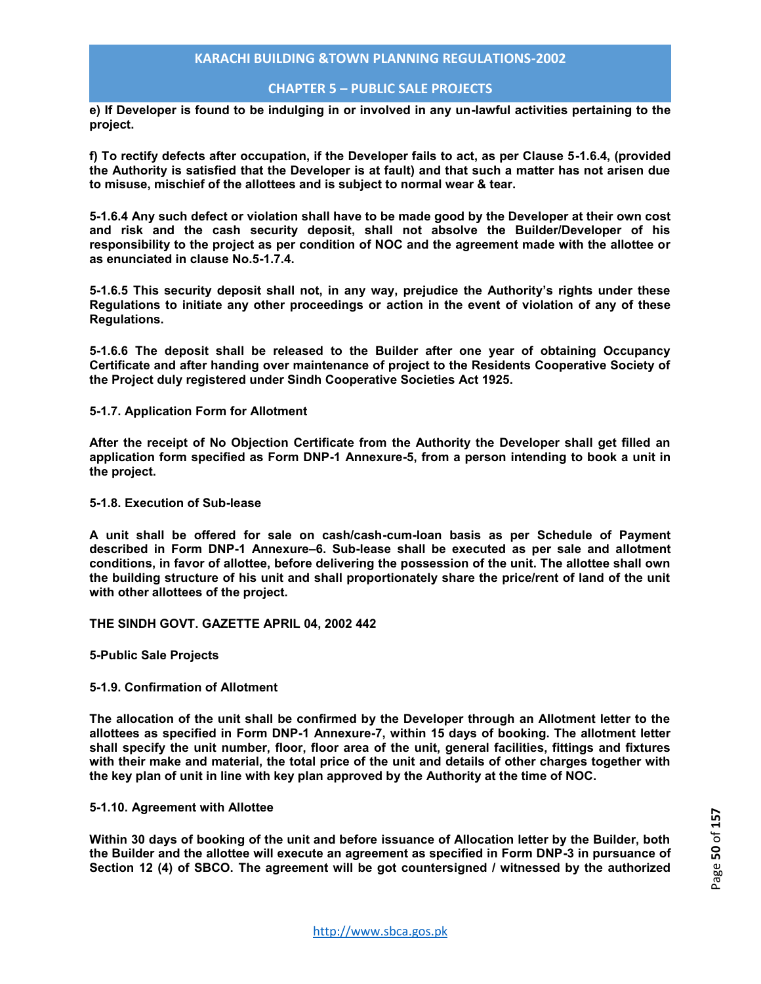## **CHAPTER 5 – PUBLIC SALE PROJECTS**

**e) If Developer is found to be indulging in or involved in any un-lawful activities pertaining to the project.** 

**f) To rectify defects after occupation, if the Developer fails to act, as per Clause 5-1.6.4, (provided the Authority is satisfied that the Developer is at fault) and that such a matter has not arisen due to misuse, mischief of the allottees and is subject to normal wear & tear.** 

**5-1.6.4 Any such defect or violation shall have to be made good by the Developer at their own cost and risk and the cash security deposit, shall not absolve the Builder/Developer of his responsibility to the project as per condition of NOC and the agreement made with the allottee or as enunciated in clause No.5-1.7.4.** 

**5-1.6.5 This security deposit shall not, in any way, prejudice the Authority's rights under these Regulations to initiate any other proceedings or action in the event of violation of any of these Regulations.** 

**5-1.6.6 The deposit shall be released to the Builder after one year of obtaining Occupancy Certificate and after handing over maintenance of project to the Residents Cooperative Society of the Project duly registered under Sindh Cooperative Societies Act 1925.** 

#### **5-1.7. Application Form for Allotment**

**After the receipt of No Objection Certificate from the Authority the Developer shall get filled an application form specified as Form DNP-1 Annexure-5, from a person intending to book a unit in the project.** 

#### **5-1.8. Execution of Sub-lease**

**A unit shall be offered for sale on cash/cash-cum-loan basis as per Schedule of Payment described in Form DNP-1 Annexure–6. Sub-lease shall be executed as per sale and allotment conditions, in favor of allottee, before delivering the possession of the unit. The allottee shall own the building structure of his unit and shall proportionately share the price/rent of land of the unit with other allottees of the project.** 

**THE SINDH GOVT. GAZETTE APRIL 04, 2002 442** 

**5-Public Sale Projects** 

#### **5-1.9. Confirmation of Allotment**

**The allocation of the unit shall be confirmed by the Developer through an Allotment letter to the allottees as specified in Form DNP-1 Annexure-7, within 15 days of booking. The allotment letter shall specify the unit number, floor, floor area of the unit, general facilities, fittings and fixtures with their make and material, the total price of the unit and details of other charges together with the key plan of unit in line with key plan approved by the Authority at the time of NOC.** 

#### **5-1.10. Agreement with Allottee**

**Within 30 days of booking of the unit and before issuance of Allocation letter by the Builder, both the Builder and the allottee will execute an agreement as specified in Form DNP-3 in pursuance of Section 12 (4) of SBCO. The agreement will be got countersigned / witnessed by the authorized**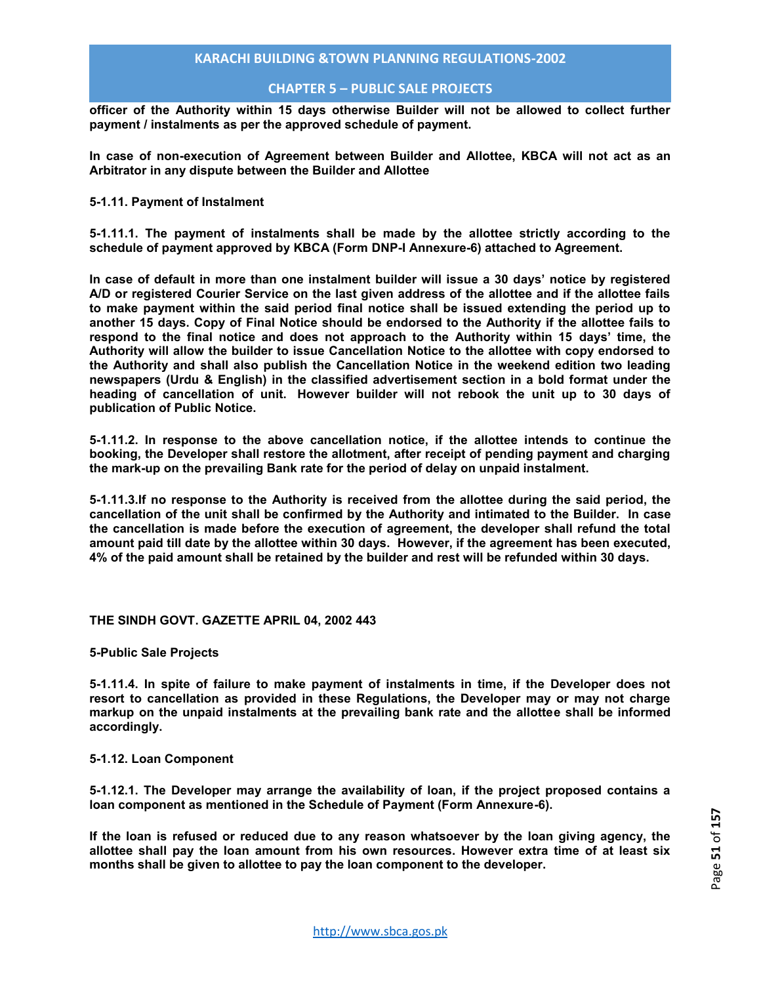## **CHAPTER 5 – PUBLIC SALE PROJECTS**

**officer of the Authority within 15 days otherwise Builder will not be allowed to collect further payment / instalments as per the approved schedule of payment.** 

**In case of non-execution of Agreement between Builder and Allottee, KBCA will not act as an Arbitrator in any dispute between the Builder and Allottee** 

#### **5-1.11. Payment of Instalment**

**5-1.11.1. The payment of instalments shall be made by the allottee strictly according to the schedule of payment approved by KBCA (Form DNP-I Annexure-6) attached to Agreement.** 

**In case of default in more than one instalment builder will issue a 30 days' notice by registered A/D or registered Courier Service on the last given address of the allottee and if the allottee fails to make payment within the said period final notice shall be issued extending the period up to another 15 days. Copy of Final Notice should be endorsed to the Authority if the allottee fails to respond to the final notice and does not approach to the Authority within 15 days' time, the Authority will allow the builder to issue Cancellation Notice to the allottee with copy endorsed to the Authority and shall also publish the Cancellation Notice in the weekend edition two leading newspapers (Urdu & English) in the classified advertisement section in a bold format under the heading of cancellation of unit. However builder will not rebook the unit up to 30 days of publication of Public Notice.** 

**5-1.11.2. In response to the above cancellation notice, if the allottee intends to continue the booking, the Developer shall restore the allotment, after receipt of pending payment and charging the mark-up on the prevailing Bank rate for the period of delay on unpaid instalment.** 

**5-1.11.3.If no response to the Authority is received from the allottee during the said period, the cancellation of the unit shall be confirmed by the Authority and intimated to the Builder. In case the cancellation is made before the execution of agreement, the developer shall refund the total amount paid till date by the allottee within 30 days. However, if the agreement has been executed, 4% of the paid amount shall be retained by the builder and rest will be refunded within 30 days.** 

#### **THE SINDH GOVT. GAZETTE APRIL 04, 2002 443**

**5-Public Sale Projects** 

**5-1.11.4. In spite of failure to make payment of instalments in time, if the Developer does not resort to cancellation as provided in these Regulations, the Developer may or may not charge markup on the unpaid instalments at the prevailing bank rate and the allottee shall be informed accordingly.** 

#### **5-1.12. Loan Component**

**5-1.12.1. The Developer may arrange the availability of loan, if the project proposed contains a loan component as mentioned in the Schedule of Payment (Form Annexure-6).** 

**If the loan is refused or reduced due to any reason whatsoever by the loan giving agency, the allottee shall pay the loan amount from his own resources. However extra time of at least six months shall be given to allottee to pay the loan component to the developer.**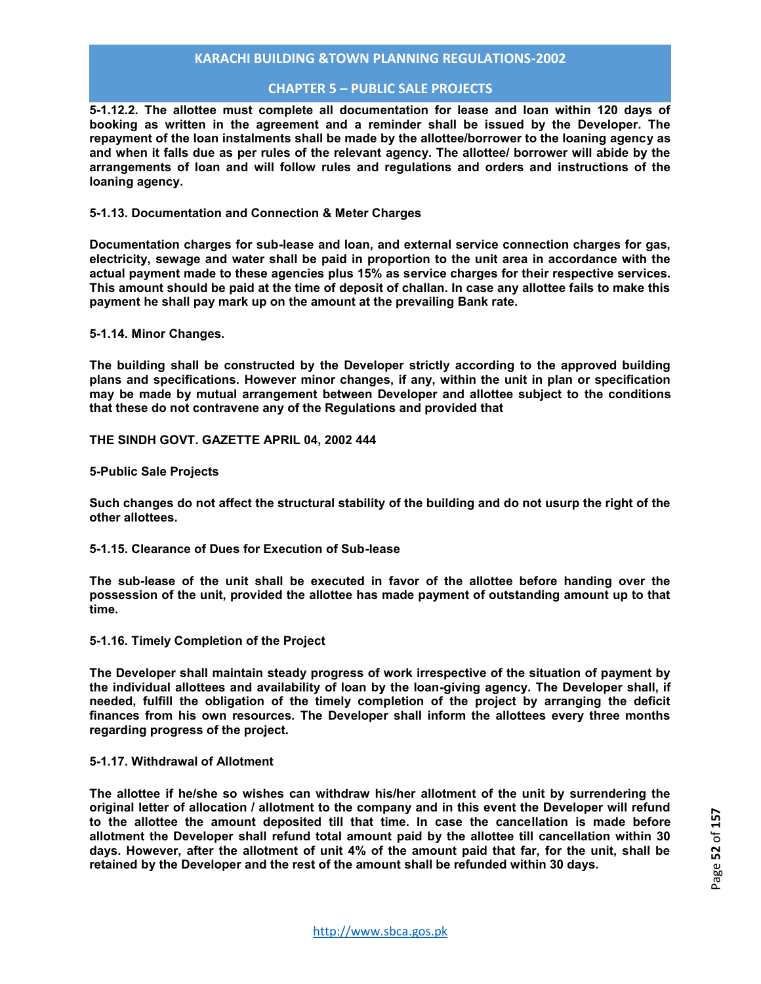## **CHAPTER 5 – PUBLIC SALE PROJECTS**

**5-1.12.2. The allottee must complete all documentation for lease and loan within 120 days of booking as written in the agreement and a reminder shall be issued by the Developer. The repayment of the loan instalments shall be made by the allottee/borrower to the loaning agency as and when it falls due as per rules of the relevant agency. The allottee/ borrower will abide by the arrangements of loan and will follow rules and regulations and orders and instructions of the loaning agency.** 

#### **5-1.13. Documentation and Connection & Meter Charges**

**Documentation charges for sub-lease and loan, and external service connection charges for gas, electricity, sewage and water shall be paid in proportion to the unit area in accordance with the actual payment made to these agencies plus 15% as service charges for their respective services. This amount should be paid at the time of deposit of challan. In case any allottee fails to make this payment he shall pay mark up on the amount at the prevailing Bank rate.** 

**5-1.14. Minor Changes.** 

**The building shall be constructed by the Developer strictly according to the approved building plans and specifications. However minor changes, if any, within the unit in plan or specification may be made by mutual arrangement between Developer and allottee subject to the conditions that these do not contravene any of the Regulations and provided that** 

**THE SINDH GOVT. GAZETTE APRIL 04, 2002 444** 

**5-Public Sale Projects** 

**Such changes do not affect the structural stability of the building and do not usurp the right of the other allottees.** 

**5-1.15. Clearance of Dues for Execution of Sub-lease** 

**The sub-lease of the unit shall be executed in favor of the allottee before handing over the possession of the unit, provided the allottee has made payment of outstanding amount up to that time.** 

**5-1.16. Timely Completion of the Project** 

**The Developer shall maintain steady progress of work irrespective of the situation of payment by the individual allottees and availability of loan by the loan-giving agency. The Developer shall, if needed, fulfill the obligation of the timely completion of the project by arranging the deficit finances from his own resources. The Developer shall inform the allottees every three months regarding progress of the project.** 

#### **5-1.17. Withdrawal of Allotment**

**The allottee if he/she so wishes can withdraw his/her allotment of the unit by surrendering the original letter of allocation / allotment to the company and in this event the Developer will refund to the allottee the amount deposited till that time. In case the cancellation is made before allotment the Developer shall refund total amount paid by the allottee till cancellation within 30 days. However, after the allotment of unit 4% of the amount paid that far, for the unit, shall be retained by the Developer and the rest of the amount shall be refunded within 30 days.**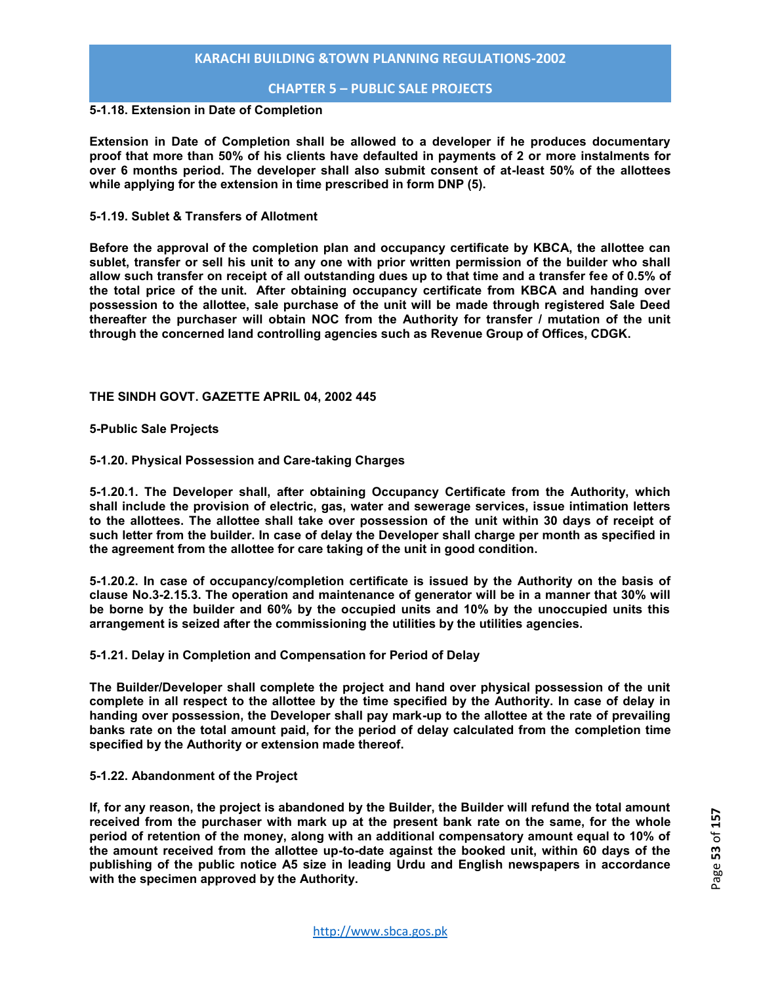## **CHAPTER 5 – PUBLIC SALE PROJECTS**

## **5-1.18. Extension in Date of Completion**

**Extension in Date of Completion shall be allowed to a developer if he produces documentary proof that more than 50% of his clients have defaulted in payments of 2 or more instalments for over 6 months period. The developer shall also submit consent of at-least 50% of the allottees while applying for the extension in time prescribed in form DNP (5).** 

#### **5-1.19. Sublet & Transfers of Allotment**

**Before the approval of the completion plan and occupancy certificate by KBCA, the allottee can sublet, transfer or sell his unit to any one with prior written permission of the builder who shall allow such transfer on receipt of all outstanding dues up to that time and a transfer fee of 0.5% of the total price of the unit. After obtaining occupancy certificate from KBCA and handing over possession to the allottee, sale purchase of the unit will be made through registered Sale Deed thereafter the purchaser will obtain NOC from the Authority for transfer / mutation of the unit through the concerned land controlling agencies such as Revenue Group of Offices, CDGK.** 

#### **THE SINDH GOVT. GAZETTE APRIL 04, 2002 445**

**5-Public Sale Projects** 

#### **5-1.20. Physical Possession and Care-taking Charges**

**5-1.20.1. The Developer shall, after obtaining Occupancy Certificate from the Authority, which shall include the provision of electric, gas, water and sewerage services, issue intimation letters to the allottees. The allottee shall take over possession of the unit within 30 days of receipt of such letter from the builder. In case of delay the Developer shall charge per month as specified in the agreement from the allottee for care taking of the unit in good condition.** 

**5-1.20.2. In case of occupancy/completion certificate is issued by the Authority on the basis of clause No.3-2.15.3. The operation and maintenance of generator will be in a manner that 30% will be borne by the builder and 60% by the occupied units and 10% by the unoccupied units this arrangement is seized after the commissioning the utilities by the utilities agencies.** 

## **5-1.21. Delay in Completion and Compensation for Period of Delay**

**The Builder/Developer shall complete the project and hand over physical possession of the unit complete in all respect to the allottee by the time specified by the Authority. In case of delay in handing over possession, the Developer shall pay mark-up to the allottee at the rate of prevailing banks rate on the total amount paid, for the period of delay calculated from the completion time specified by the Authority or extension made thereof.** 

#### **5-1.22. Abandonment of the Project**

**If, for any reason, the project is abandoned by the Builder, the Builder will refund the total amount received from the purchaser with mark up at the present bank rate on the same, for the whole period of retention of the money, along with an additional compensatory amount equal to 10% of the amount received from the allottee up-to-date against the booked unit, within 60 days of the publishing of the public notice A5 size in leading Urdu and English newspapers in accordance with the specimen approved by the Authority.**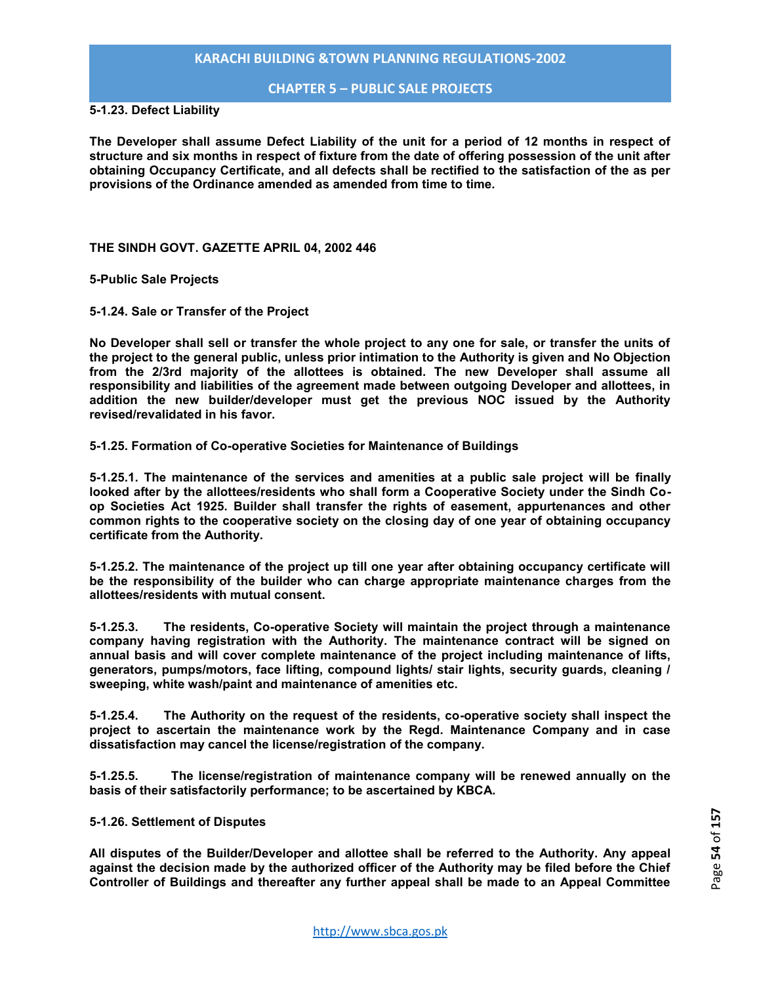## **CHAPTER 5 – PUBLIC SALE PROJECTS**

**5-1.23. Defect Liability** 

**The Developer shall assume Defect Liability of the unit for a period of 12 months in respect of structure and six months in respect of fixture from the date of offering possession of the unit after obtaining Occupancy Certificate, and all defects shall be rectified to the satisfaction of the as per provisions of the Ordinance amended as amended from time to time.** 

**THE SINDH GOVT. GAZETTE APRIL 04, 2002 446** 

**5-Public Sale Projects** 

**5-1.24. Sale or Transfer of the Project** 

**No Developer shall sell or transfer the whole project to any one for sale, or transfer the units of the project to the general public, unless prior intimation to the Authority is given and No Objection from the 2/3rd majority of the allottees is obtained. The new Developer shall assume all responsibility and liabilities of the agreement made between outgoing Developer and allottees, in addition the new builder/developer must get the previous NOC issued by the Authority revised/revalidated in his favor.** 

**5-1.25. Formation of Co-operative Societies for Maintenance of Buildings** 

**5-1.25.1. The maintenance of the services and amenities at a public sale project will be finally looked after by the allottees/residents who shall form a Cooperative Society under the Sindh Coop Societies Act 1925. Builder shall transfer the rights of easement, appurtenances and other common rights to the cooperative society on the closing day of one year of obtaining occupancy certificate from the Authority.** 

**5-1.25.2. The maintenance of the project up till one year after obtaining occupancy certificate will be the responsibility of the builder who can charge appropriate maintenance charges from the allottees/residents with mutual consent.** 

**5-1.25.3. The residents, Co-operative Society will maintain the project through a maintenance company having registration with the Authority. The maintenance contract will be signed on annual basis and will cover complete maintenance of the project including maintenance of lifts, generators, pumps/motors, face lifting, compound lights/ stair lights, security guards, cleaning / sweeping, white wash/paint and maintenance of amenities etc.** 

**5-1.25.4. The Authority on the request of the residents, co-operative society shall inspect the project to ascertain the maintenance work by the Regd. Maintenance Company and in case dissatisfaction may cancel the license/registration of the company.** 

**5-1.25.5. The license/registration of maintenance company will be renewed annually on the basis of their satisfactorily performance; to be ascertained by KBCA.** 

#### **5-1.26. Settlement of Disputes**

**All disputes of the Builder/Developer and allottee shall be referred to the Authority. Any appeal against the decision made by the authorized officer of the Authority may be filed before the Chief Controller of Buildings and thereafter any further appeal shall be made to an Appeal Committee**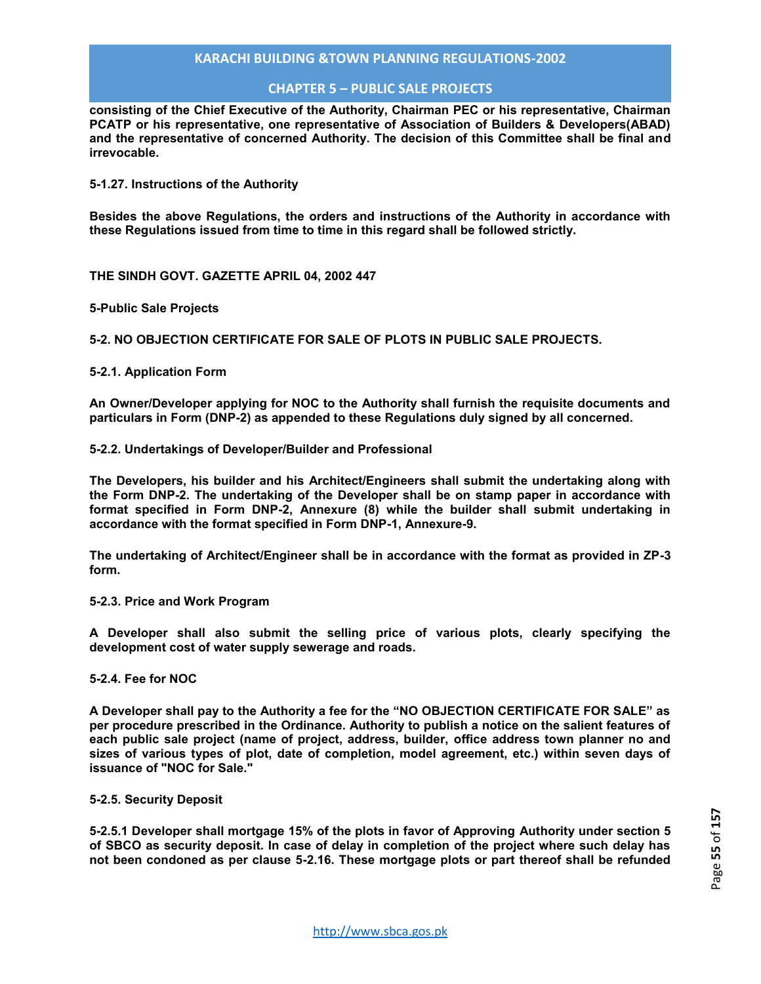## **CHAPTER 5 – PUBLIC SALE PROJECTS**

**consisting of the Chief Executive of the Authority, Chairman PEC or his representative, Chairman PCATP or his representative, one representative of Association of Builders & Developers(ABAD) and the representative of concerned Authority. The decision of this Committee shall be final and irrevocable.** 

**5-1.27. Instructions of the Authority** 

**Besides the above Regulations, the orders and instructions of the Authority in accordance with these Regulations issued from time to time in this regard shall be followed strictly.** 

**THE SINDH GOVT. GAZETTE APRIL 04, 2002 447** 

**5-Public Sale Projects** 

**5-2. NO OBJECTION CERTIFICATE FOR SALE OF PLOTS IN PUBLIC SALE PROJECTS.** 

#### **5-2.1. Application Form**

**An Owner/Developer applying for NOC to the Authority shall furnish the requisite documents and particulars in Form (DNP-2) as appended to these Regulations duly signed by all concerned.** 

#### **5-2.2. Undertakings of Developer/Builder and Professional**

**The Developers, his builder and his Architect/Engineers shall submit the undertaking along with the Form DNP-2. The undertaking of the Developer shall be on stamp paper in accordance with format specified in Form DNP-2, Annexure (8) while the builder shall submit undertaking in accordance with the format specified in Form DNP-1, Annexure-9.**

**The undertaking of Architect/Engineer shall be in accordance with the format as provided in ZP-3 form.** 

#### **5-2.3. Price and Work Program**

**A Developer shall also submit the selling price of various plots, clearly specifying the development cost of water supply sewerage and roads.** 

#### **5-2.4. Fee for NOC**

**A Developer shall pay to the Authority a fee for the "NO OBJECTION CERTIFICATE FOR SALE" as per procedure prescribed in the Ordinance. Authority to publish a notice on the salient features of each public sale project (name of project, address, builder, office address town planner no and sizes of various types of plot, date of completion, model agreement, etc.) within seven days of issuance of "NOC for Sale."** 

#### **5-2.5. Security Deposit**

**5-2.5.1 Developer shall mortgage 15% of the plots in favor of Approving Authority under section 5 of SBCO as security deposit. In case of delay in completion of the project where such delay has not been condoned as per clause 5-2.16. These mortgage plots or part thereof shall be refunded**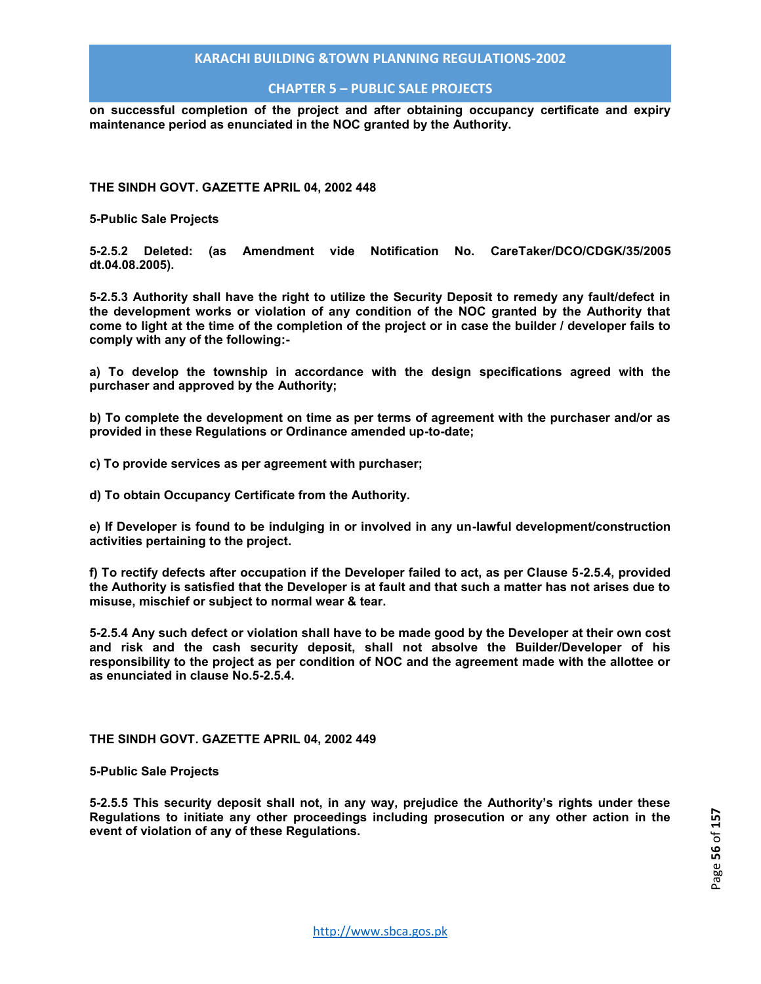## **CHAPTER 5 – PUBLIC SALE PROJECTS**

**on successful completion of the project and after obtaining occupancy certificate and expiry maintenance period as enunciated in the NOC granted by the Authority.** 

**THE SINDH GOVT. GAZETTE APRIL 04, 2002 448** 

**5-Public Sale Projects** 

**5-2.5.2 Deleted: (as Amendment vide Notification No. CareTaker/DCO/CDGK/35/2005 dt.04.08.2005).** 

**5-2.5.3 Authority shall have the right to utilize the Security Deposit to remedy any fault/defect in the development works or violation of any condition of the NOC granted by the Authority that come to light at the time of the completion of the project or in case the builder / developer fails to comply with any of the following:-** 

**a) To develop the township in accordance with the design specifications agreed with the purchaser and approved by the Authority;** 

**b) To complete the development on time as per terms of agreement with the purchaser and/or as provided in these Regulations or Ordinance amended up-to-date;** 

**c) To provide services as per agreement with purchaser;** 

**d) To obtain Occupancy Certificate from the Authority.** 

**e) If Developer is found to be indulging in or involved in any un-lawful development/construction activities pertaining to the project.** 

**f) To rectify defects after occupation if the Developer failed to act, as per Clause 5-2.5.4, provided the Authority is satisfied that the Developer is at fault and that such a matter has not arises due to misuse, mischief or subject to normal wear & tear.** 

**5-2.5.4 Any such defect or violation shall have to be made good by the Developer at their own cost and risk and the cash security deposit, shall not absolve the Builder/Developer of his responsibility to the project as per condition of NOC and the agreement made with the allottee or as enunciated in clause No.5-2.5.4.** 

**THE SINDH GOVT. GAZETTE APRIL 04, 2002 449** 

**5-Public Sale Projects** 

**5-2.5.5 This security deposit shall not, in any way, prejudice the Authority's rights under these Regulations to initiate any other proceedings including prosecution or any other action in the event of violation of any of these Regulations.**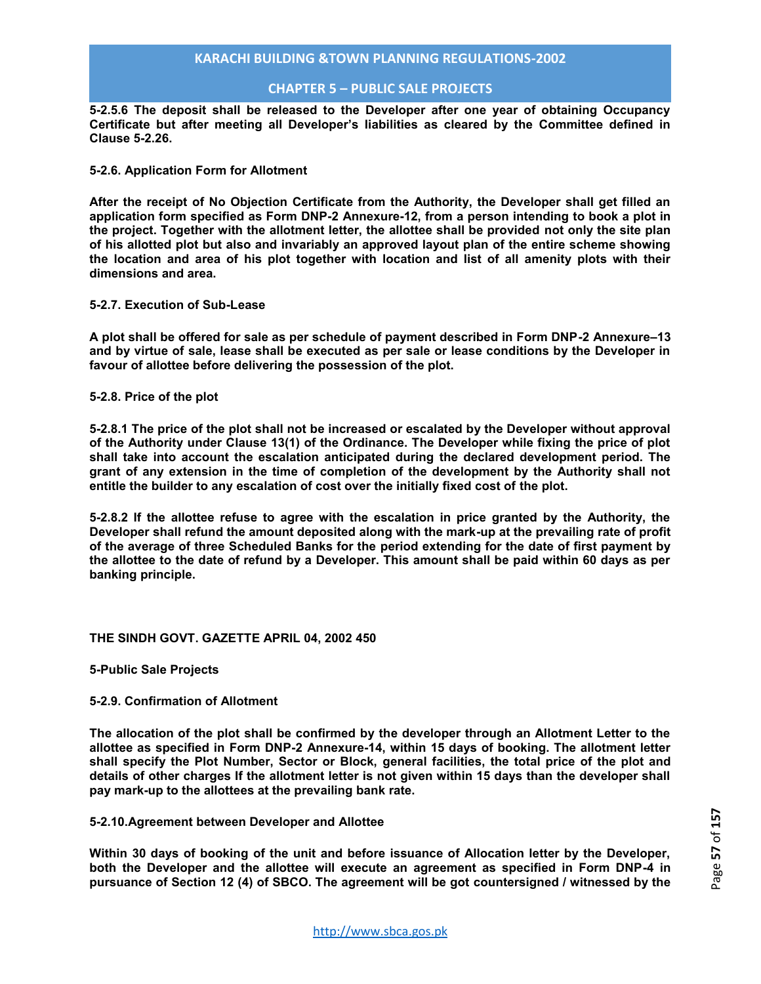## **CHAPTER 5 – PUBLIC SALE PROJECTS**

**5-2.5.6 The deposit shall be released to the Developer after one year of obtaining Occupancy Certificate but after meeting all Developer's liabilities as cleared by the Committee defined in Clause 5-2.26.** 

#### **5-2.6. Application Form for Allotment**

**After the receipt of No Objection Certificate from the Authority, the Developer shall get filled an application form specified as Form DNP-2 Annexure-12, from a person intending to book a plot in the project. Together with the allotment letter, the allottee shall be provided not only the site plan of his allotted plot but also and invariably an approved layout plan of the entire scheme showing the location and area of his plot together with location and list of all amenity plots with their dimensions and area.** 

#### **5-2.7. Execution of Sub-Lease**

**A plot shall be offered for sale as per schedule of payment described in Form DNP-2 Annexure–13 and by virtue of sale, lease shall be executed as per sale or lease conditions by the Developer in favour of allottee before delivering the possession of the plot.** 

**5-2.8. Price of the plot** 

**5-2.8.1 The price of the plot shall not be increased or escalated by the Developer without approval of the Authority under Clause 13(1) of the Ordinance. The Developer while fixing the price of plot shall take into account the escalation anticipated during the declared development period. The grant of any extension in the time of completion of the development by the Authority shall not entitle the builder to any escalation of cost over the initially fixed cost of the plot.** 

**5-2.8.2 If the allottee refuse to agree with the escalation in price granted by the Authority, the Developer shall refund the amount deposited along with the mark-up at the prevailing rate of profit of the average of three Scheduled Banks for the period extending for the date of first payment by the allottee to the date of refund by a Developer. This amount shall be paid within 60 days as per banking principle.** 

#### **THE SINDH GOVT. GAZETTE APRIL 04, 2002 450**

**5-Public Sale Projects** 

#### **5-2.9. Confirmation of Allotment**

**The allocation of the plot shall be confirmed by the developer through an Allotment Letter to the allottee as specified in Form DNP-2 Annexure-14, within 15 days of booking. The allotment letter shall specify the Plot Number, Sector or Block, general facilities, the total price of the plot and details of other charges If the allotment letter is not given within 15 days than the developer shall pay mark-up to the allottees at the prevailing bank rate.** 

#### **5-2.10.Agreement between Developer and Allottee**

**Within 30 days of booking of the unit and before issuance of Allocation letter by the Developer, both the Developer and the allottee will execute an agreement as specified in Form DNP-4 in pursuance of Section 12 (4) of SBCO. The agreement will be got countersigned / witnessed by the**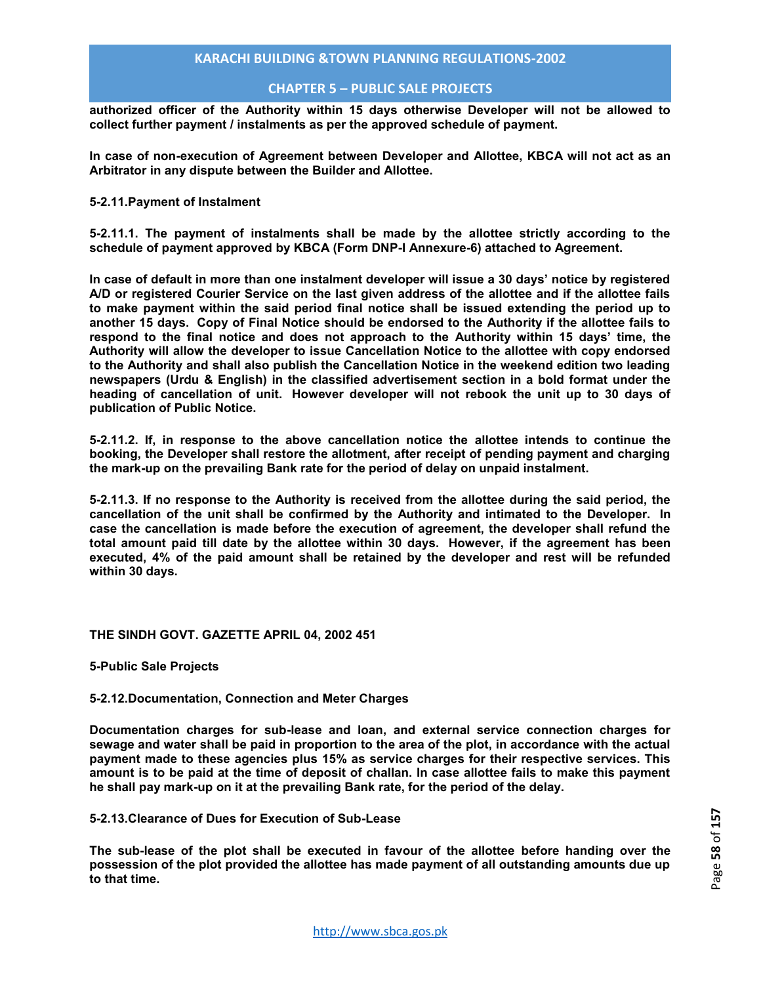## **CHAPTER 5 – PUBLIC SALE PROJECTS**

**authorized officer of the Authority within 15 days otherwise Developer will not be allowed to collect further payment / instalments as per the approved schedule of payment.** 

**In case of non-execution of Agreement between Developer and Allottee, KBCA will not act as an Arbitrator in any dispute between the Builder and Allottee.** 

#### **5-2.11.Payment of Instalment**

**5-2.11.1. The payment of instalments shall be made by the allottee strictly according to the schedule of payment approved by KBCA (Form DNP-I Annexure-6) attached to Agreement.** 

**In case of default in more than one instalment developer will issue a 30 days' notice by registered A/D or registered Courier Service on the last given address of the allottee and if the allottee fails to make payment within the said period final notice shall be issued extending the period up to another 15 days. Copy of Final Notice should be endorsed to the Authority if the allottee fails to respond to the final notice and does not approach to the Authority within 15 days' time, the Authority will allow the developer to issue Cancellation Notice to the allottee with copy endorsed to the Authority and shall also publish the Cancellation Notice in the weekend edition two leading newspapers (Urdu & English) in the classified advertisement section in a bold format under the heading of cancellation of unit. However developer will not rebook the unit up to 30 days of publication of Public Notice.** 

**5-2.11.2. If, in response to the above cancellation notice the allottee intends to continue the booking, the Developer shall restore the allotment, after receipt of pending payment and charging the mark-up on the prevailing Bank rate for the period of delay on unpaid instalment.** 

**5-2.11.3. If no response to the Authority is received from the allottee during the said period, the cancellation of the unit shall be confirmed by the Authority and intimated to the Developer. In case the cancellation is made before the execution of agreement, the developer shall refund the total amount paid till date by the allottee within 30 days. However, if the agreement has been executed, 4% of the paid amount shall be retained by the developer and rest will be refunded within 30 days.** 

#### **THE SINDH GOVT. GAZETTE APRIL 04, 2002 451**

**5-Public Sale Projects** 

#### **5-2.12.Documentation, Connection and Meter Charges**

**Documentation charges for sub-lease and loan, and external service connection charges for sewage and water shall be paid in proportion to the area of the plot, in accordance with the actual payment made to these agencies plus 15% as service charges for their respective services. This amount is to be paid at the time of deposit of challan. In case allottee fails to make this payment he shall pay mark-up on it at the prevailing Bank rate, for the period of the delay.** 

**5-2.13.Clearance of Dues for Execution of Sub-Lease** 

**The sub-lease of the plot shall be executed in favour of the allottee before handing over the possession of the plot provided the allottee has made payment of all outstanding amounts due up to that time.**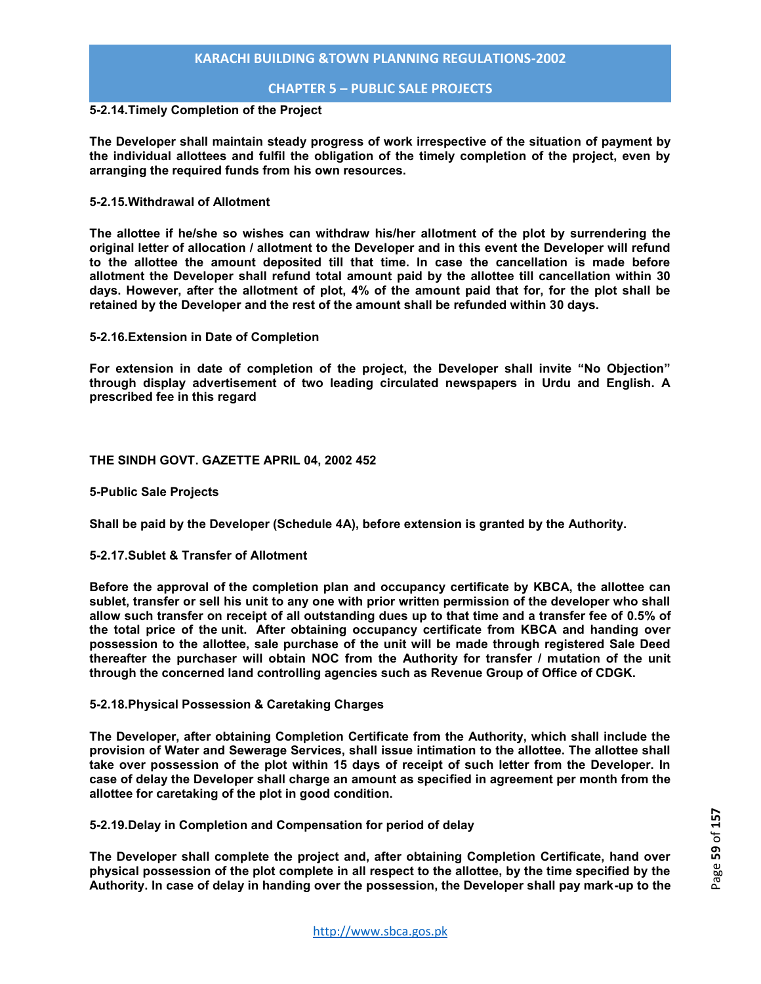## **CHAPTER 5 – PUBLIC SALE PROJECTS**

## **5-2.14.Timely Completion of the Project**

**The Developer shall maintain steady progress of work irrespective of the situation of payment by the individual allottees and fulfil the obligation of the timely completion of the project, even by arranging the required funds from his own resources.** 

#### **5-2.15.Withdrawal of Allotment**

**The allottee if he/she so wishes can withdraw his/her allotment of the plot by surrendering the original letter of allocation / allotment to the Developer and in this event the Developer will refund to the allottee the amount deposited till that time. In case the cancellation is made before allotment the Developer shall refund total amount paid by the allottee till cancellation within 30 days. However, after the allotment of plot, 4% of the amount paid that for, for the plot shall be retained by the Developer and the rest of the amount shall be refunded within 30 days.** 

**5-2.16.Extension in Date of Completion** 

**For extension in date of completion of the project, the Developer shall invite "No Objection" through display advertisement of two leading circulated newspapers in Urdu and English. A prescribed fee in this regard** 

#### **THE SINDH GOVT. GAZETTE APRIL 04, 2002 452**

**5-Public Sale Projects** 

**Shall be paid by the Developer (Schedule 4A), before extension is granted by the Authority.** 

## **5-2.17.Sublet & Transfer of Allotment**

**Before the approval of the completion plan and occupancy certificate by KBCA, the allottee can sublet, transfer or sell his unit to any one with prior written permission of the developer who shall allow such transfer on receipt of all outstanding dues up to that time and a transfer fee of 0.5% of the total price of the unit. After obtaining occupancy certificate from KBCA and handing over possession to the allottee, sale purchase of the unit will be made through registered Sale Deed thereafter the purchaser will obtain NOC from the Authority for transfer / mutation of the unit through the concerned land controlling agencies such as Revenue Group of Office of CDGK.** 

#### **5-2.18.Physical Possession & Caretaking Charges**

**The Developer, after obtaining Completion Certificate from the Authority, which shall include the provision of Water and Sewerage Services, shall issue intimation to the allottee. The allottee shall take over possession of the plot within 15 days of receipt of such letter from the Developer. In case of delay the Developer shall charge an amount as specified in agreement per month from the allottee for caretaking of the plot in good condition.** 

**5-2.19.Delay in Completion and Compensation for period of delay** 

**The Developer shall complete the project and, after obtaining Completion Certificate, hand over physical possession of the plot complete in all respect to the allottee, by the time specified by the Authority. In case of delay in handing over the possession, the Developer shall pay mark-up to the**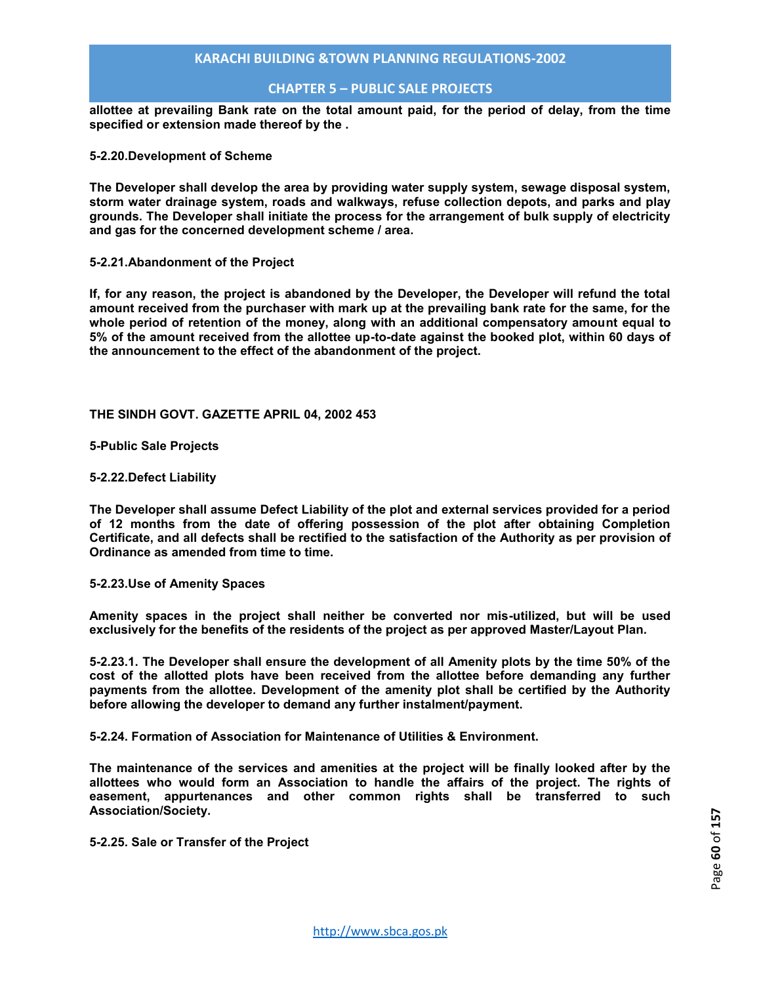## **CHAPTER 5 – PUBLIC SALE PROJECTS**

**allottee at prevailing Bank rate on the total amount paid, for the period of delay, from the time specified or extension made thereof by the .** 

#### **5-2.20.Development of Scheme**

**The Developer shall develop the area by providing water supply system, sewage disposal system, storm water drainage system, roads and walkways, refuse collection depots, and parks and play grounds. The Developer shall initiate the process for the arrangement of bulk supply of electricity and gas for the concerned development scheme / area.** 

#### **5-2.21.Abandonment of the Project**

**If, for any reason, the project is abandoned by the Developer, the Developer will refund the total amount received from the purchaser with mark up at the prevailing bank rate for the same, for the whole period of retention of the money, along with an additional compensatory amount equal to 5% of the amount received from the allottee up-to-date against the booked plot, within 60 days of the announcement to the effect of the abandonment of the project.** 

**THE SINDH GOVT. GAZETTE APRIL 04, 2002 453** 

**5-Public Sale Projects** 

#### **5-2.22.Defect Liability**

**The Developer shall assume Defect Liability of the plot and external services provided for a period of 12 months from the date of offering possession of the plot after obtaining Completion Certificate, and all defects shall be rectified to the satisfaction of the Authority as per provision of Ordinance as amended from time to time.** 

#### **5-2.23.Use of Amenity Spaces**

**Amenity spaces in the project shall neither be converted nor mis-utilized, but will be used exclusively for the benefits of the residents of the project as per approved Master/Layout Plan.** 

**5-2.23.1. The Developer shall ensure the development of all Amenity plots by the time 50% of the cost of the allotted plots have been received from the allottee before demanding any further payments from the allottee. Development of the amenity plot shall be certified by the Authority before allowing the developer to demand any further instalment/payment.** 

**5-2.24. Formation of Association for Maintenance of Utilities & Environment.** 

**The maintenance of the services and amenities at the project will be finally looked after by the allottees who would form an Association to handle the affairs of the project. The rights of easement, appurtenances and other common rights shall be transferred to such Association/Society.** 

#### **5-2.25. Sale or Transfer of the Project**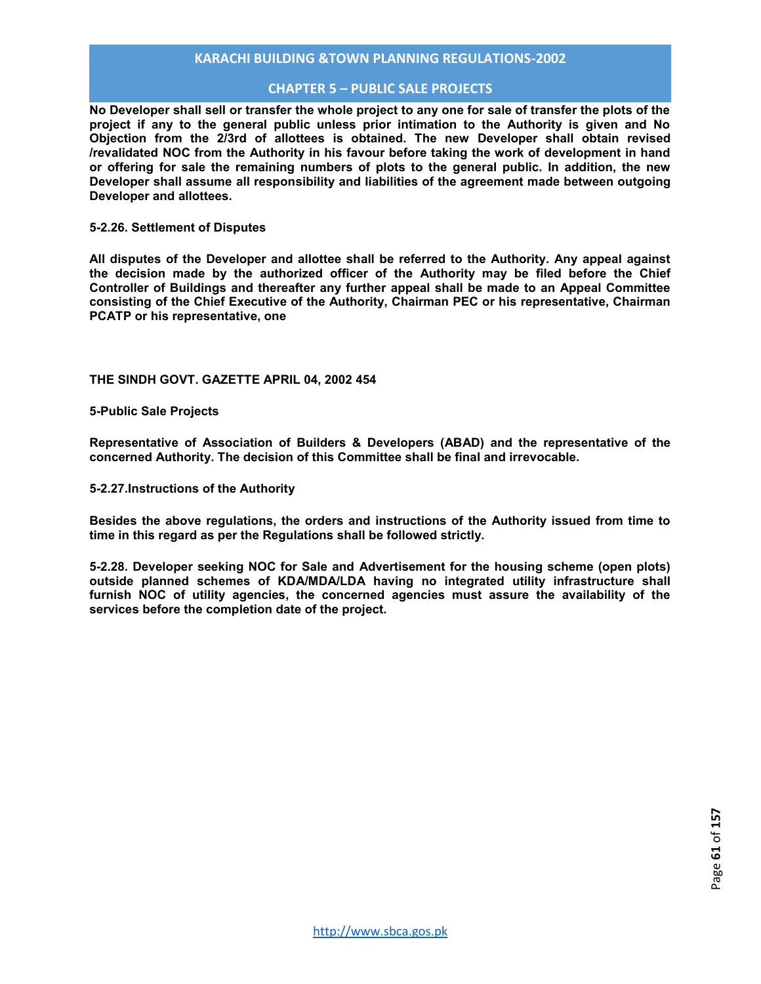## **CHAPTER 5 – PUBLIC SALE PROJECTS**

**No Developer shall sell or transfer the whole project to any one for sale of transfer the plots of the project if any to the general public unless prior intimation to the Authority is given and No Objection from the 2/3rd of allottees is obtained. The new Developer shall obtain revised /revalidated NOC from the Authority in his favour before taking the work of development in hand or offering for sale the remaining numbers of plots to the general public. In addition, the new Developer shall assume all responsibility and liabilities of the agreement made between outgoing Developer and allottees.** 

#### **5-2.26. Settlement of Disputes**

**All disputes of the Developer and allottee shall be referred to the Authority. Any appeal against the decision made by the authorized officer of the Authority may be filed before the Chief Controller of Buildings and thereafter any further appeal shall be made to an Appeal Committee consisting of the Chief Executive of the Authority, Chairman PEC or his representative, Chairman PCATP or his representative, one** 

**THE SINDH GOVT. GAZETTE APRIL 04, 2002 454** 

**5-Public Sale Projects** 

**Representative of Association of Builders & Developers (ABAD) and the representative of the concerned Authority. The decision of this Committee shall be final and irrevocable.** 

**5-2.27.Instructions of the Authority** 

**Besides the above regulations, the orders and instructions of the Authority issued from time to time in this regard as per the Regulations shall be followed strictly.** 

**5-2.28. Developer seeking NOC for Sale and Advertisement for the housing scheme (open plots) outside planned schemes of KDA/MDA/LDA having no integrated utility infrastructure shall furnish NOC of utility agencies, the concerned agencies must assure the availability of the services before the completion date of the project.**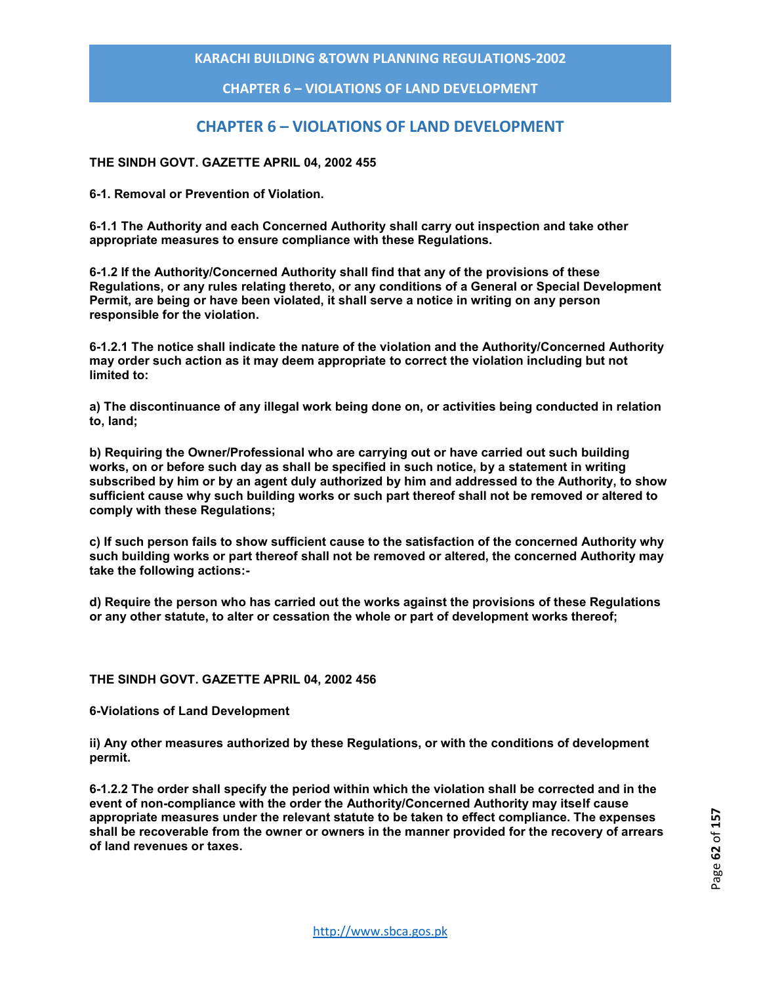## **CHAPTER 6 – VIOLATIONS OF LAND DEVELOPMENT**

# **CHAPTER 6 – VIOLATIONS OF LAND DEVELOPMENT**

## **THE SINDH GOVT. GAZETTE APRIL 04, 2002 455**

**6-1. Removal or Prevention of Violation.** 

**6-1.1 The Authority and each Concerned Authority shall carry out inspection and take other appropriate measures to ensure compliance with these Regulations.** 

**6-1.2 If the Authority/Concerned Authority shall find that any of the provisions of these Regulations, or any rules relating thereto, or any conditions of a General or Special Development Permit, are being or have been violated, it shall serve a notice in writing on any person responsible for the violation.** 

**6-1.2.1 The notice shall indicate the nature of the violation and the Authority/Concerned Authority may order such action as it may deem appropriate to correct the violation including but not limited to:** 

**a) The discontinuance of any illegal work being done on, or activities being conducted in relation to, land;** 

**b) Requiring the Owner/Professional who are carrying out or have carried out such building works, on or before such day as shall be specified in such notice, by a statement in writing subscribed by him or by an agent duly authorized by him and addressed to the Authority, to show sufficient cause why such building works or such part thereof shall not be removed or altered to comply with these Regulations;** 

**c) If such person fails to show sufficient cause to the satisfaction of the concerned Authority why such building works or part thereof shall not be removed or altered, the concerned Authority may take the following actions:-** 

**d) Require the person who has carried out the works against the provisions of these Regulations or any other statute, to alter or cessation the whole or part of development works thereof;** 

#### **THE SINDH GOVT. GAZETTE APRIL 04, 2002 456**

**6-Violations of Land Development** 

**ii) Any other measures authorized by these Regulations, or with the conditions of development permit.** 

**6-1.2.2 The order shall specify the period within which the violation shall be corrected and in the event of non-compliance with the order the Authority/Concerned Authority may itself cause appropriate measures under the relevant statute to be taken to effect compliance. The expenses shall be recoverable from the owner or owners in the manner provided for the recovery of arrears of land revenues or taxes.**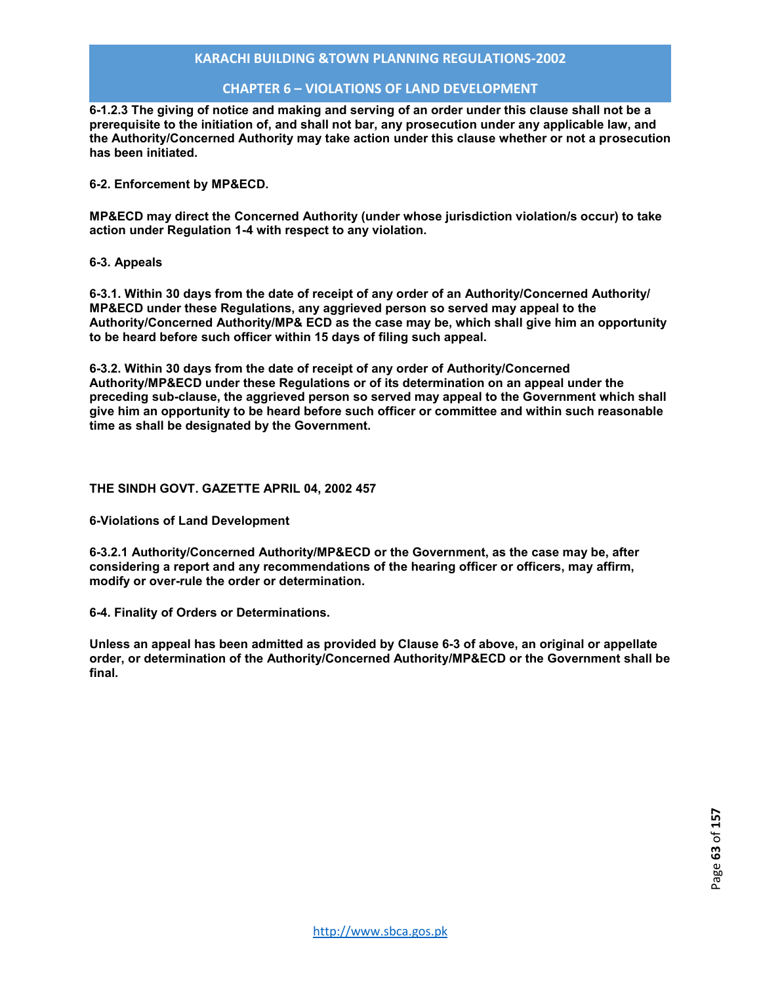## **CHAPTER 6 – VIOLATIONS OF LAND DEVELOPMENT**

**6-1.2.3 The giving of notice and making and serving of an order under this clause shall not be a prerequisite to the initiation of, and shall not bar, any prosecution under any applicable law, and the Authority/Concerned Authority may take action under this clause whether or not a prosecution has been initiated.** 

**6-2. Enforcement by MP&ECD.** 

**MP&ECD may direct the Concerned Authority (under whose jurisdiction violation/s occur) to take action under Regulation 1-4 with respect to any violation.** 

**6-3. Appeals** 

**6-3.1. Within 30 days from the date of receipt of any order of an Authority/Concerned Authority/ MP&ECD under these Regulations, any aggrieved person so served may appeal to the Authority/Concerned Authority/MP& ECD as the case may be, which shall give him an opportunity to be heard before such officer within 15 days of filing such appeal.** 

**6-3.2. Within 30 days from the date of receipt of any order of Authority/Concerned Authority/MP&ECD under these Regulations or of its determination on an appeal under the preceding sub-clause, the aggrieved person so served may appeal to the Government which shall give him an opportunity to be heard before such officer or committee and within such reasonable time as shall be designated by the Government.** 

#### **THE SINDH GOVT. GAZETTE APRIL 04, 2002 457**

**6-Violations of Land Development** 

**6-3.2.1 Authority/Concerned Authority/MP&ECD or the Government, as the case may be, after considering a report and any recommendations of the hearing officer or officers, may affirm, modify or over-rule the order or determination.**

**6-4. Finality of Orders or Determinations.** 

**Unless an appeal has been admitted as provided by Clause 6-3 of above, an original or appellate order, or determination of the Authority/Concerned Authority/MP&ECD or the Government shall be final.**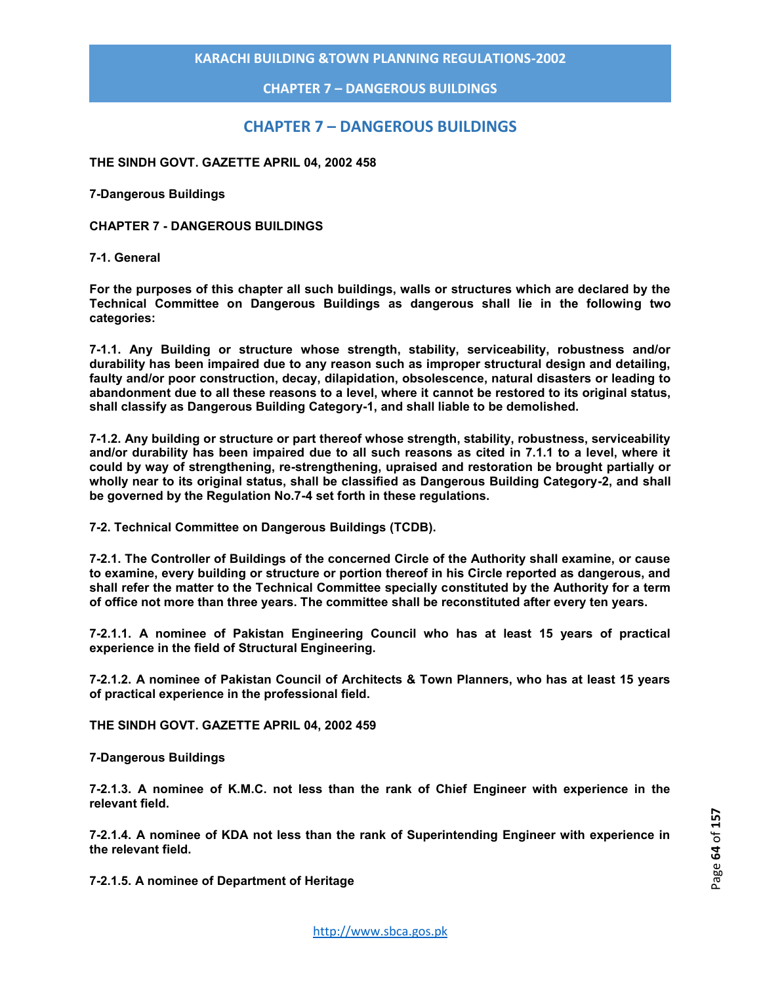**CHAPTER 7 – DANGEROUS BUILDINGS**

# **CHAPTER 7 – DANGEROUS BUILDINGS**

**THE SINDH GOVT. GAZETTE APRIL 04, 2002 458** 

**7-Dangerous Buildings** 

**CHAPTER 7 - DANGEROUS BUILDINGS** 

#### **7-1. General**

**For the purposes of this chapter all such buildings, walls or structures which are declared by the Technical Committee on Dangerous Buildings as dangerous shall lie in the following two categories:** 

**7-1.1. Any Building or structure whose strength, stability, serviceability, robustness and/or durability has been impaired due to any reason such as improper structural design and detailing, faulty and/or poor construction, decay, dilapidation, obsolescence, natural disasters or leading to abandonment due to all these reasons to a level, where it cannot be restored to its original status, shall classify as Dangerous Building Category-1, and shall liable to be demolished.** 

**7-1.2. Any building or structure or part thereof whose strength, stability, robustness, serviceability and/or durability has been impaired due to all such reasons as cited in 7.1.1 to a level, where it could by way of strengthening, re-strengthening, upraised and restoration be brought partially or wholly near to its original status, shall be classified as Dangerous Building Category-2, and shall be governed by the Regulation No.7-4 set forth in these regulations.** 

**7-2. Technical Committee on Dangerous Buildings (TCDB).** 

**7-2.1. The Controller of Buildings of the concerned Circle of the Authority shall examine, or cause to examine, every building or structure or portion thereof in his Circle reported as dangerous, and shall refer the matter to the Technical Committee specially constituted by the Authority for a term of office not more than three years. The committee shall be reconstituted after every ten years.** 

**7-2.1.1. A nominee of Pakistan Engineering Council who has at least 15 years of practical experience in the field of Structural Engineering.** 

**7-2.1.2. A nominee of Pakistan Council of Architects & Town Planners, who has at least 15 years of practical experience in the professional field.** 

**THE SINDH GOVT. GAZETTE APRIL 04, 2002 459** 

**7-Dangerous Buildings** 

**7-2.1.3. A nominee of K.M.C. not less than the rank of Chief Engineer with experience in the relevant field.** 

**7-2.1.4. A nominee of KDA not less than the rank of Superintending Engineer with experience in the relevant field.** 

**7-2.1.5. A nominee of Department of Heritage**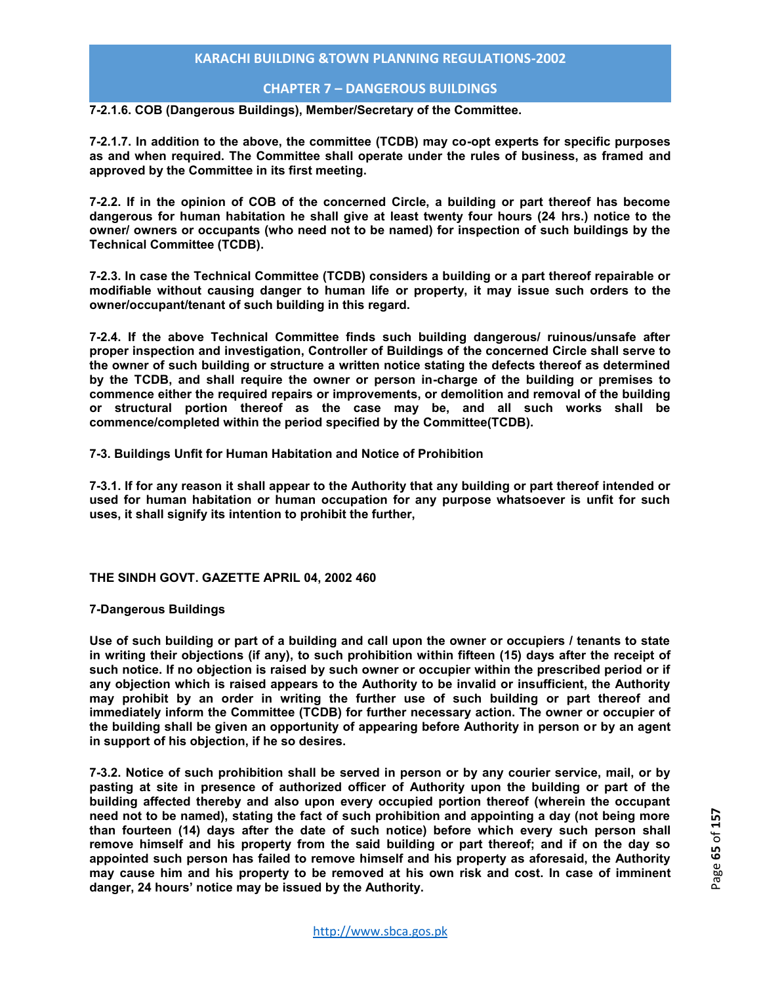## **CHAPTER 7 – DANGEROUS BUILDINGS**

**7-2.1.6. COB (Dangerous Buildings), Member/Secretary of the Committee.** 

**7-2.1.7. In addition to the above, the committee (TCDB) may co-opt experts for specific purposes as and when required. The Committee shall operate under the rules of business, as framed and approved by the Committee in its first meeting.** 

**7-2.2. If in the opinion of COB of the concerned Circle, a building or part thereof has become dangerous for human habitation he shall give at least twenty four hours (24 hrs.) notice to the owner/ owners or occupants (who need not to be named) for inspection of such buildings by the Technical Committee (TCDB).** 

**7-2.3. In case the Technical Committee (TCDB) considers a building or a part thereof repairable or modifiable without causing danger to human life or property, it may issue such orders to the owner/occupant/tenant of such building in this regard.** 

**7-2.4. If the above Technical Committee finds such building dangerous/ ruinous/unsafe after proper inspection and investigation, Controller of Buildings of the concerned Circle shall serve to the owner of such building or structure a written notice stating the defects thereof as determined by the TCDB, and shall require the owner or person in-charge of the building or premises to commence either the required repairs or improvements, or demolition and removal of the building or structural portion thereof as the case may be, and all such works shall be commence/completed within the period specified by the Committee(TCDB).** 

**7-3. Buildings Unfit for Human Habitation and Notice of Prohibition** 

**7-3.1. If for any reason it shall appear to the Authority that any building or part thereof intended or used for human habitation or human occupation for any purpose whatsoever is unfit for such uses, it shall signify its intention to prohibit the further,** 

**THE SINDH GOVT. GAZETTE APRIL 04, 2002 460** 

#### **7-Dangerous Buildings**

**Use of such building or part of a building and call upon the owner or occupiers / tenants to state in writing their objections (if any), to such prohibition within fifteen (15) days after the receipt of such notice. If no objection is raised by such owner or occupier within the prescribed period or if any objection which is raised appears to the Authority to be invalid or insufficient, the Authority may prohibit by an order in writing the further use of such building or part thereof and immediately inform the Committee (TCDB) for further necessary action. The owner or occupier of the building shall be given an opportunity of appearing before Authority in person or by an agent in support of his objection, if he so desires.** 

**7-3.2. Notice of such prohibition shall be served in person or by any courier service, mail, or by pasting at site in presence of authorized officer of Authority upon the building or part of the building affected thereby and also upon every occupied portion thereof (wherein the occupant need not to be named), stating the fact of such prohibition and appointing a day (not being more than fourteen (14) days after the date of such notice) before which every such person shall remove himself and his property from the said building or part thereof; and if on the day so appointed such person has failed to remove himself and his property as aforesaid, the Authority may cause him and his property to be removed at his own risk and cost. In case of imminent danger, 24 hours' notice may be issued by the Authority.**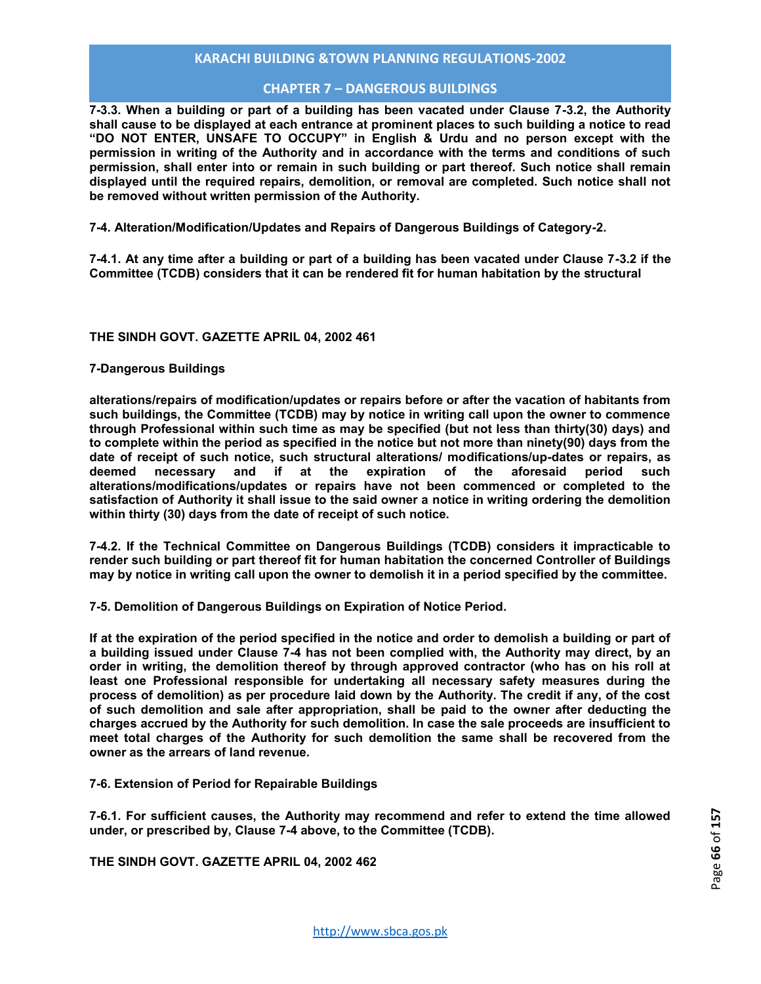## **CHAPTER 7 – DANGEROUS BUILDINGS**

**7-3.3. When a building or part of a building has been vacated under Clause 7-3.2, the Authority shall cause to be displayed at each entrance at prominent places to such building a notice to read "DO NOT ENTER, UNSAFE TO OCCUPY" in English & Urdu and no person except with the permission in writing of the Authority and in accordance with the terms and conditions of such permission, shall enter into or remain in such building or part thereof. Such notice shall remain displayed until the required repairs, demolition, or removal are completed. Such notice shall not be removed without written permission of the Authority.** 

**7-4. Alteration/Modification/Updates and Repairs of Dangerous Buildings of Category-2.**

**7-4.1. At any time after a building or part of a building has been vacated under Clause 7-3.2 if the Committee (TCDB) considers that it can be rendered fit for human habitation by the structural** 

#### **THE SINDH GOVT. GAZETTE APRIL 04, 2002 461**

#### **7-Dangerous Buildings**

**alterations/repairs of modification/updates or repairs before or after the vacation of habitants from such buildings, the Committee (TCDB) may by notice in writing call upon the owner to commence through Professional within such time as may be specified (but not less than thirty(30) days) and to complete within the period as specified in the notice but not more than ninety(90) days from the date of receipt of such notice, such structural alterations/ modifications/up-dates or repairs, as**  if at the expiration of the **alterations/modifications/updates or repairs have not been commenced or completed to the satisfaction of Authority it shall issue to the said owner a notice in writing ordering the demolition within thirty (30) days from the date of receipt of such notice.** 

**7-4.2. If the Technical Committee on Dangerous Buildings (TCDB) considers it impracticable to render such building or part thereof fit for human habitation the concerned Controller of Buildings may by notice in writing call upon the owner to demolish it in a period specified by the committee.** 

**7-5. Demolition of Dangerous Buildings on Expiration of Notice Period.** 

**If at the expiration of the period specified in the notice and order to demolish a building or part of a building issued under Clause 7-4 has not been complied with, the Authority may direct, by an order in writing, the demolition thereof by through approved contractor (who has on his roll at least one Professional responsible for undertaking all necessary safety measures during the process of demolition) as per procedure laid down by the Authority. The credit if any, of the cost of such demolition and sale after appropriation, shall be paid to the owner after deducting the charges accrued by the Authority for such demolition. In case the sale proceeds are insufficient to meet total charges of the Authority for such demolition the same shall be recovered from the owner as the arrears of land revenue.** 

**7-6. Extension of Period for Repairable Buildings** 

**7-6.1. For sufficient causes, the Authority may recommend and refer to extend the time allowed under, or prescribed by, Clause 7-4 above, to the Committee (TCDB).** 

**THE SINDH GOVT. GAZETTE APRIL 04, 2002 462**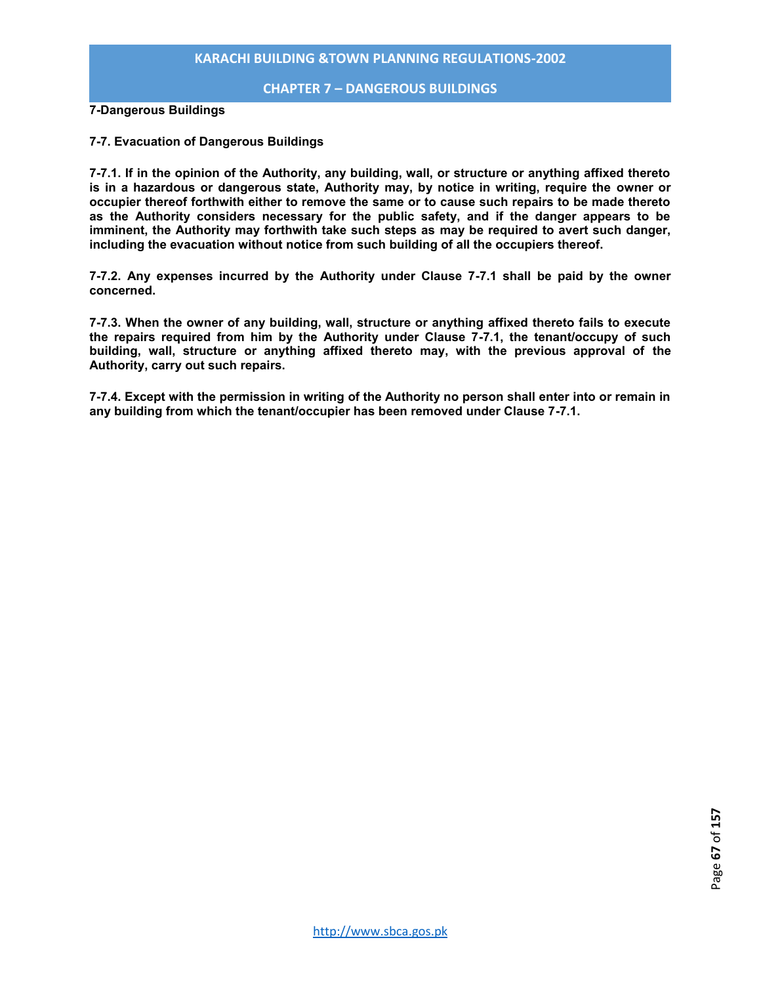#### **CHAPTER 7 – DANGEROUS BUILDINGS**

**7-Dangerous Buildings** 

#### **7-7. Evacuation of Dangerous Buildings**

**7-7.1. If in the opinion of the Authority, any building, wall, or structure or anything affixed thereto is in a hazardous or dangerous state, Authority may, by notice in writing, require the owner or occupier thereof forthwith either to remove the same or to cause such repairs to be made thereto as the Authority considers necessary for the public safety, and if the danger appears to be imminent, the Authority may forthwith take such steps as may be required to avert such danger, including the evacuation without notice from such building of all the occupiers thereof.** 

**7-7.2. Any expenses incurred by the Authority under Clause 7-7.1 shall be paid by the owner concerned.** 

**7-7.3. When the owner of any building, wall, structure or anything affixed thereto fails to execute the repairs required from him by the Authority under Clause 7-7.1, the tenant/occupy of such building, wall, structure or anything affixed thereto may, with the previous approval of the Authority, carry out such repairs.** 

**7-7.4. Except with the permission in writing of the Authority no person shall enter into or remain in any building from which the tenant/occupier has been removed under Clause 7-7.1.**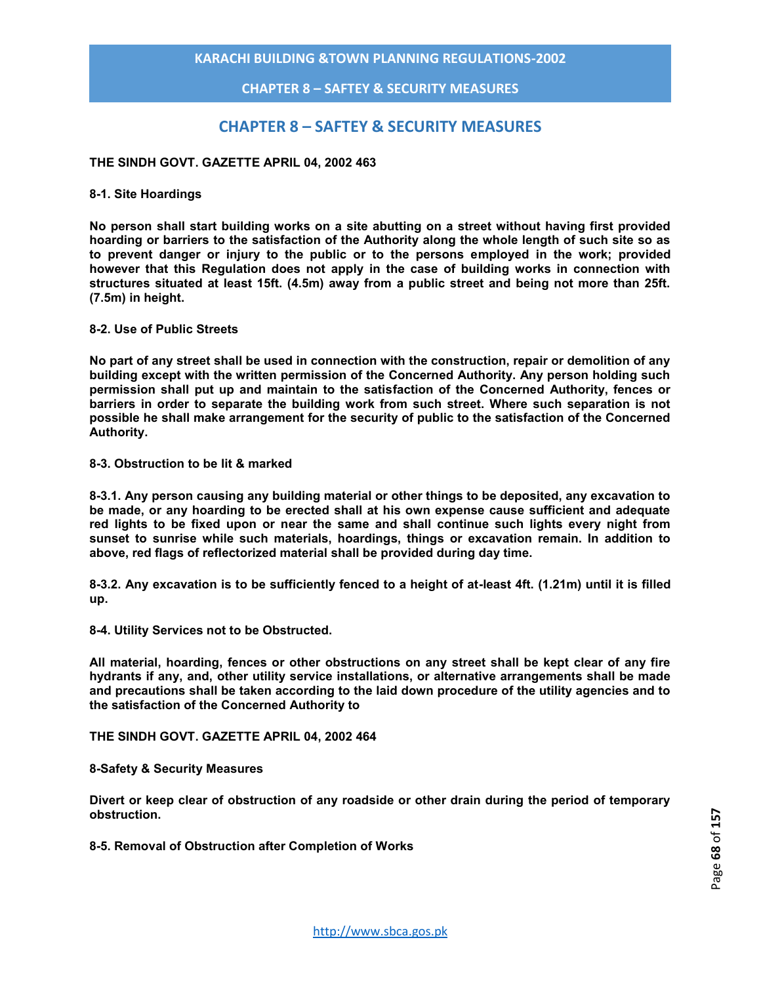## **CHAPTER 8 – SAFTEY & SECURITY MEASURES**

# **CHAPTER 8 – SAFTEY & SECURITY MEASURES**

#### **THE SINDH GOVT. GAZETTE APRIL 04, 2002 463**

#### **8-1. Site Hoardings**

**No person shall start building works on a site abutting on a street without having first provided hoarding or barriers to the satisfaction of the Authority along the whole length of such site so as to prevent danger or injury to the public or to the persons employed in the work; provided however that this Regulation does not apply in the case of building works in connection with structures situated at least 15ft. (4.5m) away from a public street and being not more than 25ft. (7.5m) in height.** 

#### **8-2. Use of Public Streets**

**No part of any street shall be used in connection with the construction, repair or demolition of any building except with the written permission of the Concerned Authority. Any person holding such permission shall put up and maintain to the satisfaction of the Concerned Authority, fences or barriers in order to separate the building work from such street. Where such separation is not possible he shall make arrangement for the security of public to the satisfaction of the Concerned Authority.** 

## **8-3. Obstruction to be lit & marked**

**8-3.1. Any person causing any building material or other things to be deposited, any excavation to be made, or any hoarding to be erected shall at his own expense cause sufficient and adequate red lights to be fixed upon or near the same and shall continue such lights every night from sunset to sunrise while such materials, hoardings, things or excavation remain. In addition to above, red flags of reflectorized material shall be provided during day time.** 

**8-3.2. Any excavation is to be sufficiently fenced to a height of at-least 4ft. (1.21m) until it is filled up.**

**8-4. Utility Services not to be Obstructed.** 

**All material, hoarding, fences or other obstructions on any street shall be kept clear of any fire hydrants if any, and, other utility service installations, or alternative arrangements shall be made and precautions shall be taken according to the laid down procedure of the utility agencies and to the satisfaction of the Concerned Authority to** 

**THE SINDH GOVT. GAZETTE APRIL 04, 2002 464** 

#### **8-Safety & Security Measures**

**Divert or keep clear of obstruction of any roadside or other drain during the period of temporary obstruction.** 

**8-5. Removal of Obstruction after Completion of Works**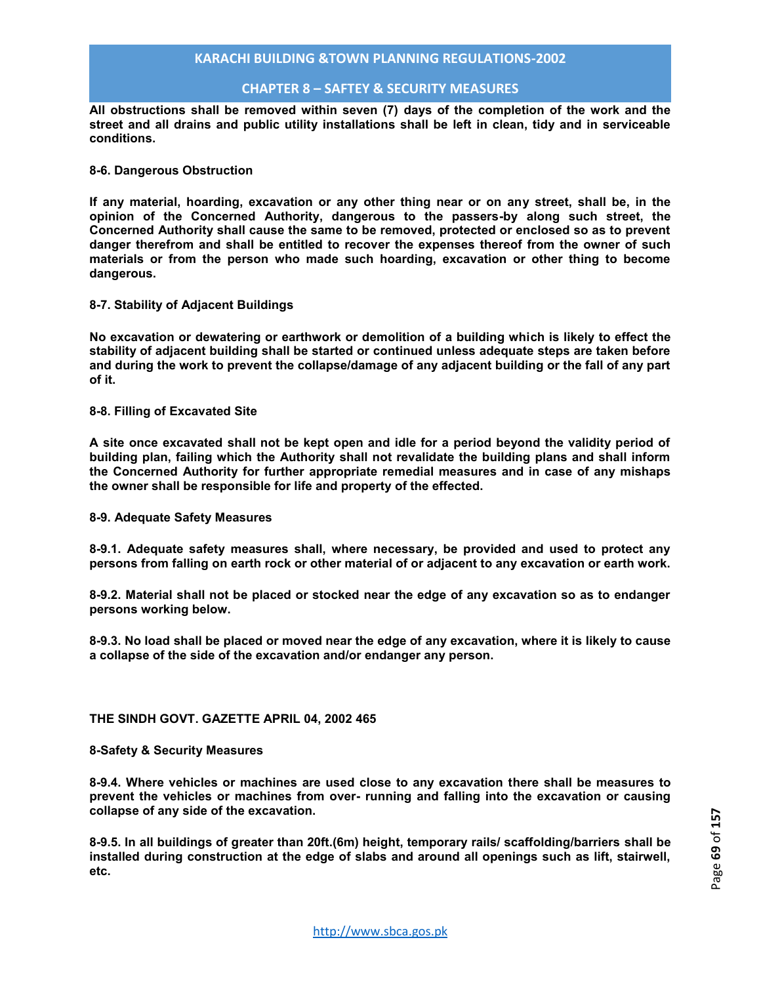## **CHAPTER 8 – SAFTEY & SECURITY MEASURES**

**All obstructions shall be removed within seven (7) days of the completion of the work and the street and all drains and public utility installations shall be left in clean, tidy and in serviceable conditions.** 

#### **8-6. Dangerous Obstruction**

**If any material, hoarding, excavation or any other thing near or on any street, shall be, in the opinion of the Concerned Authority, dangerous to the passers-by along such street, the Concerned Authority shall cause the same to be removed, protected or enclosed so as to prevent danger therefrom and shall be entitled to recover the expenses thereof from the owner of such materials or from the person who made such hoarding, excavation or other thing to become dangerous.** 

#### **8-7. Stability of Adjacent Buildings**

**No excavation or dewatering or earthwork or demolition of a building which is likely to effect the stability of adjacent building shall be started or continued unless adequate steps are taken before and during the work to prevent the collapse/damage of any adjacent building or the fall of any part of it.** 

#### **8-8. Filling of Excavated Site**

**A site once excavated shall not be kept open and idle for a period beyond the validity period of building plan, failing which the Authority shall not revalidate the building plans and shall inform the Concerned Authority for further appropriate remedial measures and in case of any mishaps the owner shall be responsible for life and property of the effected.** 

#### **8-9. Adequate Safety Measures**

**8-9.1. Adequate safety measures shall, where necessary, be provided and used to protect any persons from falling on earth rock or other material of or adjacent to any excavation or earth work.** 

**8-9.2. Material shall not be placed or stocked near the edge of any excavation so as to endanger persons working below.** 

**8-9.3. No load shall be placed or moved near the edge of any excavation, where it is likely to cause a collapse of the side of the excavation and/or endanger any person.** 

#### **THE SINDH GOVT. GAZETTE APRIL 04, 2002 465**

#### **8-Safety & Security Measures**

**8-9.4. Where vehicles or machines are used close to any excavation there shall be measures to prevent the vehicles or machines from over- running and falling into the excavation or causing collapse of any side of the excavation.** 

**8-9.5. In all buildings of greater than 20ft.(6m) height, temporary rails/ scaffolding/barriers shall be installed during construction at the edge of slabs and around all openings such as lift, stairwell, etc.**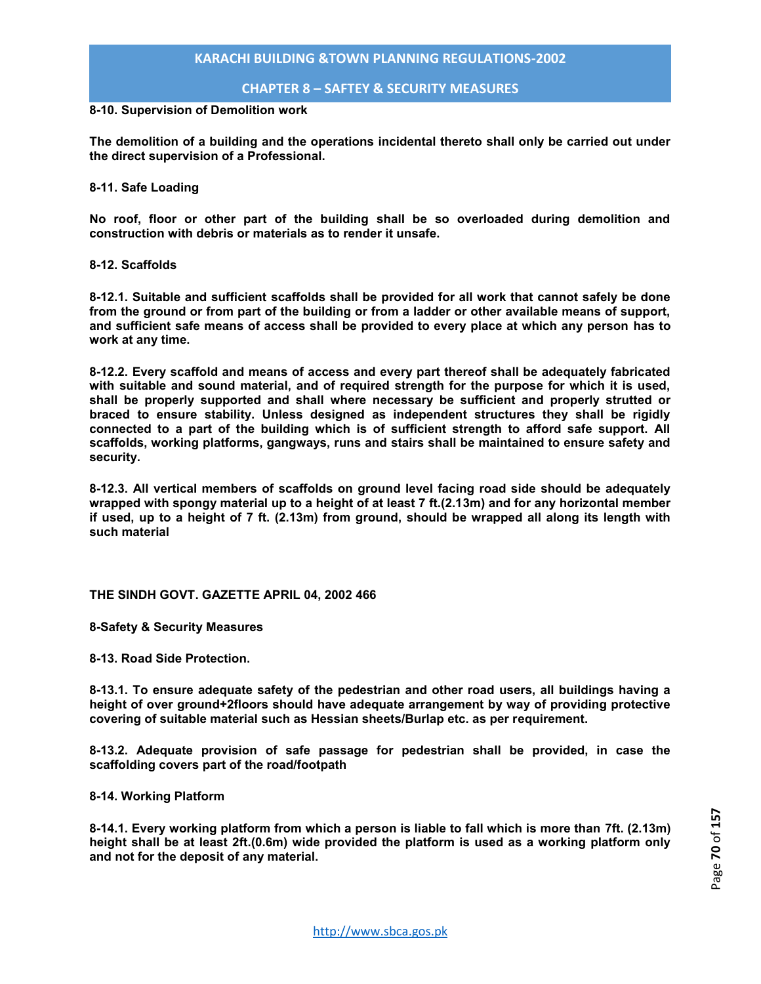**CHAPTER 8 – SAFTEY & SECURITY MEASURES**

#### **8-10. Supervision of Demolition work**

**The demolition of a building and the operations incidental thereto shall only be carried out under the direct supervision of a Professional.** 

#### **8-11. Safe Loading**

**No roof, floor or other part of the building shall be so overloaded during demolition and construction with debris or materials as to render it unsafe.** 

#### **8-12. Scaffolds**

**8-12.1. Suitable and sufficient scaffolds shall be provided for all work that cannot safely be done from the ground or from part of the building or from a ladder or other available means of support, and sufficient safe means of access shall be provided to every place at which any person has to work at any time.** 

**8-12.2. Every scaffold and means of access and every part thereof shall be adequately fabricated with suitable and sound material, and of required strength for the purpose for which it is used, shall be properly supported and shall where necessary be sufficient and properly strutted or braced to ensure stability. Unless designed as independent structures they shall be rigidly connected to a part of the building which is of sufficient strength to afford safe support. All scaffolds, working platforms, gangways, runs and stairs shall be maintained to ensure safety and security.** 

**8-12.3. All vertical members of scaffolds on ground level facing road side should be adequately wrapped with spongy material up to a height of at least 7 ft.(2.13m) and for any horizontal member if used, up to a height of 7 ft. (2.13m) from ground, should be wrapped all along its length with such material** 

#### **THE SINDH GOVT. GAZETTE APRIL 04, 2002 466**

**8-Safety & Security Measures** 

**8-13. Road Side Protection.** 

**8-13.1. To ensure adequate safety of the pedestrian and other road users, all buildings having a height of over ground+2floors should have adequate arrangement by way of providing protective covering of suitable material such as Hessian sheets/Burlap etc. as per requirement.** 

**8-13.2. Adequate provision of safe passage for pedestrian shall be provided, in case the scaffolding covers part of the road/footpath** 

**8-14. Working Platform** 

**8-14.1. Every working platform from which a person is liable to fall which is more than 7ft. (2.13m) height shall be at least 2ft.(0.6m) wide provided the platform is used as a working platform only and not for the deposit of any material.**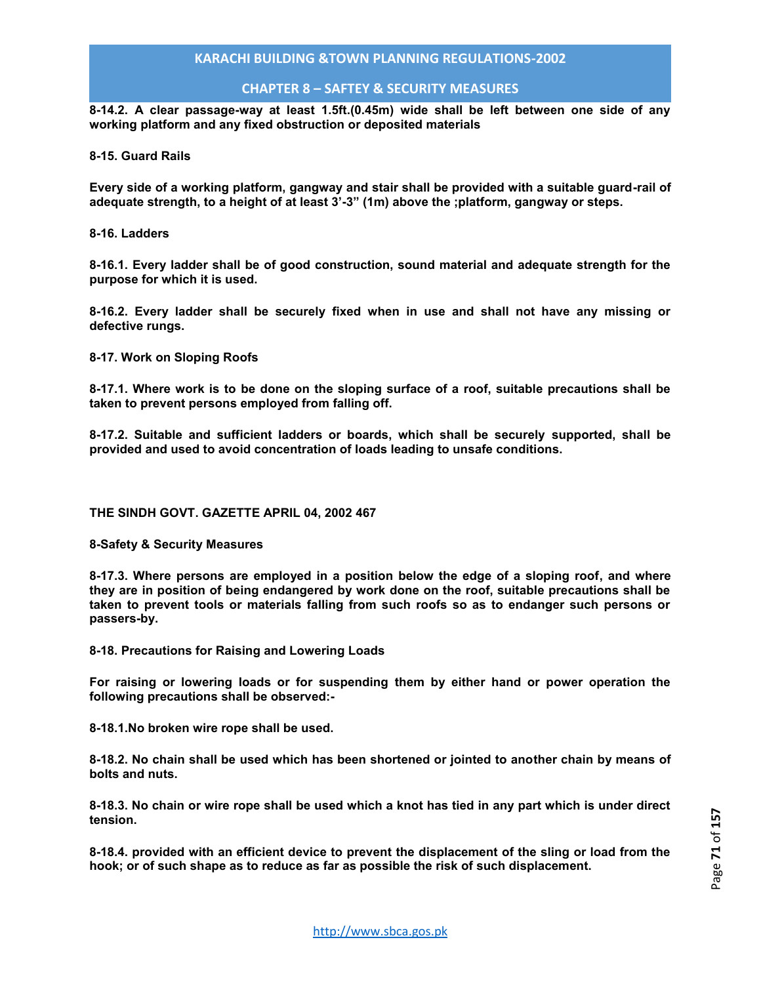## **CHAPTER 8 – SAFTEY & SECURITY MEASURES**

**8-14.2. A clear passage-way at least 1.5ft.(0.45m) wide shall be left between one side of any working platform and any fixed obstruction or deposited materials** 

**8-15. Guard Rails** 

**Every side of a working platform, gangway and stair shall be provided with a suitable guard-rail of adequate strength, to a height of at least 3'-3" (1m) above the ;platform, gangway or steps.** 

**8-16. Ladders** 

**8-16.1. Every ladder shall be of good construction, sound material and adequate strength for the purpose for which it is used.** 

**8-16.2. Every ladder shall be securely fixed when in use and shall not have any missing or defective rungs.** 

**8-17. Work on Sloping Roofs** 

**8-17.1. Where work is to be done on the sloping surface of a roof, suitable precautions shall be taken to prevent persons employed from falling off.** 

**8-17.2. Suitable and sufficient ladders or boards, which shall be securely supported, shall be provided and used to avoid concentration of loads leading to unsafe conditions.** 

**THE SINDH GOVT. GAZETTE APRIL 04, 2002 467** 

**8-Safety & Security Measures** 

**8-17.3. Where persons are employed in a position below the edge of a sloping roof, and where they are in position of being endangered by work done on the roof, suitable precautions shall be taken to prevent tools or materials falling from such roofs so as to endanger such persons or passers-by.** 

**8-18. Precautions for Raising and Lowering Loads** 

**For raising or lowering loads or for suspending them by either hand or power operation the following precautions shall be observed:-** 

**8-18.1.No broken wire rope shall be used.** 

**8-18.2. No chain shall be used which has been shortened or jointed to another chain by means of bolts and nuts.** 

**8-18.3. No chain or wire rope shall be used which a knot has tied in any part which is under direct tension.** 

**8-18.4. provided with an efficient device to prevent the displacement of the sling or load from the hook; or of such shape as to reduce as far as possible the risk of such displacement.**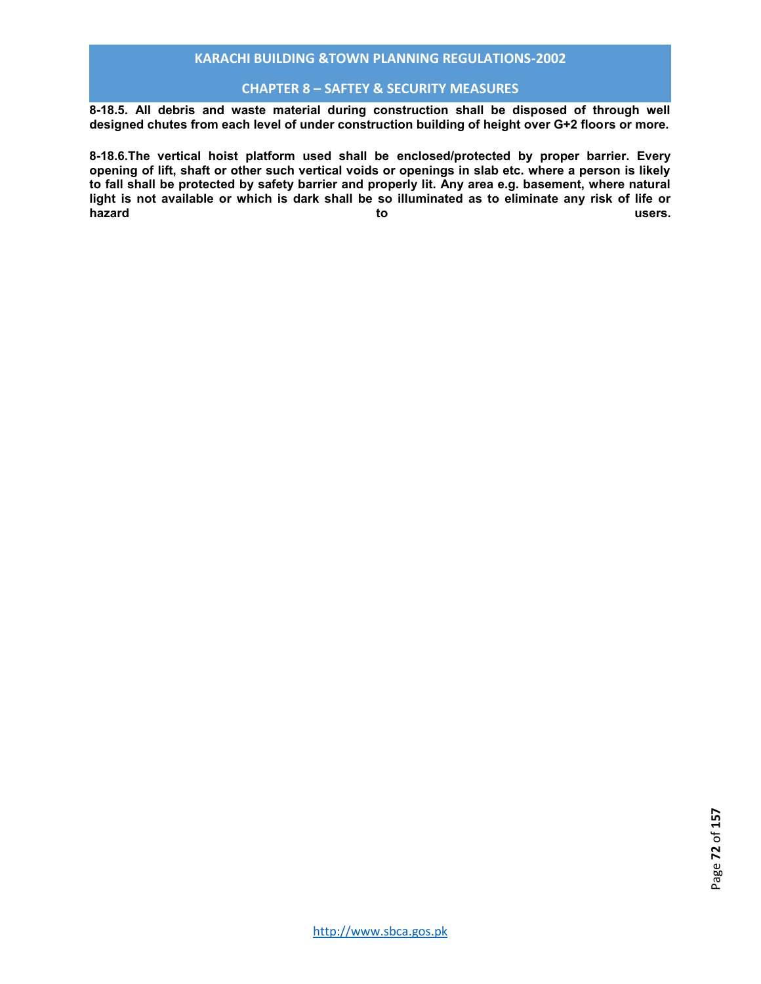## **CHAPTER 8 – SAFTEY & SECURITY MEASURES**

**8-18.5. All debris and waste material during construction shall be disposed of through well designed chutes from each level of under construction building of height over G+2 floors or more.** 

**8-18.6.The vertical hoist platform used shall be enclosed/protected by proper barrier. Every opening of lift, shaft or other such vertical voids or openings in slab etc. where a person is likely to fall shall be protected by safety barrier and properly lit. Any area e.g. basement, where natural light is not available or which is dark shall be so illuminated as to eliminate any risk of life or hazard to users.**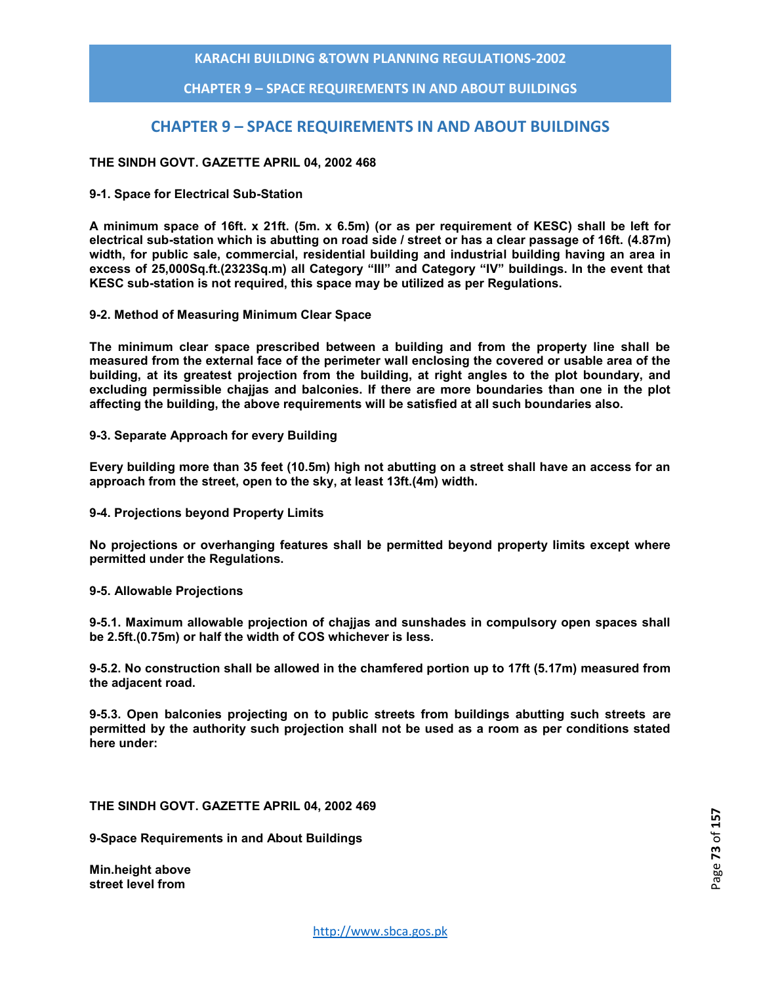**CHAPTER 9 – SPACE REQUIREMENTS IN AND ABOUT BUILDINGS**

# **CHAPTER 9 – SPACE REQUIREMENTS IN AND ABOUT BUILDINGS**

### **THE SINDH GOVT. GAZETTE APRIL 04, 2002 468**

#### **9-1. Space for Electrical Sub-Station**

**A minimum space of 16ft. x 21ft. (5m. x 6.5m) (or as per requirement of KESC) shall be left for electrical sub-station which is abutting on road side / street or has a clear passage of 16ft. (4.87m) width, for public sale, commercial, residential building and industrial building having an area in excess of 25,000Sq.ft.(2323Sq.m) all Category "III" and Category "IV" buildings. In the event that KESC sub-station is not required, this space may be utilized as per Regulations.** 

**9-2. Method of Measuring Minimum Clear Space** 

**The minimum clear space prescribed between a building and from the property line shall be measured from the external face of the perimeter wall enclosing the covered or usable area of the building, at its greatest projection from the building, at right angles to the plot boundary, and excluding permissible chajjas and balconies. If there are more boundaries than one in the plot affecting the building, the above requirements will be satisfied at all such boundaries also.** 

#### **9-3. Separate Approach for every Building**

**Every building more than 35 feet (10.5m) high not abutting on a street shall have an access for an approach from the street, open to the sky, at least 13ft.(4m) width.** 

**9-4. Projections beyond Property Limits** 

**No projections or overhanging features shall be permitted beyond property limits except where permitted under the Regulations.** 

**9-5. Allowable Projections** 

**9-5.1. Maximum allowable projection of chajjas and sunshades in compulsory open spaces shall be 2.5ft.(0.75m) or half the width of COS whichever is less.** 

**9-5.2. No construction shall be allowed in the chamfered portion up to 17ft (5.17m) measured from the adjacent road.** 

**9-5.3. Open balconies projecting on to public streets from buildings abutting such streets are permitted by the authority such projection shall not be used as a room as per conditions stated here under:** 

**THE SINDH GOVT. GAZETTE APRIL 04, 2002 469** 

**9-Space Requirements in and About Buildings** 

**Min.height above street level from**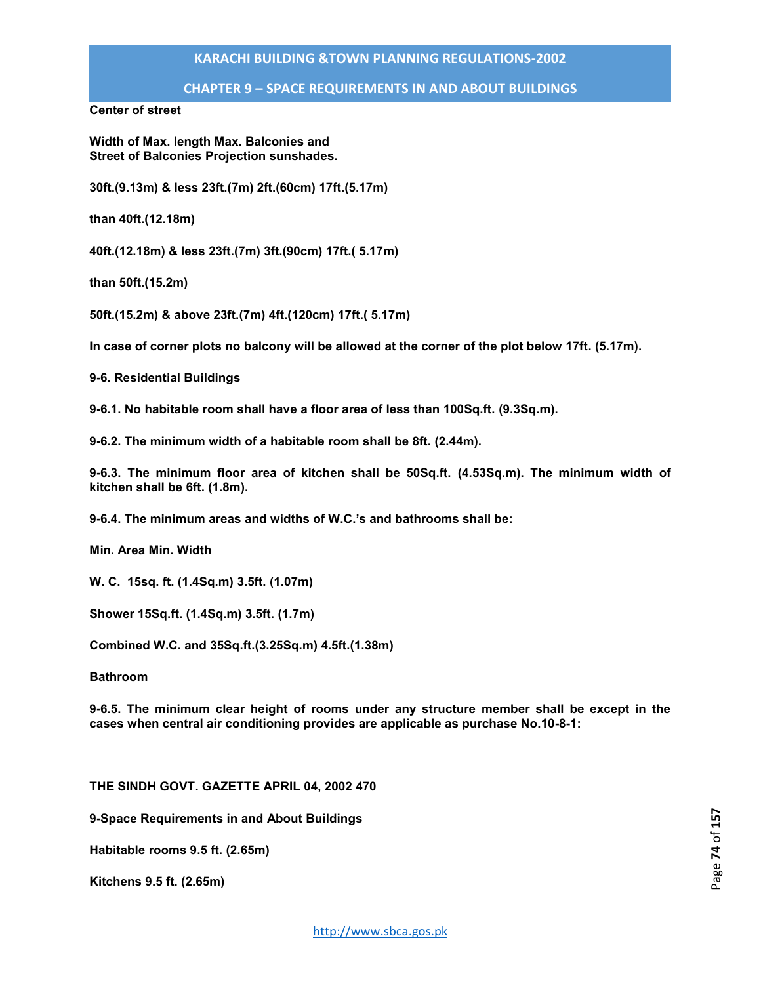**CHAPTER 9 – SPACE REQUIREMENTS IN AND ABOUT BUILDINGS**

**Center of street** 

**Width of Max. length Max. Balconies and Street of Balconies Projection sunshades.** 

**30ft.(9.13m) & less 23ft.(7m) 2ft.(60cm) 17ft.(5.17m)** 

**than 40ft.(12.18m)** 

**40ft.(12.18m) & less 23ft.(7m) 3ft.(90cm) 17ft.( 5.17m)** 

**than 50ft.(15.2m)** 

**50ft.(15.2m) & above 23ft.(7m) 4ft.(120cm) 17ft.( 5.17m)** 

**In case of corner plots no balcony will be allowed at the corner of the plot below 17ft. (5.17m).** 

**9-6. Residential Buildings** 

**9-6.1. No habitable room shall have a floor area of less than 100Sq.ft. (9.3Sq.m).** 

**9-6.2. The minimum width of a habitable room shall be 8ft. (2.44m).** 

**9-6.3. The minimum floor area of kitchen shall be 50Sq.ft. (4.53Sq.m). The minimum width of kitchen shall be 6ft. (1.8m).** 

**9-6.4. The minimum areas and widths of W.C.'s and bathrooms shall be:** 

**Min. Area Min. Width** 

**W. C. 15sq. ft. (1.4Sq.m) 3.5ft. (1.07m)** 

**Shower 15Sq.ft. (1.4Sq.m) 3.5ft. (1.7m)** 

**Combined W.C. and 35Sq.ft.(3.25Sq.m) 4.5ft.(1.38m)** 

**Bathroom** 

**9-6.5. The minimum clear height of rooms under any structure member shall be except in the cases when central air conditioning provides are applicable as purchase No.10-8-1:**

**THE SINDH GOVT. GAZETTE APRIL 04, 2002 470** 

**9-Space Requirements in and About Buildings** 

**Habitable rooms 9.5 ft. (2.65m)** 

**Kitchens 9.5 ft. (2.65m)**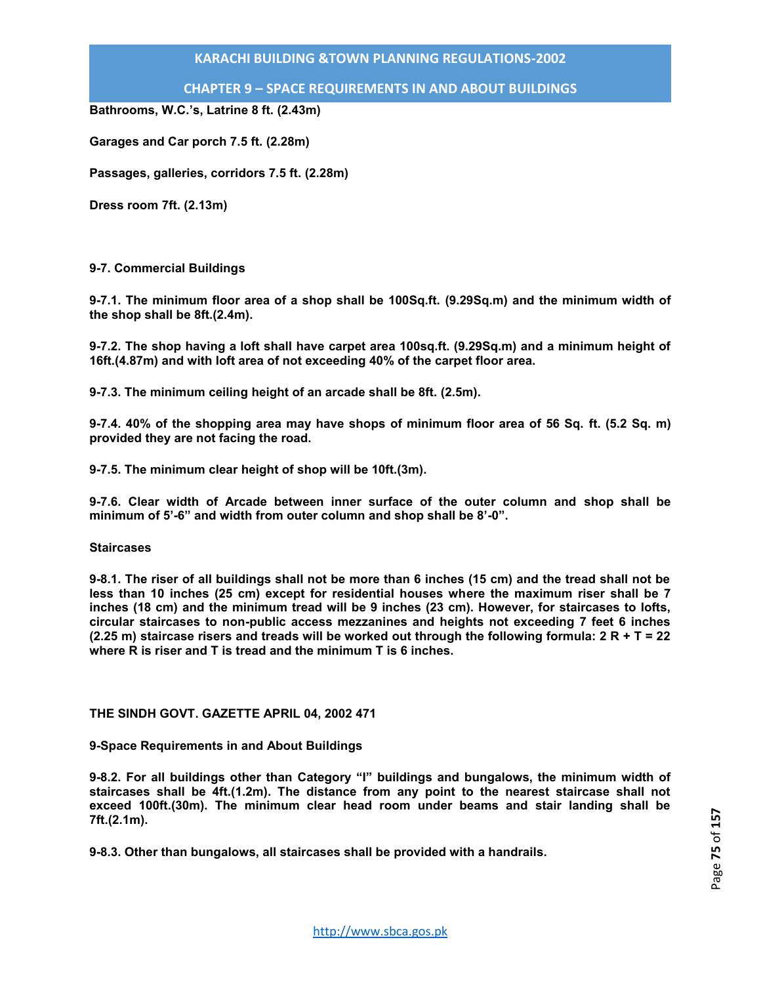**CHAPTER 9 – SPACE REQUIREMENTS IN AND ABOUT BUILDINGS**

**Bathrooms, W.C.'s, Latrine 8 ft. (2.43m)** 

**Garages and Car porch 7.5 ft. (2.28m)** 

**Passages, galleries, corridors 7.5 ft. (2.28m)** 

**Dress room 7ft. (2.13m)** 

#### **9-7. Commercial Buildings**

**9-7.1. The minimum floor area of a shop shall be 100Sq.ft. (9.29Sq.m) and the minimum width of the shop shall be 8ft.(2.4m).** 

**9-7.2. The shop having a loft shall have carpet area 100sq.ft. (9.29Sq.m) and a minimum height of 16ft.(4.87m) and with loft area of not exceeding 40% of the carpet floor area.** 

**9-7.3. The minimum ceiling height of an arcade shall be 8ft. (2.5m).** 

**9-7.4. 40% of the shopping area may have shops of minimum floor area of 56 Sq. ft. (5.2 Sq. m) provided they are not facing the road.** 

**9-7.5. The minimum clear height of shop will be 10ft.(3m).** 

**9-7.6. Clear width of Arcade between inner surface of the outer column and shop shall be minimum of 5'-6" and width from outer column and shop shall be 8'-0".** 

#### **Staircases**

**9-8.1. The riser of all buildings shall not be more than 6 inches (15 cm) and the tread shall not be less than 10 inches (25 cm) except for residential houses where the maximum riser shall be 7 inches (18 cm) and the minimum tread will be 9 inches (23 cm). However, for staircases to lofts, circular staircases to non-public access mezzanines and heights not exceeding 7 feet 6 inches (2.25 m) staircase risers and treads will be worked out through the following formula: 2 R + T = 22 where R is riser and T is tread and the minimum T is 6 inches.** 

### **THE SINDH GOVT. GAZETTE APRIL 04, 2002 471**

**9-Space Requirements in and About Buildings** 

**9-8.2. For all buildings other than Category "I" buildings and bungalows, the minimum width of staircases shall be 4ft.(1.2m). The distance from any point to the nearest staircase shall not exceed 100ft.(30m). The minimum clear head room under beams and stair landing shall be 7ft.(2.1m).** 

**9-8.3. Other than bungalows, all staircases shall be provided with a handrails.**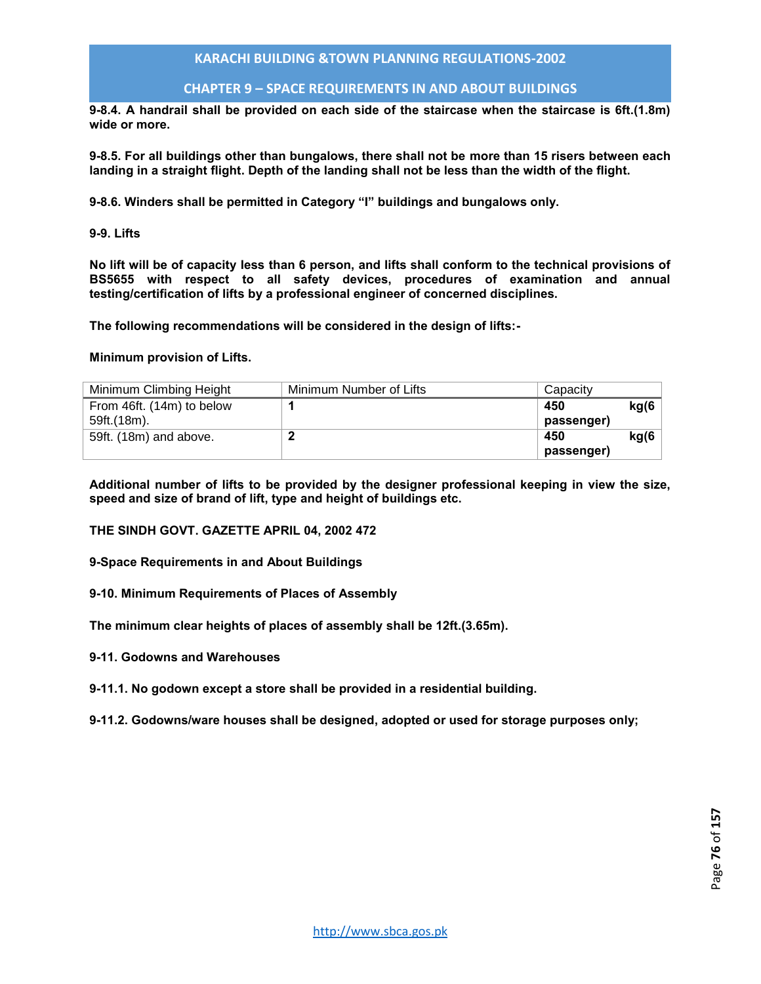### **CHAPTER 9 – SPACE REQUIREMENTS IN AND ABOUT BUILDINGS**

**9-8.4. A handrail shall be provided on each side of the staircase when the staircase is 6ft.(1.8m) wide or more.** 

**9-8.5. For all buildings other than bungalows, there shall not be more than 15 risers between each landing in a straight flight. Depth of the landing shall not be less than the width of the flight.** 

**9-8.6. Winders shall be permitted in Category "I" buildings and bungalows only.** 

**9-9. Lifts** 

**No lift will be of capacity less than 6 person, and lifts shall conform to the technical provisions of BS5655 with respect to all safety devices, procedures of examination and annual testing/certification of lifts by a professional engineer of concerned disciplines.** 

**The following recommendations will be considered in the design of lifts:-** 

**Minimum provision of Lifts.** 

| Minimum Climbing Height   | Minimum Number of Lifts | Capacity   |       |
|---------------------------|-------------------------|------------|-------|
| From 46ft. (14m) to below |                         | 450        | kg(6) |
| 59ft.(18m).               |                         | passenger) |       |
| 59ft. (18m) and above.    |                         | 450        | kg(6) |
|                           |                         | passenger) |       |

**Additional number of lifts to be provided by the designer professional keeping in view the size, speed and size of brand of lift, type and height of buildings etc.** 

### **THE SINDH GOVT. GAZETTE APRIL 04, 2002 472**

**9-Space Requirements in and About Buildings** 

### **9-10. Minimum Requirements of Places of Assembly**

**The minimum clear heights of places of assembly shall be 12ft.(3.65m).** 

**9-11. Godowns and Warehouses** 

**9-11.1. No godown except a store shall be provided in a residential building.** 

**9-11.2. Godowns/ware houses shall be designed, adopted or used for storage purposes only;**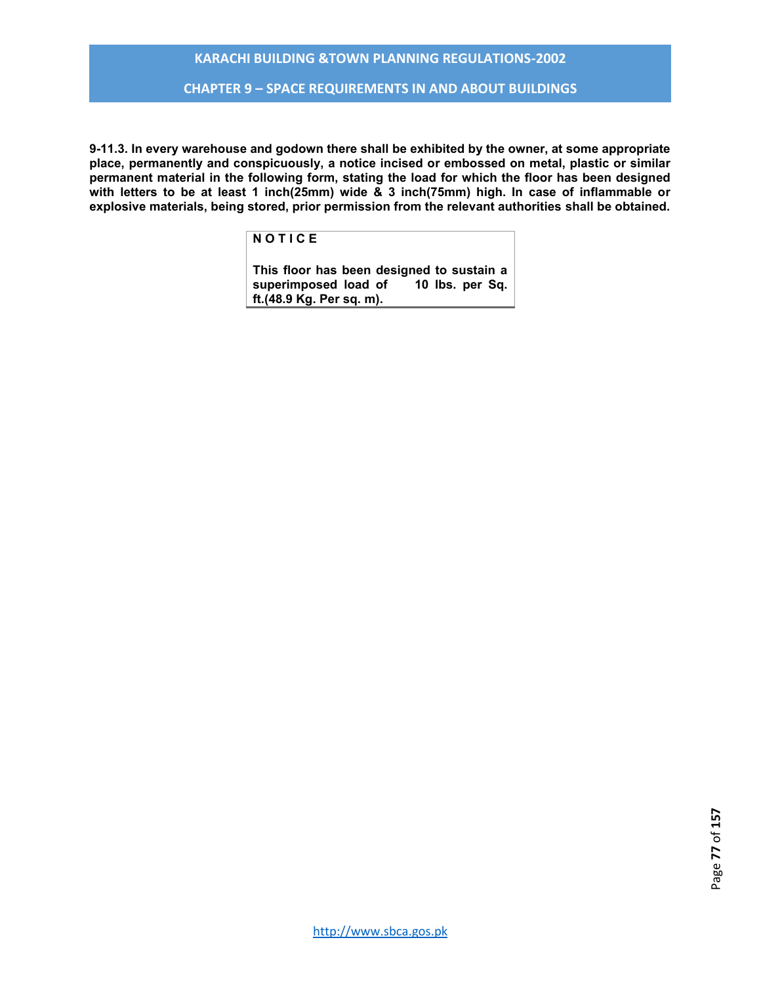### **CHAPTER 9 – SPACE REQUIREMENTS IN AND ABOUT BUILDINGS**

**9-11.3. In every warehouse and godown there shall be exhibited by the owner, at some appropriate place, permanently and conspicuously, a notice incised or embossed on metal, plastic or similar permanent material in the following form, stating the load for which the floor has been designed with letters to be at least 1 inch(25mm) wide & 3 inch(75mm) high. In case of inflammable or explosive materials, being stored, prior permission from the relevant authorities shall be obtained.** 

### **N O T I C E**

**This floor has been designed to sustain a**  superimposed load of **ft.(48.9 Kg. Per sq. m).**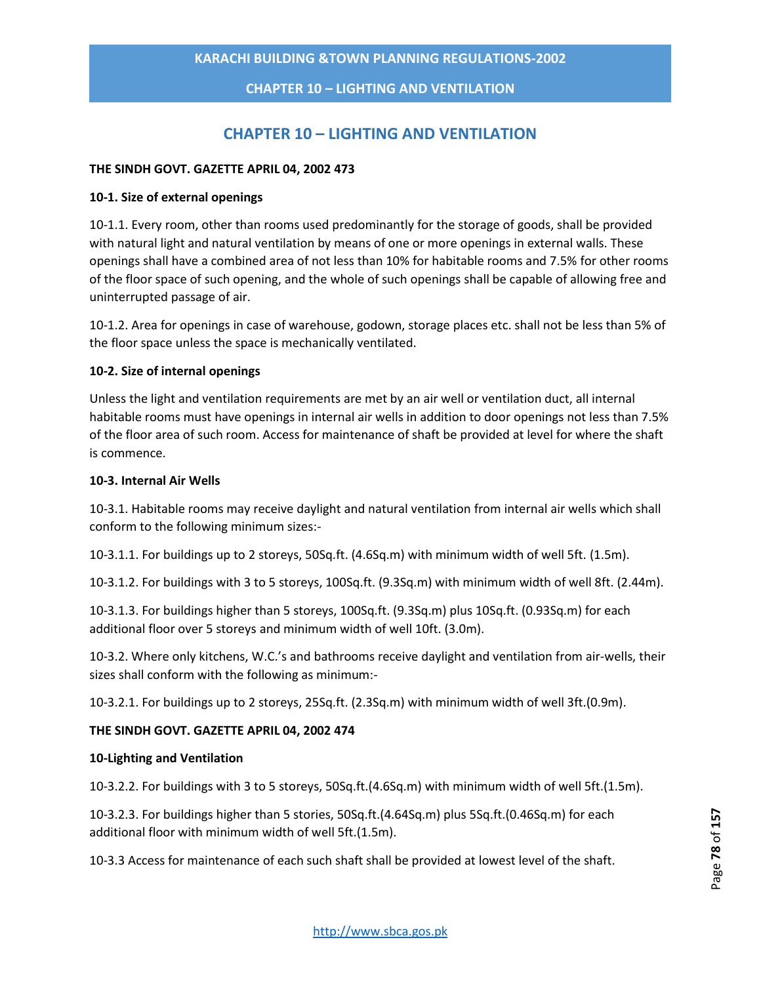**CHAPTER 10 – LIGHTING AND VENTILATION**

# **CHAPTER 10 – LIGHTING AND VENTILATION**

## **THE SINDH GOVT. GAZETTE APRIL 04, 2002 473**

### **10-1. Size of external openings**

10-1.1. Every room, other than rooms used predominantly for the storage of goods, shall be provided with natural light and natural ventilation by means of one or more openings in external walls. These openings shall have a combined area of not less than 10% for habitable rooms and 7.5% for other rooms of the floor space of such opening, and the whole of such openings shall be capable of allowing free and uninterrupted passage of air.

10-1.2. Area for openings in case of warehouse, godown, storage places etc. shall not be less than 5% of the floor space unless the space is mechanically ventilated.

### **10-2. Size of internal openings**

Unless the light and ventilation requirements are met by an air well or ventilation duct, all internal habitable rooms must have openings in internal air wells in addition to door openings not less than 7.5% of the floor area of such room. Access for maintenance of shaft be provided at level for where the shaft is commence.

### **10-3. Internal Air Wells**

10-3.1. Habitable rooms may receive daylight and natural ventilation from internal air wells which shall conform to the following minimum sizes:-

10-3.1.1. For buildings up to 2 storeys, 50Sq.ft. (4.6Sq.m) with minimum width of well 5ft. (1.5m).

10-3.1.2. For buildings with 3 to 5 storeys, 100Sq.ft. (9.3Sq.m) with minimum width of well 8ft. (2.44m).

10-3.1.3. For buildings higher than 5 storeys, 100Sq.ft. (9.3Sq.m) plus 10Sq.ft. (0.93Sq.m) for each additional floor over 5 storeys and minimum width of well 10ft. (3.0m).

10-3.2. Where only kitchens, W.C.'s and bathrooms receive daylight and ventilation from air-wells, their sizes shall conform with the following as minimum:-

10-3.2.1. For buildings up to 2 storeys, 25Sq.ft. (2.3Sq.m) with minimum width of well 3ft.(0.9m).

## **THE SINDH GOVT. GAZETTE APRIL 04, 2002 474**

### **10-Lighting and Ventilation**

10-3.2.2. For buildings with 3 to 5 storeys, 50Sq.ft.(4.6Sq.m) with minimum width of well 5ft.(1.5m).

10-3.2.3. For buildings higher than 5 stories, 50Sq.ft.(4.64Sq.m) plus 5Sq.ft.(0.46Sq.m) for each additional floor with minimum width of well 5ft.(1.5m).

10-3.3 Access for maintenance of each such shaft shall be provided at lowest level of the shaft.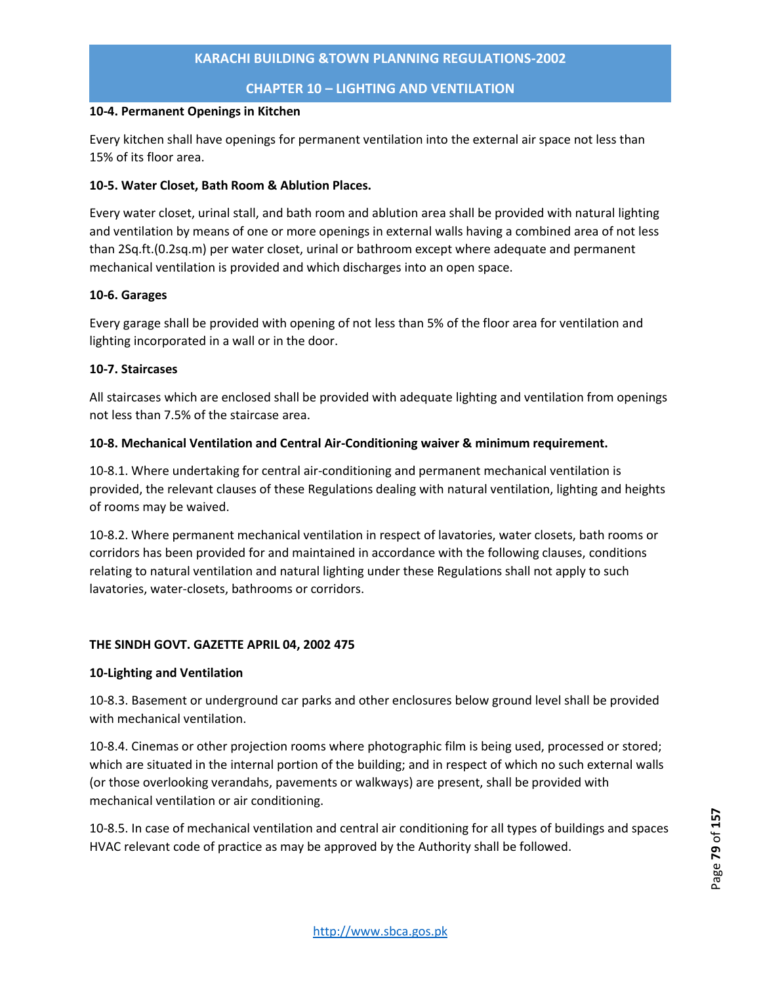**CHAPTER 10 – LIGHTING AND VENTILATION**

### **10-4. Permanent Openings in Kitchen**

Every kitchen shall have openings for permanent ventilation into the external air space not less than 15% of its floor area.

# **10-5. Water Closet, Bath Room & Ablution Places.**

Every water closet, urinal stall, and bath room and ablution area shall be provided with natural lighting and ventilation by means of one or more openings in external walls having a combined area of not less than 2Sq.ft.(0.2sq.m) per water closet, urinal or bathroom except where adequate and permanent mechanical ventilation is provided and which discharges into an open space.

# **10-6. Garages**

Every garage shall be provided with opening of not less than 5% of the floor area for ventilation and lighting incorporated in a wall or in the door.

# **10-7. Staircases**

All staircases which are enclosed shall be provided with adequate lighting and ventilation from openings not less than 7.5% of the staircase area.

# **10-8. Mechanical Ventilation and Central Air-Conditioning waiver & minimum requirement.**

10-8.1. Where undertaking for central air-conditioning and permanent mechanical ventilation is provided, the relevant clauses of these Regulations dealing with natural ventilation, lighting and heights of rooms may be waived.

10-8.2. Where permanent mechanical ventilation in respect of lavatories, water closets, bath rooms or corridors has been provided for and maintained in accordance with the following clauses, conditions relating to natural ventilation and natural lighting under these Regulations shall not apply to such lavatories, water-closets, bathrooms or corridors.

# **THE SINDH GOVT. GAZETTE APRIL 04, 2002 475**

## **10-Lighting and Ventilation**

10-8.3. Basement or underground car parks and other enclosures below ground level shall be provided with mechanical ventilation.

10-8.4. Cinemas or other projection rooms where photographic film is being used, processed or stored; which are situated in the internal portion of the building; and in respect of which no such external walls (or those overlooking verandahs, pavements or walkways) are present, shall be provided with mechanical ventilation or air conditioning.

10-8.5. In case of mechanical ventilation and central air conditioning for all types of buildings and spaces HVAC relevant code of practice as may be approved by the Authority shall be followed.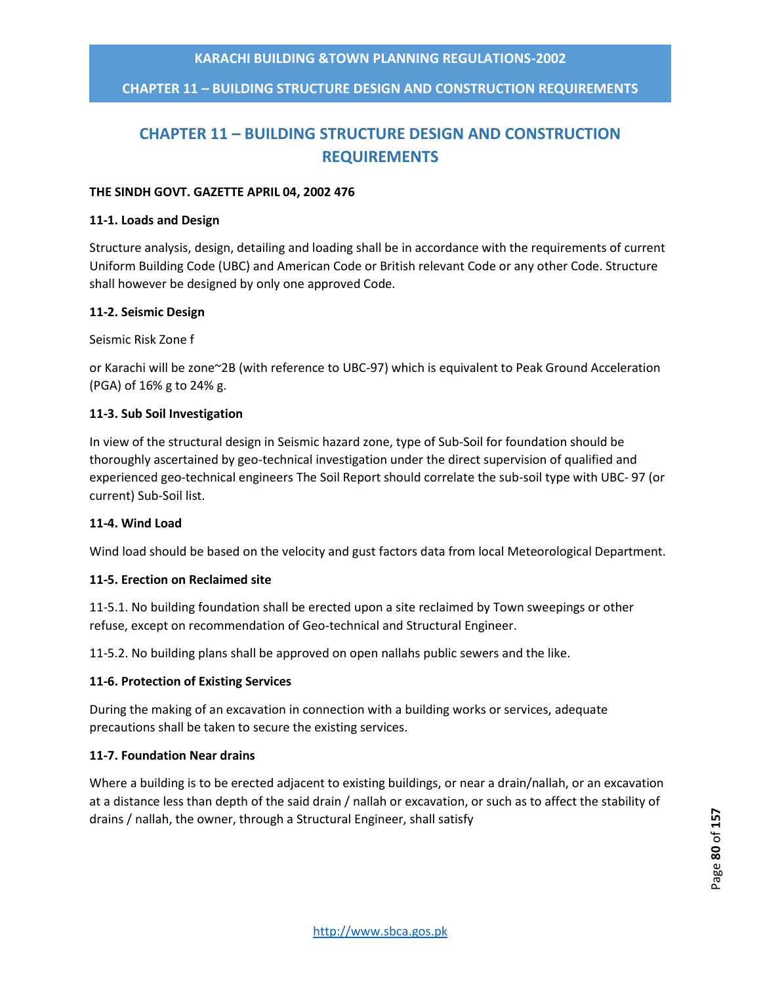**CHAPTER 11 – BUILDING STRUCTURE DESIGN AND CONSTRUCTION REQUIREMENTS**

# **CHAPTER 11 – BUILDING STRUCTURE DESIGN AND CONSTRUCTION REQUIREMENTS**

### **THE SINDH GOVT. GAZETTE APRIL 04, 2002 476**

### **11-1. Loads and Design**

Structure analysis, design, detailing and loading shall be in accordance with the requirements of current Uniform Building Code (UBC) and American Code or British relevant Code or any other Code. Structure shall however be designed by only one approved Code.

### **11-2. Seismic Design**

Seismic Risk Zone f

or Karachi will be zone~2B (with reference to UBC-97) which is equivalent to Peak Ground Acceleration (PGA) of 16% g to 24% g.

### **11-3. Sub Soil Investigation**

In view of the structural design in Seismic hazard zone, type of Sub-Soil for foundation should be thoroughly ascertained by geo-technical investigation under the direct supervision of qualified and experienced geo-technical engineers The Soil Report should correlate the sub-soil type with UBC- 97 (or current) Sub-Soil list.

## **11-4. Wind Load**

Wind load should be based on the velocity and gust factors data from local Meteorological Department.

### **11-5. Erection on Reclaimed site**

11-5.1. No building foundation shall be erected upon a site reclaimed by Town sweepings or other refuse, except on recommendation of Geo-technical and Structural Engineer.

11-5.2. No building plans shall be approved on open nallahs public sewers and the like.

### **11-6. Protection of Existing Services**

During the making of an excavation in connection with a building works or services, adequate precautions shall be taken to secure the existing services.

## **11-7. Foundation Near drains**

Where a building is to be erected adjacent to existing buildings, or near a drain/nallah, or an excavation at a distance less than depth of the said drain / nallah or excavation, or such as to affect the stability of drains / nallah, the owner, through a Structural Engineer, shall satisfy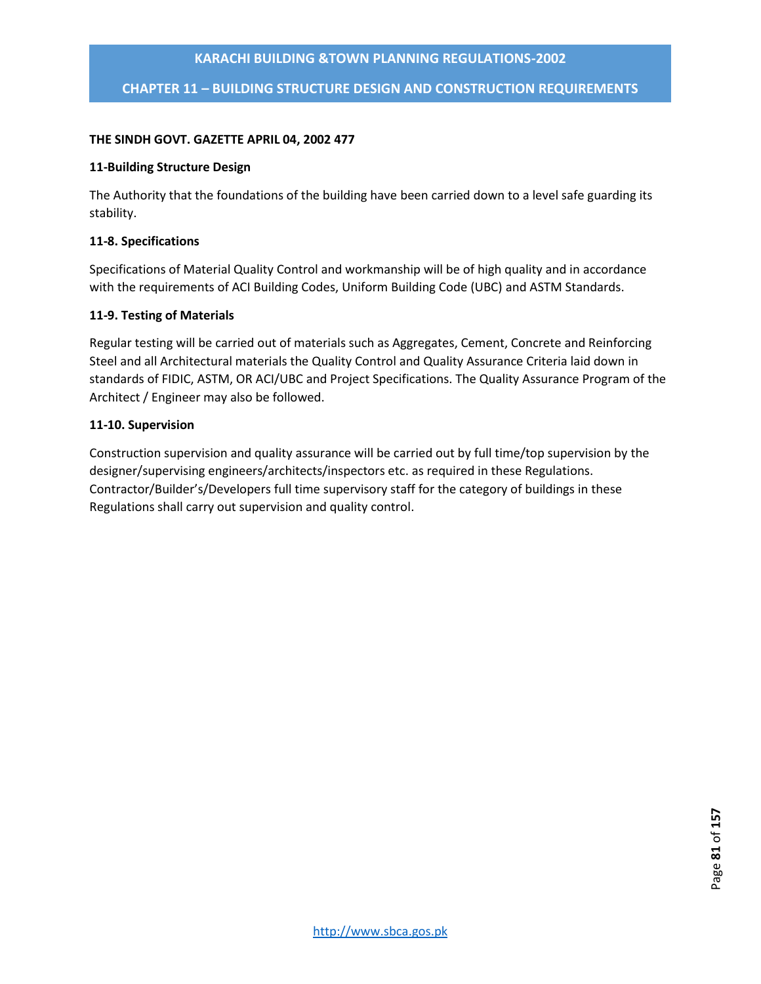**CHAPTER 11 – BUILDING STRUCTURE DESIGN AND CONSTRUCTION REQUIREMENTS**

### **THE SINDH GOVT. GAZETTE APRIL 04, 2002 477**

### **11-Building Structure Design**

The Authority that the foundations of the building have been carried down to a level safe guarding its stability.

### **11-8. Specifications**

Specifications of Material Quality Control and workmanship will be of high quality and in accordance with the requirements of ACI Building Codes, Uniform Building Code (UBC) and ASTM Standards.

### **11-9. Testing of Materials**

Regular testing will be carried out of materials such as Aggregates, Cement, Concrete and Reinforcing Steel and all Architectural materials the Quality Control and Quality Assurance Criteria laid down in standards of FIDIC, ASTM, OR ACI/UBC and Project Specifications. The Quality Assurance Program of the Architect / Engineer may also be followed.

### **11-10. Supervision**

Construction supervision and quality assurance will be carried out by full time/top supervision by the designer/supervising engineers/architects/inspectors etc. as required in these Regulations. Contractor/Builder's/Developers full time supervisory staff for the category of buildings in these Regulations shall carry out supervision and quality control.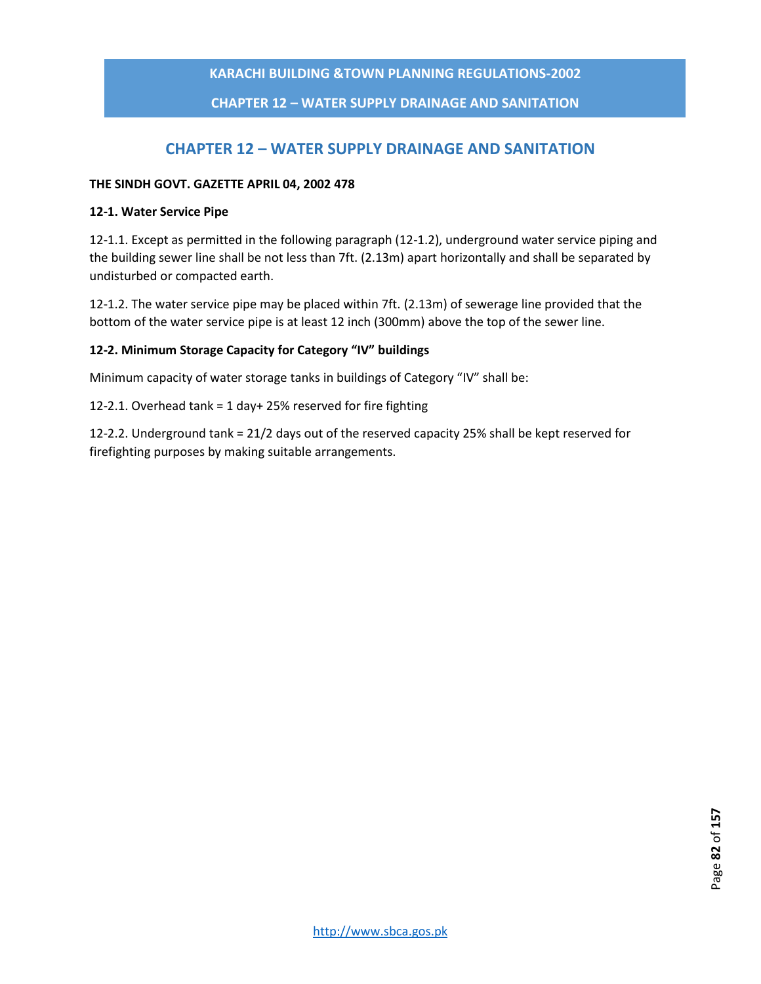**CHAPTER 12 – WATER SUPPLY DRAINAGE AND SANITATION**

# **CHAPTER 12 – WATER SUPPLY DRAINAGE AND SANITATION**

### **THE SINDH GOVT. GAZETTE APRIL 04, 2002 478**

### **12-1. Water Service Pipe**

12-1.1. Except as permitted in the following paragraph (12-1.2), underground water service piping and the building sewer line shall be not less than 7ft. (2.13m) apart horizontally and shall be separated by undisturbed or compacted earth.

12-1.2. The water service pipe may be placed within 7ft. (2.13m) of sewerage line provided that the bottom of the water service pipe is at least 12 inch (300mm) above the top of the sewer line.

# **12-2. Minimum Storage Capacity for Category "IV" buildings**

Minimum capacity of water storage tanks in buildings of Category "IV" shall be:

12-2.1. Overhead tank = 1 day+ 25% reserved for fire fighting

12-2.2. Underground tank = 21/2 days out of the reserved capacity 25% shall be kept reserved for firefighting purposes by making suitable arrangements.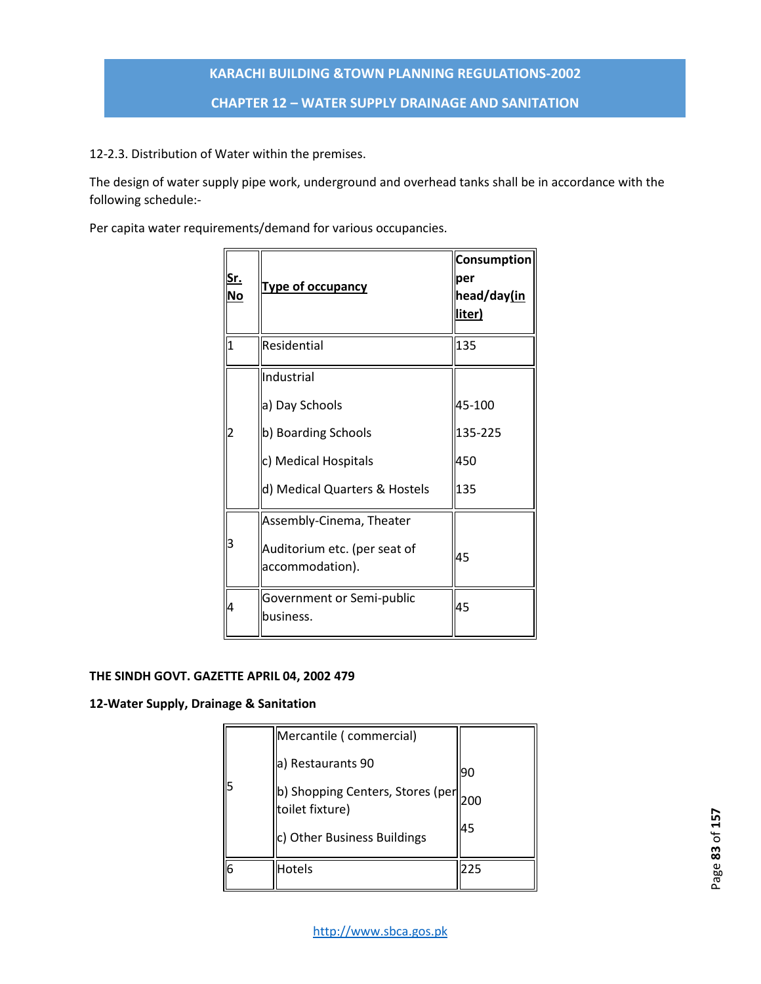12-2.3. Distribution of Water within the premises.

The design of water supply pipe work, underground and overhead tanks shall be in accordance with the following schedule:-

Per capita water requirements/demand for various occupancies.

| <u>Sr.</u><br><u>No</u> | <b>Type of occupancy</b>                                                                                     | <b>Consumption</b><br>per<br>head/day(in<br>liter) |
|-------------------------|--------------------------------------------------------------------------------------------------------------|----------------------------------------------------|
| $\overline{1}$          | Residential                                                                                                  | 135                                                |
| 2                       | Industrial<br>a) Day Schools<br>b) Boarding Schools<br>c) Medical Hospitals<br>d) Medical Quarters & Hostels | 45-100<br>135-225<br>450<br>135                    |
| З                       | Assembly-Cinema, Theater<br>Auditorium etc. (per seat of<br>accommodation).                                  | 45                                                 |
| 4                       | Government or Semi-public<br>business.                                                                       | 45                                                 |

# **THE SINDH GOVT. GAZETTE APRIL 04, 2002 479**

# **12-Water Supply, Drainage & Sanitation**

|   | Mercantile (commercial)                               |     |
|---|-------------------------------------------------------|-----|
| 5 | a) Restaurants 90                                     | 90  |
|   | b) Shopping Centers, Stores (per  <br>toilet fixture) | 200 |
|   | c) Other Business Buildings                           | 45  |
| 6 | Hotels                                                | 225 |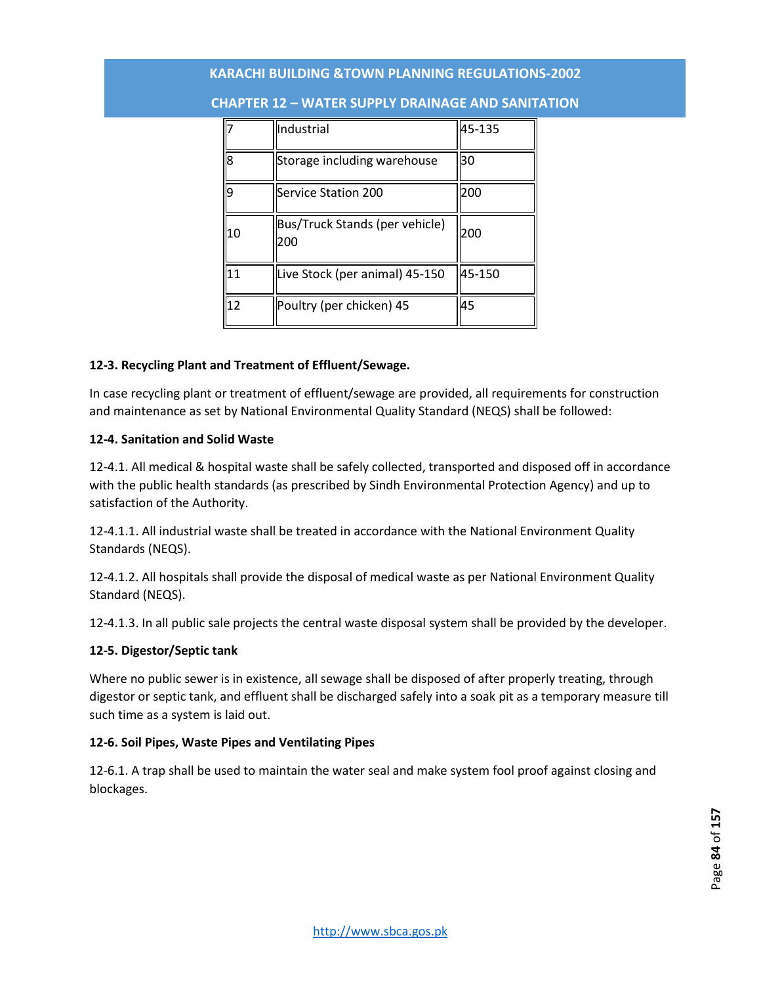| 7  | Industrial                            | 45-135 |
|----|---------------------------------------|--------|
| 8  | Storage including warehouse           | 30     |
| 9  | Service Station 200                   | 200    |
| 10 | Bus/Truck Stands (per vehicle)<br>200 | 200    |
| 11 | Live Stock (per animal) 45-150        | 45-150 |
| 12 | Poultry (per chicken) 45              | 45     |

### **CHAPTER 12 – WATER SUPPLY DRAINAGE AND SANITATION**

### **12-3. Recycling Plant and Treatment of Effluent/Sewage.**

In case recycling plant or treatment of effluent/sewage are provided, all requirements for construction and maintenance as set by National Environmental Quality Standard (NEQS) shall be followed:

### **12-4. Sanitation and Solid Waste**

12-4.1. All medical & hospital waste shall be safely collected, transported and disposed off in accordance with the public health standards (as prescribed by Sindh Environmental Protection Agency) and up to satisfaction of the Authority.

12-4.1.1. All industrial waste shall be treated in accordance with the National Environment Quality Standards (NEQS).

12-4.1.2. All hospitals shall provide the disposal of medical waste as per National Environment Quality Standard (NEQS).

12-4.1.3. In all public sale projects the central waste disposal system shall be provided by the developer.

### **12-5. Digestor/Septic tank**

Where no public sewer is in existence, all sewage shall be disposed of after properly treating, through digestor or septic tank, and effluent shall be discharged safely into a soak pit as a temporary measure till such time as a system is laid out.

### **12-6. Soil Pipes, Waste Pipes and Ventilating Pipes**

12-6.1. A trap shall be used to maintain the water seal and make system fool proof against closing and blockages.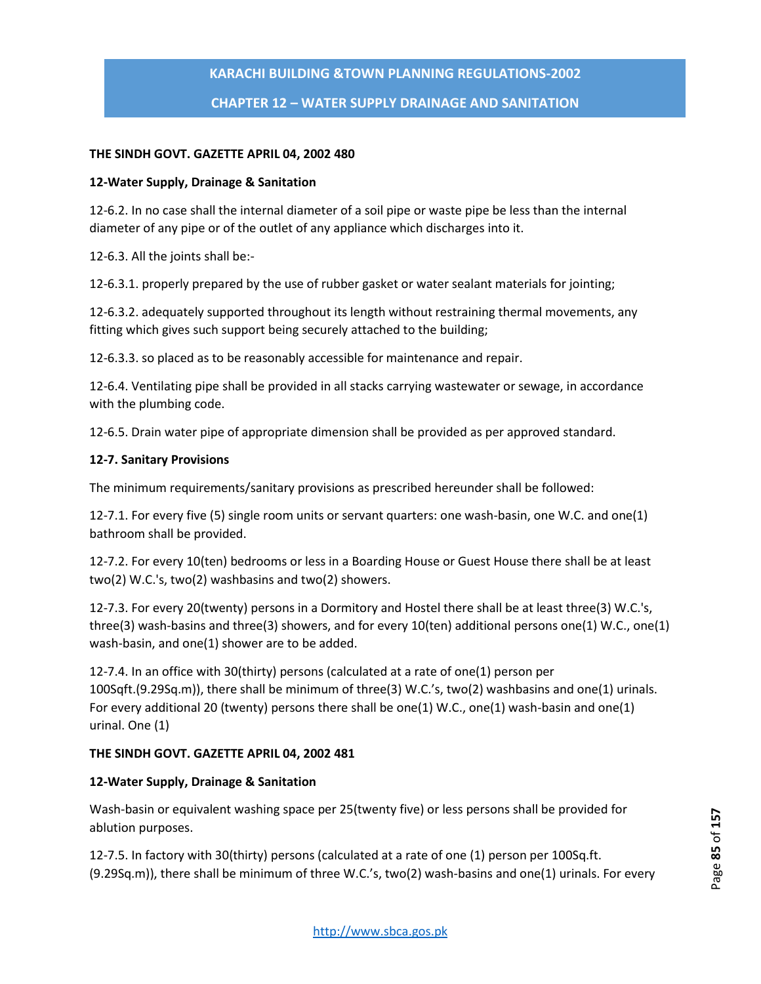# **KARACHI BUILDING &TOWN PLANNING REGULATIONS-2002 CHAPTER 12 – WATER SUPPLY DRAINAGE AND SANITATION**

### **THE SINDH GOVT. GAZETTE APRIL 04, 2002 480**

### **12-Water Supply, Drainage & Sanitation**

12-6.2. In no case shall the internal diameter of a soil pipe or waste pipe be less than the internal diameter of any pipe or of the outlet of any appliance which discharges into it.

12-6.3. All the joints shall be:-

12-6.3.1. properly prepared by the use of rubber gasket or water sealant materials for jointing;

12-6.3.2. adequately supported throughout its length without restraining thermal movements, any fitting which gives such support being securely attached to the building;

12-6.3.3. so placed as to be reasonably accessible for maintenance and repair.

12-6.4. Ventilating pipe shall be provided in all stacks carrying wastewater or sewage, in accordance with the plumbing code.

12-6.5. Drain water pipe of appropriate dimension shall be provided as per approved standard.

### **12-7. Sanitary Provisions**

The minimum requirements/sanitary provisions as prescribed hereunder shall be followed:

12-7.1. For every five (5) single room units or servant quarters: one wash-basin, one W.C. and one(1) bathroom shall be provided.

12-7.2. For every 10(ten) bedrooms or less in a Boarding House or Guest House there shall be at least two(2) W.C.'s, two(2) washbasins and two(2) showers.

12-7.3. For every 20(twenty) persons in a Dormitory and Hostel there shall be at least three(3) W.C.'s, three(3) wash-basins and three(3) showers, and for every 10(ten) additional persons one(1) W.C., one(1) wash-basin, and one(1) shower are to be added.

12-7.4. In an office with 30(thirty) persons (calculated at a rate of one(1) person per 100Sqft.(9.29Sq.m)), there shall be minimum of three(3) W.C.'s, two(2) washbasins and one(1) urinals. For every additional 20 (twenty) persons there shall be one(1) W.C., one(1) wash-basin and one(1) urinal. One (1)

### **THE SINDH GOVT. GAZETTE APRIL 04, 2002 481**

### **12-Water Supply, Drainage & Sanitation**

Wash-basin or equivalent washing space per 25(twenty five) or less persons shall be provided for ablution purposes.

12-7.5. In factory with 30(thirty) persons (calculated at a rate of one (1) person per 100Sq.ft. (9.29Sq.m)), there shall be minimum of three W.C.'s, two(2) wash-basins and one(1) urinals. For every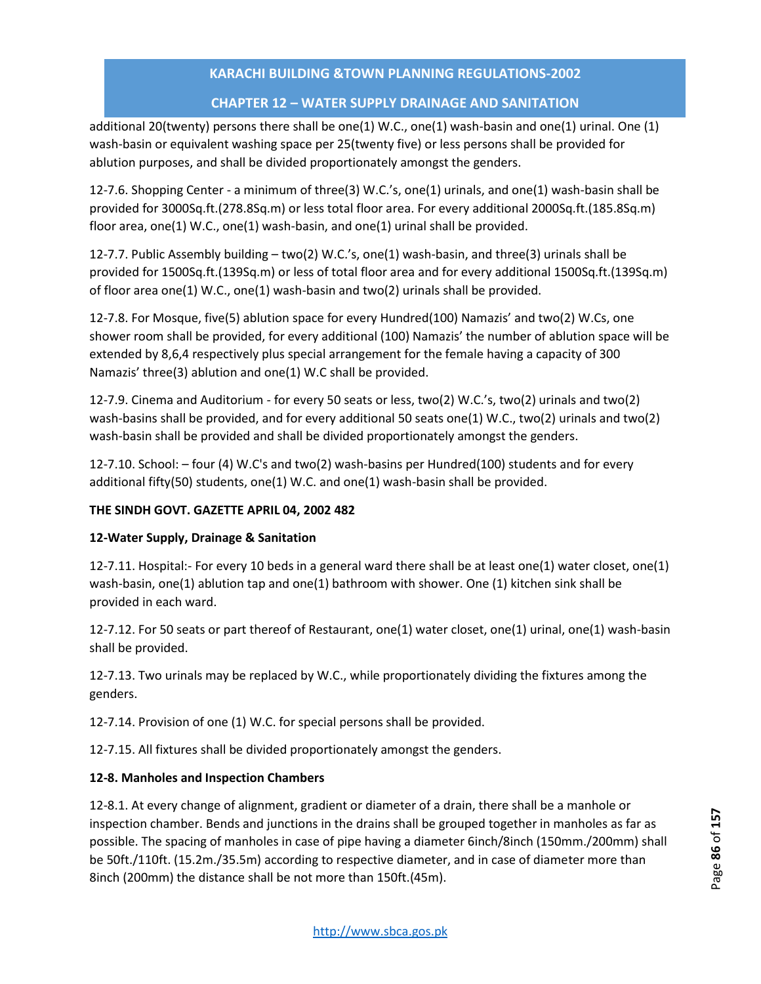# **CHAPTER 12 – WATER SUPPLY DRAINAGE AND SANITATION**

additional 20(twenty) persons there shall be one(1) W.C., one(1) wash-basin and one(1) urinal. One (1) wash-basin or equivalent washing space per 25(twenty five) or less persons shall be provided for ablution purposes, and shall be divided proportionately amongst the genders.

12-7.6. Shopping Center - a minimum of three(3) W.C.'s, one(1) urinals, and one(1) wash-basin shall be provided for 3000Sq.ft.(278.8Sq.m) or less total floor area. For every additional 2000Sq.ft.(185.8Sq.m) floor area, one(1) W.C., one(1) wash-basin, and one(1) urinal shall be provided.

12-7.7. Public Assembly building – two(2) W.C.'s, one(1) wash-basin, and three(3) urinals shall be provided for 1500Sq.ft.(139Sq.m) or less of total floor area and for every additional 1500Sq.ft.(139Sq.m) of floor area one(1) W.C., one(1) wash-basin and two(2) urinals shall be provided.

12-7.8. For Mosque, five(5) ablution space for every Hundred(100) Namazis' and two(2) W.Cs, one shower room shall be provided, for every additional (100) Namazis' the number of ablution space will be extended by 8,6,4 respectively plus special arrangement for the female having a capacity of 300 Namazis' three(3) ablution and one(1) W.C shall be provided.

12-7.9. Cinema and Auditorium - for every 50 seats or less, two(2) W.C.'s, two(2) urinals and two(2) wash-basins shall be provided, and for every additional 50 seats one(1) W.C., two(2) urinals and two(2) wash-basin shall be provided and shall be divided proportionately amongst the genders.

12-7.10. School: – four (4) W.C's and two(2) wash-basins per Hundred(100) students and for every additional fifty(50) students, one(1) W.C. and one(1) wash-basin shall be provided.

# **THE SINDH GOVT. GAZETTE APRIL 04, 2002 482**

## **12-Water Supply, Drainage & Sanitation**

12-7.11. Hospital:- For every 10 beds in a general ward there shall be at least one(1) water closet, one(1) wash-basin, one(1) ablution tap and one(1) bathroom with shower. One (1) kitchen sink shall be provided in each ward.

12-7.12. For 50 seats or part thereof of Restaurant, one(1) water closet, one(1) urinal, one(1) wash-basin shall be provided.

12-7.13. Two urinals may be replaced by W.C., while proportionately dividing the fixtures among the genders.

12-7.14. Provision of one (1) W.C. for special persons shall be provided.

12-7.15. All fixtures shall be divided proportionately amongst the genders.

# **12-8. Manholes and Inspection Chambers**

12-8.1. At every change of alignment, gradient or diameter of a drain, there shall be a manhole or inspection chamber. Bends and junctions in the drains shall be grouped together in manholes as far as possible. The spacing of manholes in case of pipe having a diameter 6inch/8inch (150mm./200mm) shall be 50ft./110ft. (15.2m./35.5m) according to respective diameter, and in case of diameter more than 8inch (200mm) the distance shall be not more than 150ft.(45m).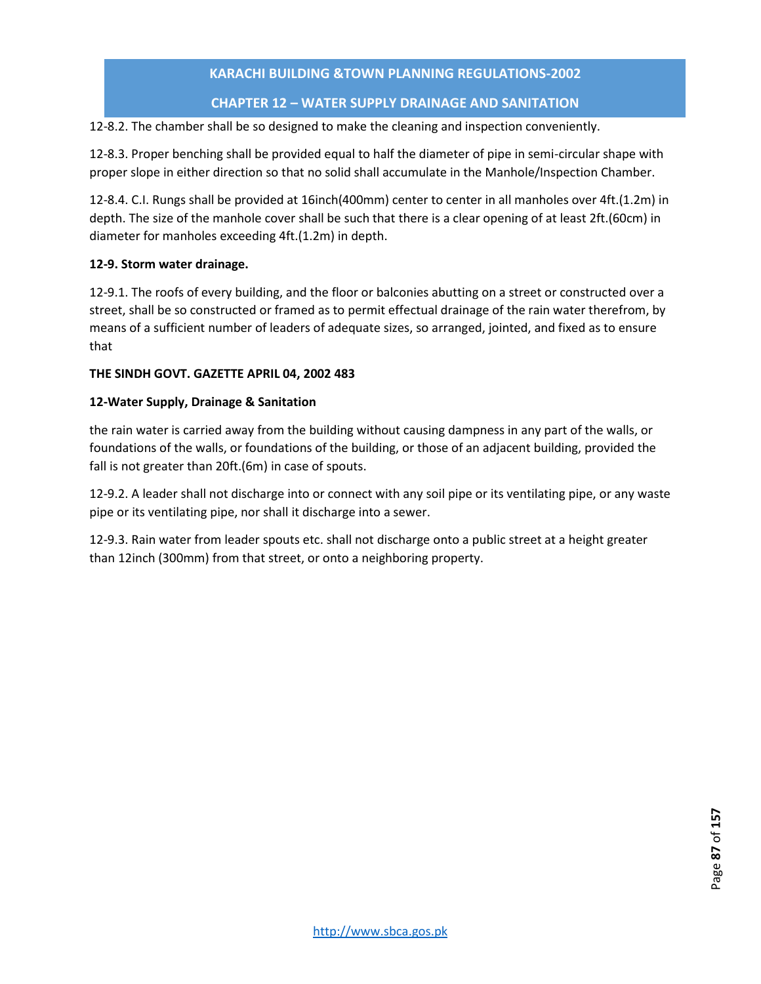# **CHAPTER 12 – WATER SUPPLY DRAINAGE AND SANITATION**

12-8.2. The chamber shall be so designed to make the cleaning and inspection conveniently.

12-8.3. Proper benching shall be provided equal to half the diameter of pipe in semi-circular shape with proper slope in either direction so that no solid shall accumulate in the Manhole/Inspection Chamber.

12-8.4. C.I. Rungs shall be provided at 16inch(400mm) center to center in all manholes over 4ft.(1.2m) in depth. The size of the manhole cover shall be such that there is a clear opening of at least 2ft.(60cm) in diameter for manholes exceeding 4ft.(1.2m) in depth.

## **12-9. Storm water drainage.**

12-9.1. The roofs of every building, and the floor or balconies abutting on a street or constructed over a street, shall be so constructed or framed as to permit effectual drainage of the rain water therefrom, by means of a sufficient number of leaders of adequate sizes, so arranged, jointed, and fixed as to ensure that

### **THE SINDH GOVT. GAZETTE APRIL 04, 2002 483**

### **12-Water Supply, Drainage & Sanitation**

the rain water is carried away from the building without causing dampness in any part of the walls, or foundations of the walls, or foundations of the building, or those of an adjacent building, provided the fall is not greater than 20ft.(6m) in case of spouts.

12-9.2. A leader shall not discharge into or connect with any soil pipe or its ventilating pipe, or any waste pipe or its ventilating pipe, nor shall it discharge into a sewer.

12-9.3. Rain water from leader spouts etc. shall not discharge onto a public street at a height greater than 12inch (300mm) from that street, or onto a neighboring property.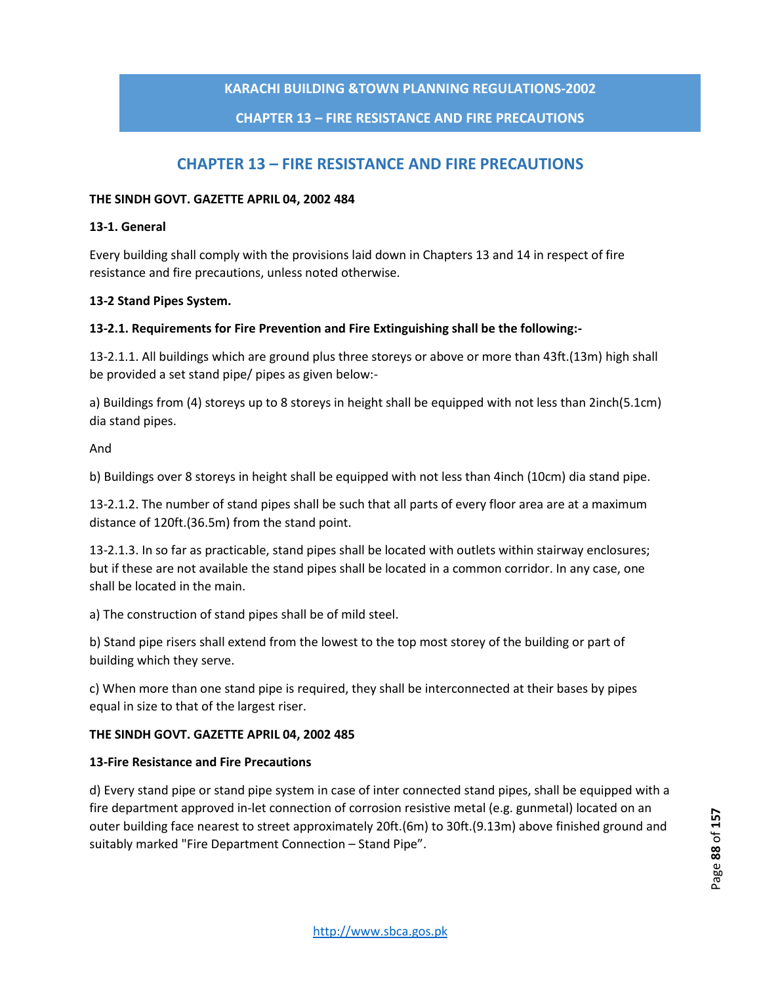# **CHAPTER 13 – FIRE RESISTANCE AND FIRE PRECAUTIONS**

# **CHAPTER 13 – FIRE RESISTANCE AND FIRE PRECAUTIONS**

### **THE SINDH GOVT. GAZETTE APRIL 04, 2002 484**

### **13-1. General**

Every building shall comply with the provisions laid down in Chapters 13 and 14 in respect of fire resistance and fire precautions, unless noted otherwise.

### **13-2 Stand Pipes System.**

### **13-2.1. Requirements for Fire Prevention and Fire Extinguishing shall be the following:-**

13-2.1.1. All buildings which are ground plus three storeys or above or more than 43ft.(13m) high shall be provided a set stand pipe/ pipes as given below:-

a) Buildings from (4) storeys up to 8 storeys in height shall be equipped with not less than 2inch(5.1cm) dia stand pipes.

And

b) Buildings over 8 storeys in height shall be equipped with not less than 4inch (10cm) dia stand pipe.

13-2.1.2. The number of stand pipes shall be such that all parts of every floor area are at a maximum distance of 120ft.(36.5m) from the stand point.

13-2.1.3. In so far as practicable, stand pipes shall be located with outlets within stairway enclosures; but if these are not available the stand pipes shall be located in a common corridor. In any case, one shall be located in the main.

a) The construction of stand pipes shall be of mild steel.

b) Stand pipe risers shall extend from the lowest to the top most storey of the building or part of building which they serve.

c) When more than one stand pipe is required, they shall be interconnected at their bases by pipes equal in size to that of the largest riser.

### **THE SINDH GOVT. GAZETTE APRIL 04, 2002 485**

### **13-Fire Resistance and Fire Precautions**

d) Every stand pipe or stand pipe system in case of inter connected stand pipes, shall be equipped with a fire department approved in-let connection of corrosion resistive metal (e.g. gunmetal) located on an outer building face nearest to street approximately 20ft.(6m) to 30ft.(9.13m) above finished ground and suitably marked "Fire Department Connection – Stand Pipe".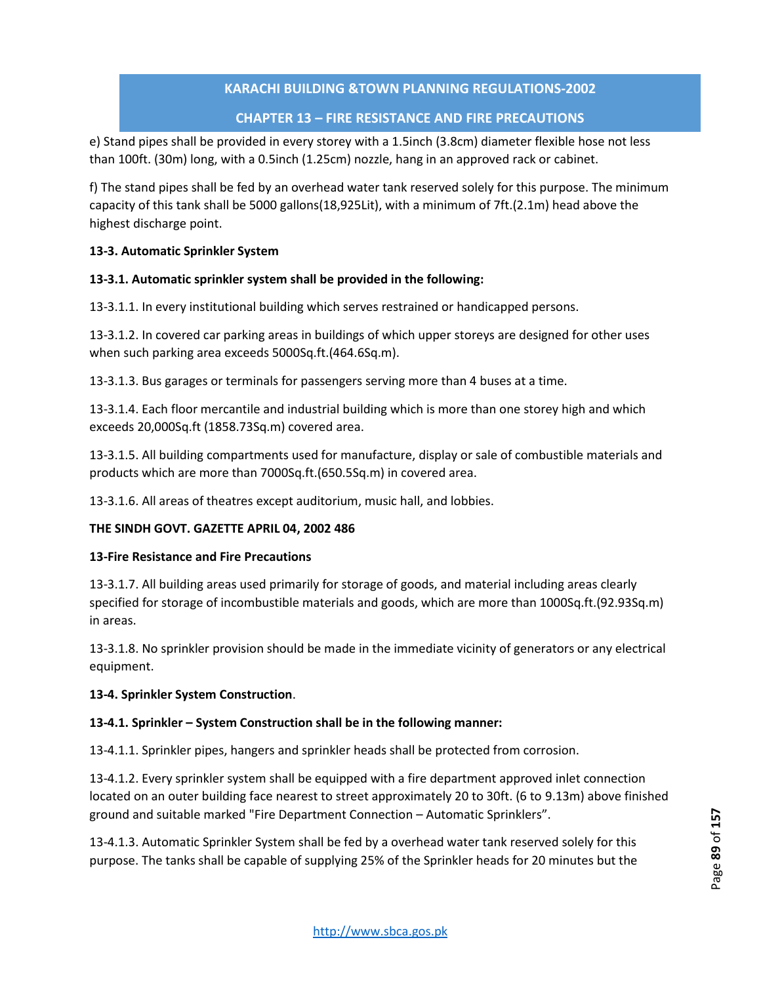# **CHAPTER 13 – FIRE RESISTANCE AND FIRE PRECAUTIONS**

e) Stand pipes shall be provided in every storey with a 1.5inch (3.8cm) diameter flexible hose not less than 100ft. (30m) long, with a 0.5inch (1.25cm) nozzle, hang in an approved rack or cabinet.

f) The stand pipes shall be fed by an overhead water tank reserved solely for this purpose. The minimum capacity of this tank shall be 5000 gallons(18,925Lit), with a minimum of 7ft.(2.1m) head above the highest discharge point.

## **13-3. Automatic Sprinkler System**

### **13-3.1. Automatic sprinkler system shall be provided in the following:**

13-3.1.1. In every institutional building which serves restrained or handicapped persons.

13-3.1.2. In covered car parking areas in buildings of which upper storeys are designed for other uses when such parking area exceeds 5000Sq.ft.(464.6Sq.m).

13-3.1.3. Bus garages or terminals for passengers serving more than 4 buses at a time.

13-3.1.4. Each floor mercantile and industrial building which is more than one storey high and which exceeds 20,000Sq.ft (1858.73Sq.m) covered area.

13-3.1.5. All building compartments used for manufacture, display or sale of combustible materials and products which are more than 7000Sq.ft.(650.5Sq.m) in covered area.

13-3.1.6. All areas of theatres except auditorium, music hall, and lobbies.

## **THE SINDH GOVT. GAZETTE APRIL 04, 2002 486**

### **13-Fire Resistance and Fire Precautions**

13-3.1.7. All building areas used primarily for storage of goods, and material including areas clearly specified for storage of incombustible materials and goods, which are more than 1000Sq.ft.(92.93Sq.m) in areas.

13-3.1.8. No sprinkler provision should be made in the immediate vicinity of generators or any electrical equipment.

### **13-4. Sprinkler System Construction**.

## **13-4.1. Sprinkler – System Construction shall be in the following manner:**

13-4.1.1. Sprinkler pipes, hangers and sprinkler heads shall be protected from corrosion.

13-4.1.2. Every sprinkler system shall be equipped with a fire department approved inlet connection located on an outer building face nearest to street approximately 20 to 30ft. (6 to 9.13m) above finished ground and suitable marked "Fire Department Connection – Automatic Sprinklers".

13-4.1.3. Automatic Sprinkler System shall be fed by a overhead water tank reserved solely for this purpose. The tanks shall be capable of supplying 25% of the Sprinkler heads for 20 minutes but the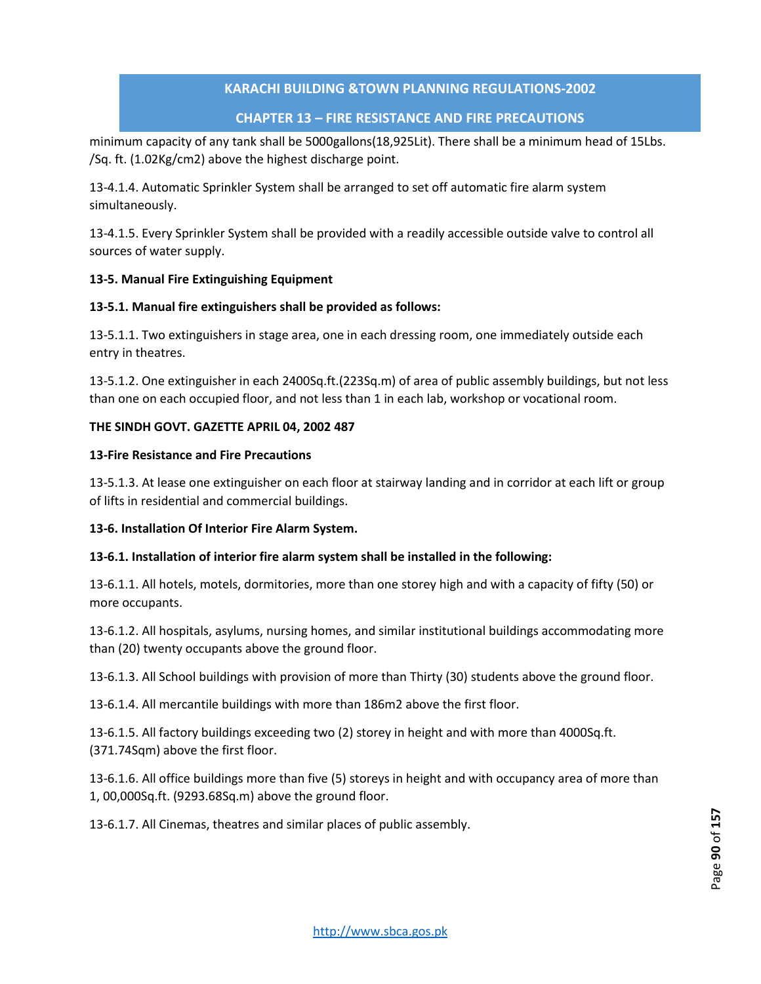# **CHAPTER 13 – FIRE RESISTANCE AND FIRE PRECAUTIONS**

minimum capacity of any tank shall be 5000gallons(18,925Lit). There shall be a minimum head of 15Lbs. /Sq. ft. (1.02Kg/cm2) above the highest discharge point.

13-4.1.4. Automatic Sprinkler System shall be arranged to set off automatic fire alarm system simultaneously.

13-4.1.5. Every Sprinkler System shall be provided with a readily accessible outside valve to control all sources of water supply.

## **13-5. Manual Fire Extinguishing Equipment**

### **13-5.1. Manual fire extinguishers shall be provided as follows:**

13-5.1.1. Two extinguishers in stage area, one in each dressing room, one immediately outside each entry in theatres.

13-5.1.2. One extinguisher in each 2400Sq.ft.(223Sq.m) of area of public assembly buildings, but not less than one on each occupied floor, and not less than 1 in each lab, workshop or vocational room.

### **THE SINDH GOVT. GAZETTE APRIL 04, 2002 487**

### **13-Fire Resistance and Fire Precautions**

13-5.1.3. At lease one extinguisher on each floor at stairway landing and in corridor at each lift or group of lifts in residential and commercial buildings.

## **13-6. Installation Of Interior Fire Alarm System.**

## **13-6.1. Installation of interior fire alarm system shall be installed in the following:**

13-6.1.1. All hotels, motels, dormitories, more than one storey high and with a capacity of fifty (50) or more occupants.

13-6.1.2. All hospitals, asylums, nursing homes, and similar institutional buildings accommodating more than (20) twenty occupants above the ground floor.

13-6.1.3. All School buildings with provision of more than Thirty (30) students above the ground floor.

13-6.1.4. All mercantile buildings with more than 186m2 above the first floor.

13-6.1.5. All factory buildings exceeding two (2) storey in height and with more than 4000Sq.ft. (371.74Sqm) above the first floor.

13-6.1.6. All office buildings more than five (5) storeys in height and with occupancy area of more than 1, 00,000Sq.ft. (9293.68Sq.m) above the ground floor.

13-6.1.7. All Cinemas, theatres and similar places of public assembly.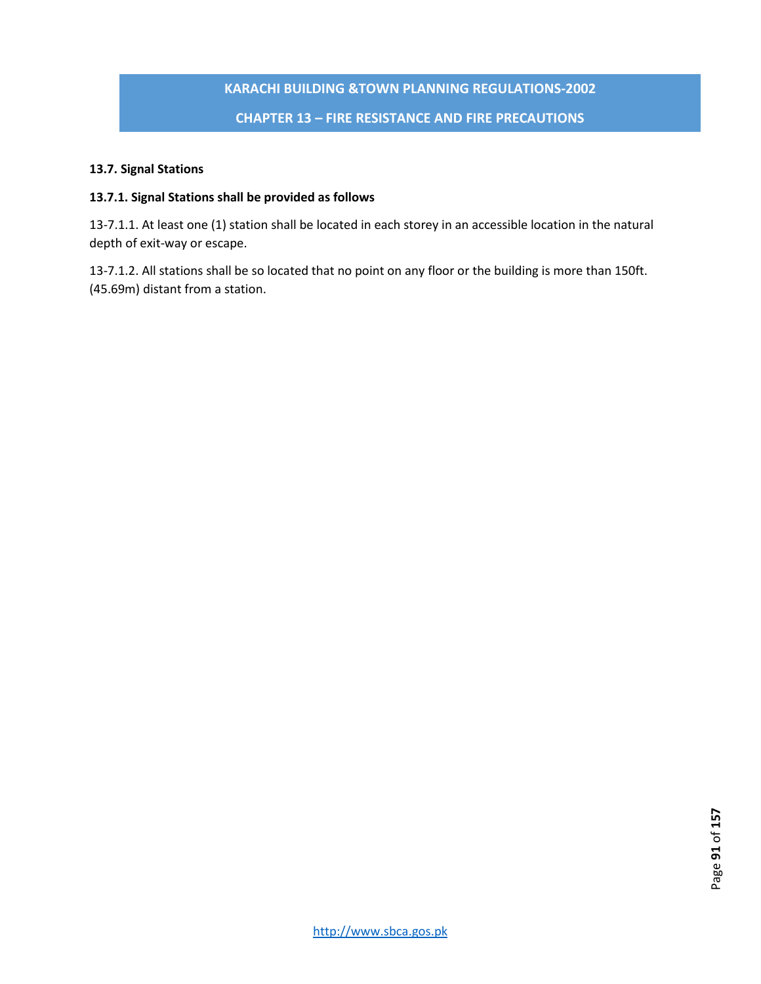# **KARACHI BUILDING &TOWN PLANNING REGULATIONS-2002 CHAPTER 13 – FIRE RESISTANCE AND FIRE PRECAUTIONS**

# **13.7. Signal Stations**

# **13.7.1. Signal Stations shall be provided as follows**

13-7.1.1. At least one (1) station shall be located in each storey in an accessible location in the natural depth of exit-way or escape.

13-7.1.2. All stations shall be so located that no point on any floor or the building is more than 150ft. (45.69m) distant from a station.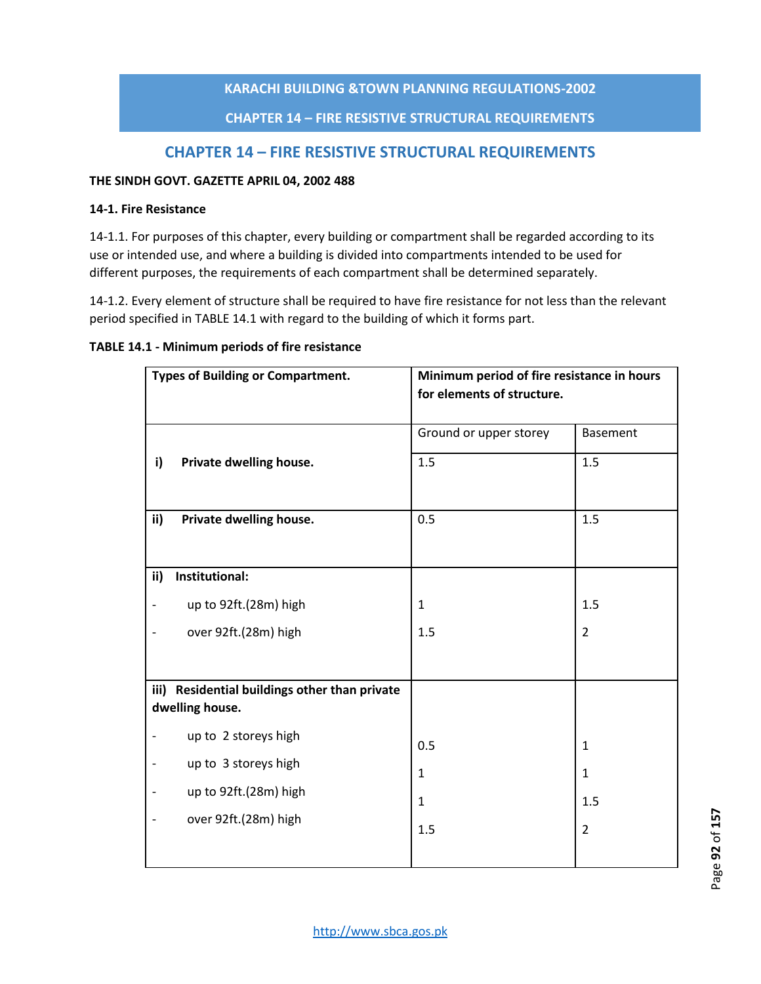# **CHAPTER 14 – FIRE RESISTIVE STRUCTURAL REQUIREMENTS**

# **CHAPTER 14 – FIRE RESISTIVE STRUCTURAL REQUIREMENTS**

### **THE SINDH GOVT. GAZETTE APRIL 04, 2002 488**

### **14-1. Fire Resistance**

14-1.1. For purposes of this chapter, every building or compartment shall be regarded according to its use or intended use, and where a building is divided into compartments intended to be used for different purposes, the requirements of each compartment shall be determined separately.

14-1.2. Every element of structure shall be required to have fire resistance for not less than the relevant period specified in TABLE 14.1 with regard to the building of which it forms part.

### **TABLE 14.1 - Minimum periods of fire resistance**

|                          | <b>Types of Building or Compartment.</b> | Minimum period of fire resistance in hours<br>for elements of structure. |                 |  |  |
|--------------------------|------------------------------------------|--------------------------------------------------------------------------|-----------------|--|--|
|                          |                                          | Ground or upper storey                                                   | <b>Basement</b> |  |  |
| i)                       | Private dwelling house.                  | 1.5                                                                      | 1.5             |  |  |
| ii)                      | Private dwelling house.                  | 0.5                                                                      | 1.5             |  |  |
| ii)                      | Institutional:                           |                                                                          |                 |  |  |
| $\overline{\phantom{0}}$ | up to 92ft.(28m) high                    | 1                                                                        | 1.5             |  |  |
| -                        | over 92ft.(28m) high                     | 1.5                                                                      | $\overline{2}$  |  |  |
|                          |                                          |                                                                          |                 |  |  |
| iii)                     | Residential buildings other than private |                                                                          |                 |  |  |
|                          | dwelling house.                          |                                                                          |                 |  |  |
|                          | up to 2 storeys high                     | 0.5                                                                      | $\mathbf{1}$    |  |  |
| $\overline{a}$           | up to 3 storeys high                     | $\mathbf{1}$                                                             | $\mathbf{1}$    |  |  |
| $\overline{a}$           | up to 92ft.(28m) high                    | $\mathbf{1}$                                                             | 1.5             |  |  |
|                          | over 92ft.(28m) high                     | 1.5                                                                      | $\overline{2}$  |  |  |
|                          |                                          |                                                                          |                 |  |  |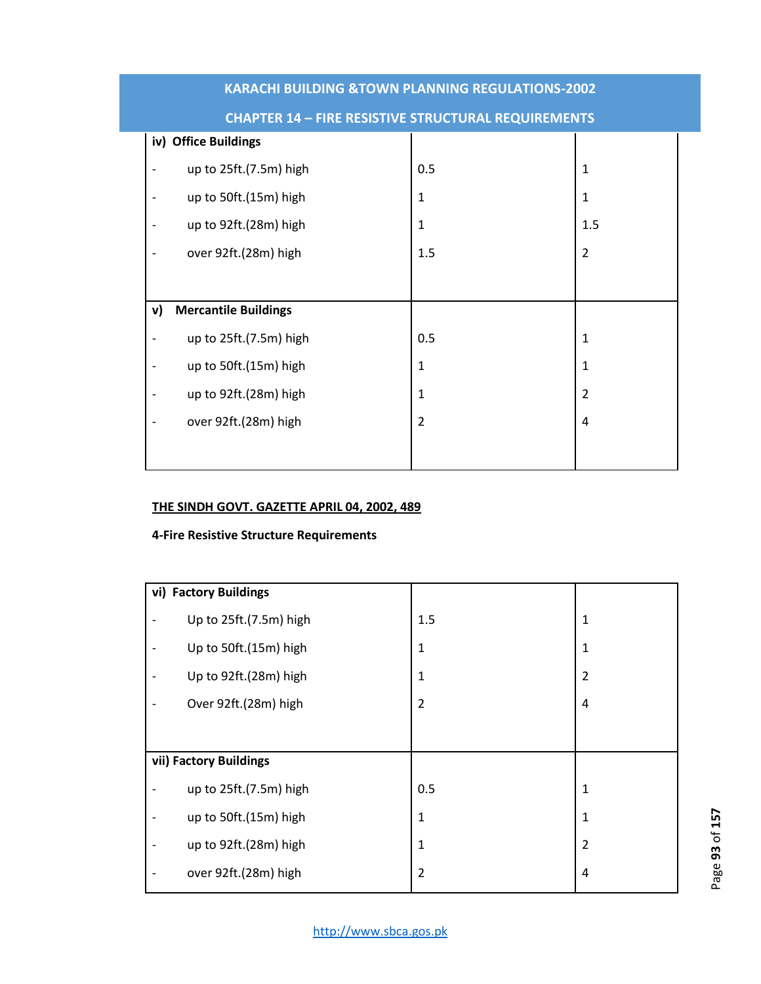|    | iv) Office Buildings        |                |                |
|----|-----------------------------|----------------|----------------|
|    | up to 25ft.(7.5m) high      | 0.5            | 1              |
|    | up to 50ft.(15m) high       | $\mathbf{1}$   | $\mathbf{1}$   |
|    | up to 92ft.(28m) high       | $\mathbf{1}$   | 1.5            |
|    | over 92ft.(28m) high        | 1.5            | $\overline{2}$ |
|    |                             |                |                |
| v) | <b>Mercantile Buildings</b> |                |                |
|    | up to 25ft.(7.5m) high      | 0.5            | $\mathbf{1}$   |
|    | up to 50ft.(15m) high       | $\mathbf{1}$   | 1              |
|    | up to 92ft.(28m) high       | $\mathbf{1}$   | $\overline{2}$ |
|    | over 92ft.(28m) high        | $\overline{2}$ | $\overline{4}$ |
|    |                             |                |                |

# **CHAPTER 14 – FIRE RESISTIVE STRUCTURAL REQUIREMENTS**

# **THE SINDH GOVT. GAZETTE APRIL 04, 2002, 489**

# **4-Fire Resistive Structure Requirements**

|                              | vi) Factory Buildings  |     |                |
|------------------------------|------------------------|-----|----------------|
|                              | Up to 25ft.(7.5m) high | 1.5 | $\mathbf 1$    |
| $\overline{a}$               | Up to 50ft.(15m) high  | 1   | $\mathbf 1$    |
| $\qquad \qquad \blacksquare$ | Up to 92ft.(28m) high  | 1   | $\overline{2}$ |
|                              | Over 92ft.(28m) high   | 2   | 4              |
|                              |                        |     |                |
|                              | vii) Factory Buildings |     |                |
|                              | up to 25ft.(7.5m) high | 0.5 | $\mathbf 1$    |
|                              | up to 50ft.(15m) high  | 1   | $\mathbf 1$    |
|                              | up to 92ft.(28m) high  | 1   | $\overline{2}$ |
|                              | over 92ft.(28m) high   | 2   | 4              |
|                              |                        |     |                |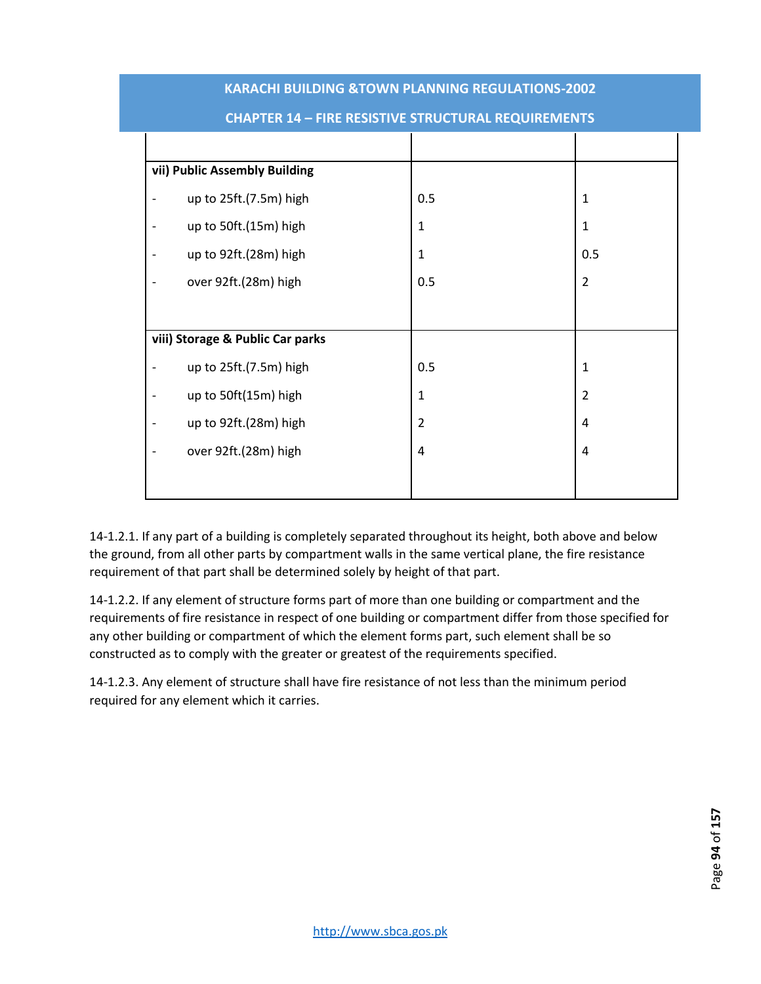| vii) Public Assembly Building    |                |                |
|----------------------------------|----------------|----------------|
| up to 25ft.(7.5m) high           | 0.5            | $\mathbf 1$    |
| up to 50ft.(15m) high            | $\mathbf{1}$   | $\mathbf 1$    |
| up to 92ft.(28m) high            | $\mathbf 1$    | 0.5            |
| over 92ft.(28m) high             | 0.5            | $\overline{2}$ |
|                                  |                |                |
| viii) Storage & Public Car parks |                |                |
| up to 25ft.(7.5m) high           | 0.5            | $\mathbf{1}$   |
| up to 50ft(15m) high             | $\mathbf 1$    | $\overline{2}$ |
| up to 92ft.(28m) high            | $\overline{2}$ | 4              |
| over 92ft.(28m) high             | 4              | 4              |
|                                  |                |                |

# **CHAPTER 14 – FIRE RESISTIVE STRUCTURAL REQUIREMENTS**

14-1.2.1. If any part of a building is completely separated throughout its height, both above and below the ground, from all other parts by compartment walls in the same vertical plane, the fire resistance requirement of that part shall be determined solely by height of that part.

14-1.2.2. If any element of structure forms part of more than one building or compartment and the requirements of fire resistance in respect of one building or compartment differ from those specified for any other building or compartment of which the element forms part, such element shall be so constructed as to comply with the greater or greatest of the requirements specified.

14-1.2.3. Any element of structure shall have fire resistance of not less than the minimum period required for any element which it carries.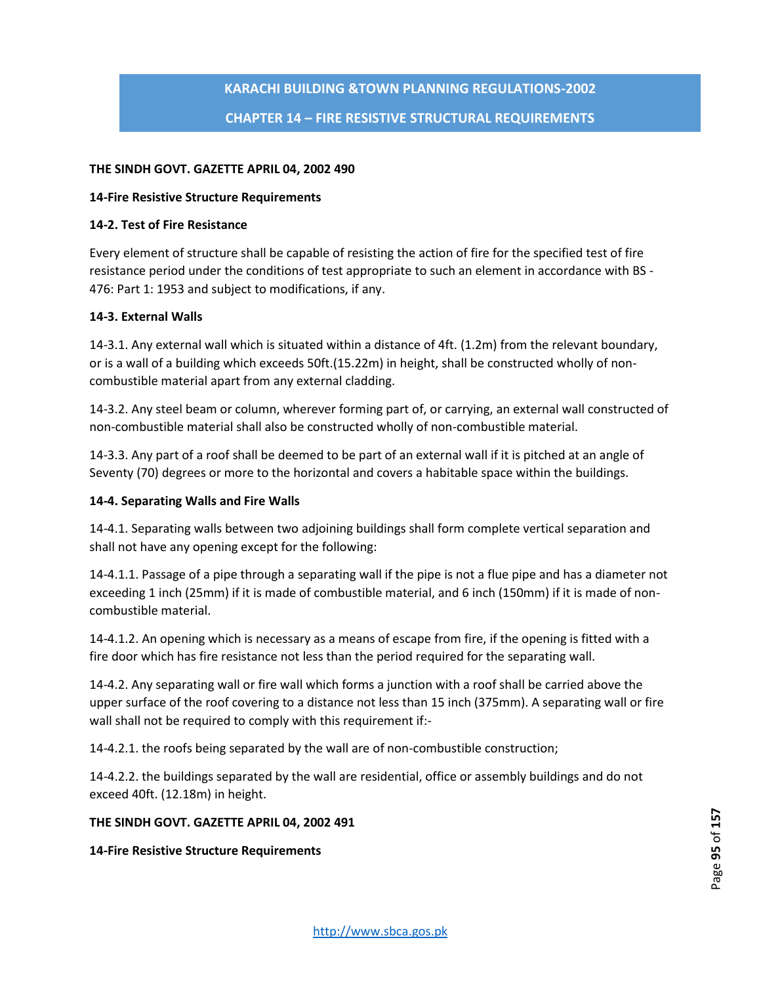# **KARACHI BUILDING &TOWN PLANNING REGULATIONS-2002 CHAPTER 14 – FIRE RESISTIVE STRUCTURAL REQUIREMENTS**

### **THE SINDH GOVT. GAZETTE APRIL 04, 2002 490**

### **14-Fire Resistive Structure Requirements**

### **14-2. Test of Fire Resistance**

Every element of structure shall be capable of resisting the action of fire for the specified test of fire resistance period under the conditions of test appropriate to such an element in accordance with BS - 476: Part 1: 1953 and subject to modifications, if any.

### **14-3. External Walls**

14-3.1. Any external wall which is situated within a distance of 4ft. (1.2m) from the relevant boundary, or is a wall of a building which exceeds 50ft.(15.22m) in height, shall be constructed wholly of noncombustible material apart from any external cladding.

14-3.2. Any steel beam or column, wherever forming part of, or carrying, an external wall constructed of non-combustible material shall also be constructed wholly of non-combustible material.

14-3.3. Any part of a roof shall be deemed to be part of an external wall if it is pitched at an angle of Seventy (70) degrees or more to the horizontal and covers a habitable space within the buildings.

## **14-4. Separating Walls and Fire Walls**

14-4.1. Separating walls between two adjoining buildings shall form complete vertical separation and shall not have any opening except for the following:

14-4.1.1. Passage of a pipe through a separating wall if the pipe is not a flue pipe and has a diameter not exceeding 1 inch (25mm) if it is made of combustible material, and 6 inch (150mm) if it is made of noncombustible material.

14-4.1.2. An opening which is necessary as a means of escape from fire, if the opening is fitted with a fire door which has fire resistance not less than the period required for the separating wall.

14-4.2. Any separating wall or fire wall which forms a junction with a roof shall be carried above the upper surface of the roof covering to a distance not less than 15 inch (375mm). A separating wall or fire wall shall not be required to comply with this requirement if:-

14-4.2.1. the roofs being separated by the wall are of non-combustible construction;

14-4.2.2. the buildings separated by the wall are residential, office or assembly buildings and do not exceed 40ft. (12.18m) in height.

### **THE SINDH GOVT. GAZETTE APRIL 04, 2002 491**

**14-Fire Resistive Structure Requirements**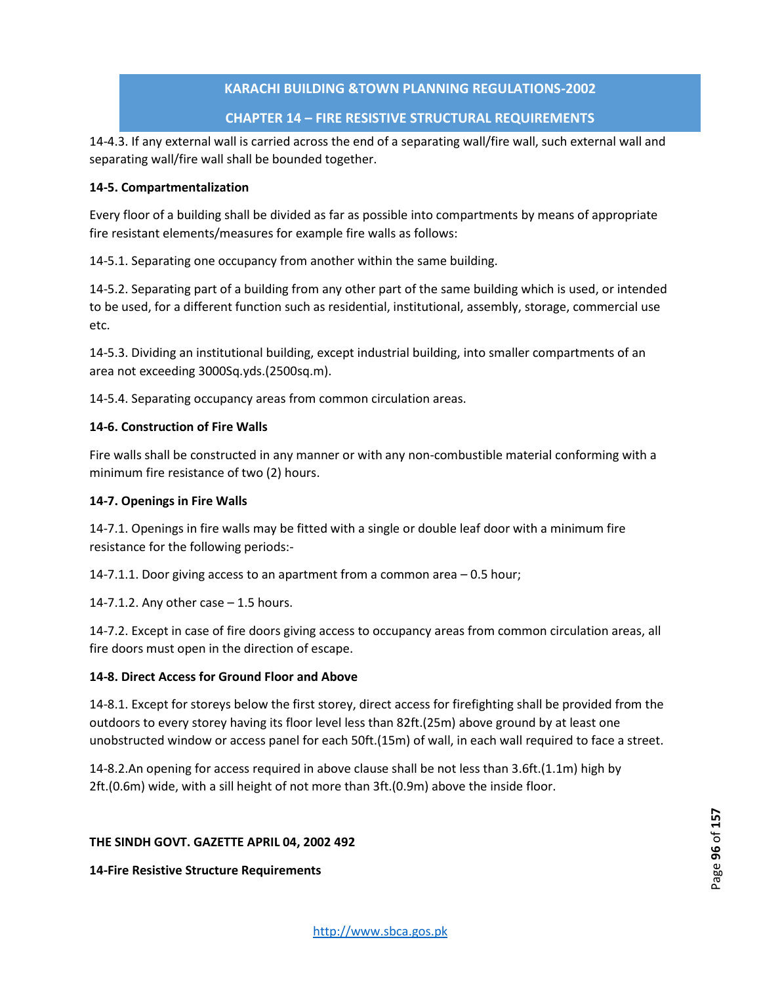# **CHAPTER 14 – FIRE RESISTIVE STRUCTURAL REQUIREMENTS**

14-4.3. If any external wall is carried across the end of a separating wall/fire wall, such external wall and separating wall/fire wall shall be bounded together.

# **14-5. Compartmentalization**

Every floor of a building shall be divided as far as possible into compartments by means of appropriate fire resistant elements/measures for example fire walls as follows:

14-5.1. Separating one occupancy from another within the same building.

14-5.2. Separating part of a building from any other part of the same building which is used, or intended to be used, for a different function such as residential, institutional, assembly, storage, commercial use etc.

14-5.3. Dividing an institutional building, except industrial building, into smaller compartments of an area not exceeding 3000Sq.yds.(2500sq.m).

14-5.4. Separating occupancy areas from common circulation areas.

# **14-6. Construction of Fire Walls**

Fire walls shall be constructed in any manner or with any non-combustible material conforming with a minimum fire resistance of two (2) hours.

## **14-7. Openings in Fire Walls**

14-7.1. Openings in fire walls may be fitted with a single or double leaf door with a minimum fire resistance for the following periods:-

14-7.1.1. Door giving access to an apartment from a common area – 0.5 hour;

14-7.1.2. Any other case  $-1.5$  hours.

14-7.2. Except in case of fire doors giving access to occupancy areas from common circulation areas, all fire doors must open in the direction of escape.

## **14-8. Direct Access for Ground Floor and Above**

14-8.1. Except for storeys below the first storey, direct access for firefighting shall be provided from the outdoors to every storey having its floor level less than 82ft.(25m) above ground by at least one unobstructed window or access panel for each 50ft.(15m) of wall, in each wall required to face a street.

14-8.2.An opening for access required in above clause shall be not less than 3.6ft.(1.1m) high by 2ft.(0.6m) wide, with a sill height of not more than 3ft.(0.9m) above the inside floor.

## **THE SINDH GOVT. GAZETTE APRIL 04, 2002 492**

**14-Fire Resistive Structure Requirements**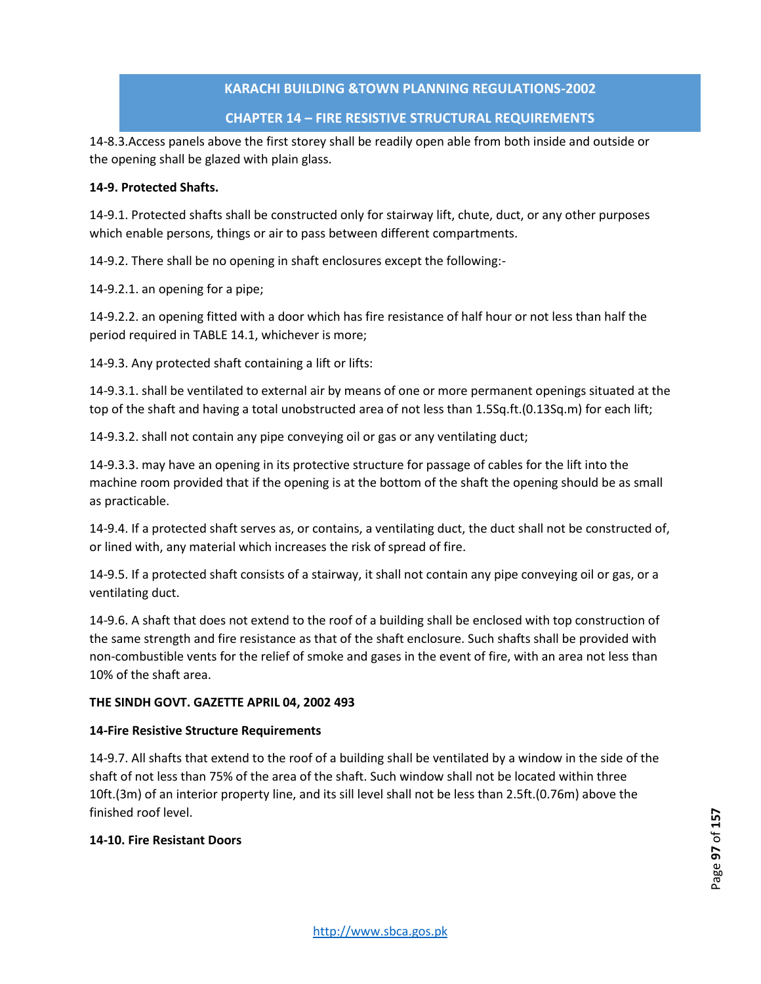# **CHAPTER 14 – FIRE RESISTIVE STRUCTURAL REQUIREMENTS**

14-8.3.Access panels above the first storey shall be readily open able from both inside and outside or the opening shall be glazed with plain glass.

# **14-9. Protected Shafts.**

14-9.1. Protected shafts shall be constructed only for stairway lift, chute, duct, or any other purposes which enable persons, things or air to pass between different compartments.

14-9.2. There shall be no opening in shaft enclosures except the following:-

14-9.2.1. an opening for a pipe;

14-9.2.2. an opening fitted with a door which has fire resistance of half hour or not less than half the period required in TABLE 14.1, whichever is more;

14-9.3. Any protected shaft containing a lift or lifts:

14-9.3.1. shall be ventilated to external air by means of one or more permanent openings situated at the top of the shaft and having a total unobstructed area of not less than 1.5Sq.ft.(0.13Sq.m) for each lift;

14-9.3.2. shall not contain any pipe conveying oil or gas or any ventilating duct;

14-9.3.3. may have an opening in its protective structure for passage of cables for the lift into the machine room provided that if the opening is at the bottom of the shaft the opening should be as small as practicable.

14-9.4. If a protected shaft serves as, or contains, a ventilating duct, the duct shall not be constructed of, or lined with, any material which increases the risk of spread of fire.

14-9.5. If a protected shaft consists of a stairway, it shall not contain any pipe conveying oil or gas, or a ventilating duct.

14-9.6. A shaft that does not extend to the roof of a building shall be enclosed with top construction of the same strength and fire resistance as that of the shaft enclosure. Such shafts shall be provided with non-combustible vents for the relief of smoke and gases in the event of fire, with an area not less than 10% of the shaft area.

## **THE SINDH GOVT. GAZETTE APRIL 04, 2002 493**

## **14-Fire Resistive Structure Requirements**

14-9.7. All shafts that extend to the roof of a building shall be ventilated by a window in the side of the shaft of not less than 75% of the area of the shaft. Such window shall not be located within three 10ft.(3m) of an interior property line, and its sill level shall not be less than 2.5ft.(0.76m) above the finished roof level.

## **14-10. Fire Resistant Doors**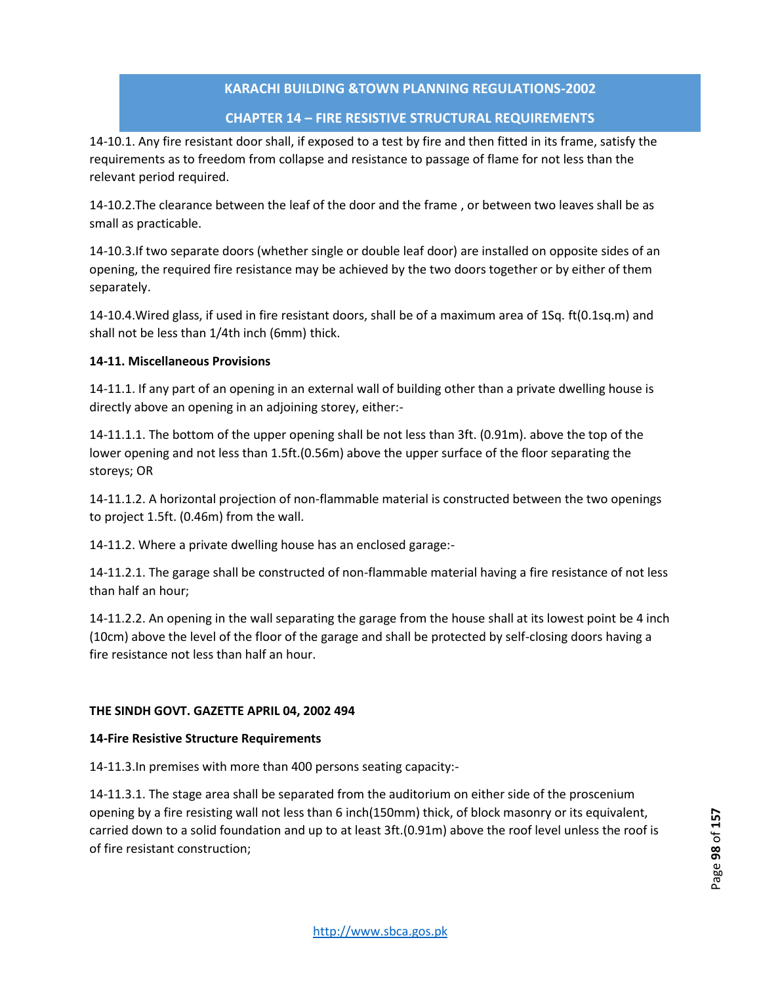# **CHAPTER 14 – FIRE RESISTIVE STRUCTURAL REQUIREMENTS**

14-10.1. Any fire resistant door shall, if exposed to a test by fire and then fitted in its frame, satisfy the requirements as to freedom from collapse and resistance to passage of flame for not less than the relevant period required.

14-10.2.The clearance between the leaf of the door and the frame , or between two leaves shall be as small as practicable.

14-10.3.If two separate doors (whether single or double leaf door) are installed on opposite sides of an opening, the required fire resistance may be achieved by the two doors together or by either of them separately.

14-10.4.Wired glass, if used in fire resistant doors, shall be of a maximum area of 1Sq. ft(0.1sq.m) and shall not be less than 1/4th inch (6mm) thick.

## **14-11. Miscellaneous Provisions**

14-11.1. If any part of an opening in an external wall of building other than a private dwelling house is directly above an opening in an adjoining storey, either:-

14-11.1.1. The bottom of the upper opening shall be not less than 3ft. (0.91m). above the top of the lower opening and not less than 1.5ft.(0.56m) above the upper surface of the floor separating the storeys; OR

14-11.1.2. A horizontal projection of non-flammable material is constructed between the two openings to project 1.5ft. (0.46m) from the wall.

14-11.2. Where a private dwelling house has an enclosed garage:-

14-11.2.1. The garage shall be constructed of non-flammable material having a fire resistance of not less than half an hour;

14-11.2.2. An opening in the wall separating the garage from the house shall at its lowest point be 4 inch (10cm) above the level of the floor of the garage and shall be protected by self-closing doors having a fire resistance not less than half an hour.

## **THE SINDH GOVT. GAZETTE APRIL 04, 2002 494**

### **14-Fire Resistive Structure Requirements**

14-11.3.In premises with more than 400 persons seating capacity:-

14-11.3.1. The stage area shall be separated from the auditorium on either side of the proscenium opening by a fire resisting wall not less than 6 inch(150mm) thick, of block masonry or its equivalent, carried down to a solid foundation and up to at least 3ft.(0.91m) above the roof level unless the roof is of fire resistant construction;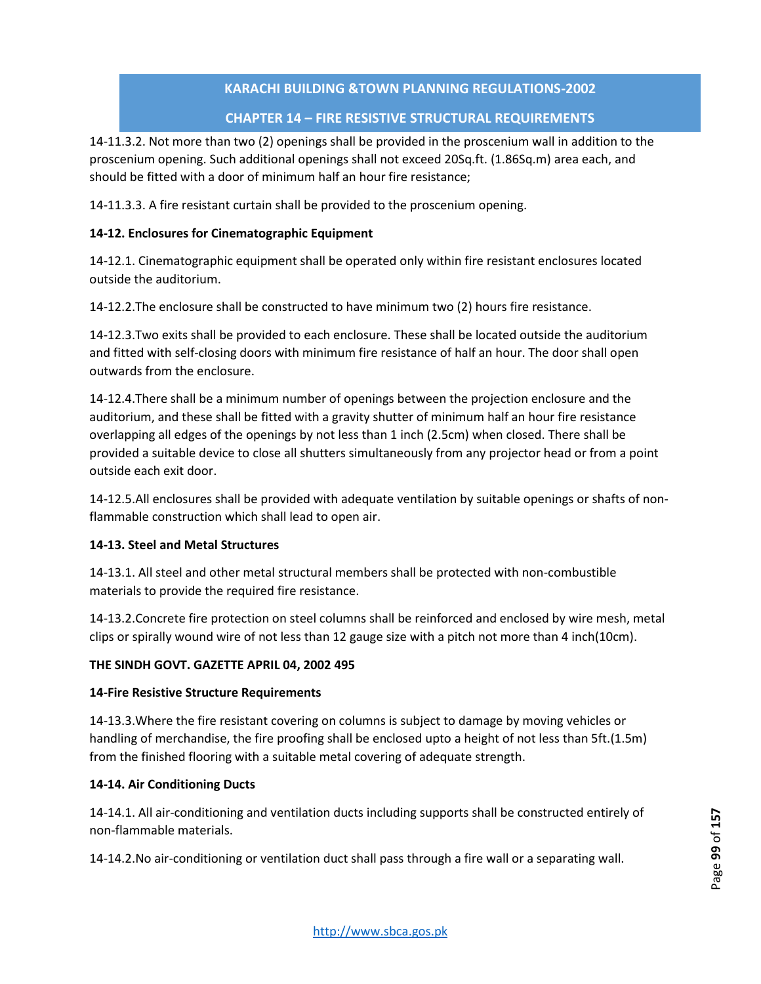# **CHAPTER 14 – FIRE RESISTIVE STRUCTURAL REQUIREMENTS**

14-11.3.2. Not more than two (2) openings shall be provided in the proscenium wall in addition to the proscenium opening. Such additional openings shall not exceed 20Sq.ft. (1.86Sq.m) area each, and should be fitted with a door of minimum half an hour fire resistance;

14-11.3.3. A fire resistant curtain shall be provided to the proscenium opening.

# **14-12. Enclosures for Cinematographic Equipment**

14-12.1. Cinematographic equipment shall be operated only within fire resistant enclosures located outside the auditorium.

14-12.2.The enclosure shall be constructed to have minimum two (2) hours fire resistance.

14-12.3.Two exits shall be provided to each enclosure. These shall be located outside the auditorium and fitted with self-closing doors with minimum fire resistance of half an hour. The door shall open outwards from the enclosure.

14-12.4.There shall be a minimum number of openings between the projection enclosure and the auditorium, and these shall be fitted with a gravity shutter of minimum half an hour fire resistance overlapping all edges of the openings by not less than 1 inch (2.5cm) when closed. There shall be provided a suitable device to close all shutters simultaneously from any projector head or from a point outside each exit door.

14-12.5.All enclosures shall be provided with adequate ventilation by suitable openings or shafts of nonflammable construction which shall lead to open air.

## **14-13. Steel and Metal Structures**

14-13.1. All steel and other metal structural members shall be protected with non-combustible materials to provide the required fire resistance.

14-13.2.Concrete fire protection on steel columns shall be reinforced and enclosed by wire mesh, metal clips or spirally wound wire of not less than 12 gauge size with a pitch not more than 4 inch(10cm).

## **THE SINDH GOVT. GAZETTE APRIL 04, 2002 495**

## **14-Fire Resistive Structure Requirements**

14-13.3.Where the fire resistant covering on columns is subject to damage by moving vehicles or handling of merchandise, the fire proofing shall be enclosed upto a height of not less than 5ft.(1.5m) from the finished flooring with a suitable metal covering of adequate strength.

## **14-14. Air Conditioning Ducts**

14-14.1. All air-conditioning and ventilation ducts including supports shall be constructed entirely of non-flammable materials.

14-14.2.No air-conditioning or ventilation duct shall pass through a fire wall or a separating wall.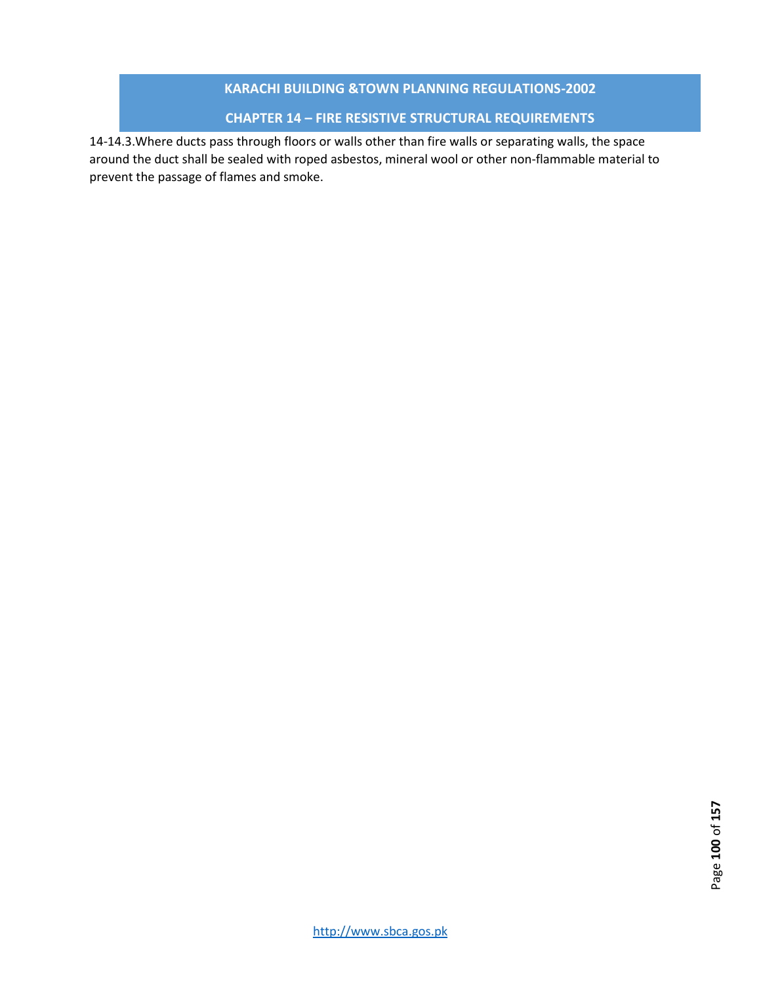# **CHAPTER 14 – FIRE RESISTIVE STRUCTURAL REQUIREMENTS**

14-14.3.Where ducts pass through floors or walls other than fire walls or separating walls, the space around the duct shall be sealed with roped asbestos, mineral wool or other non-flammable material to prevent the passage of flames and smoke.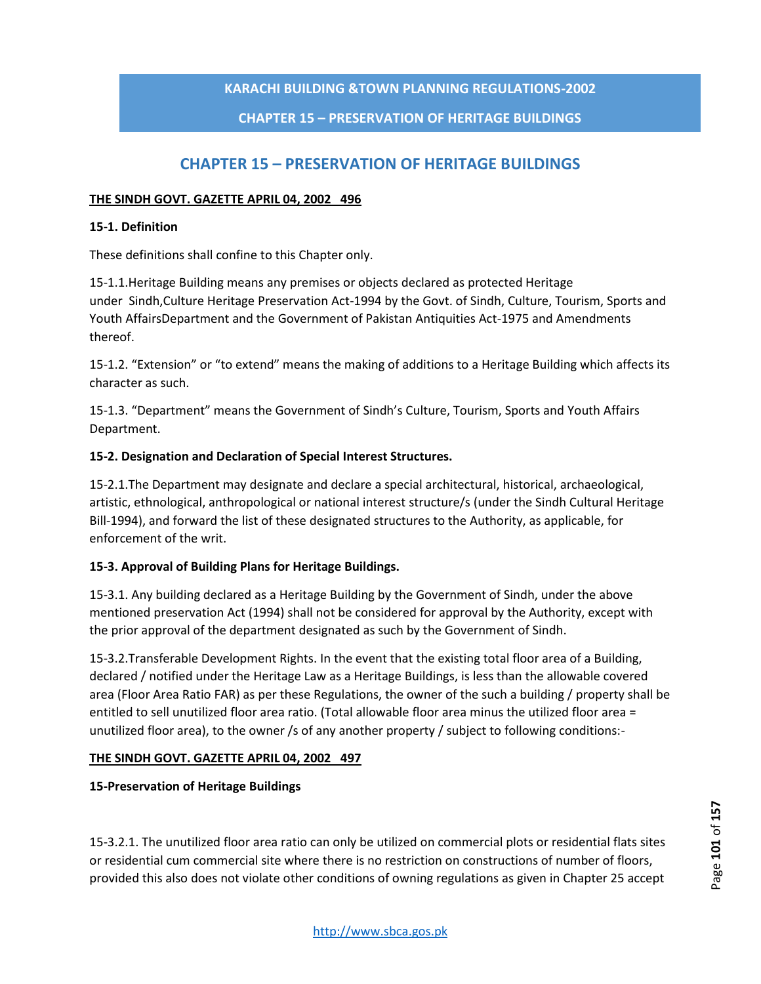# **CHAPTER 15 – PRESERVATION OF HERITAGE BUILDINGS**

# **CHAPTER 15 – PRESERVATION OF HERITAGE BUILDINGS**

### **THE SINDH GOVT. GAZETTE APRIL 04, 2002 496**

### **15-1. Definition**

These definitions shall confine to this Chapter only.

15-1.1.Heritage Building means any premises or objects declared as protected Heritage under Sindh,Culture Heritage Preservation Act-1994 by the Govt. of Sindh, Culture, Tourism, Sports and Youth AffairsDepartment and the Government of Pakistan Antiquities Act-1975 and Amendments thereof.

15-1.2. "Extension" or "to extend" means the making of additions to a Heritage Building which affects its character as such.

15-1.3. "Department" means the Government of Sindh's Culture, Tourism, Sports and Youth Affairs Department.

## **15-2. Designation and Declaration of Special Interest Structures.**

15-2.1.The Department may designate and declare a special architectural, historical, archaeological, artistic, ethnological, anthropological or national interest structure/s (under the Sindh Cultural Heritage Bill-1994), and forward the list of these designated structures to the Authority, as applicable, for enforcement of the writ.

## **15-3. Approval of Building Plans for Heritage Buildings.**

15-3.1. Any building declared as a Heritage Building by the Government of Sindh, under the above mentioned preservation Act (1994) shall not be considered for approval by the Authority, except with the prior approval of the department designated as such by the Government of Sindh.

15-3.2.Transferable Development Rights. In the event that the existing total floor area of a Building, declared / notified under the Heritage Law as a Heritage Buildings, is less than the allowable covered area (Floor Area Ratio FAR) as per these Regulations, the owner of the such a building / property shall be entitled to sell unutilized floor area ratio. (Total allowable floor area minus the utilized floor area = unutilized floor area), to the owner /s of any another property / subject to following conditions:-

## **THE SINDH GOVT. GAZETTE APRIL 04, 2002 497**

**15-Preservation of Heritage Buildings**

15-3.2.1. The unutilized floor area ratio can only be utilized on commercial plots or residential flats sites or residential cum commercial site where there is no restriction on constructions of number of floors, provided this also does not violate other conditions of owning regulations as given in Chapter 25 accept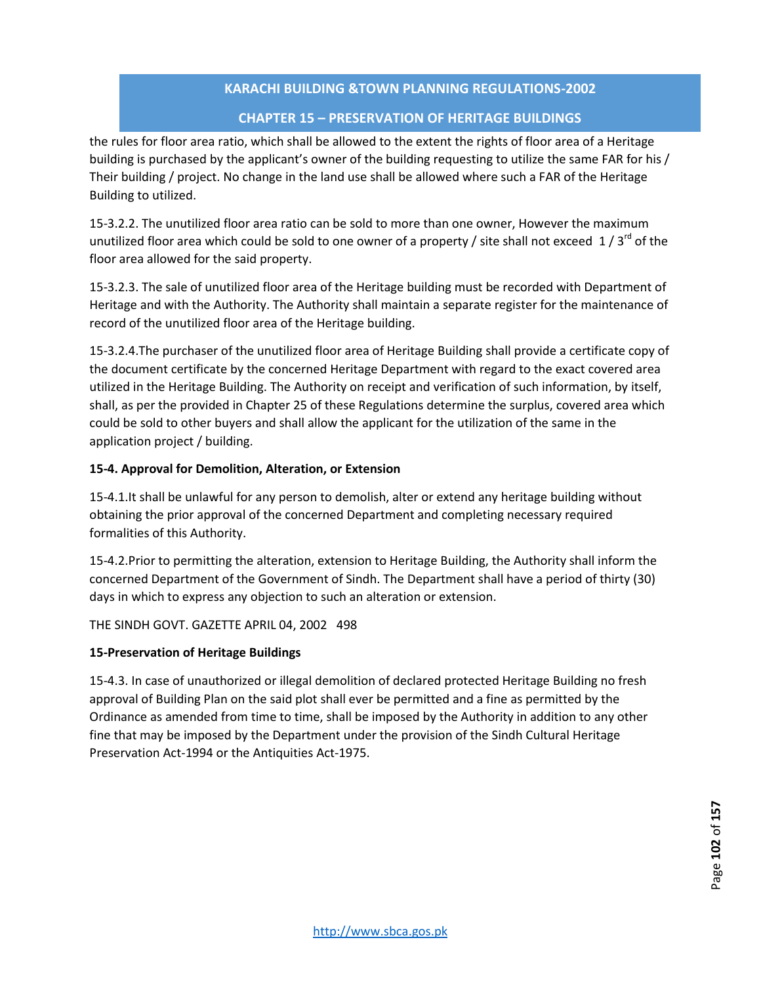# **CHAPTER 15 – PRESERVATION OF HERITAGE BUILDINGS**

the rules for floor area ratio, which shall be allowed to the extent the rights of floor area of a Heritage building is purchased by the applicant's owner of the building requesting to utilize the same FAR for his / Their building / project. No change in the land use shall be allowed where such a FAR of the Heritage Building to utilized.

15-3.2.2. The unutilized floor area ratio can be sold to more than one owner, However the maximum unutilized floor area which could be sold to one owner of a property / site shall not exceed 1/3<sup>rd</sup> of the floor area allowed for the said property.

15-3.2.3. The sale of unutilized floor area of the Heritage building must be recorded with Department of Heritage and with the Authority. The Authority shall maintain a separate register for the maintenance of record of the unutilized floor area of the Heritage building.

15-3.2.4.The purchaser of the unutilized floor area of Heritage Building shall provide a certificate copy of the document certificate by the concerned Heritage Department with regard to the exact covered area utilized in the Heritage Building. The Authority on receipt and verification of such information, by itself, shall, as per the provided in Chapter 25 of these Regulations determine the surplus, covered area which could be sold to other buyers and shall allow the applicant for the utilization of the same in the application project / building.

## **15-4. Approval for Demolition, Alteration, or Extension**

15-4.1.It shall be unlawful for any person to demolish, alter or extend any heritage building without obtaining the prior approval of the concerned Department and completing necessary required formalities of this Authority.

15-4.2.Prior to permitting the alteration, extension to Heritage Building, the Authority shall inform the concerned Department of the Government of Sindh. The Department shall have a period of thirty (30) days in which to express any objection to such an alteration or extension.

THE SINDH GOVT. GAZETTE APRIL 04, 2002 498

## **15-Preservation of Heritage Buildings**

15-4.3. In case of unauthorized or illegal demolition of declared protected Heritage Building no fresh approval of Building Plan on the said plot shall ever be permitted and a fine as permitted by the Ordinance as amended from time to time, shall be imposed by the Authority in addition to any other fine that may be imposed by the Department under the provision of the Sindh Cultural Heritage Preservation Act-1994 or the Antiquities Act-1975.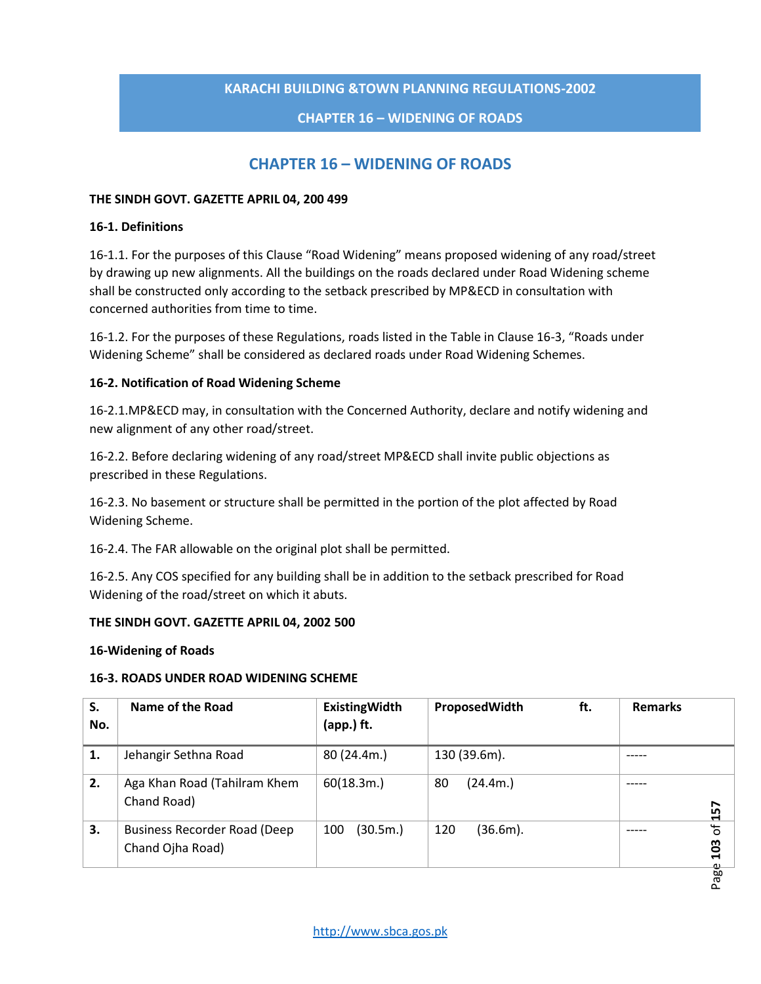# **CHAPTER 16 – WIDENING OF ROADS**

# **CHAPTER 16 – WIDENING OF ROADS**

## **THE SINDH GOVT. GAZETTE APRIL 04, 200 499**

### **16-1. Definitions**

16-1.1. For the purposes of this Clause "Road Widening" means proposed widening of any road/street by drawing up new alignments. All the buildings on the roads declared under Road Widening scheme shall be constructed only according to the setback prescribed by MP&ECD in consultation with concerned authorities from time to time.

16-1.2. For the purposes of these Regulations, roads listed in the Table in Clause 16-3, "Roads under Widening Scheme" shall be considered as declared roads under Road Widening Schemes.

## **16-2. Notification of Road Widening Scheme**

16-2.1.MP&ECD may, in consultation with the Concerned Authority, declare and notify widening and new alignment of any other road/street.

16-2.2. Before declaring widening of any road/street MP&ECD shall invite public objections as prescribed in these Regulations.

16-2.3. No basement or structure shall be permitted in the portion of the plot affected by Road Widening Scheme.

16-2.4. The FAR allowable on the original plot shall be permitted.

16-2.5. Any COS specified for any building shall be in addition to the setback prescribed for Road Widening of the road/street on which it abuts.

## **THE SINDH GOVT. GAZETTE APRIL 04, 2002 500**

## **16-Widening of Roads**

## **16-3. ROADS UNDER ROAD WIDENING SCHEME**

| S.<br>No. | Name of the Road                                        | <b>ExistingWidth</b><br>(app.) ft. | ft.<br>ProposedWidth | <b>Remarks</b>        |
|-----------|---------------------------------------------------------|------------------------------------|----------------------|-----------------------|
| 1.        | Jehangir Sethna Road                                    | 80(24.4m.)                         | 130 (39.6m).         |                       |
| 2.        | Aga Khan Road (Tahilram Khem<br>Chand Road)             | 60(18.3m.)                         | 80<br>(24.4m.)       | 157                   |
| 3.        | <b>Business Recorder Road (Deep</b><br>Chand Ojha Road) | (30.5m.)<br>100                    | 120<br>(36.6m).      | $\mathfrak{b}$<br>103 |
|           |                                                         |                                    |                      | Page                  |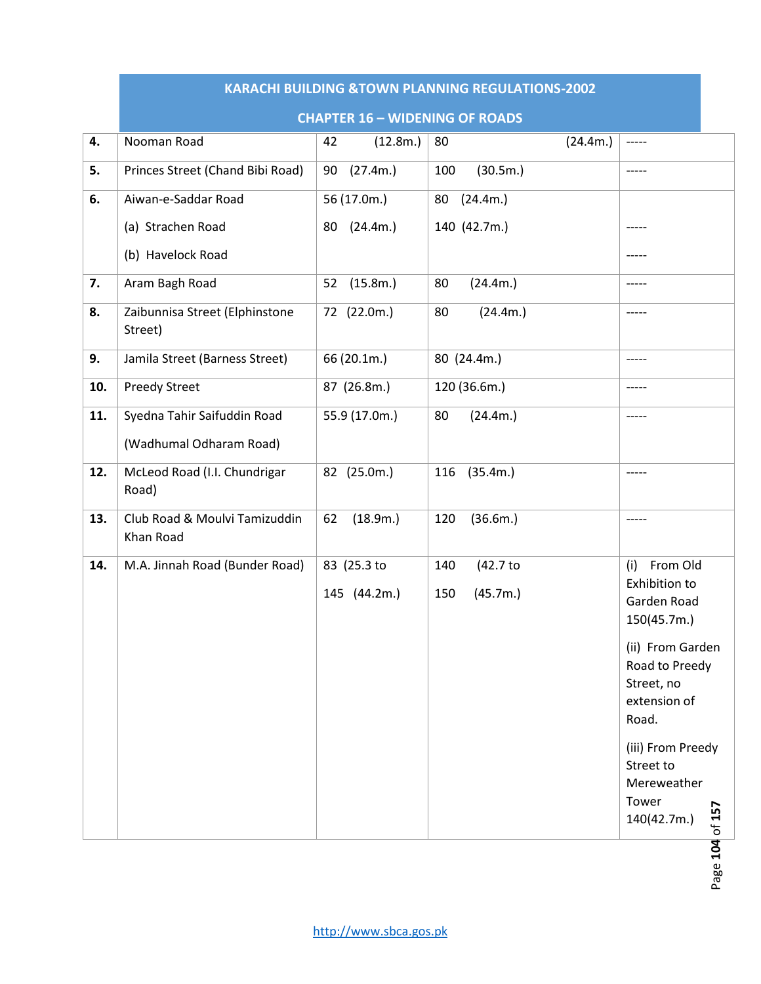|     | <b>KARACHI BUILDING &amp;TOWN PLANNING REGULATIONS-2002</b> |                             |                                    |                                                                                                                                                                                                                                     |  |  |  |
|-----|-------------------------------------------------------------|-----------------------------|------------------------------------|-------------------------------------------------------------------------------------------------------------------------------------------------------------------------------------------------------------------------------------|--|--|--|
|     | <b>CHAPTER 16 - WIDENING OF ROADS</b>                       |                             |                                    |                                                                                                                                                                                                                                     |  |  |  |
| 4.  | Nooman Road                                                 | (12.8m.)<br>42              | 80<br>(24.4m.)                     | -----                                                                                                                                                                                                                               |  |  |  |
| 5.  | Princes Street (Chand Bibi Road)                            | (27.4m.)<br>90              | (30.5m.)<br>100                    | $--- -$                                                                                                                                                                                                                             |  |  |  |
| 6.  | Aiwan-e-Saddar Road                                         | 56 (17.0m.)                 | (24.4m.)<br>80                     |                                                                                                                                                                                                                                     |  |  |  |
|     | (a) Strachen Road                                           | (24.4m.)<br>80              | 140 (42.7m.)                       |                                                                                                                                                                                                                                     |  |  |  |
|     | (b) Havelock Road                                           |                             |                                    |                                                                                                                                                                                                                                     |  |  |  |
| 7.  | Aram Bagh Road                                              | (15.8m.)<br>52              | 80<br>(24.4m.)                     | -----                                                                                                                                                                                                                               |  |  |  |
| 8.  | Zaibunnisa Street (Elphinstone<br>Street)                   | 72 (22.0m.)                 | (24.4m.)<br>80                     | -----                                                                                                                                                                                                                               |  |  |  |
| 9.  | Jamila Street (Barness Street)                              | 66 (20.1m.)                 | 80 (24.4m.)                        | $--- -$                                                                                                                                                                                                                             |  |  |  |
| 10. | <b>Preedy Street</b>                                        | 87 (26.8m.)                 | 120 (36.6m.)                       | -----                                                                                                                                                                                                                               |  |  |  |
| 11. | Syedna Tahir Saifuddin Road                                 | 55.9 (17.0m.)               | (24.4m.)<br>80                     | -----                                                                                                                                                                                                                               |  |  |  |
|     | (Wadhumal Odharam Road)                                     |                             |                                    |                                                                                                                                                                                                                                     |  |  |  |
| 12. | McLeod Road (I.I. Chundrigar<br>Road)                       | 82 (25.0m.)                 | (35.4m.)<br>116                    | $--- - -$                                                                                                                                                                                                                           |  |  |  |
| 13. | Club Road & Moulvi Tamizuddin<br>Khan Road                  | 62<br>(18.9m.)              | (36.6m.)<br>120                    | $-----$                                                                                                                                                                                                                             |  |  |  |
| 14. | M.A. Jinnah Road (Bunder Road)                              | 83 (25.3 to<br>145 (44.2m.) | (42.7 to<br>140<br>(45.7m.)<br>150 | From Old<br>(i)<br>Exhibition to<br>Garden Road<br>150(45.7m.)<br>(ii) From Garden<br>Road to Preedy<br>Street, no<br>extension of<br>Road.<br>(iii) From Preedy<br>Street to<br>Mereweather<br>Tower<br>of 157<br>140(42.7m.)<br>ॼ |  |  |  |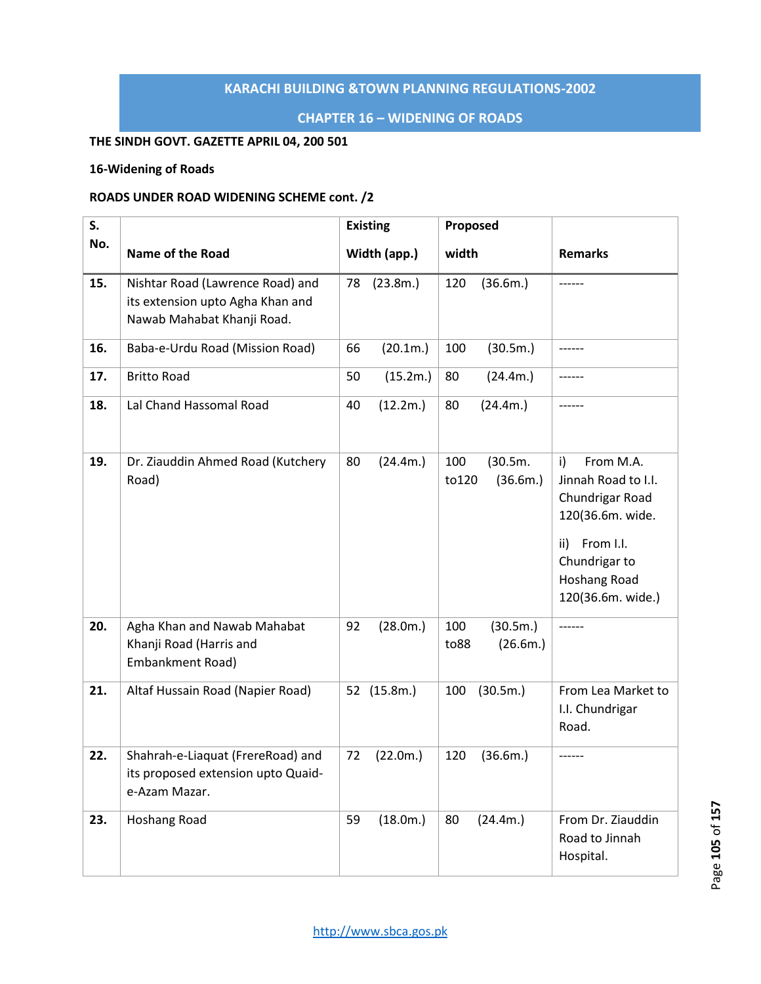# **CHAPTER 16 – WIDENING OF ROADS**

# **THE SINDH GOVT. GAZETTE APRIL 04, 200 501**

## **16-Widening of Roads**

# **ROADS UNDER ROAD WIDENING SCHEME cont. /2**

| S.  |                                                                                                    | <b>Existing</b> |              | Proposed     |                      |                                                                                                                                                                |
|-----|----------------------------------------------------------------------------------------------------|-----------------|--------------|--------------|----------------------|----------------------------------------------------------------------------------------------------------------------------------------------------------------|
| No. | <b>Name of the Road</b>                                                                            |                 | Width (app.) | width        |                      | <b>Remarks</b>                                                                                                                                                 |
| 15. | Nishtar Road (Lawrence Road) and<br>its extension upto Agha Khan and<br>Nawab Mahabat Khanji Road. | 78              | (23.8m.)     | 120          | (36.6m.)             |                                                                                                                                                                |
| 16. | Baba-e-Urdu Road (Mission Road)                                                                    | 66              | (20.1m.)     | 100          | (30.5m.)             |                                                                                                                                                                |
| 17. | <b>Britto Road</b>                                                                                 | 50              | (15.2m.)     | 80           | (24.4m.)             |                                                                                                                                                                |
| 18. | Lal Chand Hassomal Road                                                                            | 40              | (12.2m.)     | 80           | (24.4m.)             |                                                                                                                                                                |
| 19. | Dr. Ziauddin Ahmed Road (Kutchery<br>Road)                                                         | 80              | (24.4m.)     | 100<br>to120 | (30.5m.<br>(36.6m.)  | i)<br>From M.A.<br>Jinnah Road to I.I.<br>Chundrigar Road<br>120(36.6m. wide.<br>From I.I.<br>ii)<br>Chundrigar to<br><b>Hoshang Road</b><br>120(36.6m. wide.) |
| 20. | Agha Khan and Nawab Mahabat<br>Khanji Road (Harris and<br>Embankment Road)                         | 92              | (28.0m.)     | 100<br>to88  | (30.5m.)<br>(26.6m.) | ------                                                                                                                                                         |
| 21. | Altaf Hussain Road (Napier Road)                                                                   |                 | 52 (15.8m.)  | 100          | (30.5m.)             | From Lea Market to<br>I.I. Chundrigar<br>Road.                                                                                                                 |
| 22. | Shahrah-e-Liaquat (FrereRoad) and<br>its proposed extension upto Quaid-<br>e-Azam Mazar.           | 72              | (22.0m.)     | 120          | (36.6m.)             |                                                                                                                                                                |
| 23. | Hoshang Road                                                                                       | 59              | (18.0m.)     | 80           | (24.4m.)             | From Dr. Ziauddin<br>Road to Jinnah<br>Hospital.                                                                                                               |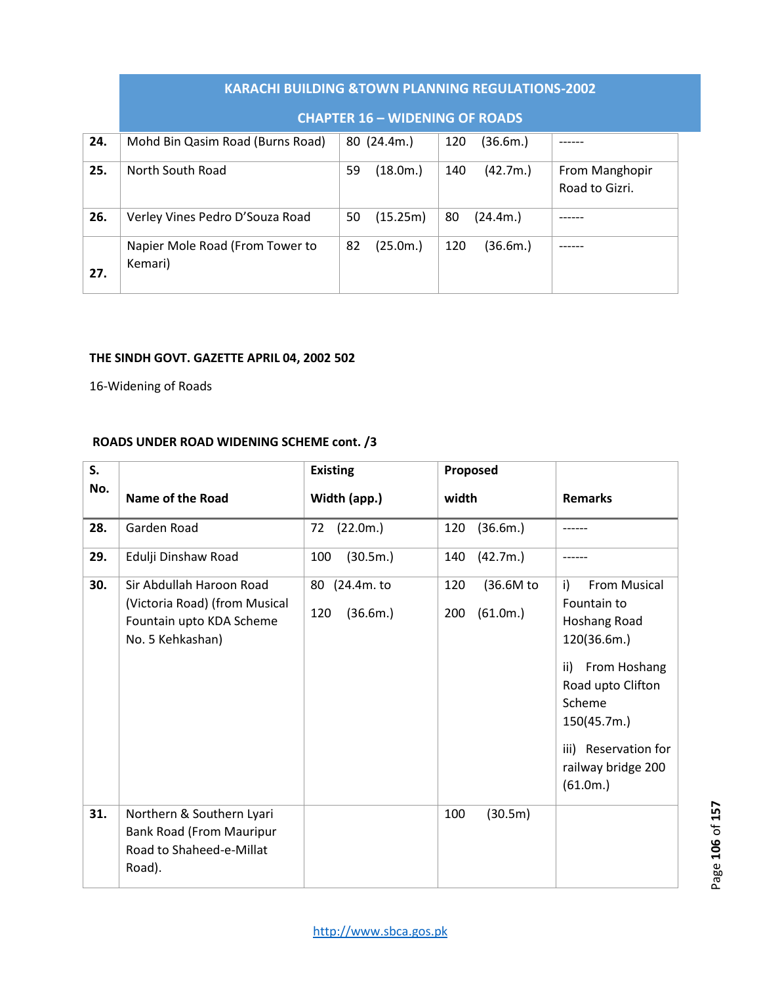|     | <b>KARACHI BUILDING &amp;TOWN PLANNING REGULATIONS-2002</b> |                |                 |                                  |  |  |
|-----|-------------------------------------------------------------|----------------|-----------------|----------------------------------|--|--|
|     | <b>CHAPTER 16 - WIDENING OF ROADS</b>                       |                |                 |                                  |  |  |
| 24. | Mohd Bin Qasim Road (Burns Road)                            | 80 (24.4m.)    | 120<br>(36.6m.) |                                  |  |  |
| 25. | North South Road                                            | 59<br>(18.0m.) | 140<br>(42.7m.) | From Manghopir<br>Road to Gizri. |  |  |
| 26. | Verley Vines Pedro D'Souza Road                             | (15.25m)<br>50 | 80<br>(24.4m.)  |                                  |  |  |
| 27. | Napier Mole Road (From Tower to<br>Kemari)                  | (25.0m.)<br>82 | 120<br>(36.6m.) |                                  |  |  |

# **THE SINDH GOVT. GAZETTE APRIL 04, 2002 502**

16-Widening of Roads

# **ROADS UNDER ROAD WIDENING SCHEME cont. /3**

| S.  |                                                                                                           | <b>Existing</b>                  | Proposed                            |                                                                                                                                                                                                        |
|-----|-----------------------------------------------------------------------------------------------------------|----------------------------------|-------------------------------------|--------------------------------------------------------------------------------------------------------------------------------------------------------------------------------------------------------|
| No. | <b>Name of the Road</b>                                                                                   | Width (app.)                     | width                               | <b>Remarks</b>                                                                                                                                                                                         |
| 28. | Garden Road                                                                                               | (22.0m.)<br>72                   | (36.6m.)<br>120                     |                                                                                                                                                                                                        |
| 29. | Edulji Dinshaw Road                                                                                       | (30.5m.)<br>100                  | (42.7m.)<br>140                     |                                                                                                                                                                                                        |
| 30. | Sir Abdullah Haroon Road<br>(Victoria Road) (from Musical<br>Fountain upto KDA Scheme<br>No. 5 Kehkashan) | 80 (24.4m. to<br>(36.6m.)<br>120 | 120<br>(36.6M to<br>(61.0m.)<br>200 | i)<br><b>From Musical</b><br>Fountain to<br>Hoshang Road<br>120(36.6m.)<br>From Hoshang<br>ii)<br>Road upto Clifton<br>Scheme<br>150(45.7m.)<br>iii) Reservation for<br>railway bridge 200<br>(61.0m.) |
| 31. | Northern & Southern Lyari<br>Bank Road (From Mauripur<br>Road to Shaheed-e-Millat<br>Road).               |                                  | 100<br>(30.5m)                      |                                                                                                                                                                                                        |

Page 106 of 157 Page **106** of **157**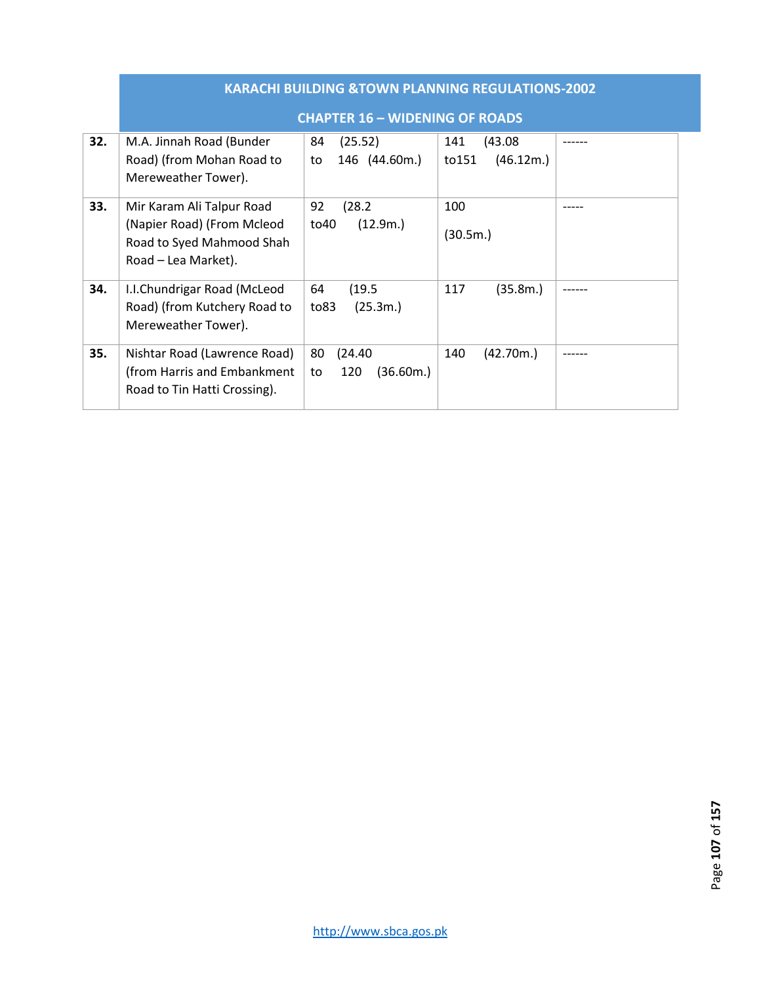|     | <b>KARACHI BUILDING &amp;TOWN PLANNING REGULATIONS-2002</b>                                                 |                                         |                                      |  |  |  |
|-----|-------------------------------------------------------------------------------------------------------------|-----------------------------------------|--------------------------------------|--|--|--|
|     | <b>CHAPTER 16 - WIDENING OF ROADS</b>                                                                       |                                         |                                      |  |  |  |
| 32. | M.A. Jinnah Road (Bunder<br>Road) (from Mohan Road to<br>Mereweather Tower).                                | 84<br>(25.52)<br>146 (44.60m.)<br>to    | (43.08)<br>141<br>(46.12m.)<br>to151 |  |  |  |
| 33. | Mir Karam Ali Talpur Road<br>(Napier Road) (From Mcleod<br>Road to Syed Mahmood Shah<br>Road – Lea Market). | 92<br>(28.2)<br>(12.9m.)<br>to40        | 100<br>(30.5m.)                      |  |  |  |
| 34. | I.I.Chundrigar Road (McLeod<br>Road) (from Kutchery Road to<br>Mereweather Tower).                          | (19.5)<br>64<br>(25.3m.)<br>to83        | 117<br>(35.8m.)                      |  |  |  |
| 35. | Nishtar Road (Lawrence Road)<br>(from Harris and Embankment<br>Road to Tin Hatti Crossing).                 | 80<br>(24.40)<br>(36.60m.)<br>120<br>to | (42.70m.)<br>140                     |  |  |  |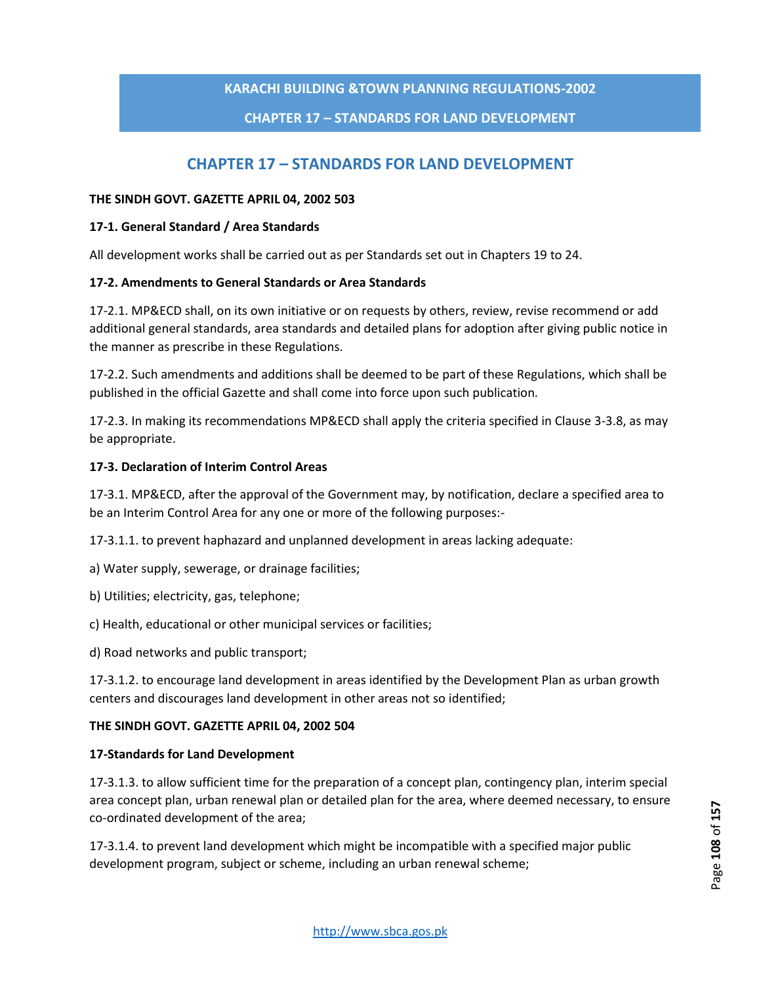# **CHAPTER 17 – STANDARDS FOR LAND DEVELOPMENT**

# **CHAPTER 17 – STANDARDS FOR LAND DEVELOPMENT**

### **THE SINDH GOVT. GAZETTE APRIL 04, 2002 503**

### **17-1. General Standard / Area Standards**

All development works shall be carried out as per Standards set out in Chapters 19 to 24.

### **17-2. Amendments to General Standards or Area Standards**

17-2.1. MP&ECD shall, on its own initiative or on requests by others, review, revise recommend or add additional general standards, area standards and detailed plans for adoption after giving public notice in the manner as prescribe in these Regulations.

17-2.2. Such amendments and additions shall be deemed to be part of these Regulations, which shall be published in the official Gazette and shall come into force upon such publication.

17-2.3. In making its recommendations MP&ECD shall apply the criteria specified in Clause 3-3.8, as may be appropriate.

### **17-3. Declaration of Interim Control Areas**

17-3.1. MP&ECD, after the approval of the Government may, by notification, declare a specified area to be an Interim Control Area for any one or more of the following purposes:-

17-3.1.1. to prevent haphazard and unplanned development in areas lacking adequate:

- a) Water supply, sewerage, or drainage facilities;
- b) Utilities; electricity, gas, telephone;
- c) Health, educational or other municipal services or facilities;
- d) Road networks and public transport;

17-3.1.2. to encourage land development in areas identified by the Development Plan as urban growth centers and discourages land development in other areas not so identified;

### **THE SINDH GOVT. GAZETTE APRIL 04, 2002 504**

### **17-Standards for Land Development**

17-3.1.3. to allow sufficient time for the preparation of a concept plan, contingency plan, interim special area concept plan, urban renewal plan or detailed plan for the area, where deemed necessary, to ensure co-ordinated development of the area;

17-3.1.4. to prevent land development which might be incompatible with a specified major public development program, subject or scheme, including an urban renewal scheme;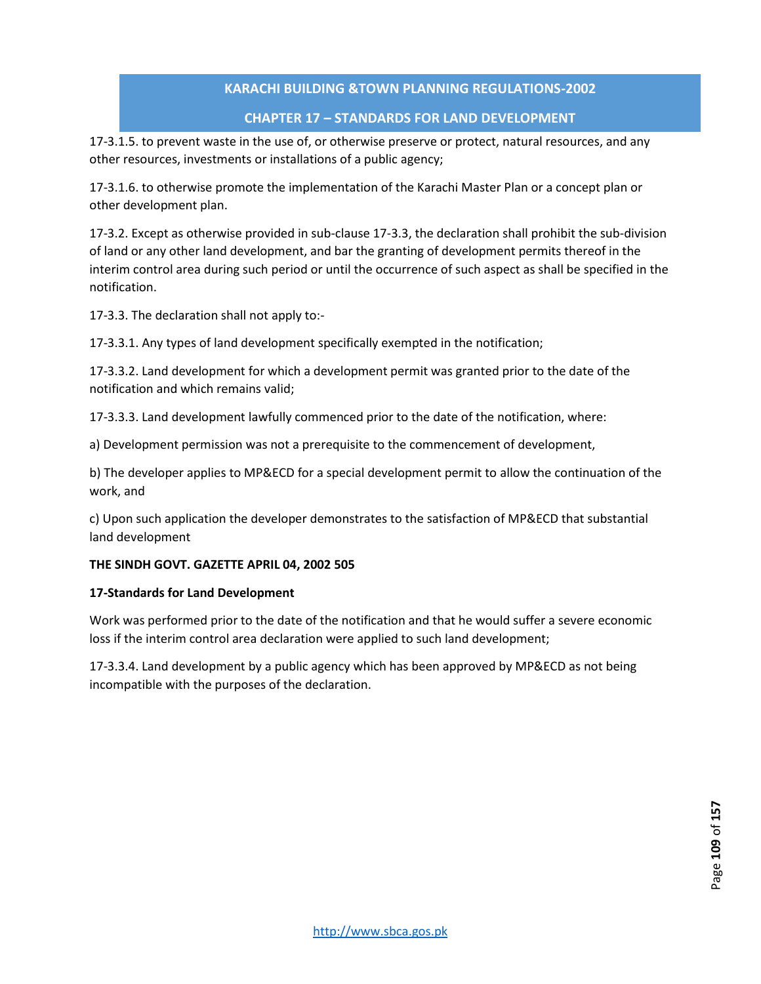#### **CHAPTER 17 – STANDARDS FOR LAND DEVELOPMENT**

17-3.1.5. to prevent waste in the use of, or otherwise preserve or protect, natural resources, and any other resources, investments or installations of a public agency;

17-3.1.6. to otherwise promote the implementation of the Karachi Master Plan or a concept plan or other development plan.

17-3.2. Except as otherwise provided in sub-clause 17-3.3, the declaration shall prohibit the sub-division of land or any other land development, and bar the granting of development permits thereof in the interim control area during such period or until the occurrence of such aspect as shall be specified in the notification.

17-3.3. The declaration shall not apply to:-

17-3.3.1. Any types of land development specifically exempted in the notification;

17-3.3.2. Land development for which a development permit was granted prior to the date of the notification and which remains valid;

17-3.3.3. Land development lawfully commenced prior to the date of the notification, where:

a) Development permission was not a prerequisite to the commencement of development,

b) The developer applies to MP&ECD for a special development permit to allow the continuation of the work, and

c) Upon such application the developer demonstrates to the satisfaction of MP&ECD that substantial land development

#### **THE SINDH GOVT. GAZETTE APRIL 04, 2002 505**

#### **17-Standards for Land Development**

Work was performed prior to the date of the notification and that he would suffer a severe economic loss if the interim control area declaration were applied to such land development;

17-3.3.4. Land development by a public agency which has been approved by MP&ECD as not being incompatible with the purposes of the declaration.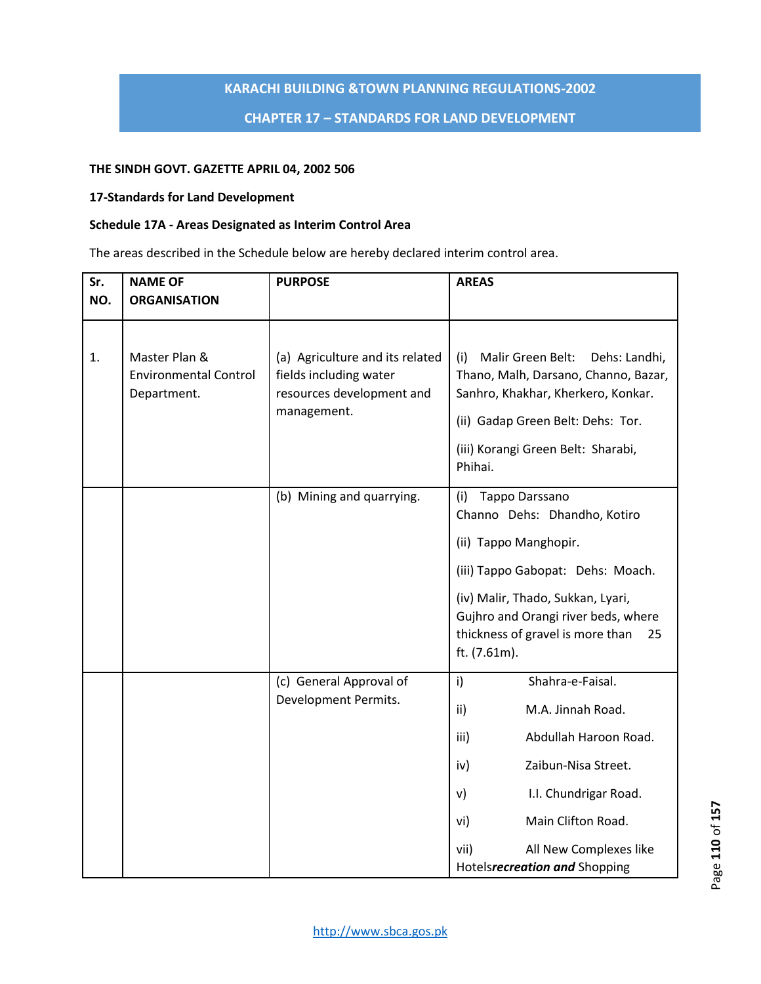#### **CHAPTER 17 – STANDARDS FOR LAND DEVELOPMENT**

#### **THE SINDH GOVT. GAZETTE APRIL 04, 2002 506**

#### **17-Standards for Land Development**

#### **Schedule 17A - Areas Designated as Interim Control Area**

The areas described in the Schedule below are hereby declared interim control area.

| Sr. | <b>NAME OF</b>                                               | <b>PURPOSE</b>                                                                                        | <b>AREAS</b>                                                                                                                                                                                                  |  |  |
|-----|--------------------------------------------------------------|-------------------------------------------------------------------------------------------------------|---------------------------------------------------------------------------------------------------------------------------------------------------------------------------------------------------------------|--|--|
| NO. | <b>ORGANISATION</b>                                          |                                                                                                       |                                                                                                                                                                                                               |  |  |
|     |                                                              |                                                                                                       |                                                                                                                                                                                                               |  |  |
| 1.  | Master Plan &<br><b>Environmental Control</b><br>Department. | (a) Agriculture and its related<br>fields including water<br>resources development and<br>management. | Dehs: Landhi,<br>(i)<br>Malir Green Belt:<br>Thano, Malh, Darsano, Channo, Bazar,<br>Sanhro, Khakhar, Kherkero, Konkar.<br>(ii) Gadap Green Belt: Dehs: Tor.<br>(iii) Korangi Green Belt: Sharabi,<br>Phihai. |  |  |
|     |                                                              | (b) Mining and quarrying.                                                                             | Tappo Darssano<br>(i)<br>Channo Dehs: Dhandho, Kotiro                                                                                                                                                         |  |  |
|     |                                                              |                                                                                                       | (ii) Tappo Manghopir.                                                                                                                                                                                         |  |  |
|     |                                                              |                                                                                                       | (iii) Tappo Gabopat: Dehs: Moach.                                                                                                                                                                             |  |  |
|     |                                                              |                                                                                                       | (iv) Malir, Thado, Sukkan, Lyari,<br>Gujhro and Orangi river beds, where<br>thickness of gravel is more than<br>25<br>ft. (7.61m).                                                                            |  |  |
|     |                                                              | (c) General Approval of                                                                               | i)<br>Shahra-e-Faisal.                                                                                                                                                                                        |  |  |
|     |                                                              | Development Permits.                                                                                  | M.A. Jinnah Road.<br>ii)                                                                                                                                                                                      |  |  |
|     |                                                              |                                                                                                       | Abdullah Haroon Road.<br>iii)                                                                                                                                                                                 |  |  |
|     |                                                              |                                                                                                       | Zaibun-Nisa Street.<br>iv)                                                                                                                                                                                    |  |  |
|     |                                                              |                                                                                                       | I.I. Chundrigar Road.<br>$\mathsf{v}$                                                                                                                                                                         |  |  |
|     |                                                              |                                                                                                       | Main Clifton Road.<br>vi)                                                                                                                                                                                     |  |  |
|     |                                                              |                                                                                                       | All New Complexes like<br>vii)<br>Hotelsrecreation and Shopping                                                                                                                                               |  |  |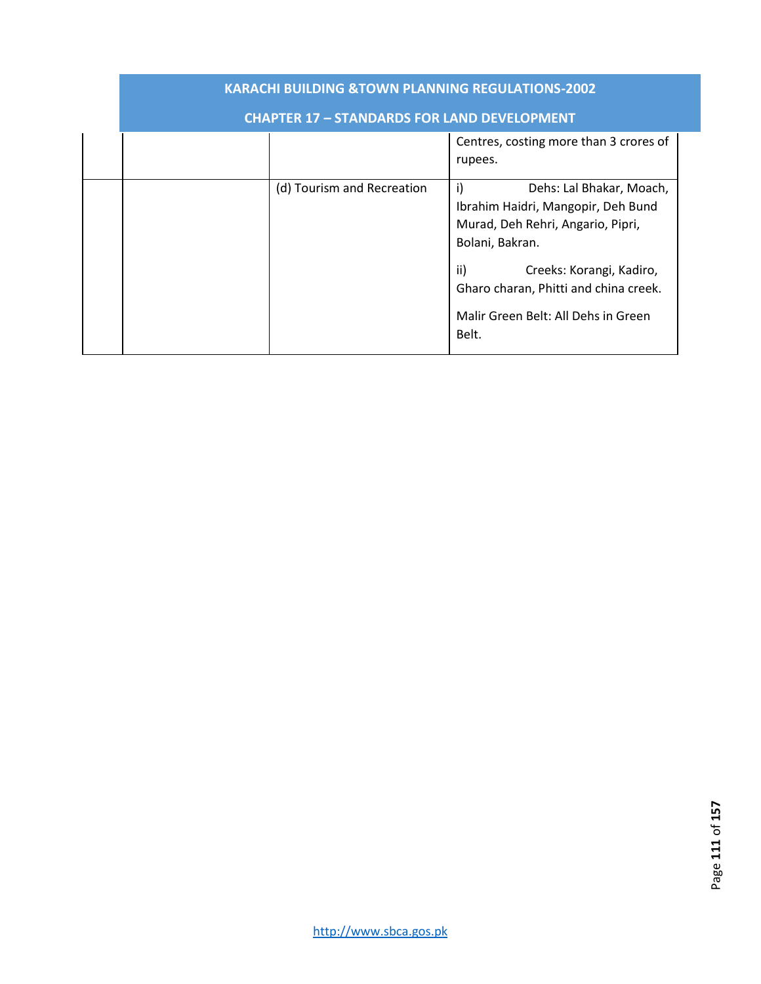| <b>KARACHI BUILDING &amp;TOWN PLANNING REGULATIONS-2002</b> |                            |                                                                                                                                                                                                                                                          |  |  |  |  |  |  |
|-------------------------------------------------------------|----------------------------|----------------------------------------------------------------------------------------------------------------------------------------------------------------------------------------------------------------------------------------------------------|--|--|--|--|--|--|
| <b>CHAPTER 17 - STANDARDS FOR LAND DEVELOPMENT</b>          |                            |                                                                                                                                                                                                                                                          |  |  |  |  |  |  |
|                                                             |                            | Centres, costing more than 3 crores of<br>rupees.                                                                                                                                                                                                        |  |  |  |  |  |  |
|                                                             | (d) Tourism and Recreation | i)<br>Dehs: Lal Bhakar, Moach,<br>Ibrahim Haidri, Mangopir, Deh Bund<br>Murad, Deh Rehri, Angario, Pipri,<br>Bolani, Bakran.<br>ii)<br>Creeks: Korangi, Kadiro,<br>Gharo charan, Phitti and china creek.<br>Malir Green Belt: All Dehs in Green<br>Belt. |  |  |  |  |  |  |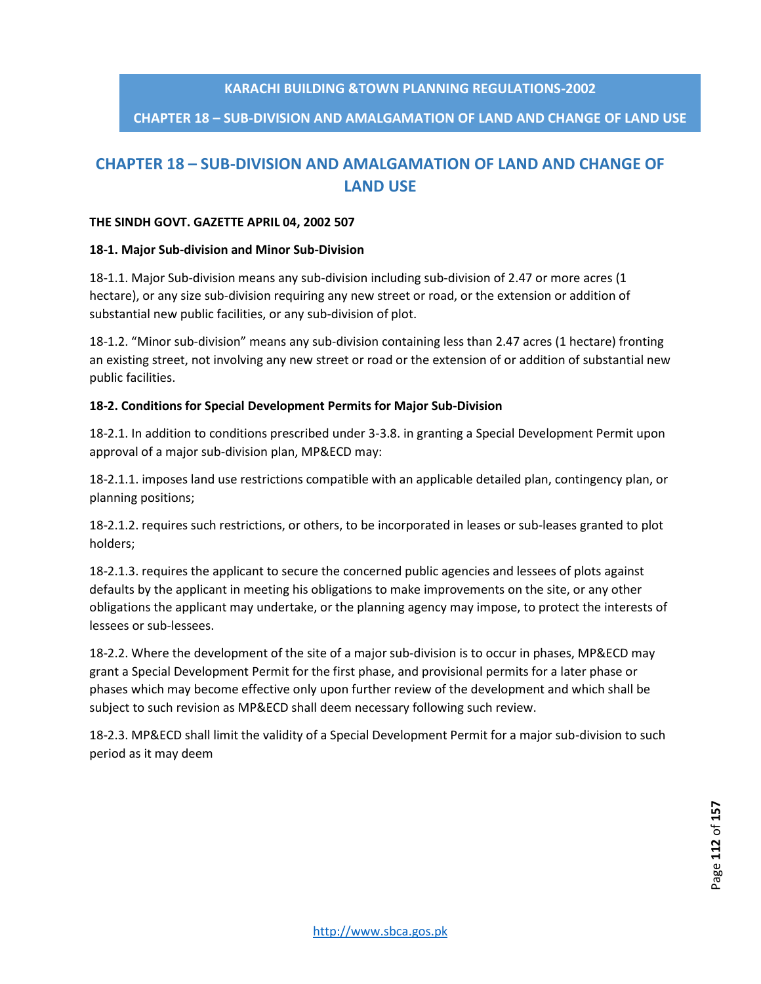# **CHAPTER 18 – SUB-DIVISION AND AMALGAMATION OF LAND AND CHANGE OF LAND USE**

# **CHAPTER 18 – SUB-DIVISION AND AMALGAMATION OF LAND AND CHANGE OF LAND USE**

#### **THE SINDH GOVT. GAZETTE APRIL 04, 2002 507**

#### **18-1. Major Sub-division and Minor Sub-Division**

18-1.1. Major Sub-division means any sub-division including sub-division of 2.47 or more acres (1 hectare), or any size sub-division requiring any new street or road, or the extension or addition of substantial new public facilities, or any sub-division of plot.

18-1.2. "Minor sub-division" means any sub-division containing less than 2.47 acres (1 hectare) fronting an existing street, not involving any new street or road or the extension of or addition of substantial new public facilities.

#### **18-2. Conditions for Special Development Permits for Major Sub-Division**

18-2.1. In addition to conditions prescribed under 3-3.8. in granting a Special Development Permit upon approval of a major sub-division plan, MP&ECD may:

18-2.1.1. imposes land use restrictions compatible with an applicable detailed plan, contingency plan, or planning positions;

18-2.1.2. requires such restrictions, or others, to be incorporated in leases or sub-leases granted to plot holders;

18-2.1.3. requires the applicant to secure the concerned public agencies and lessees of plots against defaults by the applicant in meeting his obligations to make improvements on the site, or any other obligations the applicant may undertake, or the planning agency may impose, to protect the interests of lessees or sub-lessees.

18-2.2. Where the development of the site of a major sub-division is to occur in phases, MP&ECD may grant a Special Development Permit for the first phase, and provisional permits for a later phase or phases which may become effective only upon further review of the development and which shall be subject to such revision as MP&ECD shall deem necessary following such review.

18-2.3. MP&ECD shall limit the validity of a Special Development Permit for a major sub-division to such period as it may deem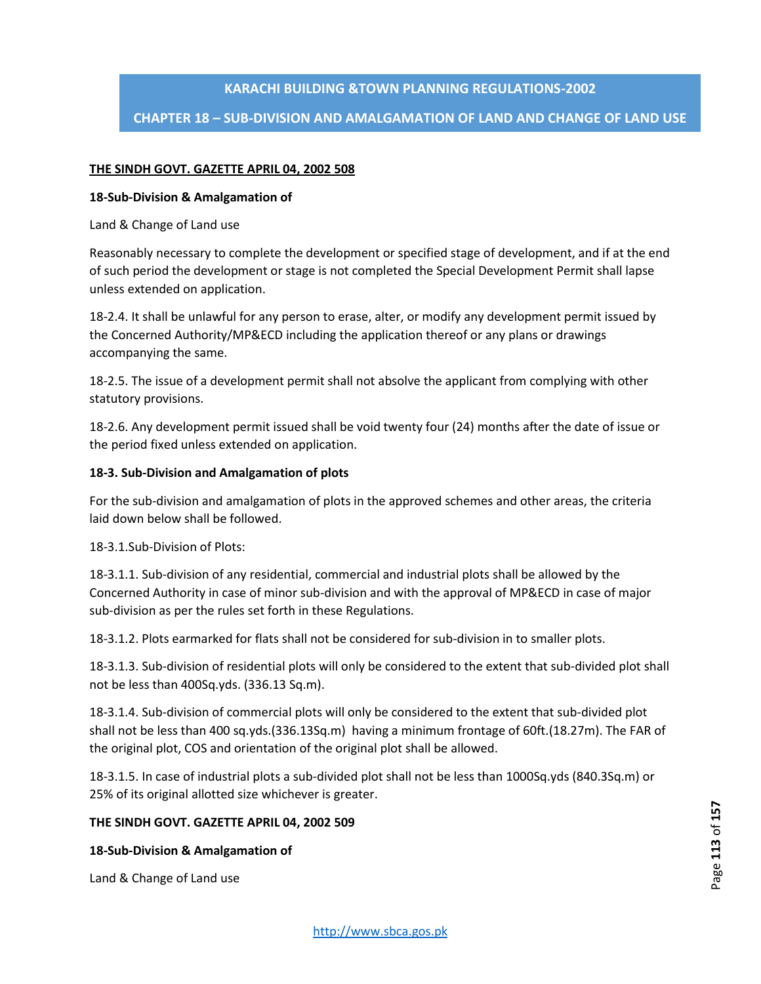# **CHAPTER 18 – SUB-DIVISION AND AMALGAMATION OF LAND AND CHANGE OF LAND USE**

#### **THE SINDH GOVT. GAZETTE APRIL 04, 2002 508**

#### **18-Sub-Division & Amalgamation of**

Land & Change of Land use

Reasonably necessary to complete the development or specified stage of development, and if at the end of such period the development or stage is not completed the Special Development Permit shall lapse unless extended on application.

18-2.4. It shall be unlawful for any person to erase, alter, or modify any development permit issued by the Concerned Authority/MP&ECD including the application thereof or any plans or drawings accompanying the same.

18-2.5. The issue of a development permit shall not absolve the applicant from complying with other statutory provisions.

18-2.6. Any development permit issued shall be void twenty four (24) months after the date of issue or the period fixed unless extended on application.

#### **18-3. Sub-Division and Amalgamation of plots**

For the sub-division and amalgamation of plots in the approved schemes and other areas, the criteria laid down below shall be followed.

18-3.1.Sub-Division of Plots:

18-3.1.1. Sub-division of any residential, commercial and industrial plots shall be allowed by the Concerned Authority in case of minor sub-division and with the approval of MP&ECD in case of major sub-division as per the rules set forth in these Regulations.

18-3.1.2. Plots earmarked for flats shall not be considered for sub-division in to smaller plots.

18-3.1.3. Sub-division of residential plots will only be considered to the extent that sub-divided plot shall not be less than 400Sq.yds. (336.13 Sq.m).

18-3.1.4. Sub-division of commercial plots will only be considered to the extent that sub-divided plot shall not be less than 400 sq.yds.(336.13Sq.m) having a minimum frontage of 60ft.(18.27m). The FAR of the original plot, COS and orientation of the original plot shall be allowed.

18-3.1.5. In case of industrial plots a sub-divided plot shall not be less than 1000Sq.yds (840.3Sq.m) or 25% of its original allotted size whichever is greater.

#### **THE SINDH GOVT. GAZETTE APRIL 04, 2002 509**

#### **18-Sub-Division & Amalgamation of**

Land & Change of Land use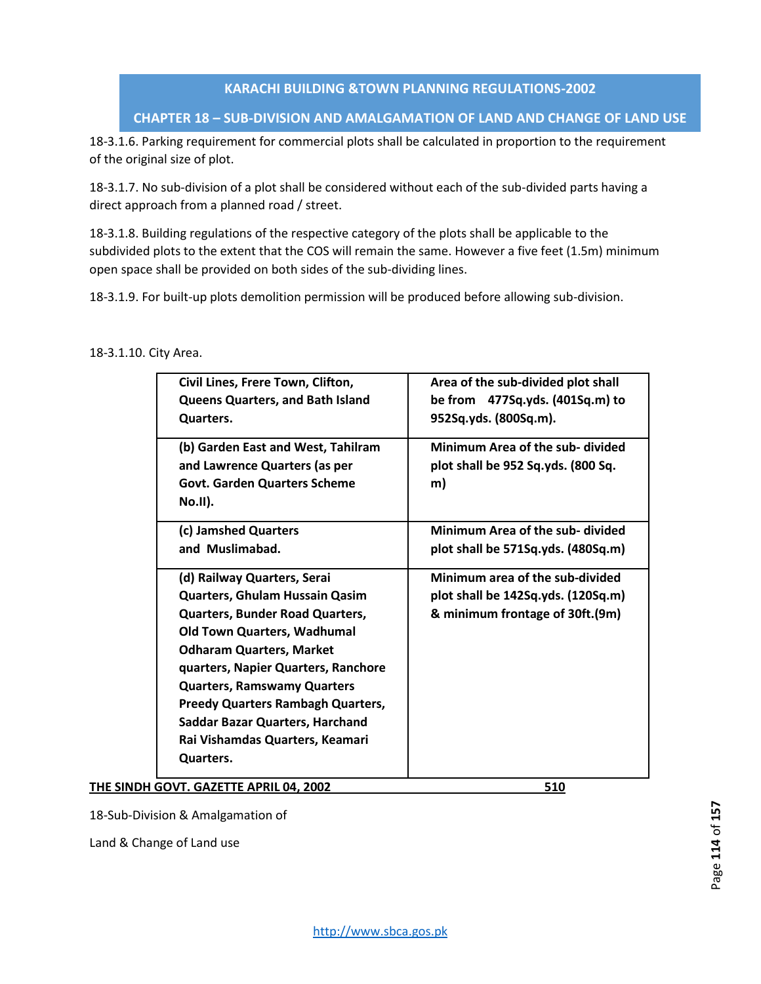### **CHAPTER 18 – SUB-DIVISION AND AMALGAMATION OF LAND AND CHANGE OF LAND USE**

18-3.1.6. Parking requirement for commercial plots shall be calculated in proportion to the requirement of the original size of plot.

18-3.1.7. No sub-division of a plot shall be considered without each of the sub-divided parts having a direct approach from a planned road / street.

18-3.1.8. Building regulations of the respective category of the plots shall be applicable to the subdivided plots to the extent that the COS will remain the same. However a five feet (1.5m) minimum open space shall be provided on both sides of the sub-dividing lines.

18-3.1.9. For built-up plots demolition permission will be produced before allowing sub-division.

#### 18-3.1.10. City Area.

| Area of the sub-divided plot shall<br>Civil Lines, Frere Town, Clifton,<br>be from 477Sq.yds. (401Sq.m) to<br><b>Queens Quarters, and Bath Island</b><br>952Sq.yds. (800Sq.m).<br>Quarters.<br>Minimum Area of the sub- divided<br>(b) Garden East and West, Tahilram<br>and Lawrence Quarters (as per<br>plot shall be 952 Sq.yds. (800 Sq.<br><b>Govt. Garden Quarters Scheme</b><br>m)<br>No.II).<br>Minimum Area of the sub- divided<br>(c) Jamshed Quarters<br>and Muslimabad.<br>plot shall be 571Sq.yds. (480Sq.m)<br>Minimum area of the sub-divided<br>(d) Railway Quarters, Serai<br>Quarters, Ghulam Hussain Qasim<br>plot shall be 142Sq.yds. (120Sq.m)<br>& minimum frontage of 30ft.(9m)<br><b>Quarters, Bunder Road Quarters,</b><br><b>Old Town Quarters, Wadhumal</b><br><b>Odharam Quarters, Market</b><br>quarters, Napier Quarters, Ranchore<br><b>Quarters, Ramswamy Quarters</b><br><b>Preedy Quarters Rambagh Quarters,</b><br>Saddar Bazar Quarters, Harchand<br>Rai Vishamdas Quarters, Keamari<br>Quarters. |  |  |
|---------------------------------------------------------------------------------------------------------------------------------------------------------------------------------------------------------------------------------------------------------------------------------------------------------------------------------------------------------------------------------------------------------------------------------------------------------------------------------------------------------------------------------------------------------------------------------------------------------------------------------------------------------------------------------------------------------------------------------------------------------------------------------------------------------------------------------------------------------------------------------------------------------------------------------------------------------------------------------------------------------------------------------------|--|--|
|                                                                                                                                                                                                                                                                                                                                                                                                                                                                                                                                                                                                                                                                                                                                                                                                                                                                                                                                                                                                                                       |  |  |
|                                                                                                                                                                                                                                                                                                                                                                                                                                                                                                                                                                                                                                                                                                                                                                                                                                                                                                                                                                                                                                       |  |  |
|                                                                                                                                                                                                                                                                                                                                                                                                                                                                                                                                                                                                                                                                                                                                                                                                                                                                                                                                                                                                                                       |  |  |
|                                                                                                                                                                                                                                                                                                                                                                                                                                                                                                                                                                                                                                                                                                                                                                                                                                                                                                                                                                                                                                       |  |  |
|                                                                                                                                                                                                                                                                                                                                                                                                                                                                                                                                                                                                                                                                                                                                                                                                                                                                                                                                                                                                                                       |  |  |
|                                                                                                                                                                                                                                                                                                                                                                                                                                                                                                                                                                                                                                                                                                                                                                                                                                                                                                                                                                                                                                       |  |  |
|                                                                                                                                                                                                                                                                                                                                                                                                                                                                                                                                                                                                                                                                                                                                                                                                                                                                                                                                                                                                                                       |  |  |
|                                                                                                                                                                                                                                                                                                                                                                                                                                                                                                                                                                                                                                                                                                                                                                                                                                                                                                                                                                                                                                       |  |  |
|                                                                                                                                                                                                                                                                                                                                                                                                                                                                                                                                                                                                                                                                                                                                                                                                                                                                                                                                                                                                                                       |  |  |
|                                                                                                                                                                                                                                                                                                                                                                                                                                                                                                                                                                                                                                                                                                                                                                                                                                                                                                                                                                                                                                       |  |  |
|                                                                                                                                                                                                                                                                                                                                                                                                                                                                                                                                                                                                                                                                                                                                                                                                                                                                                                                                                                                                                                       |  |  |
|                                                                                                                                                                                                                                                                                                                                                                                                                                                                                                                                                                                                                                                                                                                                                                                                                                                                                                                                                                                                                                       |  |  |
|                                                                                                                                                                                                                                                                                                                                                                                                                                                                                                                                                                                                                                                                                                                                                                                                                                                                                                                                                                                                                                       |  |  |
|                                                                                                                                                                                                                                                                                                                                                                                                                                                                                                                                                                                                                                                                                                                                                                                                                                                                                                                                                                                                                                       |  |  |
|                                                                                                                                                                                                                                                                                                                                                                                                                                                                                                                                                                                                                                                                                                                                                                                                                                                                                                                                                                                                                                       |  |  |

**THE SINDH GOVT. GAZETTE APRIL 04, 2002 510** 

18-Sub-Division & Amalgamation of

Land & Change of Land use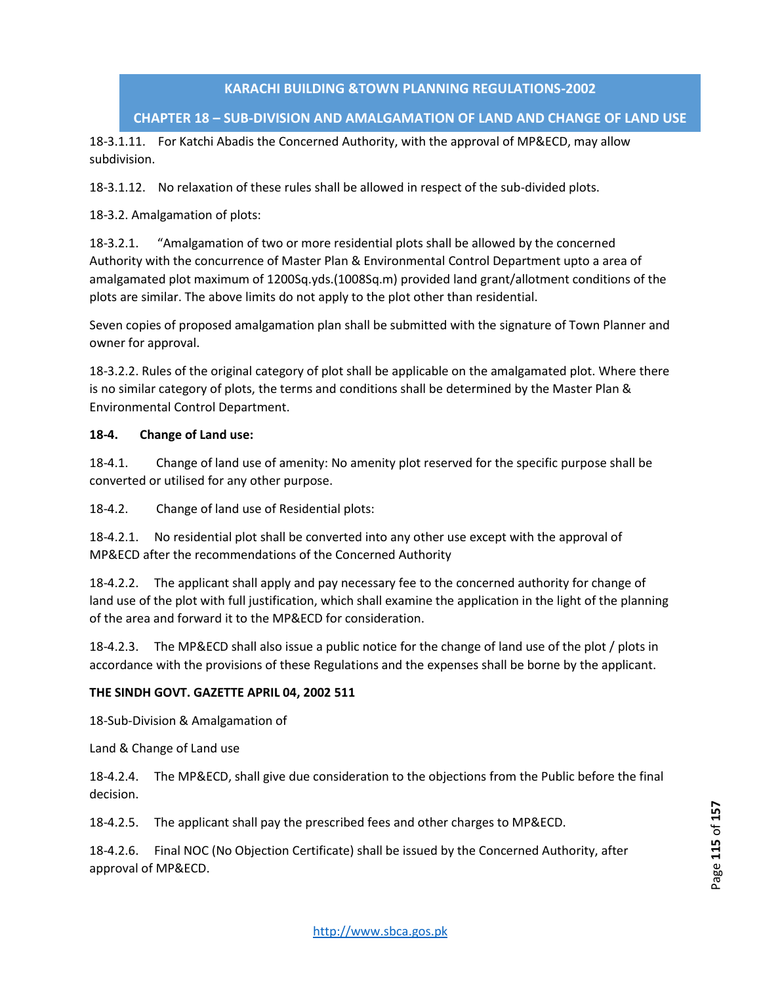# **CHAPTER 18 – SUB-DIVISION AND AMALGAMATION OF LAND AND CHANGE OF LAND USE**

18-3.1.11. For Katchi Abadis the Concerned Authority, with the approval of MP&ECD, may allow subdivision.

18-3.1.12. No relaxation of these rules shall be allowed in respect of the sub-divided plots.

18-3.2. Amalgamation of plots:

18-3.2.1. "Amalgamation of two or more residential plots shall be allowed by the concerned Authority with the concurrence of Master Plan & Environmental Control Department upto a area of amalgamated plot maximum of 1200Sq.yds.(1008Sq.m) provided land grant/allotment conditions of the plots are similar. The above limits do not apply to the plot other than residential.

Seven copies of proposed amalgamation plan shall be submitted with the signature of Town Planner and owner for approval.

18-3.2.2. Rules of the original category of plot shall be applicable on the amalgamated plot. Where there is no similar category of plots, the terms and conditions shall be determined by the Master Plan & Environmental Control Department.

#### **18-4. Change of Land use:**

18-4.1. Change of land use of amenity: No amenity plot reserved for the specific purpose shall be converted or utilised for any other purpose.

18-4.2. Change of land use of Residential plots:

18-4.2.1. No residential plot shall be converted into any other use except with the approval of MP&ECD after the recommendations of the Concerned Authority

18-4.2.2. The applicant shall apply and pay necessary fee to the concerned authority for change of land use of the plot with full justification, which shall examine the application in the light of the planning of the area and forward it to the MP&ECD for consideration.

18-4.2.3. The MP&ECD shall also issue a public notice for the change of land use of the plot / plots in accordance with the provisions of these Regulations and the expenses shall be borne by the applicant.

#### **THE SINDH GOVT. GAZETTE APRIL 04, 2002 511**

18-Sub-Division & Amalgamation of

Land & Change of Land use

18-4.2.4. The MP&ECD, shall give due consideration to the objections from the Public before the final decision.

18-4.2.5. The applicant shall pay the prescribed fees and other charges to MP&ECD.

18-4.2.6. Final NOC (No Objection Certificate) shall be issued by the Concerned Authority, after approval of MP&ECD.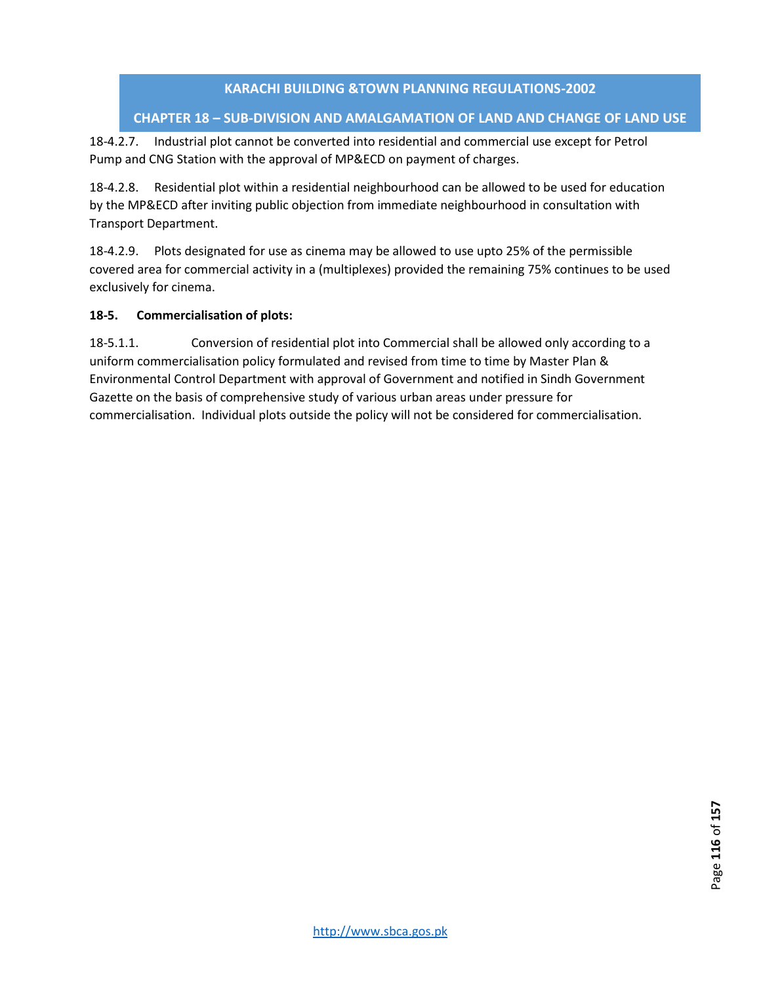# **CHAPTER 18 – SUB-DIVISION AND AMALGAMATION OF LAND AND CHANGE OF LAND USE**

18-4.2.7. Industrial plot cannot be converted into residential and commercial use except for Petrol Pump and CNG Station with the approval of MP&ECD on payment of charges.

18-4.2.8. Residential plot within a residential neighbourhood can be allowed to be used for education by the MP&ECD after inviting public objection from immediate neighbourhood in consultation with Transport Department.

18-4.2.9. Plots designated for use as cinema may be allowed to use upto 25% of the permissible covered area for commercial activity in a (multiplexes) provided the remaining 75% continues to be used exclusively for cinema.

# **18-5. Commercialisation of plots:**

18-5.1.1. Conversion of residential plot into Commercial shall be allowed only according to a uniform commercialisation policy formulated and revised from time to time by Master Plan & Environmental Control Department with approval of Government and notified in Sindh Government Gazette on the basis of comprehensive study of various urban areas under pressure for commercialisation. Individual plots outside the policy will not be considered for commercialisation.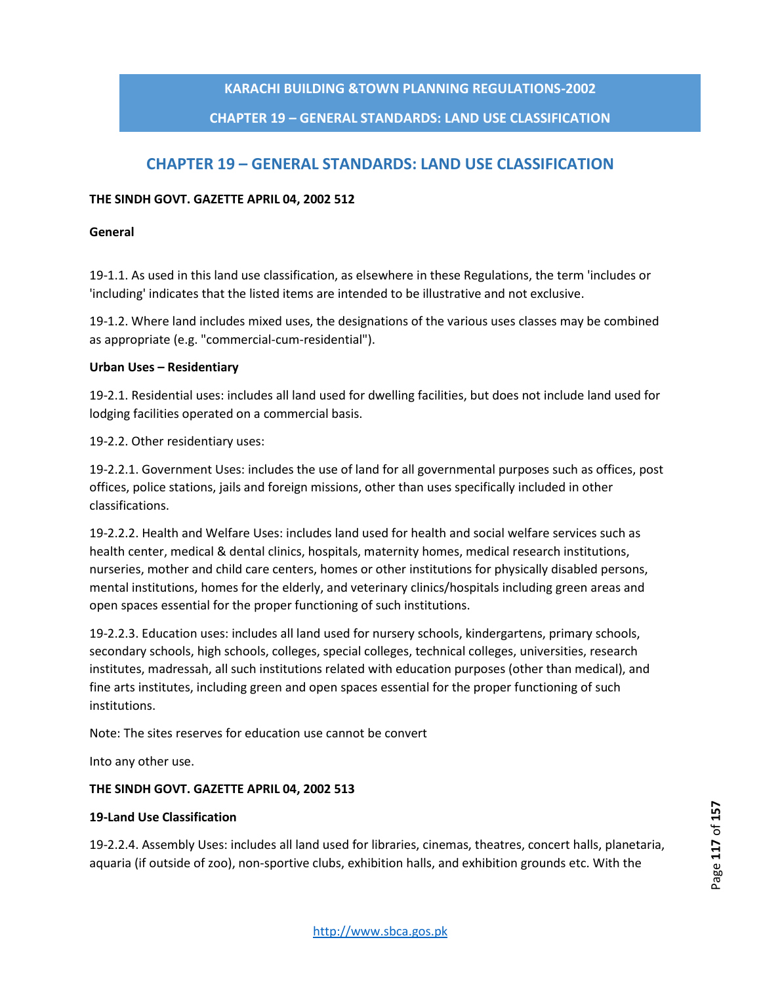### **CHAPTER 19 – GENERAL STANDARDS: LAND USE CLASSIFICATION**

# **CHAPTER 19 – GENERAL STANDARDS: LAND USE CLASSIFICATION**

#### **THE SINDH GOVT. GAZETTE APRIL 04, 2002 512**

#### **General**

19-1.1. As used in this land use classification, as elsewhere in these Regulations, the term 'includes or 'including' indicates that the listed items are intended to be illustrative and not exclusive.

19-1.2. Where land includes mixed uses, the designations of the various uses classes may be combined as appropriate (e.g. "commercial-cum-residential").

#### **Urban Uses – Residentiary**

19-2.1. Residential uses: includes all land used for dwelling facilities, but does not include land used for lodging facilities operated on a commercial basis.

19-2.2. Other residentiary uses:

19-2.2.1. Government Uses: includes the use of land for all governmental purposes such as offices, post offices, police stations, jails and foreign missions, other than uses specifically included in other classifications.

19-2.2.2. Health and Welfare Uses: includes land used for health and social welfare services such as health center, medical & dental clinics, hospitals, maternity homes, medical research institutions, nurseries, mother and child care centers, homes or other institutions for physically disabled persons, mental institutions, homes for the elderly, and veterinary clinics/hospitals including green areas and open spaces essential for the proper functioning of such institutions.

19-2.2.3. Education uses: includes all land used for nursery schools, kindergartens, primary schools, secondary schools, high schools, colleges, special colleges, technical colleges, universities, research institutes, madressah, all such institutions related with education purposes (other than medical), and fine arts institutes, including green and open spaces essential for the proper functioning of such institutions.

Note: The sites reserves for education use cannot be convert

Into any other use.

#### **THE SINDH GOVT. GAZETTE APRIL 04, 2002 513**

#### **19-Land Use Classification**

19-2.2.4. Assembly Uses: includes all land used for libraries, cinemas, theatres, concert halls, planetaria, aquaria (if outside of zoo), non-sportive clubs, exhibition halls, and exhibition grounds etc. With the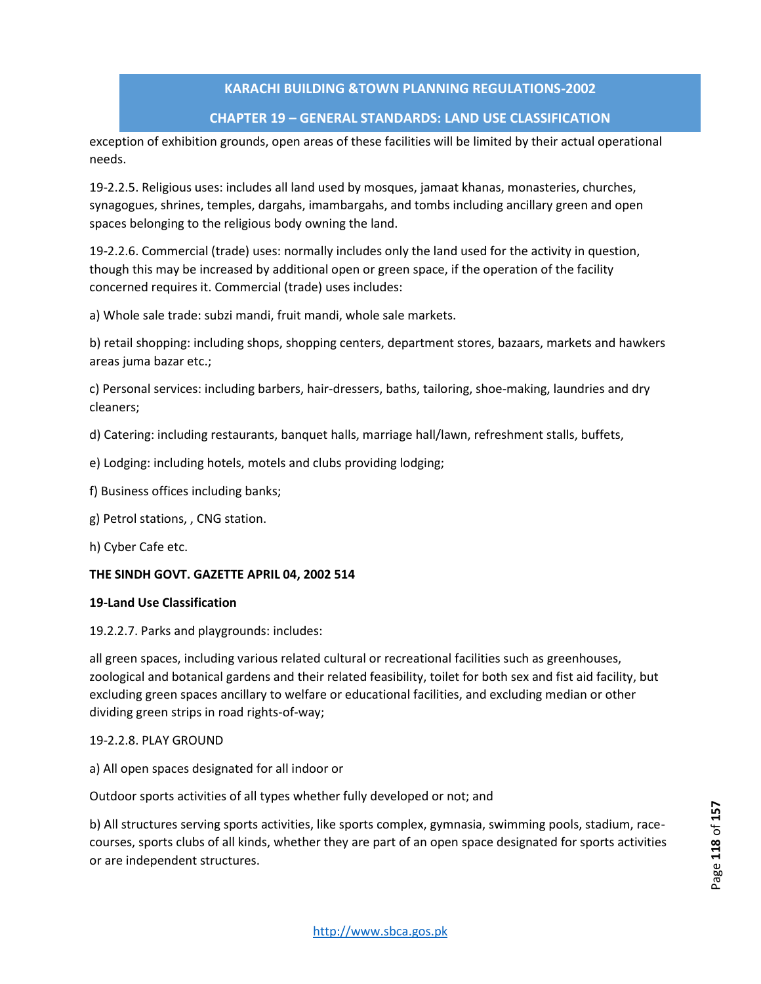#### **CHAPTER 19 – GENERAL STANDARDS: LAND USE CLASSIFICATION**

exception of exhibition grounds, open areas of these facilities will be limited by their actual operational needs.

19-2.2.5. Religious uses: includes all land used by mosques, jamaat khanas, monasteries, churches, synagogues, shrines, temples, dargahs, imambargahs, and tombs including ancillary green and open spaces belonging to the religious body owning the land.

19-2.2.6. Commercial (trade) uses: normally includes only the land used for the activity in question, though this may be increased by additional open or green space, if the operation of the facility concerned requires it. Commercial (trade) uses includes:

a) Whole sale trade: subzi mandi, fruit mandi, whole sale markets.

b) retail shopping: including shops, shopping centers, department stores, bazaars, markets and hawkers areas juma bazar etc.;

c) Personal services: including barbers, hair-dressers, baths, tailoring, shoe-making, laundries and dry cleaners;

d) Catering: including restaurants, banquet halls, marriage hall/lawn, refreshment stalls, buffets,

- e) Lodging: including hotels, motels and clubs providing lodging;
- f) Business offices including banks;
- g) Petrol stations, , CNG station.
- h) Cyber Cafe etc.

#### **THE SINDH GOVT. GAZETTE APRIL 04, 2002 514**

#### **19-Land Use Classification**

19.2.2.7. Parks and playgrounds: includes:

all green spaces, including various related cultural or recreational facilities such as greenhouses, zoological and botanical gardens and their related feasibility, toilet for both sex and fist aid facility, but excluding green spaces ancillary to welfare or educational facilities, and excluding median or other dividing green strips in road rights-of-way;

#### 19-2.2.8. PLAY GROUND

a) All open spaces designated for all indoor or

Outdoor sports activities of all types whether fully developed or not; and

b) All structures serving sports activities, like sports complex, gymnasia, swimming pools, stadium, racecourses, sports clubs of all kinds, whether they are part of an open space designated for sports activities or are independent structures.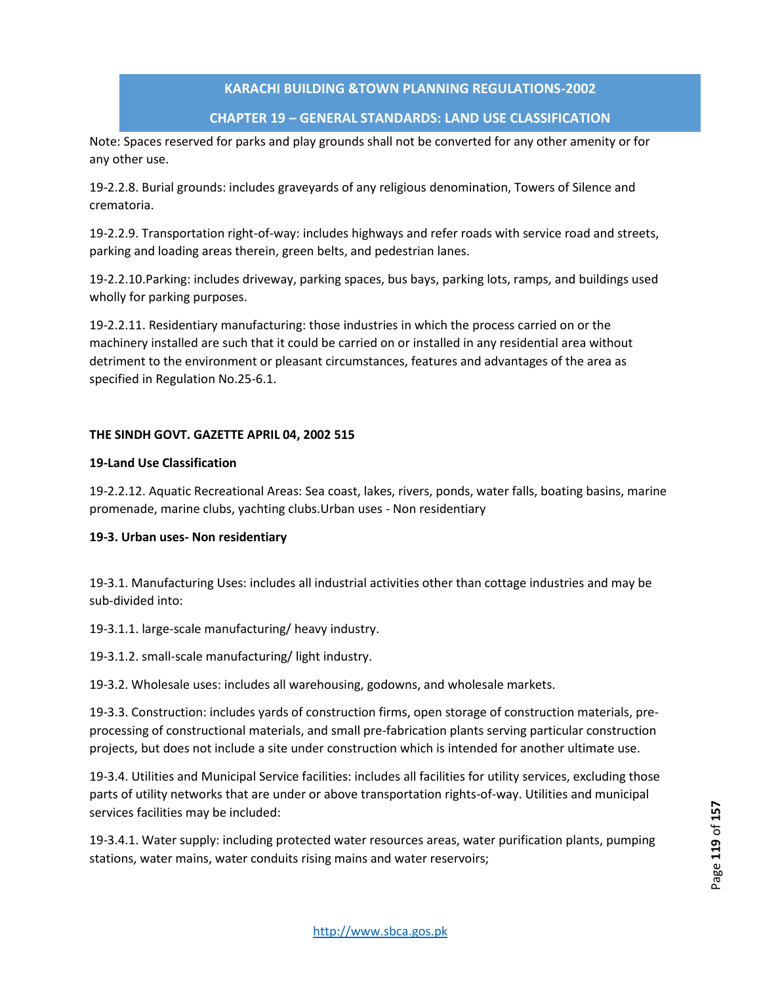# **CHAPTER 19 – GENERAL STANDARDS: LAND USE CLASSIFICATION**

Note: Spaces reserved for parks and play grounds shall not be converted for any other amenity or for any other use.

19-2.2.8. Burial grounds: includes graveyards of any religious denomination, Towers of Silence and crematoria.

19-2.2.9. Transportation right-of-way: includes highways and refer roads with service road and streets, parking and loading areas therein, green belts, and pedestrian lanes.

19-2.2.10.Parking: includes driveway, parking spaces, bus bays, parking lots, ramps, and buildings used wholly for parking purposes.

19-2.2.11. Residentiary manufacturing: those industries in which the process carried on or the machinery installed are such that it could be carried on or installed in any residential area without detriment to the environment or pleasant circumstances, features and advantages of the area as specified in Regulation No.25-6.1.

#### **THE SINDH GOVT. GAZETTE APRIL 04, 2002 515**

#### **19-Land Use Classification**

19-2.2.12. Aquatic Recreational Areas: Sea coast, lakes, rivers, ponds, water falls, boating basins, marine promenade, marine clubs, yachting clubs.Urban uses - Non residentiary

#### **19-3. Urban uses- Non residentiary**

19-3.1. Manufacturing Uses: includes all industrial activities other than cottage industries and may be sub-divided into:

19-3.1.1. large-scale manufacturing/ heavy industry.

19-3.1.2. small-scale manufacturing/ light industry.

19-3.2. Wholesale uses: includes all warehousing, godowns, and wholesale markets.

19-3.3. Construction: includes yards of construction firms, open storage of construction materials, preprocessing of constructional materials, and small pre-fabrication plants serving particular construction projects, but does not include a site under construction which is intended for another ultimate use.

19-3.4. Utilities and Municipal Service facilities: includes all facilities for utility services, excluding those parts of utility networks that are under or above transportation rights-of-way. Utilities and municipal services facilities may be included:

19-3.4.1. Water supply: including protected water resources areas, water purification plants, pumping stations, water mains, water conduits rising mains and water reservoirs;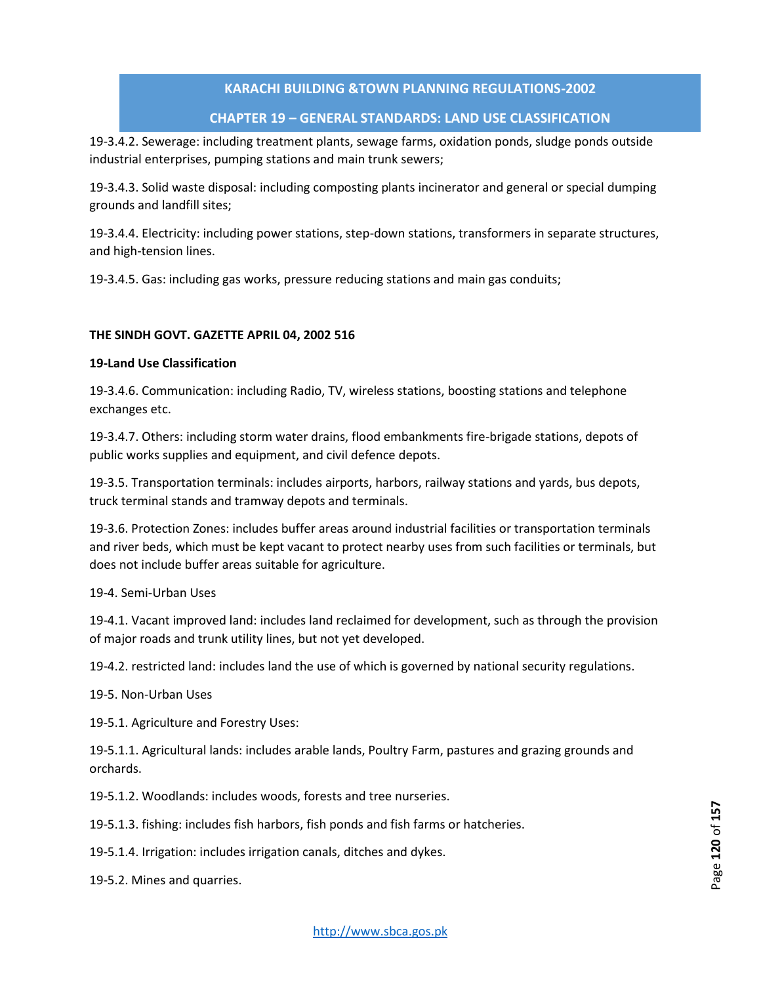### **CHAPTER 19 – GENERAL STANDARDS: LAND USE CLASSIFICATION**

19-3.4.2. Sewerage: including treatment plants, sewage farms, oxidation ponds, sludge ponds outside industrial enterprises, pumping stations and main trunk sewers;

19-3.4.3. Solid waste disposal: including composting plants incinerator and general or special dumping grounds and landfill sites;

19-3.4.4. Electricity: including power stations, step-down stations, transformers in separate structures, and high-tension lines.

19-3.4.5. Gas: including gas works, pressure reducing stations and main gas conduits;

#### **THE SINDH GOVT. GAZETTE APRIL 04, 2002 516**

#### **19-Land Use Classification**

19-3.4.6. Communication: including Radio, TV, wireless stations, boosting stations and telephone exchanges etc.

19-3.4.7. Others: including storm water drains, flood embankments fire-brigade stations, depots of public works supplies and equipment, and civil defence depots.

19-3.5. Transportation terminals: includes airports, harbors, railway stations and yards, bus depots, truck terminal stands and tramway depots and terminals.

19-3.6. Protection Zones: includes buffer areas around industrial facilities or transportation terminals and river beds, which must be kept vacant to protect nearby uses from such facilities or terminals, but does not include buffer areas suitable for agriculture.

#### 19-4. Semi-Urban Uses

19-4.1. Vacant improved land: includes land reclaimed for development, such as through the provision of major roads and trunk utility lines, but not yet developed.

19-4.2. restricted land: includes land the use of which is governed by national security regulations.

19-5. Non-Urban Uses

19-5.1. Agriculture and Forestry Uses:

19-5.1.1. Agricultural lands: includes arable lands, Poultry Farm, pastures and grazing grounds and orchards.

19-5.1.2. Woodlands: includes woods, forests and tree nurseries.

19-5.1.3. fishing: includes fish harbors, fish ponds and fish farms or hatcheries.

19-5.1.4. Irrigation: includes irrigation canals, ditches and dykes.

19-5.2. Mines and quarries.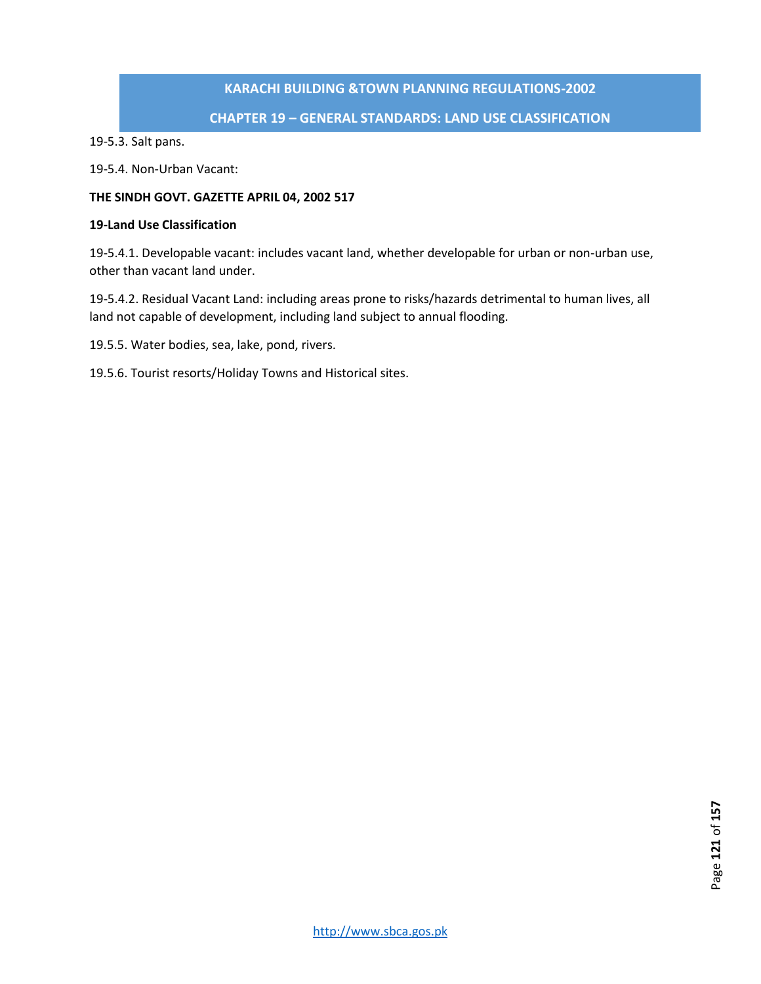#### **CHAPTER 19 – GENERAL STANDARDS: LAND USE CLASSIFICATION**

19-5.3. Salt pans.

19-5.4. Non-Urban Vacant:

#### **THE SINDH GOVT. GAZETTE APRIL 04, 2002 517**

#### **19-Land Use Classification**

19-5.4.1. Developable vacant: includes vacant land, whether developable for urban or non-urban use, other than vacant land under.

19-5.4.2. Residual Vacant Land: including areas prone to risks/hazards detrimental to human lives, all land not capable of development, including land subject to annual flooding.

19.5.5. Water bodies, sea, lake, pond, rivers.

19.5.6. Tourist resorts/Holiday Towns and Historical sites.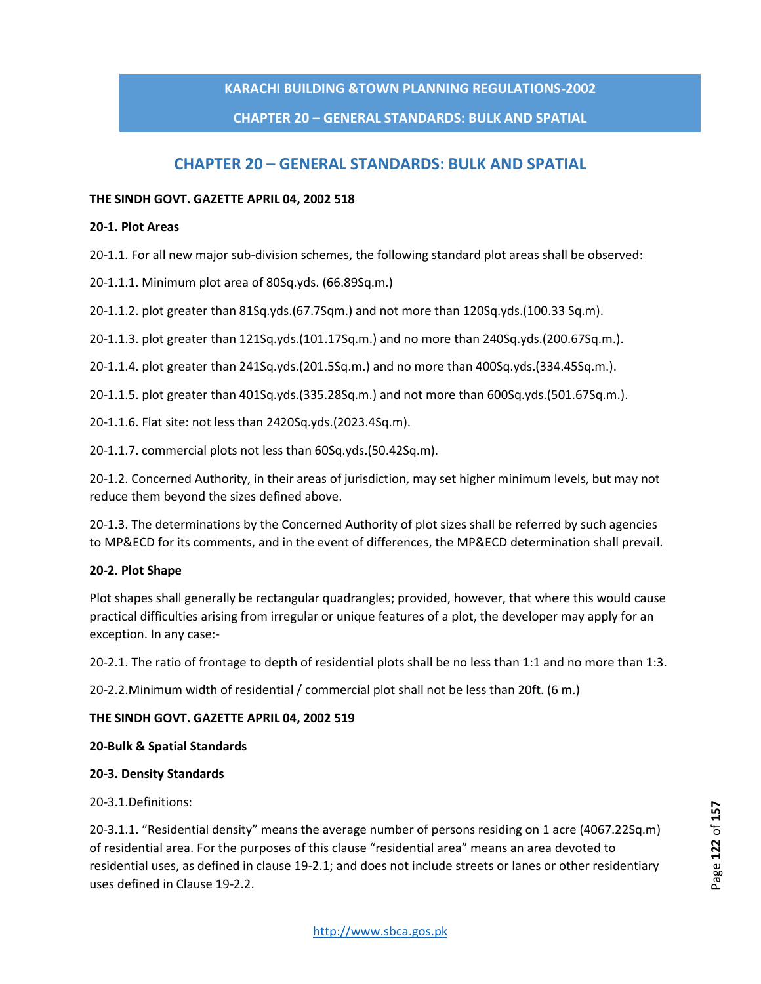### **CHAPTER 20 – GENERAL STANDARDS: BULK AND SPATIAL**

# **CHAPTER 20 – GENERAL STANDARDS: BULK AND SPATIAL**

#### **THE SINDH GOVT. GAZETTE APRIL 04, 2002 518**

#### **20-1. Plot Areas**

20-1.1. For all new major sub-division schemes, the following standard plot areas shall be observed:

20-1.1.1. Minimum plot area of 80Sq.yds. (66.89Sq.m.)

20-1.1.2. plot greater than 81Sq.yds.(67.7Sqm.) and not more than 120Sq.yds.(100.33 Sq.m).

20-1.1.3. plot greater than 121Sq.yds.(101.17Sq.m.) and no more than 240Sq.yds.(200.67Sq.m.).

20-1.1.4. plot greater than 241Sq.yds.(201.5Sq.m.) and no more than 400Sq.yds.(334.45Sq.m.).

20-1.1.5. plot greater than 401Sq.yds.(335.28Sq.m.) and not more than 600Sq.yds.(501.67Sq.m.).

20-1.1.6. Flat site: not less than 2420Sq.yds.(2023.4Sq.m).

20-1.1.7. commercial plots not less than 60Sq.yds.(50.42Sq.m).

20-1.2. Concerned Authority, in their areas of jurisdiction, may set higher minimum levels, but may not reduce them beyond the sizes defined above.

20-1.3. The determinations by the Concerned Authority of plot sizes shall be referred by such agencies to MP&ECD for its comments, and in the event of differences, the MP&ECD determination shall prevail.

#### **20-2. Plot Shape**

Plot shapes shall generally be rectangular quadrangles; provided, however, that where this would cause practical difficulties arising from irregular or unique features of a plot, the developer may apply for an exception. In any case:-

20-2.1. The ratio of frontage to depth of residential plots shall be no less than 1:1 and no more than 1:3.

20-2.2.Minimum width of residential / commercial plot shall not be less than 20ft. (6 m.)

#### **THE SINDH GOVT. GAZETTE APRIL 04, 2002 519**

#### **20-Bulk & Spatial Standards**

#### **20-3. Density Standards**

20-3.1.Definitions:

20-3.1.1. "Residential density" means the average number of persons residing on 1 acre (4067.22Sq.m) of residential area. For the purposes of this clause "residential area" means an area devoted to residential uses, as defined in clause 19-2.1; and does not include streets or lanes or other residentiary uses defined in Clause 19-2.2.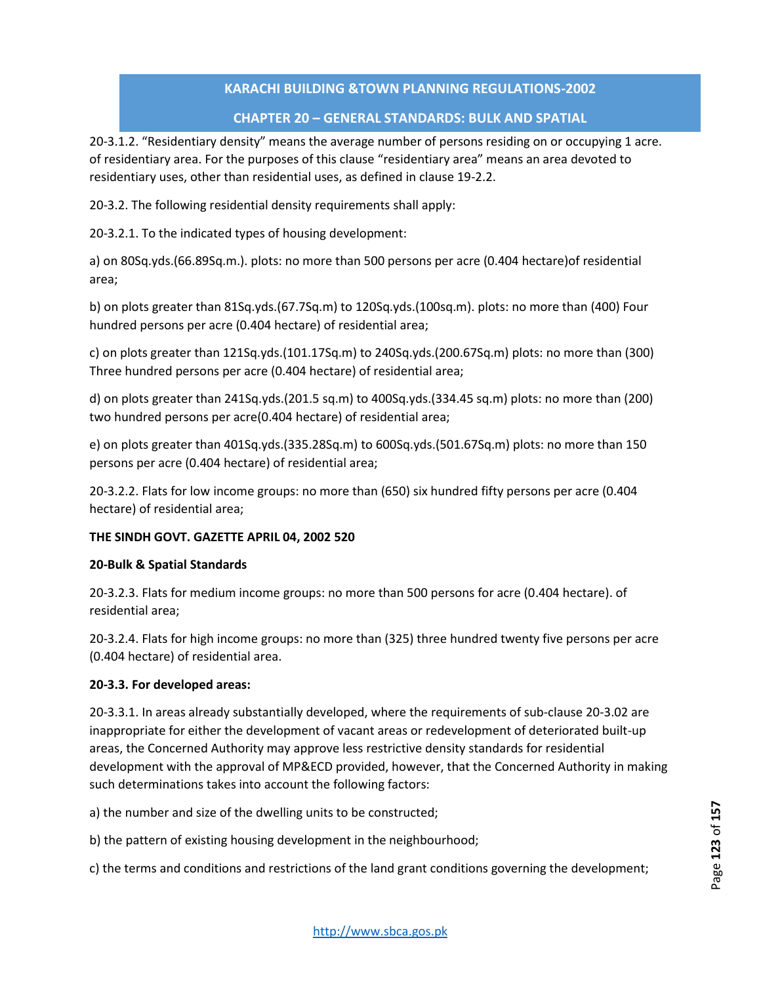# **CHAPTER 20 – GENERAL STANDARDS: BULK AND SPATIAL**

20-3.1.2. "Residentiary density" means the average number of persons residing on or occupying 1 acre. of residentiary area. For the purposes of this clause "residentiary area" means an area devoted to residentiary uses, other than residential uses, as defined in clause 19-2.2.

20-3.2. The following residential density requirements shall apply:

20-3.2.1. To the indicated types of housing development:

a) on 80Sq.yds.(66.89Sq.m.). plots: no more than 500 persons per acre (0.404 hectare)of residential area;

b) on plots greater than 81Sq.yds.(67.7Sq.m) to 120Sq.yds.(100sq.m). plots: no more than (400) Four hundred persons per acre (0.404 hectare) of residential area;

c) on plots greater than 121Sq.yds.(101.17Sq.m) to 240Sq.yds.(200.67Sq.m) plots: no more than (300) Three hundred persons per acre (0.404 hectare) of residential area;

d) on plots greater than 241Sq.yds.(201.5 sq.m) to 400Sq.yds.(334.45 sq.m) plots: no more than (200) two hundred persons per acre(0.404 hectare) of residential area;

e) on plots greater than 401Sq.yds.(335.28Sq.m) to 600Sq.yds.(501.67Sq.m) plots: no more than 150 persons per acre (0.404 hectare) of residential area;

20-3.2.2. Flats for low income groups: no more than (650) six hundred fifty persons per acre (0.404 hectare) of residential area;

#### **THE SINDH GOVT. GAZETTE APRIL 04, 2002 520**

#### **20-Bulk & Spatial Standards**

20-3.2.3. Flats for medium income groups: no more than 500 persons for acre (0.404 hectare). of residential area;

20-3.2.4. Flats for high income groups: no more than (325) three hundred twenty five persons per acre (0.404 hectare) of residential area.

#### **20-3.3. For developed areas:**

20-3.3.1. In areas already substantially developed, where the requirements of sub-clause 20-3.02 are inappropriate for either the development of vacant areas or redevelopment of deteriorated built-up areas, the Concerned Authority may approve less restrictive density standards for residential development with the approval of MP&ECD provided, however, that the Concerned Authority in making such determinations takes into account the following factors:

a) the number and size of the dwelling units to be constructed;

b) the pattern of existing housing development in the neighbourhood;

c) the terms and conditions and restrictions of the land grant conditions governing the development;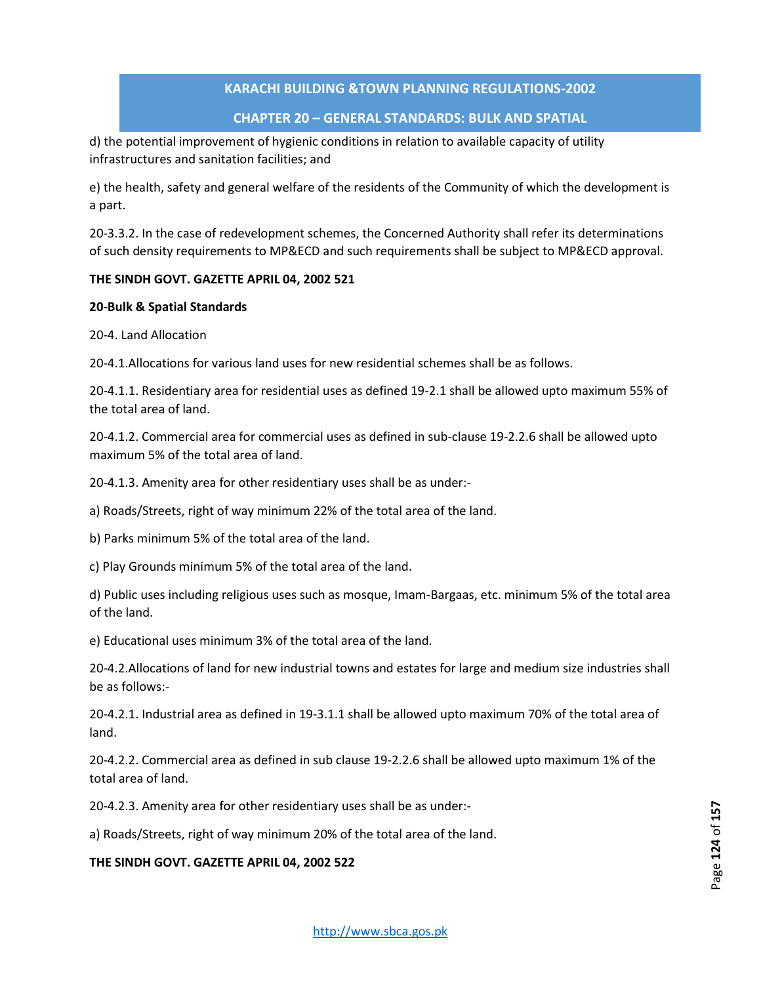#### **CHAPTER 20 – GENERAL STANDARDS: BULK AND SPATIAL**

d) the potential improvement of hygienic conditions in relation to available capacity of utility infrastructures and sanitation facilities; and

e) the health, safety and general welfare of the residents of the Community of which the development is a part.

20-3.3.2. In the case of redevelopment schemes, the Concerned Authority shall refer its determinations of such density requirements to MP&ECD and such requirements shall be subject to MP&ECD approval.

#### **THE SINDH GOVT. GAZETTE APRIL 04, 2002 521**

#### **20-Bulk & Spatial Standards**

20-4. Land Allocation

20-4.1.Allocations for various land uses for new residential schemes shall be as follows.

20-4.1.1. Residentiary area for residential uses as defined 19-2.1 shall be allowed upto maximum 55% of the total area of land.

20-4.1.2. Commercial area for commercial uses as defined in sub-clause 19-2.2.6 shall be allowed upto maximum 5% of the total area of land.

20-4.1.3. Amenity area for other residentiary uses shall be as under:-

a) Roads/Streets, right of way minimum 22% of the total area of the land.

b) Parks minimum 5% of the total area of the land.

c) Play Grounds minimum 5% of the total area of the land.

d) Public uses including religious uses such as mosque, Imam-Bargaas, etc. minimum 5% of the total area of the land.

e) Educational uses minimum 3% of the total area of the land.

20-4.2.Allocations of land for new industrial towns and estates for large and medium size industries shall be as follows:-

20-4.2.1. Industrial area as defined in 19-3.1.1 shall be allowed upto maximum 70% of the total area of land.

20-4.2.2. Commercial area as defined in sub clause 19-2.2.6 shall be allowed upto maximum 1% of the total area of land.

20-4.2.3. Amenity area for other residentiary uses shall be as under:-

a) Roads/Streets, right of way minimum 20% of the total area of the land.

**THE SINDH GOVT. GAZETTE APRIL 04, 2002 522**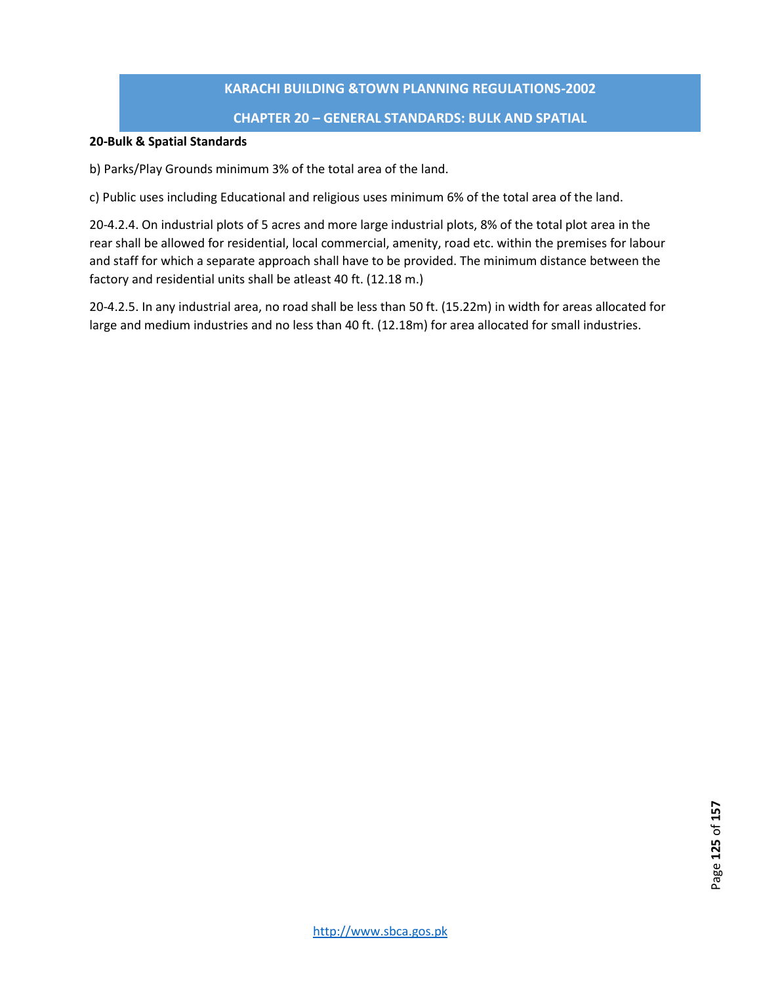### **CHAPTER 20 – GENERAL STANDARDS: BULK AND SPATIAL**

#### **20-Bulk & Spatial Standards**

b) Parks/Play Grounds minimum 3% of the total area of the land.

c) Public uses including Educational and religious uses minimum 6% of the total area of the land.

20-4.2.4. On industrial plots of 5 acres and more large industrial plots, 8% of the total plot area in the rear shall be allowed for residential, local commercial, amenity, road etc. within the premises for labour and staff for which a separate approach shall have to be provided. The minimum distance between the factory and residential units shall be atleast 40 ft. (12.18 m.)

20-4.2.5. In any industrial area, no road shall be less than 50 ft. (15.22m) in width for areas allocated for large and medium industries and no less than 40 ft. (12.18m) for area allocated for small industries.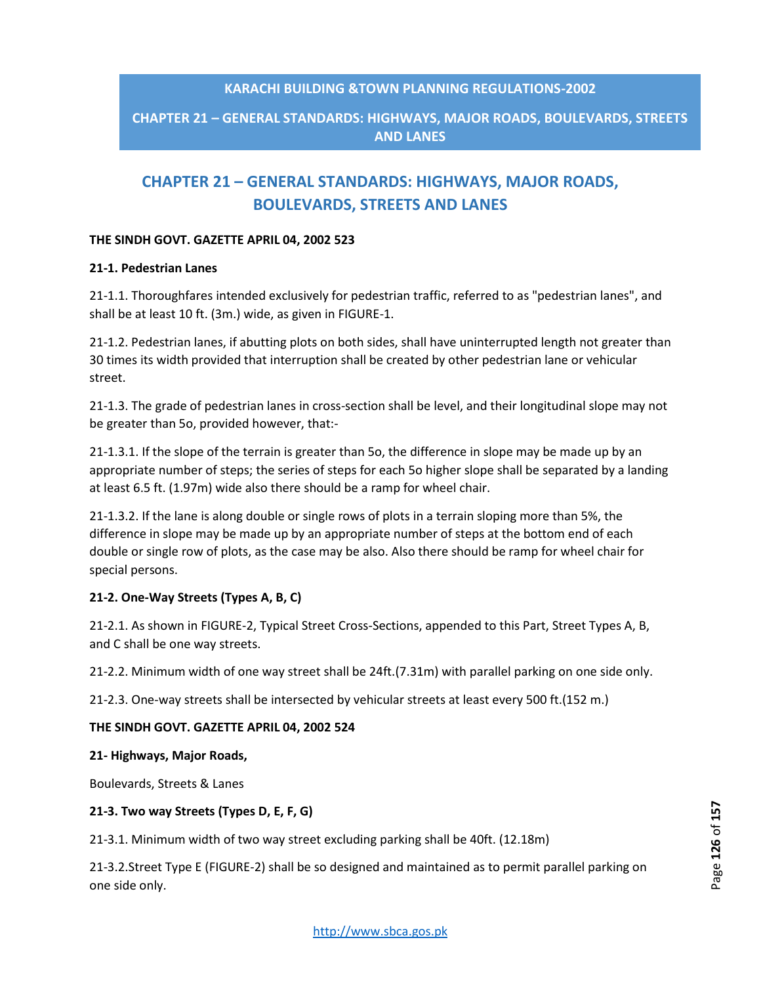# **CHAPTER 21 – GENERAL STANDARDS: HIGHWAYS, MAJOR ROADS, BOULEVARDS, STREETS AND LANES**

# **CHAPTER 21 – GENERAL STANDARDS: HIGHWAYS, MAJOR ROADS, BOULEVARDS, STREETS AND LANES**

#### **THE SINDH GOVT. GAZETTE APRIL 04, 2002 523**

#### **21-1. Pedestrian Lanes**

21-1.1. Thoroughfares intended exclusively for pedestrian traffic, referred to as "pedestrian lanes", and shall be at least 10 ft. (3m.) wide, as given in FIGURE-1.

21-1.2. Pedestrian lanes, if abutting plots on both sides, shall have uninterrupted length not greater than 30 times its width provided that interruption shall be created by other pedestrian lane or vehicular street.

21-1.3. The grade of pedestrian lanes in cross-section shall be level, and their longitudinal slope may not be greater than 5o, provided however, that:-

21-1.3.1. If the slope of the terrain is greater than 5o, the difference in slope may be made up by an appropriate number of steps; the series of steps for each 5o higher slope shall be separated by a landing at least 6.5 ft. (1.97m) wide also there should be a ramp for wheel chair.

21-1.3.2. If the lane is along double or single rows of plots in a terrain sloping more than 5%, the difference in slope may be made up by an appropriate number of steps at the bottom end of each double or single row of plots, as the case may be also. Also there should be ramp for wheel chair for special persons.

#### **21-2. One-Way Streets (Types A, B, C)**

21-2.1. As shown in FIGURE-2, Typical Street Cross-Sections, appended to this Part, Street Types A, B, and C shall be one way streets.

21-2.2. Minimum width of one way street shall be 24ft.(7.31m) with parallel parking on one side only.

21-2.3. One-way streets shall be intersected by vehicular streets at least every 500 ft.(152 m.)

#### **THE SINDH GOVT. GAZETTE APRIL 04, 2002 524**

#### **21- Highways, Major Roads,**

Boulevards, Streets & Lanes

#### **21-3. Two way Streets (Types D, E, F, G)**

21-3.1. Minimum width of two way street excluding parking shall be 40ft. (12.18m)

21-3.2.Street Type E (FIGURE-2) shall be so designed and maintained as to permit parallel parking on one side only.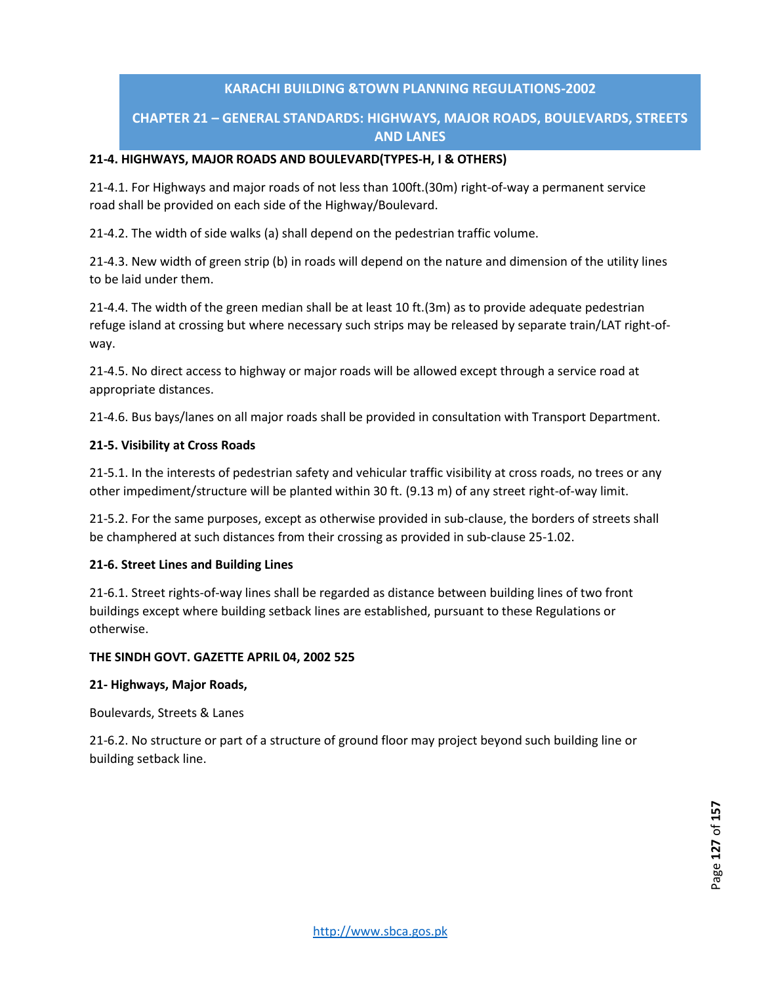# **CHAPTER 21 – GENERAL STANDARDS: HIGHWAYS, MAJOR ROADS, BOULEVARDS, STREETS AND LANES**

### **21-4. HIGHWAYS, MAJOR ROADS AND BOULEVARD(TYPES-H, I & OTHERS)**

21-4.1. For Highways and major roads of not less than 100ft.(30m) right-of-way a permanent service road shall be provided on each side of the Highway/Boulevard.

21-4.2. The width of side walks (a) shall depend on the pedestrian traffic volume.

21-4.3. New width of green strip (b) in roads will depend on the nature and dimension of the utility lines to be laid under them.

21-4.4. The width of the green median shall be at least 10 ft.(3m) as to provide adequate pedestrian refuge island at crossing but where necessary such strips may be released by separate train/LAT right-ofway.

21-4.5. No direct access to highway or major roads will be allowed except through a service road at appropriate distances.

21-4.6. Bus bays/lanes on all major roads shall be provided in consultation with Transport Department.

#### **21-5. Visibility at Cross Roads**

21-5.1. In the interests of pedestrian safety and vehicular traffic visibility at cross roads, no trees or any other impediment/structure will be planted within 30 ft. (9.13 m) of any street right-of-way limit.

21-5.2. For the same purposes, except as otherwise provided in sub-clause, the borders of streets shall be champhered at such distances from their crossing as provided in sub-clause 25-1.02.

#### **21-6. Street Lines and Building Lines**

21-6.1. Street rights-of-way lines shall be regarded as distance between building lines of two front buildings except where building setback lines are established, pursuant to these Regulations or otherwise.

#### **THE SINDH GOVT. GAZETTE APRIL 04, 2002 525**

#### **21- Highways, Major Roads,**

Boulevards, Streets & Lanes

21-6.2. No structure or part of a structure of ground floor may project beyond such building line or building setback line.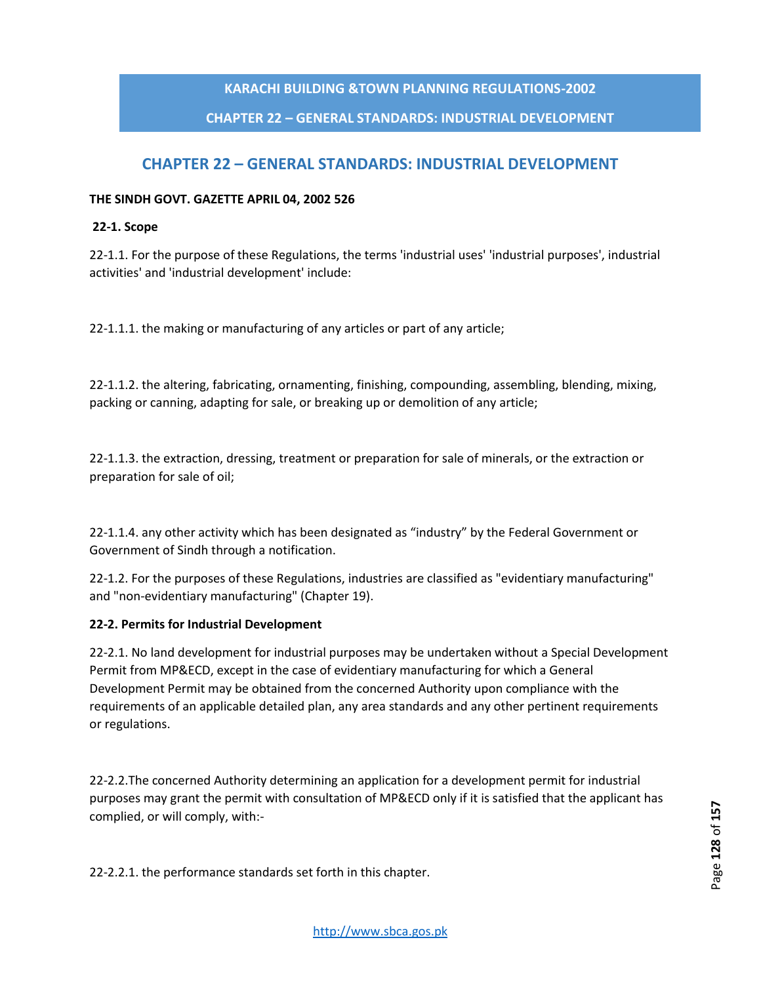# **CHAPTER 22 – GENERAL STANDARDS: INDUSTRIAL DEVELOPMENT**

# **CHAPTER 22 – GENERAL STANDARDS: INDUSTRIAL DEVELOPMENT**

#### **THE SINDH GOVT. GAZETTE APRIL 04, 2002 526**

#### **22-1. Scope**

22-1.1. For the purpose of these Regulations, the terms 'industrial uses' 'industrial purposes', industrial activities' and 'industrial development' include:

22-1.1.1. the making or manufacturing of any articles or part of any article;

22-1.1.2. the altering, fabricating, ornamenting, finishing, compounding, assembling, blending, mixing, packing or canning, adapting for sale, or breaking up or demolition of any article;

22-1.1.3. the extraction, dressing, treatment or preparation for sale of minerals, or the extraction or preparation for sale of oil;

22-1.1.4. any other activity which has been designated as "industry" by the Federal Government or Government of Sindh through a notification.

22-1.2. For the purposes of these Regulations, industries are classified as "evidentiary manufacturing" and "non-evidentiary manufacturing" (Chapter 19).

#### **22-2. Permits for Industrial Development**

22-2.1. No land development for industrial purposes may be undertaken without a Special Development Permit from MP&ECD, except in the case of evidentiary manufacturing for which a General Development Permit may be obtained from the concerned Authority upon compliance with the requirements of an applicable detailed plan, any area standards and any other pertinent requirements or regulations.

22-2.2.The concerned Authority determining an application for a development permit for industrial purposes may grant the permit with consultation of MP&ECD only if it is satisfied that the applicant has complied, or will comply, with:-

22-2.2.1. the performance standards set forth in this chapter.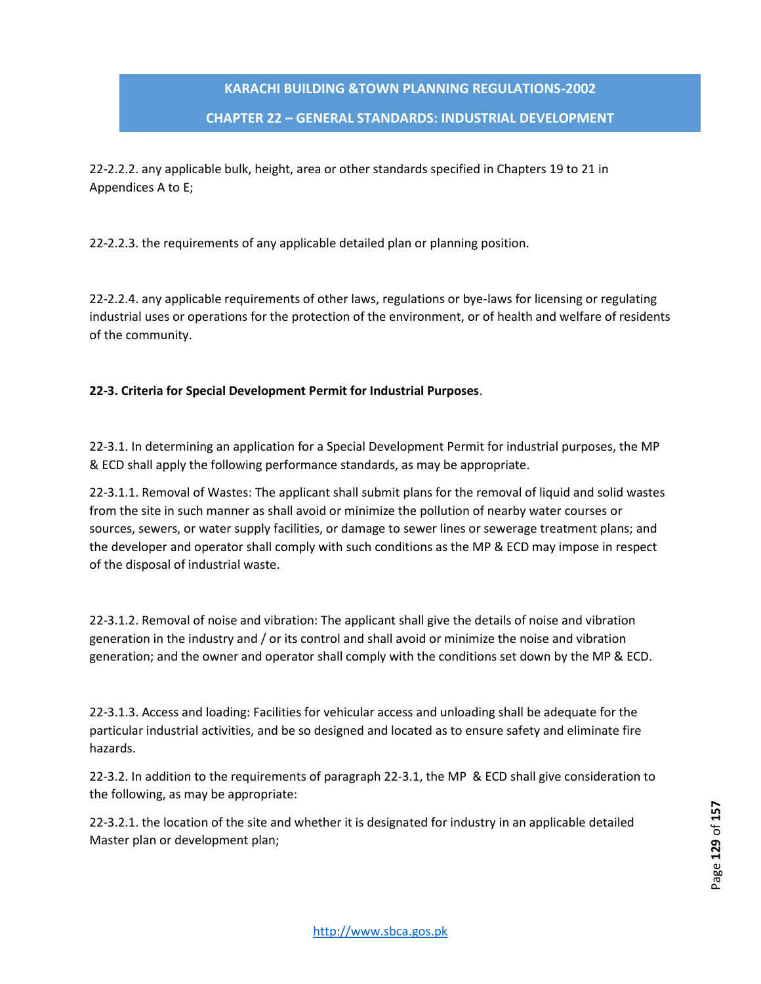### **CHAPTER 22 – GENERAL STANDARDS: INDUSTRIAL DEVELOPMENT**

22-2.2.2. any applicable bulk, height, area or other standards specified in Chapters 19 to 21 in Appendices A to E;

22-2.2.3. the requirements of any applicable detailed plan or planning position.

22-2.2.4. any applicable requirements of other laws, regulations or bye-laws for licensing or regulating industrial uses or operations for the protection of the environment, or of health and welfare of residents of the community.

# **22-3. Criteria for Special Development Permit for Industrial Purposes**.

22-3.1. In determining an application for a Special Development Permit for industrial purposes, the MP & ECD shall apply the following performance standards, as may be appropriate.

22-3.1.1. Removal of Wastes: The applicant shall submit plans for the removal of liquid and solid wastes from the site in such manner as shall avoid or minimize the pollution of nearby water courses or sources, sewers, or water supply facilities, or damage to sewer lines or sewerage treatment plans; and the developer and operator shall comply with such conditions as the MP & ECD may impose in respect of the disposal of industrial waste.

22-3.1.2. Removal of noise and vibration: The applicant shall give the details of noise and vibration generation in the industry and / or its control and shall avoid or minimize the noise and vibration generation; and the owner and operator shall comply with the conditions set down by the MP & ECD.

22-3.1.3. Access and loading: Facilities for vehicular access and unloading shall be adequate for the particular industrial activities, and be so designed and located as to ensure safety and eliminate fire hazards.

22-3.2. In addition to the requirements of paragraph 22-3.1, the MP & ECD shall give consideration to the following, as may be appropriate:

22-3.2.1. the location of the site and whether it is designated for industry in an applicable detailed Master plan or development plan;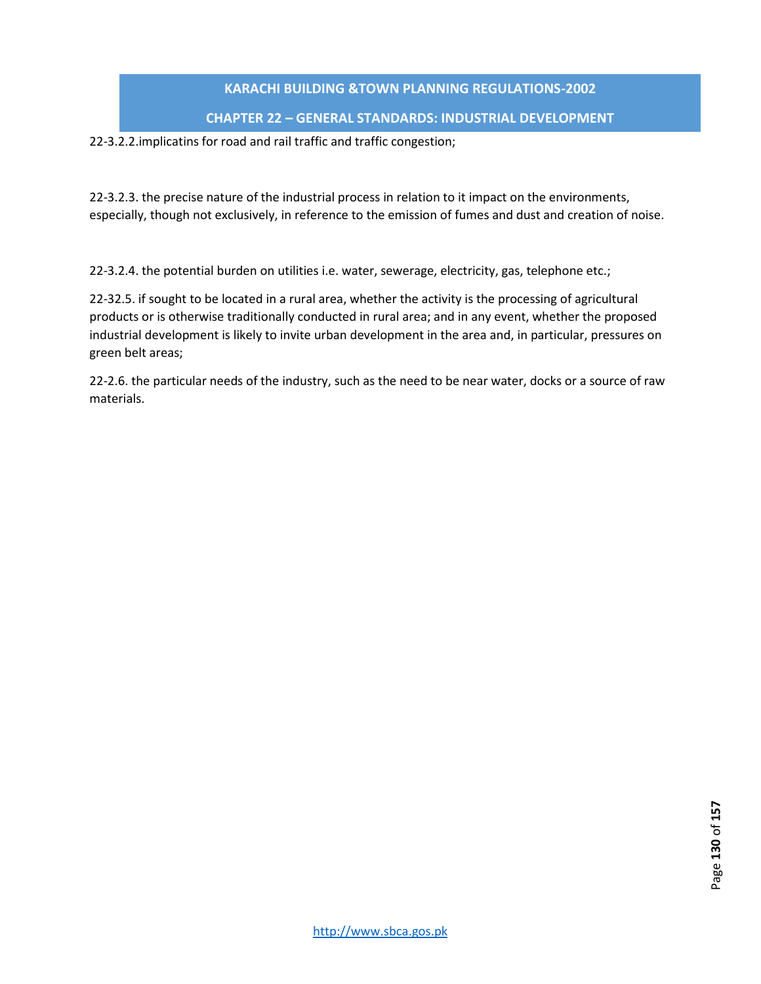#### **CHAPTER 22 – GENERAL STANDARDS: INDUSTRIAL DEVELOPMENT**

#### 22-3.2.2.implicatins for road and rail traffic and traffic congestion;

22-3.2.3. the precise nature of the industrial process in relation to it impact on the environments, especially, though not exclusively, in reference to the emission of fumes and dust and creation of noise.

22-3.2.4. the potential burden on utilities i.e. water, sewerage, electricity, gas, telephone etc.;

22-32.5. if sought to be located in a rural area, whether the activity is the processing of agricultural products or is otherwise traditionally conducted in rural area; and in any event, whether the proposed industrial development is likely to invite urban development in the area and, in particular, pressures on green belt areas;

22-2.6. the particular needs of the industry, such as the need to be near water, docks or a source of raw materials.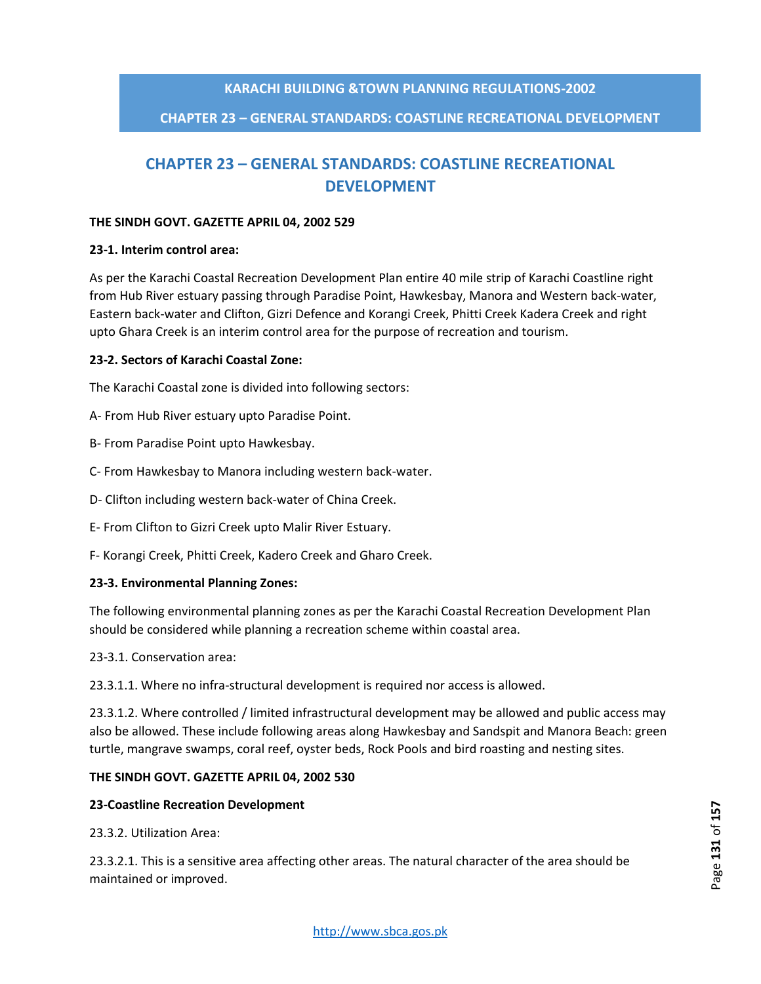# **CHAPTER 23 – GENERAL STANDARDS: COASTLINE RECREATIONAL DEVELOPMENT**

# **CHAPTER 23 – GENERAL STANDARDS: COASTLINE RECREATIONAL DEVELOPMENT**

#### **THE SINDH GOVT. GAZETTE APRIL 04, 2002 529**

#### **23-1. Interim control area:**

As per the Karachi Coastal Recreation Development Plan entire 40 mile strip of Karachi Coastline right from Hub River estuary passing through Paradise Point, Hawkesbay, Manora and Western back-water, Eastern back-water and Clifton, Gizri Defence and Korangi Creek, Phitti Creek Kadera Creek and right upto Ghara Creek is an interim control area for the purpose of recreation and tourism.

#### **23-2. Sectors of Karachi Coastal Zone:**

The Karachi Coastal zone is divided into following sectors:

- A- From Hub River estuary upto Paradise Point.
- B- From Paradise Point upto Hawkesbay.
- C- From Hawkesbay to Manora including western back-water.
- D- Clifton including western back-water of China Creek.
- E- From Clifton to Gizri Creek upto Malir River Estuary.
- F- Korangi Creek, Phitti Creek, Kadero Creek and Gharo Creek.

#### **23-3. Environmental Planning Zones:**

The following environmental planning zones as per the Karachi Coastal Recreation Development Plan should be considered while planning a recreation scheme within coastal area.

23-3.1. Conservation area:

23.3.1.1. Where no infra-structural development is required nor access is allowed.

23.3.1.2. Where controlled / limited infrastructural development may be allowed and public access may also be allowed. These include following areas along Hawkesbay and Sandspit and Manora Beach: green turtle, mangrave swamps, coral reef, oyster beds, Rock Pools and bird roasting and nesting sites.

#### **THE SINDH GOVT. GAZETTE APRIL 04, 2002 530**

#### **23-Coastline Recreation Development**

23.3.2. Utilization Area:

23.3.2.1. This is a sensitive area affecting other areas. The natural character of the area should be maintained or improved.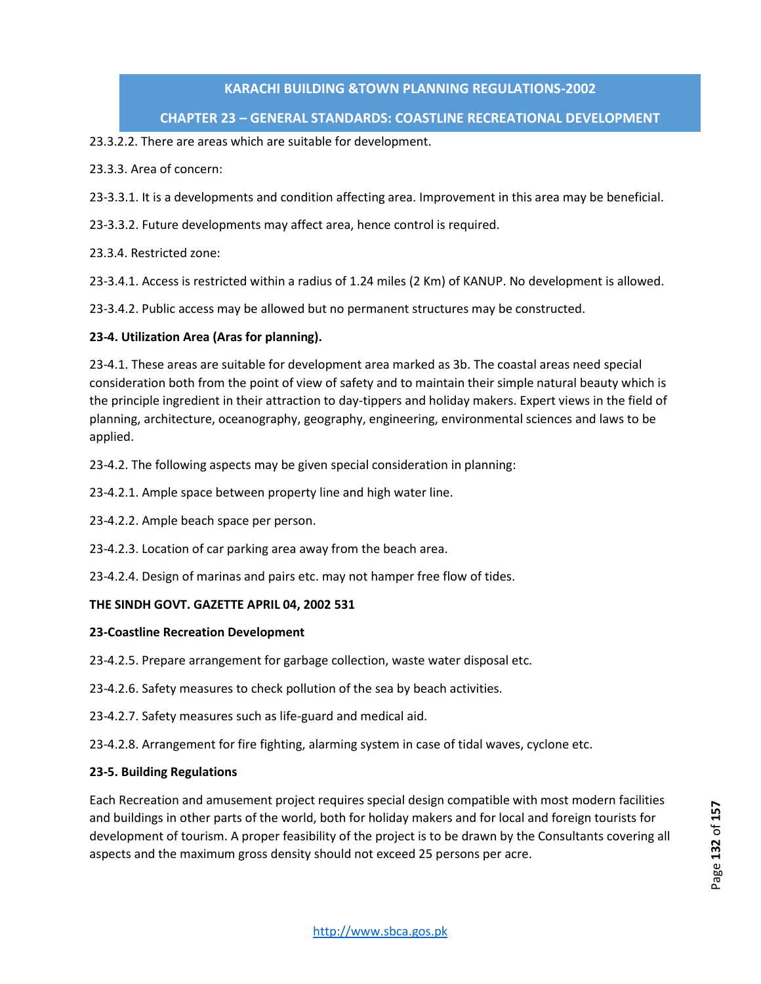# **CHAPTER 23 – GENERAL STANDARDS: COASTLINE RECREATIONAL DEVELOPMENT**

### 23.3.2.2. There are areas which are suitable for development.

23.3.3. Area of concern:

- 23-3.3.1. It is a developments and condition affecting area. Improvement in this area may be beneficial.
- 23-3.3.2. Future developments may affect area, hence control is required.
- 23.3.4. Restricted zone:

23-3.4.1. Access is restricted within a radius of 1.24 miles (2 Km) of KANUP. No development is allowed.

23-3.4.2. Public access may be allowed but no permanent structures may be constructed.

# **23-4. Utilization Area (Aras for planning).**

23-4.1. These areas are suitable for development area marked as 3b. The coastal areas need special consideration both from the point of view of safety and to maintain their simple natural beauty which is the principle ingredient in their attraction to day-tippers and holiday makers. Expert views in the field of planning, architecture, oceanography, geography, engineering, environmental sciences and laws to be applied.

23-4.2. The following aspects may be given special consideration in planning:

- 23-4.2.1. Ample space between property line and high water line.
- 23-4.2.2. Ample beach space per person.
- 23-4.2.3. Location of car parking area away from the beach area.

23-4.2.4. Design of marinas and pairs etc. may not hamper free flow of tides.

#### **THE SINDH GOVT. GAZETTE APRIL 04, 2002 531**

#### **23-Coastline Recreation Development**

- 23-4.2.5. Prepare arrangement for garbage collection, waste water disposal etc.
- 23-4.2.6. Safety measures to check pollution of the sea by beach activities.
- 23-4.2.7. Safety measures such as life-guard and medical aid.
- 23-4.2.8. Arrangement for fire fighting, alarming system in case of tidal waves, cyclone etc.

#### **23-5. Building Regulations**

Each Recreation and amusement project requires special design compatible with most modern facilities and buildings in other parts of the world, both for holiday makers and for local and foreign tourists for development of tourism. A proper feasibility of the project is to be drawn by the Consultants covering all aspects and the maximum gross density should not exceed 25 persons per acre.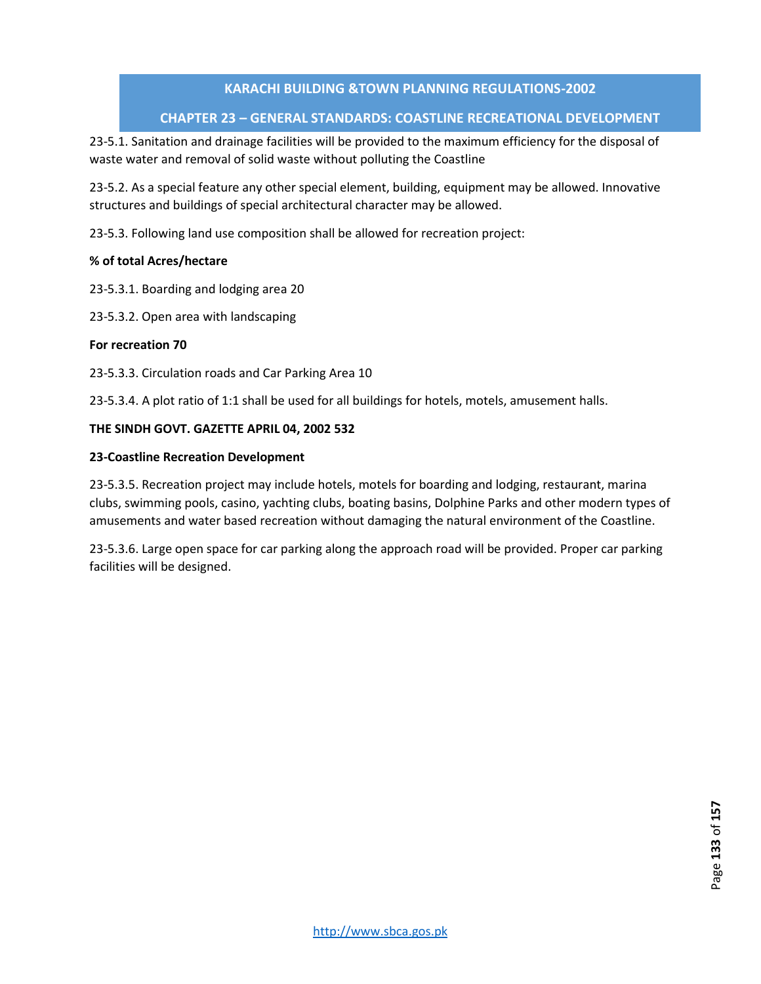# **CHAPTER 23 – GENERAL STANDARDS: COASTLINE RECREATIONAL DEVELOPMENT**

23-5.1. Sanitation and drainage facilities will be provided to the maximum efficiency for the disposal of waste water and removal of solid waste without polluting the Coastline

23-5.2. As a special feature any other special element, building, equipment may be allowed. Innovative structures and buildings of special architectural character may be allowed.

23-5.3. Following land use composition shall be allowed for recreation project:

#### **% of total Acres/hectare**

23-5.3.1. Boarding and lodging area 20

23-5.3.2. Open area with landscaping

#### **For recreation 70**

23-5.3.3. Circulation roads and Car Parking Area 10

23-5.3.4. A plot ratio of 1:1 shall be used for all buildings for hotels, motels, amusement halls.

#### **THE SINDH GOVT. GAZETTE APRIL 04, 2002 532**

#### **23-Coastline Recreation Development**

23-5.3.5. Recreation project may include hotels, motels for boarding and lodging, restaurant, marina clubs, swimming pools, casino, yachting clubs, boating basins, Dolphine Parks and other modern types of amusements and water based recreation without damaging the natural environment of the Coastline.

23-5.3.6. Large open space for car parking along the approach road will be provided. Proper car parking facilities will be designed.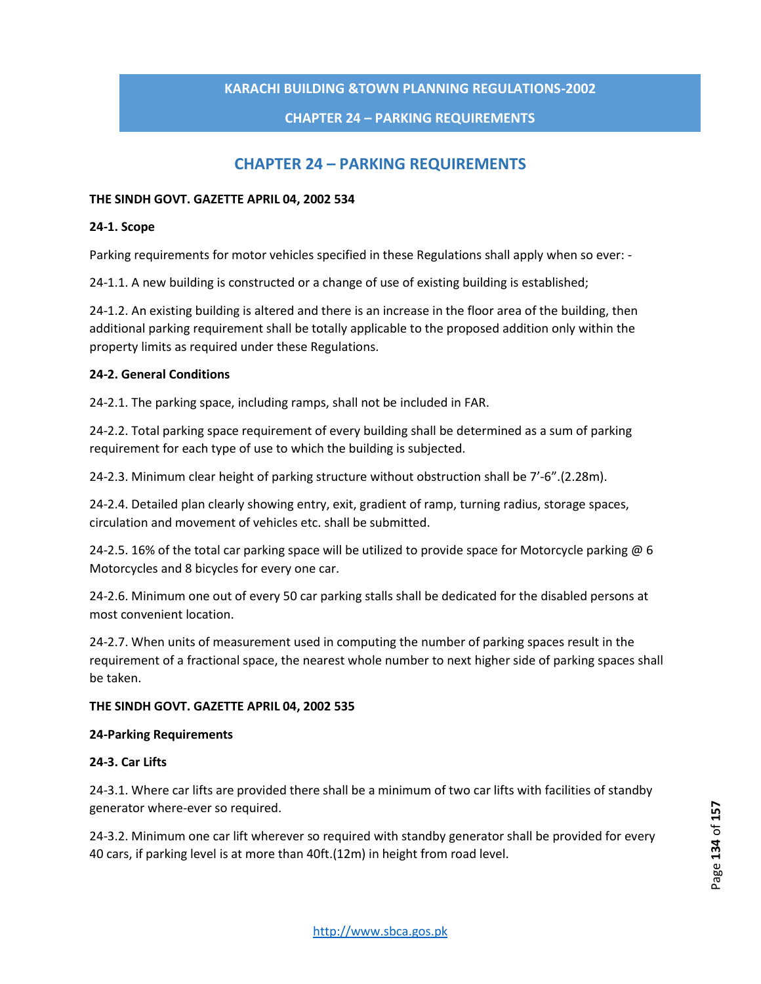### **CHAPTER 24 – PARKING REQUIREMENTS**

# **CHAPTER 24 – PARKING REQUIREMENTS**

#### **THE SINDH GOVT. GAZETTE APRIL 04, 2002 534**

#### **24-1. Scope**

Parking requirements for motor vehicles specified in these Regulations shall apply when so ever: -

24-1.1. A new building is constructed or a change of use of existing building is established;

24-1.2. An existing building is altered and there is an increase in the floor area of the building, then additional parking requirement shall be totally applicable to the proposed addition only within the property limits as required under these Regulations.

#### **24-2. General Conditions**

24-2.1. The parking space, including ramps, shall not be included in FAR.

24-2.2. Total parking space requirement of every building shall be determined as a sum of parking requirement for each type of use to which the building is subjected.

24-2.3. Minimum clear height of parking structure without obstruction shall be 7'-6".(2.28m).

24-2.4. Detailed plan clearly showing entry, exit, gradient of ramp, turning radius, storage spaces, circulation and movement of vehicles etc. shall be submitted.

24-2.5. 16% of the total car parking space will be utilized to provide space for Motorcycle parking  $\omega$  6 Motorcycles and 8 bicycles for every one car.

24-2.6. Minimum one out of every 50 car parking stalls shall be dedicated for the disabled persons at most convenient location.

24-2.7. When units of measurement used in computing the number of parking spaces result in the requirement of a fractional space, the nearest whole number to next higher side of parking spaces shall be taken.

#### **THE SINDH GOVT. GAZETTE APRIL 04, 2002 535**

#### **24-Parking Requirements**

#### **24-3. Car Lifts**

24-3.1. Where car lifts are provided there shall be a minimum of two car lifts with facilities of standby generator where-ever so required.

24-3.2. Minimum one car lift wherever so required with standby generator shall be provided for every 40 cars, if parking level is at more than 40ft.(12m) in height from road level.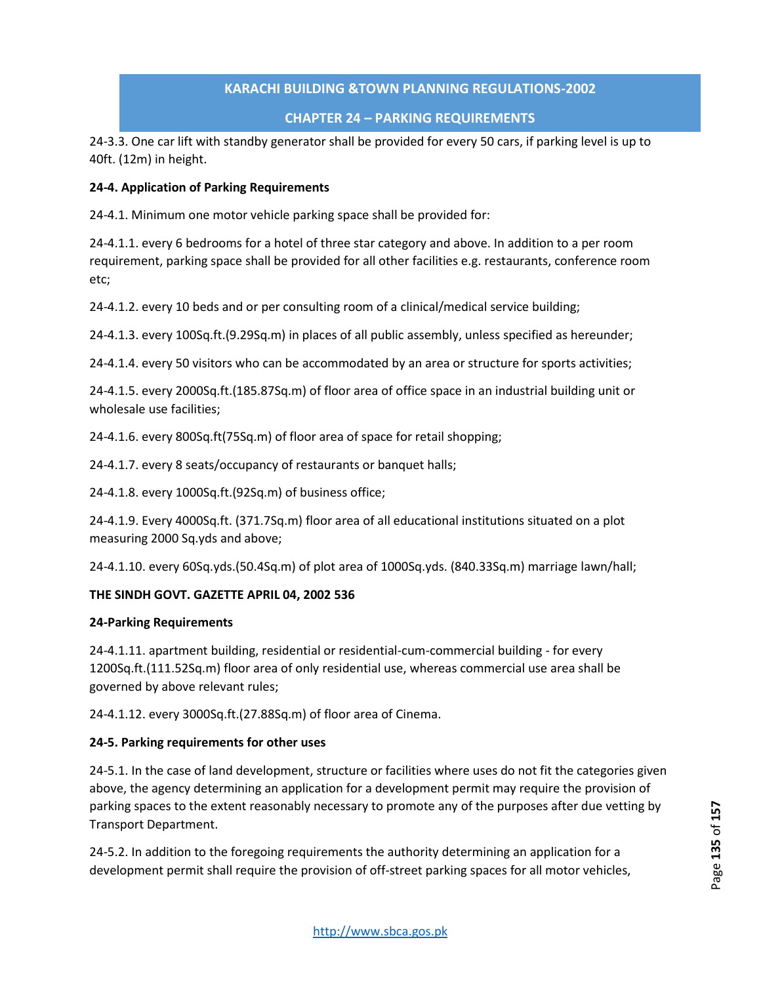# **CHAPTER 24 – PARKING REQUIREMENTS**

24-3.3. One car lift with standby generator shall be provided for every 50 cars, if parking level is up to 40ft. (12m) in height.

#### **24-4. Application of Parking Requirements**

24-4.1. Minimum one motor vehicle parking space shall be provided for:

24-4.1.1. every 6 bedrooms for a hotel of three star category and above. In addition to a per room requirement, parking space shall be provided for all other facilities e.g. restaurants, conference room etc;

24-4.1.2. every 10 beds and or per consulting room of a clinical/medical service building;

24-4.1.3. every 100Sq.ft.(9.29Sq.m) in places of all public assembly, unless specified as hereunder;

24-4.1.4. every 50 visitors who can be accommodated by an area or structure for sports activities;

24-4.1.5. every 2000Sq.ft.(185.87Sq.m) of floor area of office space in an industrial building unit or wholesale use facilities;

24-4.1.6. every 800Sq.ft(75Sq.m) of floor area of space for retail shopping;

24-4.1.7. every 8 seats/occupancy of restaurants or banquet halls;

24-4.1.8. every 1000Sq.ft.(92Sq.m) of business office;

24-4.1.9. Every 4000Sq.ft. (371.7Sq.m) floor area of all educational institutions situated on a plot measuring 2000 Sq.yds and above;

24-4.1.10. every 60Sq.yds.(50.4Sq.m) of plot area of 1000Sq.yds. (840.33Sq.m) marriage lawn/hall;

#### **THE SINDH GOVT. GAZETTE APRIL 04, 2002 536**

#### **24-Parking Requirements**

24-4.1.11. apartment building, residential or residential-cum-commercial building - for every 1200Sq.ft.(111.52Sq.m) floor area of only residential use, whereas commercial use area shall be governed by above relevant rules;

24-4.1.12. every 3000Sq.ft.(27.88Sq.m) of floor area of Cinema.

#### **24-5. Parking requirements for other uses**

24-5.1. In the case of land development, structure or facilities where uses do not fit the categories given above, the agency determining an application for a development permit may require the provision of parking spaces to the extent reasonably necessary to promote any of the purposes after due vetting by Transport Department.

24-5.2. In addition to the foregoing requirements the authority determining an application for a development permit shall require the provision of off-street parking spaces for all motor vehicles,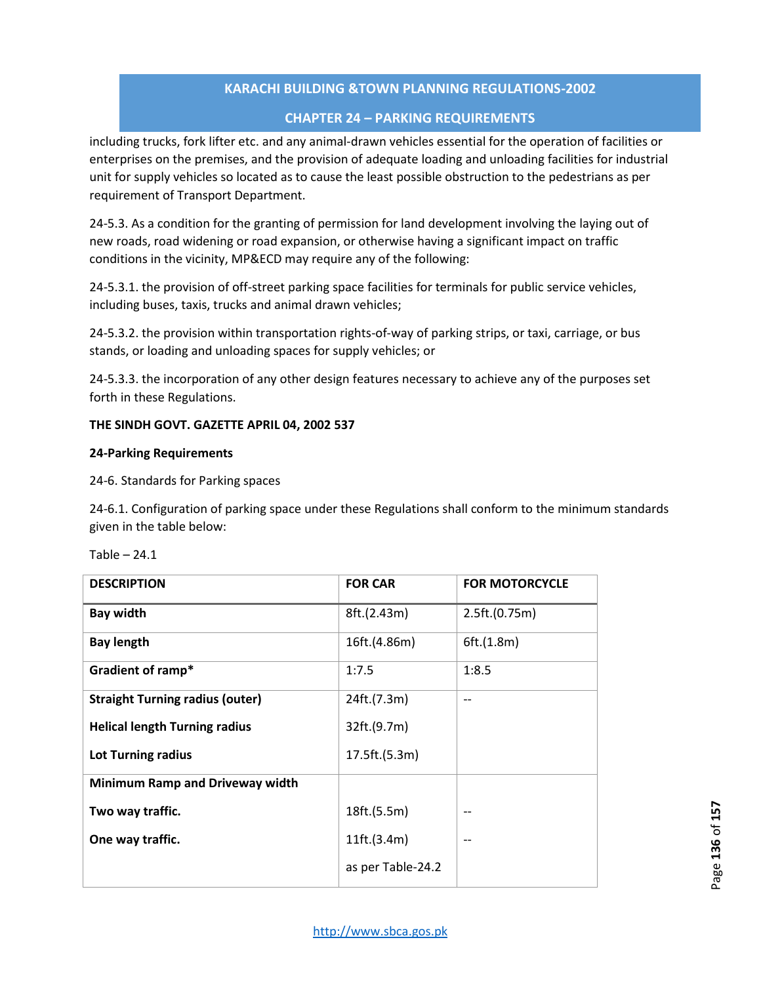# **CHAPTER 24 – PARKING REQUIREMENTS**

including trucks, fork lifter etc. and any animal-drawn vehicles essential for the operation of facilities or enterprises on the premises, and the provision of adequate loading and unloading facilities for industrial unit for supply vehicles so located as to cause the least possible obstruction to the pedestrians as per requirement of Transport Department.

24-5.3. As a condition for the granting of permission for land development involving the laying out of new roads, road widening or road expansion, or otherwise having a significant impact on traffic conditions in the vicinity, MP&ECD may require any of the following:

24-5.3.1. the provision of off-street parking space facilities for terminals for public service vehicles, including buses, taxis, trucks and animal drawn vehicles;

24-5.3.2. the provision within transportation rights-of-way of parking strips, or taxi, carriage, or bus stands, or loading and unloading spaces for supply vehicles; or

24-5.3.3. the incorporation of any other design features necessary to achieve any of the purposes set forth in these Regulations.

#### **THE SINDH GOVT. GAZETTE APRIL 04, 2002 537**

#### **24-Parking Requirements**

24-6. Standards for Parking spaces

24-6.1. Configuration of parking space under these Regulations shall conform to the minimum standards given in the table below:

| <b>DESCRIPTION</b>                     | <b>FOR CAR</b>    | <b>FOR MOTORCYCLE</b> |
|----------------------------------------|-------------------|-----------------------|
| <b>Bay width</b>                       | 8ft.(2.43m)       | 2.5ft.(0.75m)         |
| <b>Bay length</b>                      | 16ft.(4.86m)      | 6ft.(1.8m)            |
| Gradient of ramp*                      | 1:7.5             | 1:8.5                 |
| <b>Straight Turning radius (outer)</b> | 24ft.(7.3m)       | $-$                   |
| <b>Helical length Turning radius</b>   | 32ft.(9.7m)       |                       |
| <b>Lot Turning radius</b>              | 17.5ft.(5.3m)     |                       |
| <b>Minimum Ramp and Driveway width</b> |                   |                       |
| Two way traffic.                       | 18ft.(5.5m)       |                       |
| One way traffic.                       | 11ft.(3.4m)       |                       |
|                                        | as per Table-24.2 |                       |

Table  $-24.1$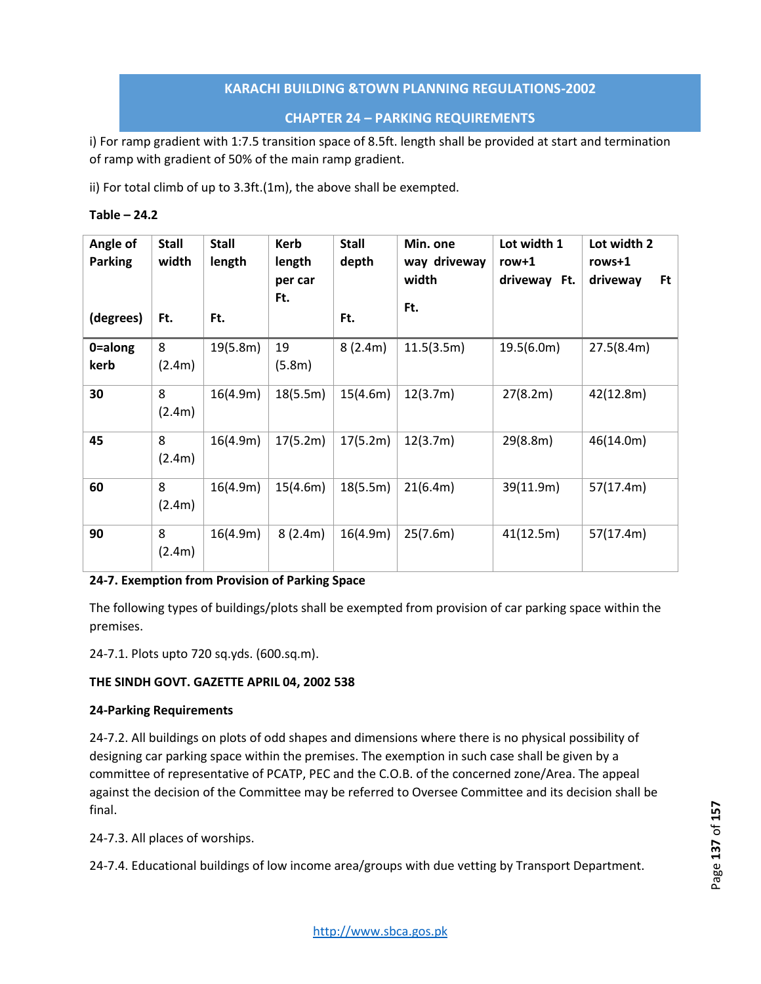# **CHAPTER 24 – PARKING REQUIREMENTS**

i) For ramp gradient with 1:7.5 transition space of 8.5ft. length shall be provided at start and termination of ramp with gradient of 50% of the main ramp gradient.

ii) For total climb of up to 3.3ft.(1m), the above shall be exempted.

| Table | 24.2 |
|-------|------|
|-------|------|

| Angle of<br><b>Parking</b><br>(degrees) | <b>Stall</b><br>width<br>Ft. | <b>Stall</b><br>length<br>Ft. | <b>Kerb</b><br>length<br>per car<br>Ft. | <b>Stall</b><br>depth<br>Ft. | Min. one<br>way driveway<br>width<br>Ft. | Lot width 1<br>$row+1$<br>driveway Ft. | Lot width 2<br>rows+1<br>Ft.<br>driveway |
|-----------------------------------------|------------------------------|-------------------------------|-----------------------------------------|------------------------------|------------------------------------------|----------------------------------------|------------------------------------------|
| 0=along<br>kerb                         | 8<br>(2.4m)                  | 19(5.8m)                      | 19<br>(5.8m)                            | 8(2.4m)                      | 11.5(3.5m)                               | 19.5(6.0m)                             | 27.5(8.4m)                               |
| 30                                      | 8<br>(2.4m)                  | 16(4.9m)                      | 18(5.5m)                                | 15(4.6m)                     | 12(3.7m)                                 | 27(8.2m)                               | 42(12.8m)                                |
| 45                                      | 8<br>(2.4m)                  | 16(4.9m)                      | 17(5.2m)                                | 17(5.2m)                     | 12(3.7m)                                 | 29(8.8m)                               | 46(14.0m)                                |
| 60                                      | 8<br>(2.4m)                  | 16(4.9m)                      | 15(4.6m)                                | 18(5.5m)                     | 21(6.4m)                                 | 39(11.9m)                              | 57(17.4m)                                |
| 90                                      | 8<br>(2.4m)                  | 16(4.9m)                      | 8(2.4m)                                 | 16(4.9m)                     | 25(7.6m)                                 | 41(12.5m)                              | 57(17.4m)                                |

**24-7. Exemption from Provision of Parking Space**

The following types of buildings/plots shall be exempted from provision of car parking space within the premises.

24-7.1. Plots upto 720 sq.yds. (600.sq.m).

#### **THE SINDH GOVT. GAZETTE APRIL 04, 2002 538**

#### **24-Parking Requirements**

24-7.2. All buildings on plots of odd shapes and dimensions where there is no physical possibility of designing car parking space within the premises. The exemption in such case shall be given by a committee of representative of PCATP, PEC and the C.O.B. of the concerned zone/Area. The appeal against the decision of the Committee may be referred to Oversee Committee and its decision shall be final.

24-7.3. All places of worships.

24-7.4. Educational buildings of low income area/groups with due vetting by Transport Department.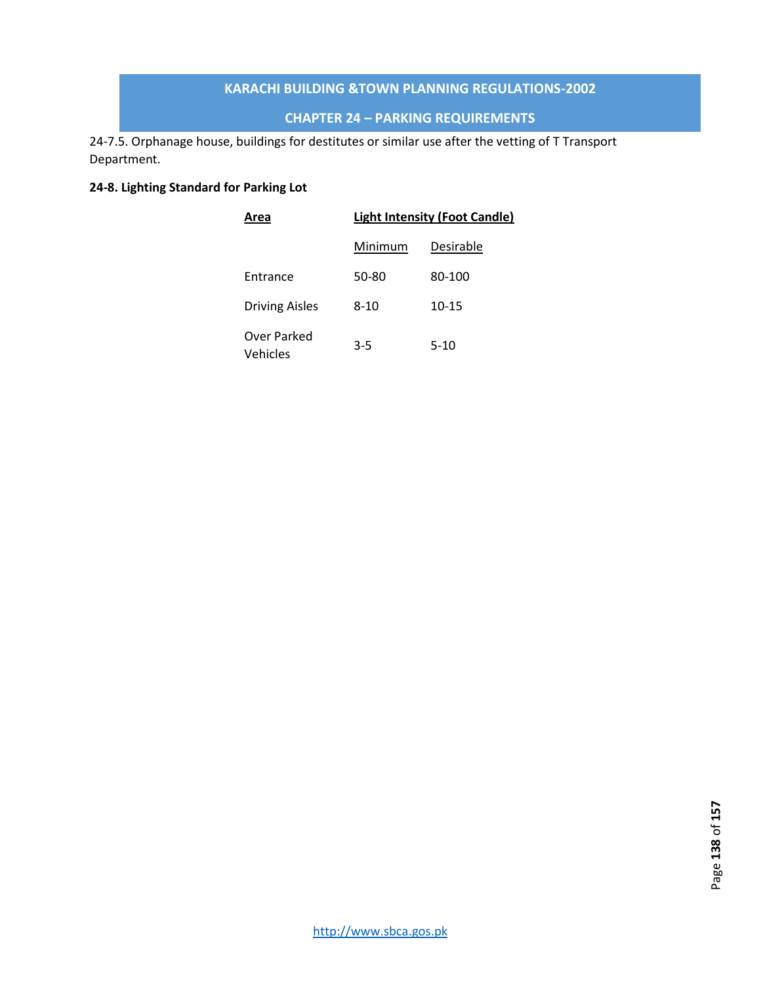# **CHAPTER 24 – PARKING REQUIREMENTS**

24-7.5. Orphanage house, buildings for destitutes or similar use after the vetting of T Transport Department.

# **24-8. Lighting Standard for Parking Lot**

| Area                    | <b>Light Intensity (Foot Candle)</b> |           |  |  |  |
|-------------------------|--------------------------------------|-----------|--|--|--|
|                         | Minimum                              | Desirable |  |  |  |
| Entrance                | 50-80                                | 80-100    |  |  |  |
| <b>Driving Aisles</b>   | 8-10                                 | $10 - 15$ |  |  |  |
| Over Parked<br>Vehicles | $3 - 5$                              | 5-10      |  |  |  |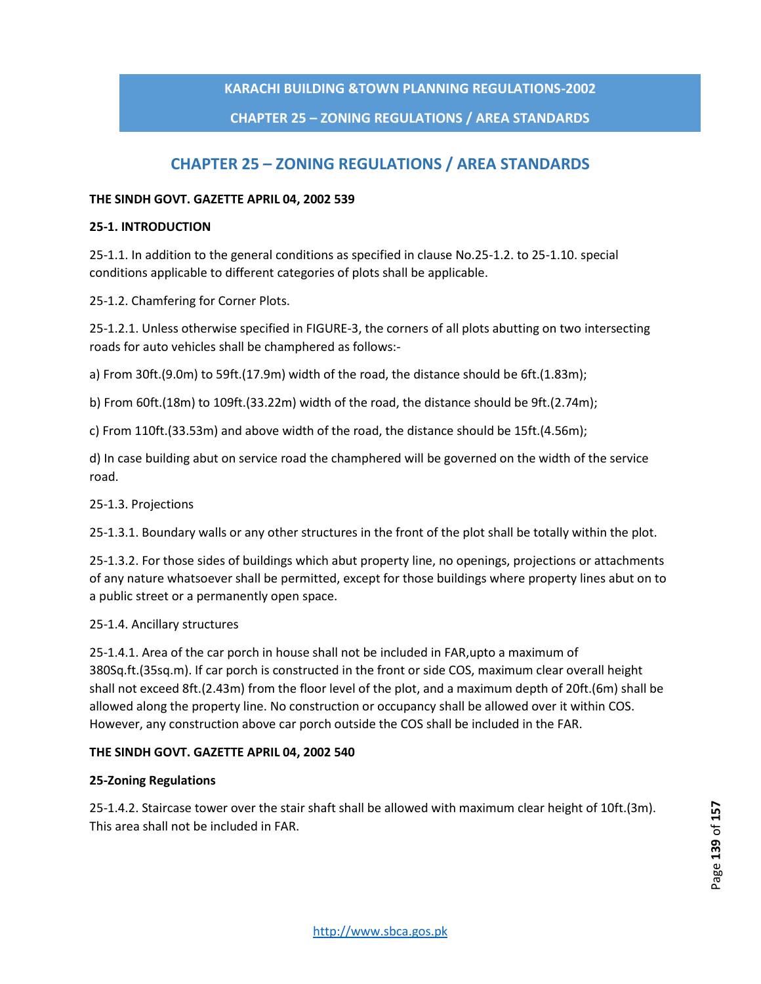# **CHAPTER 25 – ZONING REGULATIONS / AREA STANDARDS**

# **CHAPTER 25 – ZONING REGULATIONS / AREA STANDARDS**

#### **THE SINDH GOVT. GAZETTE APRIL 04, 2002 539**

#### **25-1. INTRODUCTION**

25-1.1. In addition to the general conditions as specified in clause No.25-1.2. to 25-1.10. special conditions applicable to different categories of plots shall be applicable.

25-1.2. Chamfering for Corner Plots.

25-1.2.1. Unless otherwise specified in FIGURE-3, the corners of all plots abutting on two intersecting roads for auto vehicles shall be champhered as follows:-

a) From 30ft.(9.0m) to 59ft.(17.9m) width of the road, the distance should be 6ft.(1.83m);

b) From 60ft.(18m) to 109ft.(33.22m) width of the road, the distance should be 9ft.(2.74m);

c) From 110ft.(33.53m) and above width of the road, the distance should be 15ft.(4.56m);

d) In case building abut on service road the champhered will be governed on the width of the service road.

#### 25-1.3. Projections

25-1.3.1. Boundary walls or any other structures in the front of the plot shall be totally within the plot.

25-1.3.2. For those sides of buildings which abut property line, no openings, projections or attachments of any nature whatsoever shall be permitted, except for those buildings where property lines abut on to a public street or a permanently open space.

#### 25-1.4. Ancillary structures

25-1.4.1. Area of the car porch in house shall not be included in FAR,upto a maximum of 380Sq.ft.(35sq.m). If car porch is constructed in the front or side COS, maximum clear overall height shall not exceed 8ft.(2.43m) from the floor level of the plot, and a maximum depth of 20ft.(6m) shall be allowed along the property line. No construction or occupancy shall be allowed over it within COS. However, any construction above car porch outside the COS shall be included in the FAR.

#### **THE SINDH GOVT. GAZETTE APRIL 04, 2002 540**

#### **25-Zoning Regulations**

25-1.4.2. Staircase tower over the stair shaft shall be allowed with maximum clear height of 10ft.(3m). This area shall not be included in FAR.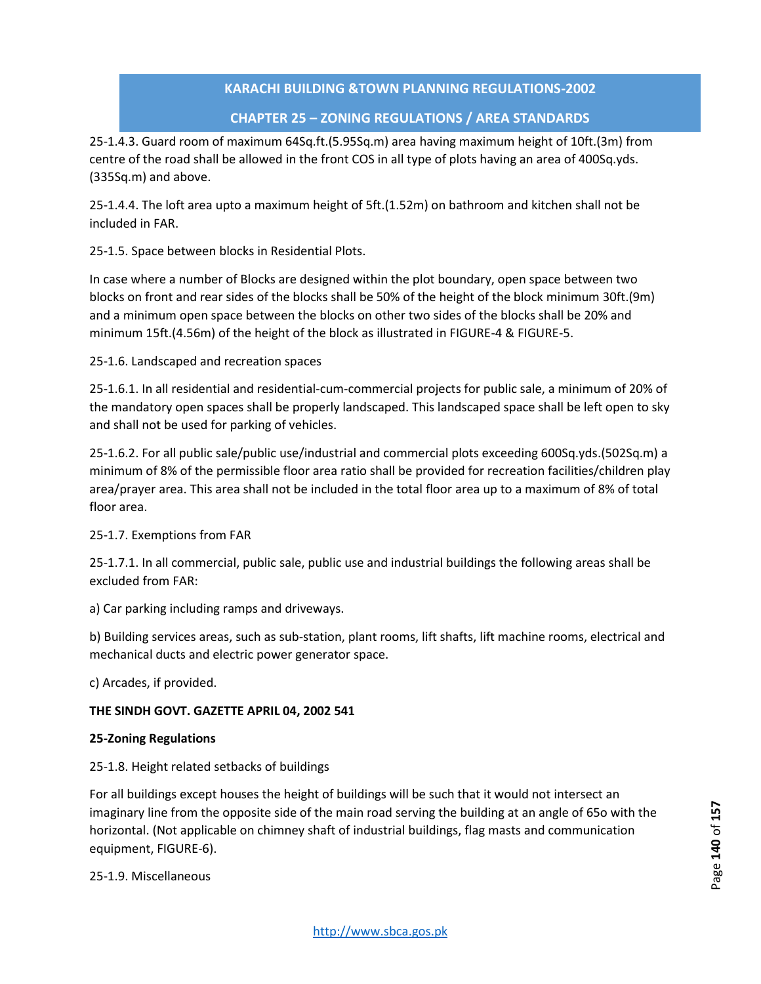# **CHAPTER 25 – ZONING REGULATIONS / AREA STANDARDS**

25-1.4.3. Guard room of maximum 64Sq.ft.(5.95Sq.m) area having maximum height of 10ft.(3m) from centre of the road shall be allowed in the front COS in all type of plots having an area of 400Sq.yds. (335Sq.m) and above.

25-1.4.4. The loft area upto a maximum height of 5ft.(1.52m) on bathroom and kitchen shall not be included in FAR.

25-1.5. Space between blocks in Residential Plots.

In case where a number of Blocks are designed within the plot boundary, open space between two blocks on front and rear sides of the blocks shall be 50% of the height of the block minimum 30ft.(9m) and a minimum open space between the blocks on other two sides of the blocks shall be 20% and minimum 15ft.(4.56m) of the height of the block as illustrated in FIGURE-4 & FIGURE-5.

25-1.6. Landscaped and recreation spaces

25-1.6.1. In all residential and residential-cum-commercial projects for public sale, a minimum of 20% of the mandatory open spaces shall be properly landscaped. This landscaped space shall be left open to sky and shall not be used for parking of vehicles.

25-1.6.2. For all public sale/public use/industrial and commercial plots exceeding 600Sq.yds.(502Sq.m) a minimum of 8% of the permissible floor area ratio shall be provided for recreation facilities/children play area/prayer area. This area shall not be included in the total floor area up to a maximum of 8% of total floor area.

#### 25-1.7. Exemptions from FAR

25-1.7.1. In all commercial, public sale, public use and industrial buildings the following areas shall be excluded from FAR:

a) Car parking including ramps and driveways.

b) Building services areas, such as sub-station, plant rooms, lift shafts, lift machine rooms, electrical and mechanical ducts and electric power generator space.

c) Arcades, if provided.

# **THE SINDH GOVT. GAZETTE APRIL 04, 2002 541**

#### **25-Zoning Regulations**

25-1.8. Height related setbacks of buildings

For all buildings except houses the height of buildings will be such that it would not intersect an imaginary line from the opposite side of the main road serving the building at an angle of 65o with the horizontal. (Not applicable on chimney shaft of industrial buildings, flag masts and communication equipment, FIGURE-6).

25-1.9. Miscellaneous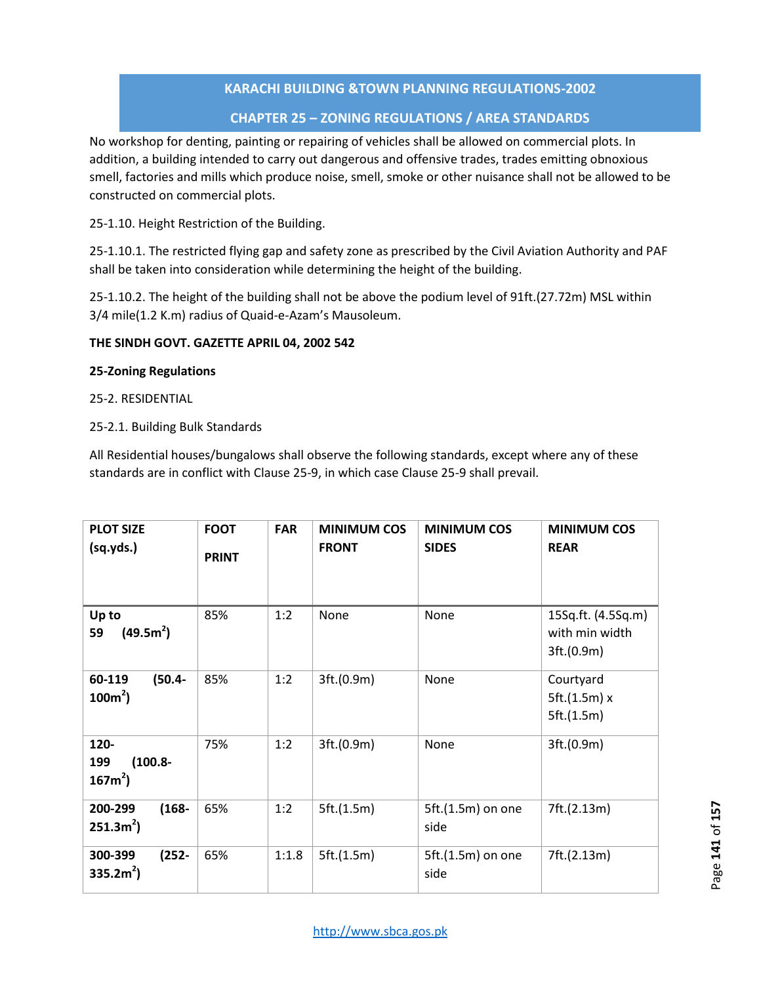# **CHAPTER 25 – ZONING REGULATIONS / AREA STANDARDS**

No workshop for denting, painting or repairing of vehicles shall be allowed on commercial plots. In addition, a building intended to carry out dangerous and offensive trades, trades emitting obnoxious smell, factories and mills which produce noise, smell, smoke or other nuisance shall not be allowed to be constructed on commercial plots.

25-1.10. Height Restriction of the Building.

25-1.10.1. The restricted flying gap and safety zone as prescribed by the Civil Aviation Authority and PAF shall be taken into consideration while determining the height of the building.

25-1.10.2. The height of the building shall not be above the podium level of 91ft.(27.72m) MSL within 3/4 mile(1.2 K.m) radius of Quaid-e-Azam's Mausoleum.

#### **THE SINDH GOVT. GAZETTE APRIL 04, 2002 542**

#### **25-Zoning Regulations**

25-2. RESIDENTIAL

# 25-2.1. Building Bulk Standards

All Residential houses/bungalows shall observe the following standards, except where any of these standards are in conflict with Clause 25-9, in which case Clause 25-9 shall prevail.

| <b>PLOT SIZE</b><br>(sq.yds.)           | <b>FOOT</b><br><b>PRINT</b> | <b>FAR</b> | <b>MINIMUM COS</b><br><b>FRONT</b> | <b>MINIMUM COS</b><br><b>SIDES</b> | <b>MINIMUM COS</b><br><b>REAR</b>                  |
|-----------------------------------------|-----------------------------|------------|------------------------------------|------------------------------------|----------------------------------------------------|
| Up to<br>(49.5m <sup>2</sup> )<br>59    | 85%                         | 1:2        | None                               | None                               | 15Sq.ft. (4.5Sq.m)<br>with min width<br>3ft.(0.9m) |
| $(50.4 -$<br>60-119<br>$100m^2$ )       | 85%                         | 1:2        | 3ft.(0.9m)                         | None                               | Courtyard<br>5ft.(1.5m) x<br>5ft.(1.5m)            |
| 120-<br>$(100.8 -$<br>199<br>$167m^2$ ) | 75%                         | 1:2        | 3ft.(0.9m)                         | None                               | 3ft.(0.9m)                                         |
| 200-299<br>$(168 -$<br>$251.3m2$ )      | 65%                         | 1:2        | 5ft.(1.5m)                         | 5ft.(1.5m) on one<br>side          | 7ft.(2.13m)                                        |
| $(252 -$<br>300-399<br>$335.2m2$ )      | 65%                         | 1:1.8      | 5ft.(1.5m)                         | 5ft.(1.5m) on one<br>side          | 7ft.(2.13m)                                        |

Page 141 of 157 Page **141** of **157**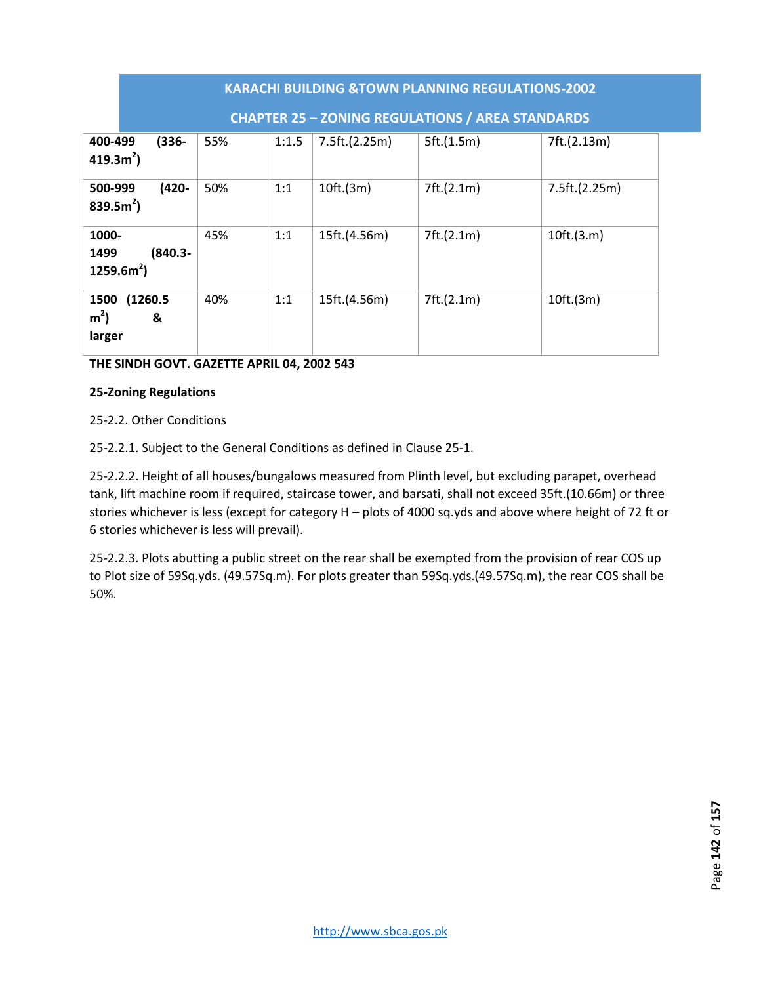|                                                   | <b>KARACHI BUILDING &amp;TOWN PLANNING REGULATIONS-2002</b> |       |               |            |               |  |  |  |  |
|---------------------------------------------------|-------------------------------------------------------------|-------|---------------|------------|---------------|--|--|--|--|
|                                                   | <b>CHAPTER 25 - ZONING REGULATIONS / AREA STANDARDS</b>     |       |               |            |               |  |  |  |  |
| $(336 -$<br>400-499<br>419.3 $m^2$ )              | 55%                                                         | 1:1.5 | 7.5ft.(2.25m) | 5ft.(1.5m) | 7ft.(2.13m)   |  |  |  |  |
| $(420 -$<br>500-999<br>839.5 $m^2$ )              | 50%                                                         | 1:1   | 10ft.(3m)     | 7ft.(2.1m) | 7.5ft.(2.25m) |  |  |  |  |
| 1000-<br>$(840.3 -$<br>1499<br>$1259.6m2$ )       | 45%                                                         | 1:1   | 15ft.(4.56m)  | 7ft.(2.1m) | 10ft.(3.m)    |  |  |  |  |
| (1260.5)<br>1500<br>m <sup>2</sup><br>&<br>larger | 40%                                                         | 1:1   | 15ft.(4.56m)  | 7ft.(2.1m) | 10ft.(3m)     |  |  |  |  |

**THE SINDH GOVT. GAZETTE APRIL 04, 2002 543** 

# **25-Zoning Regulations**

25-2.2. Other Conditions

25-2.2.1. Subject to the General Conditions as defined in Clause 25-1.

25-2.2.2. Height of all houses/bungalows measured from Plinth level, but excluding parapet, overhead tank, lift machine room if required, staircase tower, and barsati, shall not exceed 35ft.(10.66m) or three stories whichever is less (except for category H – plots of 4000 sq.yds and above where height of 72 ft or 6 stories whichever is less will prevail).

25-2.2.3. Plots abutting a public street on the rear shall be exempted from the provision of rear COS up to Plot size of 59Sq.yds. (49.57Sq.m). For plots greater than 59Sq.yds.(49.57Sq.m), the rear COS shall be 50%.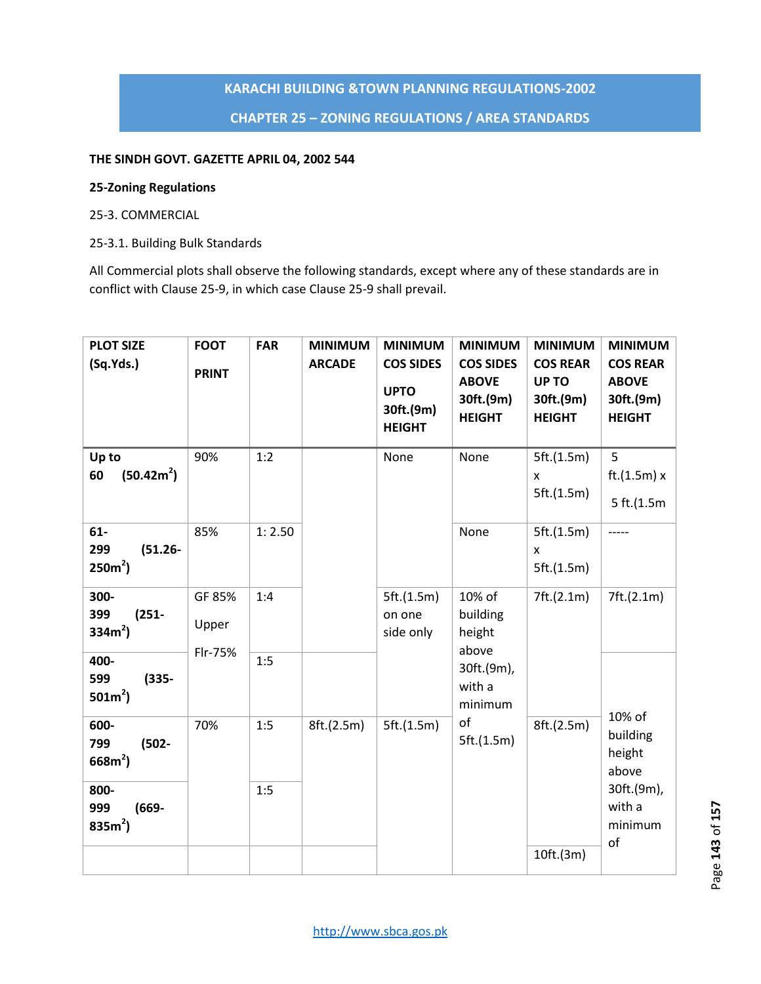# **KARACHI BUILDING &TOWN PLANNING REGULATIONS-2002 CHAPTER 25 – ZONING REGULATIONS / AREA STANDARDS**

# **THE SINDH GOVT. GAZETTE APRIL 04, 2002 544**

#### **25-Zoning Regulations**

#### 25-3. COMMERCIAL

25-3.1. Building Bulk Standards

All Commercial plots shall observe the following standards, except where any of these standards are in conflict with Clause 25-9, in which case Clause 25-9 shall prevail.

| <b>PLOT SIZE</b><br>(Sq.Yds.)            | <b>FOOT</b><br><b>PRINT</b> | <b>FAR</b> | <b>MINIMUM</b><br><b>ARCADE</b> | <b>MINIMUM</b><br><b>COS SIDES</b><br><b>UPTO</b><br>30ft.(9m)<br><b>HEIGHT</b> | <b>MINIMUM</b><br><b>COS SIDES</b><br><b>ABOVE</b><br>30ft.(9m)<br><b>HEIGHT</b> | <b>MINIMUM</b><br><b>COS REAR</b><br>UP TO<br>30ft.(9m)<br><b>HEIGHT</b> | <b>MINIMUM</b><br><b>COS REAR</b><br><b>ABOVE</b><br>30ft.(9m)<br><b>HEIGHT</b> |
|------------------------------------------|-----------------------------|------------|---------------------------------|---------------------------------------------------------------------------------|----------------------------------------------------------------------------------|--------------------------------------------------------------------------|---------------------------------------------------------------------------------|
| Up to<br>(50.42m <sup>2</sup> )<br>60    | 90%                         | 1:2        |                                 | None                                                                            | None                                                                             | 5ft.(1.5m)<br>X<br>5ft.(1.5m)                                            | 5<br>ft.(1.5m) x<br>5 ft.(1.5m)                                                 |
| $61-$<br>299<br>$(51.26 -$<br>$250m^2$ ) | 85%                         | 1:2.50     |                                 |                                                                                 | None                                                                             | 5ft.(1.5m)<br>X<br>5ft.(1.5m)                                            | -----                                                                           |
| 300-<br>399<br>$(251 -$<br>$334m^2$ )    | GF 85%<br>Upper<br>Flr-75%  | 1:4        |                                 | 5ft.(1.5m)<br>on one<br>side only                                               | 10% of<br>building<br>height                                                     | 7ft.(2.1m)                                                               | 7ft.(2.1m)                                                                      |
| 400-<br>599<br>$(335 -$<br>$501m^2$ )    |                             | 1:5        |                                 |                                                                                 | above<br>30ft.(9m),<br>with a<br>minimum                                         |                                                                          |                                                                                 |
| 600-<br>799<br>$(502 -$<br>$668m^2$ )    | 70%                         | 1:5        | 8ft.(2.5m)                      | 5ft.(1.5m)                                                                      | of<br>5ft.(1.5m)                                                                 | 8ft.(2.5m)                                                               | 10% of<br>building<br>height<br>above                                           |
| 800-<br>999<br>$(669 -$<br>835 $m^2$ )   |                             | 1:5        |                                 |                                                                                 |                                                                                  |                                                                          | 30ft.(9m),<br>with a<br>minimum<br>of                                           |
|                                          |                             |            |                                 |                                                                                 |                                                                                  | 10ft.(3m)                                                                |                                                                                 |

Page 143 of 157 Page **143** of **157**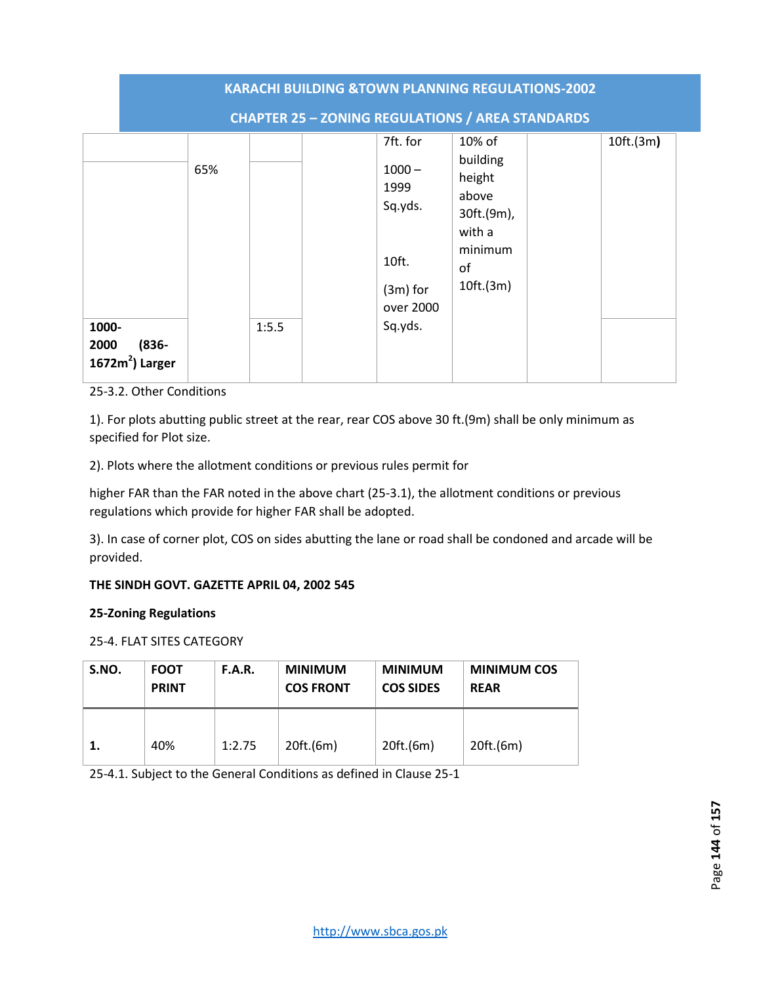|                                                | <b>KARACHI BUILDING &amp;TOWN PLANNING REGULATIONS-2002</b> |       |                                                                                        |                                                                                                |  |           |  |
|------------------------------------------------|-------------------------------------------------------------|-------|----------------------------------------------------------------------------------------|------------------------------------------------------------------------------------------------|--|-----------|--|
|                                                |                                                             |       | <b>CHAPTER 25 - ZONING REGULATIONS / AREA STANDARDS</b>                                |                                                                                                |  |           |  |
| 1000-<br>$(836 -$<br>2000<br>$1672m2$ ) Larger | 65%                                                         | 1:5.5 | 7ft. for<br>$1000 -$<br>1999<br>Sq.yds.<br>10ft.<br>$(3m)$ for<br>over 2000<br>Sq.yds. | $10\%$ of<br>building<br>height<br>above<br>30ft.(9m),<br>with a<br>minimum<br>of<br>10ft.(3m) |  | 10ft.(3m) |  |

25-3.2. Other Conditions

1). For plots abutting public street at the rear, rear COS above 30 ft.(9m) shall be only minimum as specified for Plot size.

2). Plots where the allotment conditions or previous rules permit for

higher FAR than the FAR noted in the above chart (25-3.1), the allotment conditions or previous regulations which provide for higher FAR shall be adopted.

3). In case of corner plot, COS on sides abutting the lane or road shall be condoned and arcade will be provided.

# **THE SINDH GOVT. GAZETTE APRIL 04, 2002 545**

#### **25-Zoning Regulations**

25-4. FLAT SITES CATEGORY

| S.NO. | <b>FOOT</b><br><b>PRINT</b> | F.A.R. | <b>MINIMUM</b><br><b>COS FRONT</b> | <b>MINIMUM</b><br><b>COS SIDES</b> | <b>MINIMUM COS</b><br><b>REAR</b> |
|-------|-----------------------------|--------|------------------------------------|------------------------------------|-----------------------------------|
| 1.    | 40%                         | 1:2.75 | 20ft.(6m)                          | 20ft.(6m)                          | 20ft.(6m)                         |

25-4.1. Subject to the General Conditions as defined in Clause 25-1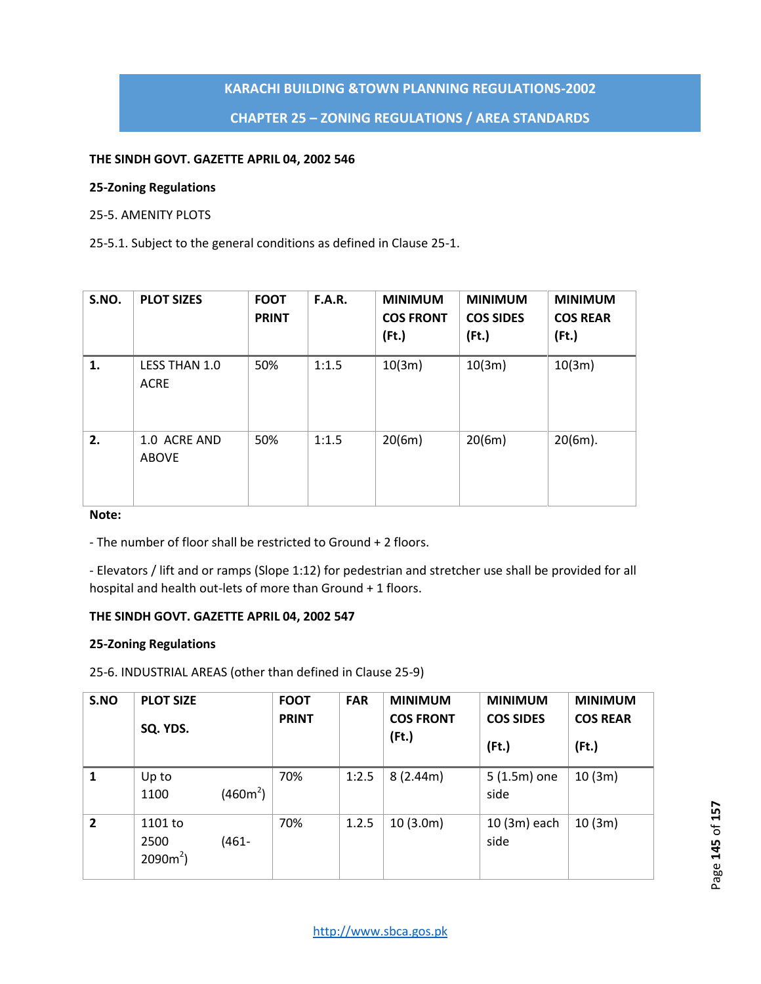# **CHAPTER 25 – ZONING REGULATIONS / AREA STANDARDS**

#### **THE SINDH GOVT. GAZETTE APRIL 04, 2002 546**

#### **25-Zoning Regulations**

### 25-5. AMENITY PLOTS

25-5.1. Subject to the general conditions as defined in Clause 25-1.

| S.NO. | <b>PLOT SIZES</b>            | <b>FOOT</b><br><b>PRINT</b> | <b>F.A.R.</b> | <b>MINIMUM</b><br><b>COS FRONT</b><br>(Ft.) | <b>MINIMUM</b><br><b>COS SIDES</b><br>$($ Ft. $)$ | <b>MINIMUM</b><br><b>COS REAR</b><br>$($ Ft. $)$ |
|-------|------------------------------|-----------------------------|---------------|---------------------------------------------|---------------------------------------------------|--------------------------------------------------|
| 1.    | LESS THAN 1.0<br><b>ACRE</b> | 50%                         | 1:1.5         | 10(3m)                                      | 10(3m)                                            | 10(3m)                                           |
| 2.    | 1.0 ACRE AND<br><b>ABOVE</b> | 50%                         | 1:1.5         | 20(6m)                                      | 20(6m)                                            | $20(6m)$ .                                       |

# **Note:**

- The number of floor shall be restricted to Ground + 2 floors.

- Elevators / lift and or ramps (Slope 1:12) for pedestrian and stretcher use shall be provided for all hospital and health out-lets of more than Ground + 1 floors.

# **THE SINDH GOVT. GAZETTE APRIL 04, 2002 547**

#### **25-Zoning Regulations**

25-6. INDUSTRIAL AREAS (other than defined in Clause 25-9)

| S.NO           | <b>PLOT SIZE</b><br>SQ. YDS.   |            | <b>FOOT</b><br><b>PRINT</b> | <b>FAR</b> | <b>MINIMUM</b><br><b>COS FRONT</b><br>(Ft.) | <b>MINIMUM</b><br><b>COS SIDES</b><br>$($ Ft. $)$ | <b>MINIMUM</b><br><b>COS REAR</b><br>(Ft.) |
|----------------|--------------------------------|------------|-----------------------------|------------|---------------------------------------------|---------------------------------------------------|--------------------------------------------|
| 1              | Up to<br>1100                  | $(460m^2)$ | 70%                         | 1:2.5      | 8(2.44m)                                    | $5(1.5m)$ one<br>side                             | 10(3m)                                     |
| $\overline{2}$ | 1101 to<br>2500<br>$2090m^2$ ) | $(461 -$   | 70%                         | 1.2.5      | 10(3.0m)                                    | 10 (3m) each<br>side                              | 10(3m)                                     |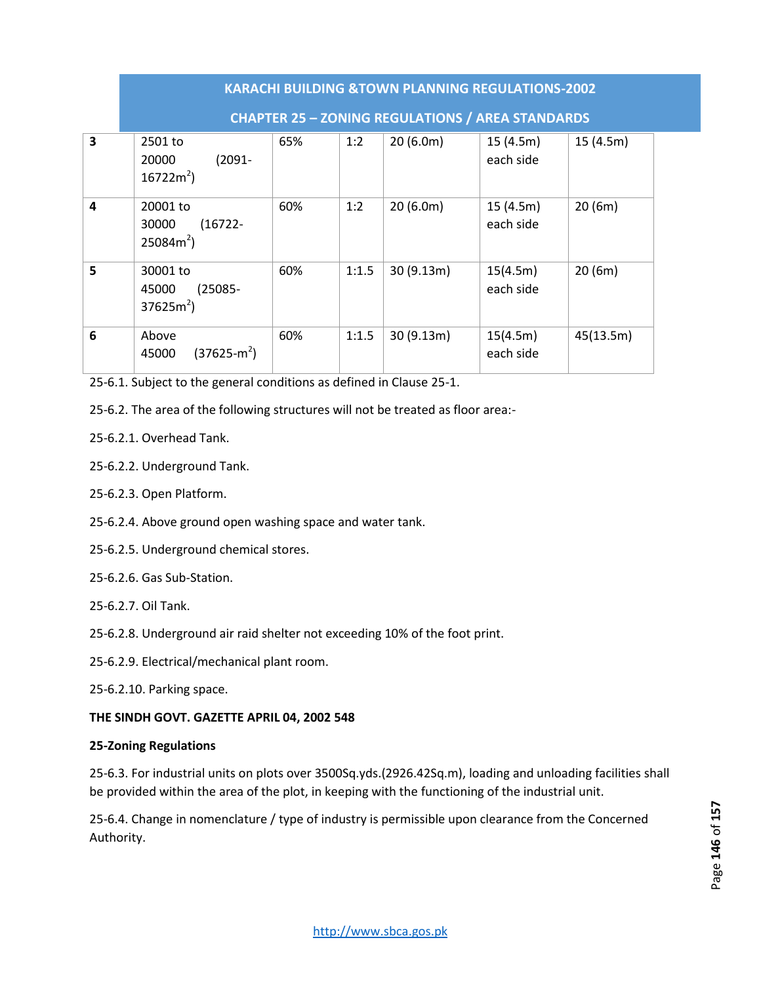|                         | <b>KARACHI BUILDING &amp;TOWN PLANNING REGULATIONS-2002</b> |     |       |           |                       |           |  |  |  |  |
|-------------------------|-------------------------------------------------------------|-----|-------|-----------|-----------------------|-----------|--|--|--|--|
|                         | <b>CHAPTER 25 - ZONING REGULATIONS / AREA STANDARDS</b>     |     |       |           |                       |           |  |  |  |  |
| $\overline{\mathbf{3}}$ | 2501 to<br>$(2091 -$<br>20000<br>$16722m^2$                 | 65% | 1:2   | 20(6.0m)  | 15(4.5m)<br>each side | 15(4.5m)  |  |  |  |  |
| 4                       | 20001 to<br>$(16722 -$<br>30000<br>$25084m^2$ )             | 60% | 1:2   | 20(6.0m)  | 15(4.5m)<br>each side | 20(6m)    |  |  |  |  |
| 5                       | 30001 to<br>$(25085 -$<br>45000<br>$37625m^2$               | 60% | 1:1.5 | 30(9.13m) | 15(4.5m)<br>each side | 20(6m)    |  |  |  |  |
| 6                       | Above<br>$(37625-m^2)$<br>45000                             | 60% | 1:1.5 | 30(9.13m) | 15(4.5m)<br>each side | 45(13.5m) |  |  |  |  |

25-6.1. Subject to the general conditions as defined in Clause 25-1.

25-6.2. The area of the following structures will not be treated as floor area:-

- 25-6.2.1. Overhead Tank.
- 25-6.2.2. Underground Tank.
- 25-6.2.3. Open Platform.
- 25-6.2.4. Above ground open washing space and water tank.
- 25-6.2.5. Underground chemical stores.
- 25-6.2.6. Gas Sub-Station.
- 25-6.2.7. Oil Tank.
- 25-6.2.8. Underground air raid shelter not exceeding 10% of the foot print.
- 25-6.2.9. Electrical/mechanical plant room.
- 25-6.2.10. Parking space.

# **THE SINDH GOVT. GAZETTE APRIL 04, 2002 548**

# **25-Zoning Regulations**

25-6.3. For industrial units on plots over 3500Sq.yds.(2926.42Sq.m), loading and unloading facilities shall be provided within the area of the plot, in keeping with the functioning of the industrial unit.

25-6.4. Change in nomenclature / type of industry is permissible upon clearance from the Concerned Authority.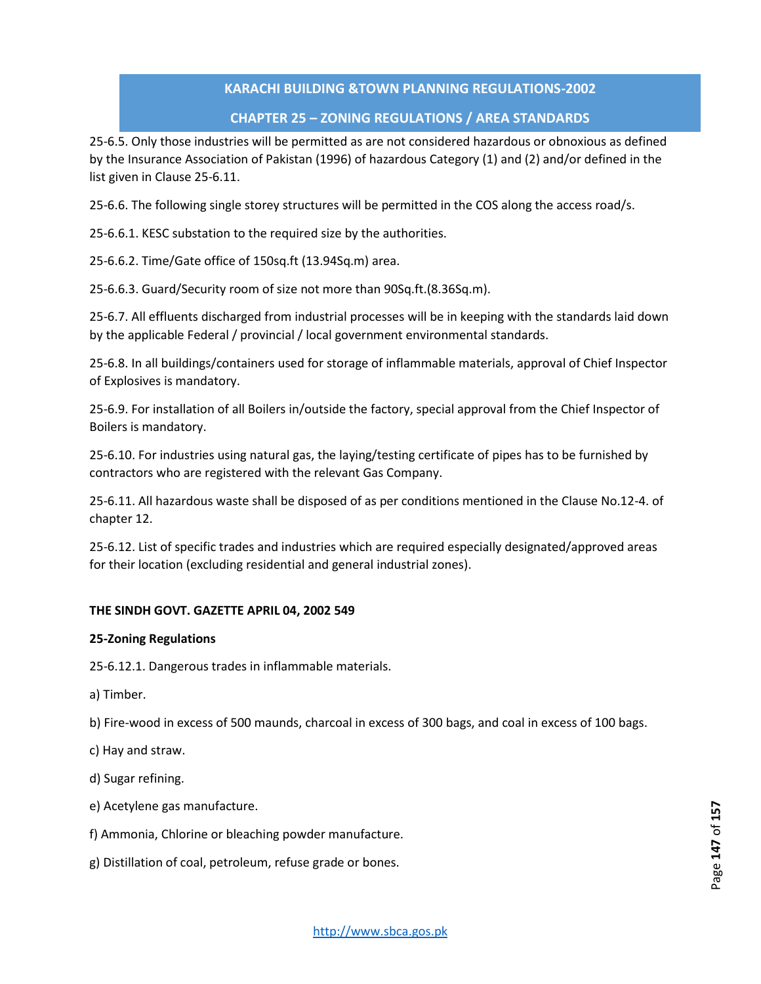# **CHAPTER 25 – ZONING REGULATIONS / AREA STANDARDS**

25-6.5. Only those industries will be permitted as are not considered hazardous or obnoxious as defined by the Insurance Association of Pakistan (1996) of hazardous Category (1) and (2) and/or defined in the list given in Clause 25-6.11.

25-6.6. The following single storey structures will be permitted in the COS along the access road/s.

25-6.6.1. KESC substation to the required size by the authorities.

25-6.6.2. Time/Gate office of 150sq.ft (13.94Sq.m) area.

25-6.6.3. Guard/Security room of size not more than 90Sq.ft.(8.36Sq.m).

25-6.7. All effluents discharged from industrial processes will be in keeping with the standards laid down by the applicable Federal / provincial / local government environmental standards.

25-6.8. In all buildings/containers used for storage of inflammable materials, approval of Chief Inspector of Explosives is mandatory.

25-6.9. For installation of all Boilers in/outside the factory, special approval from the Chief Inspector of Boilers is mandatory.

25-6.10. For industries using natural gas, the laying/testing certificate of pipes has to be furnished by contractors who are registered with the relevant Gas Company.

25-6.11. All hazardous waste shall be disposed of as per conditions mentioned in the Clause No.12-4. of chapter 12.

25-6.12. List of specific trades and industries which are required especially designated/approved areas for their location (excluding residential and general industrial zones).

# **THE SINDH GOVT. GAZETTE APRIL 04, 2002 549**

# **25-Zoning Regulations**

25-6.12.1. Dangerous trades in inflammable materials.

a) Timber.

b) Fire-wood in excess of 500 maunds, charcoal in excess of 300 bags, and coal in excess of 100 bags.

- c) Hay and straw.
- d) Sugar refining.
- e) Acetylene gas manufacture.
- f) Ammonia, Chlorine or bleaching powder manufacture.
- g) Distillation of coal, petroleum, refuse grade or bones.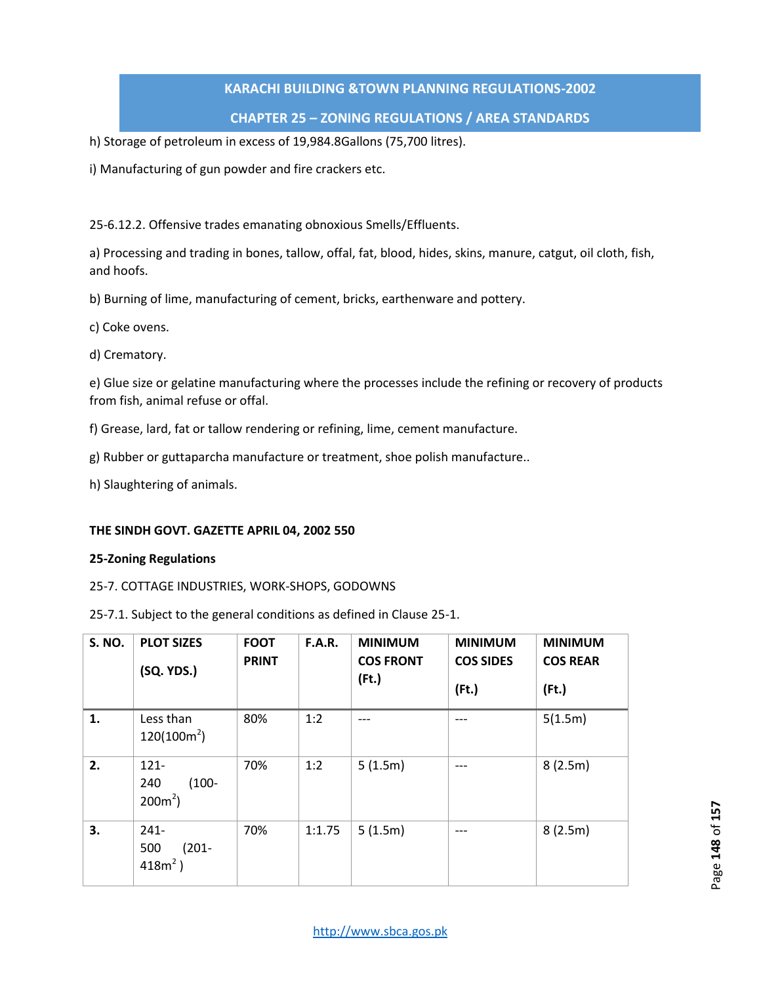# **CHAPTER 25 – ZONING REGULATIONS / AREA STANDARDS**

h) Storage of petroleum in excess of 19,984.8Gallons (75,700 litres).

i) Manufacturing of gun powder and fire crackers etc.

25-6.12.2. Offensive trades emanating obnoxious Smells/Effluents.

a) Processing and trading in bones, tallow, offal, fat, blood, hides, skins, manure, catgut, oil cloth, fish, and hoofs.

b) Burning of lime, manufacturing of cement, bricks, earthenware and pottery.

- c) Coke ovens.
- d) Crematory.

e) Glue size or gelatine manufacturing where the processes include the refining or recovery of products from fish, animal refuse or offal.

f) Grease, lard, fat or tallow rendering or refining, lime, cement manufacture.

- g) Rubber or guttaparcha manufacture or treatment, shoe polish manufacture..
- h) Slaughtering of animals.

#### **THE SINDH GOVT. GAZETTE APRIL 04, 2002 550**

#### **25-Zoning Regulations**

#### 25-7. COTTAGE INDUSTRIES, WORK-SHOPS, GODOWNS

25-7.1. Subject to the general conditions as defined in Clause 25-1.

| <b>S. NO.</b> | <b>PLOT SIZES</b><br>(SQ. YDS.)           | <b>FOOT</b><br><b>PRINT</b> | <b>F.A.R.</b> | <b>MINIMUM</b><br><b>COS FRONT</b><br>(Ft.) | <b>MINIMUM</b><br><b>COS SIDES</b><br>$($ Ft. $)$ | <b>MINIMUM</b><br><b>COS REAR</b><br>(Ft.) |
|---------------|-------------------------------------------|-----------------------------|---------------|---------------------------------------------|---------------------------------------------------|--------------------------------------------|
| 1.            | Less than<br>$120(100m^2)$                | 80%                         | 1:2           | ---                                         |                                                   | 5(1.5m)                                    |
| 2.            | $121 -$<br>$(100 -$<br>240<br>$200m^2$ )  | 70%                         | 1:2           | 5(1.5m)                                     | $---$                                             | 8(2.5m)                                    |
| 3.            | $241 -$<br>500<br>$(201 -$<br>418 $m^2$ ) | 70%                         | 1:1.75        | 5(1.5m)                                     | ---                                               | 8(2.5m)                                    |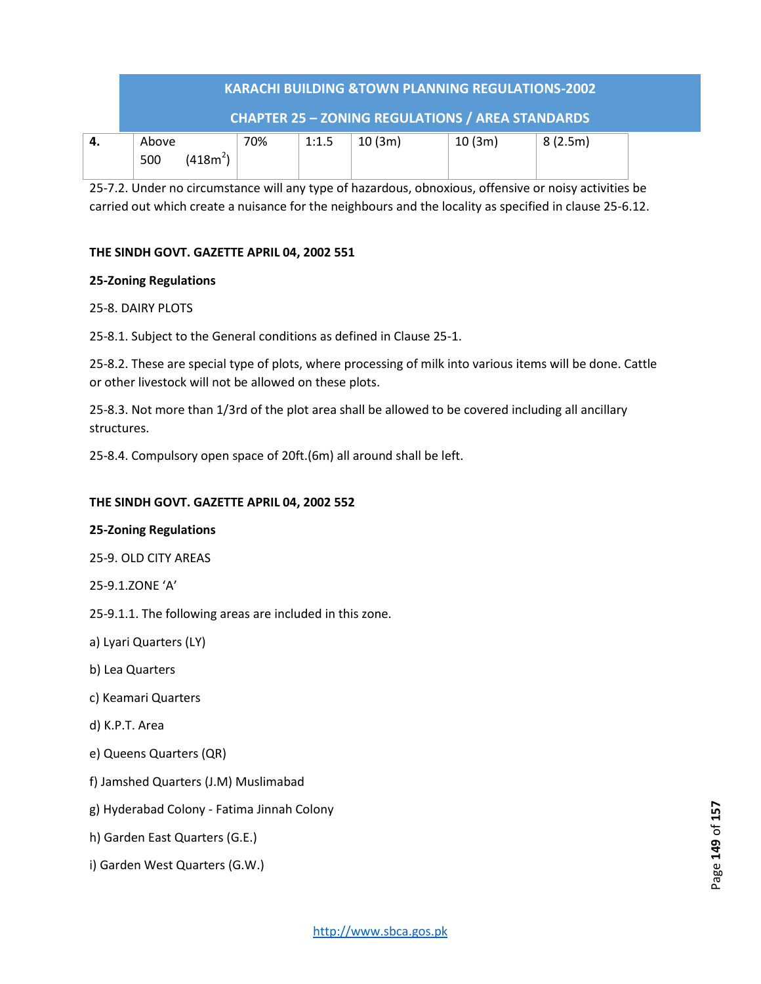| <b>KARACHI BUILDING &amp;TOWN PLANNING REGULATIONS-2002</b> |                      |     |       |        |        |         |  |  |  |  |
|-------------------------------------------------------------|----------------------|-----|-------|--------|--------|---------|--|--|--|--|
| <b>CHAPTER 25 - ZONING REGULATIONS / AREA STANDARDS</b>     |                      |     |       |        |        |         |  |  |  |  |
| Above<br>500                                                | (418m <sup>2</sup> ) | 70% | 1:1.5 | 10(3m) | 10(3m) | 8(2.5m) |  |  |  |  |

25-7.2. Under no circumstance will any type of hazardous, obnoxious, offensive or noisy activities be carried out which create a nuisance for the neighbours and the locality as specified in clause 25-6.12.

# **THE SINDH GOVT. GAZETTE APRIL 04, 2002 551**

# **25-Zoning Regulations**

# 25-8. DAIRY PLOTS

25-8.1. Subject to the General conditions as defined in Clause 25-1.

25-8.2. These are special type of plots, where processing of milk into various items will be done. Cattle or other livestock will not be allowed on these plots.

25-8.3. Not more than 1/3rd of the plot area shall be allowed to be covered including all ancillary structures.

25-8.4. Compulsory open space of 20ft.(6m) all around shall be left.

# **THE SINDH GOVT. GAZETTE APRIL 04, 2002 552**

# **25-Zoning Regulations**

25-9. OLD CITY AREAS

25-9.1.ZONE 'A'

25-9.1.1. The following areas are included in this zone.

a) Lyari Quarters (LY)

- b) Lea Quarters
- c) Keamari Quarters
- d) K.P.T. Area
- e) Queens Quarters (QR)
- f) Jamshed Quarters (J.M) Muslimabad
- g) Hyderabad Colony Fatima Jinnah Colony
- h) Garden East Quarters (G.E.)
- i) Garden West Quarters (G.W.)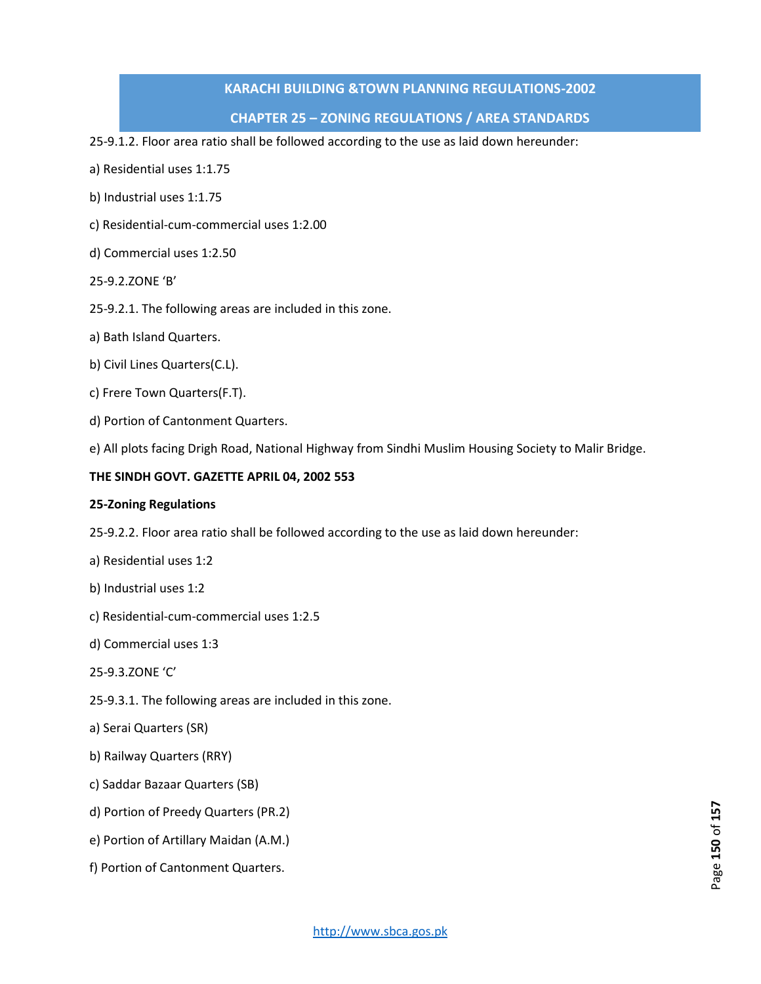# **CHAPTER 25 – ZONING REGULATIONS / AREA STANDARDS**

25-9.1.2. Floor area ratio shall be followed according to the use as laid down hereunder:

- a) Residential uses 1:1.75
- b) Industrial uses 1:1.75
- c) Residential-cum-commercial uses 1:2.00
- d) Commercial uses 1:2.50
- 25-9.2.ZONE 'B'
- 25-9.2.1. The following areas are included in this zone.
- a) Bath Island Quarters.
- b) Civil Lines Quarters(C.L).
- c) Frere Town Quarters(F.T).
- d) Portion of Cantonment Quarters.
- e) All plots facing Drigh Road, National Highway from Sindhi Muslim Housing Society to Malir Bridge.

#### **THE SINDH GOVT. GAZETTE APRIL 04, 2002 553**

#### **25-Zoning Regulations**

- 25-9.2.2. Floor area ratio shall be followed according to the use as laid down hereunder:
- a) Residential uses 1:2
- b) Industrial uses 1:2
- c) Residential-cum-commercial uses 1:2.5
- d) Commercial uses 1:3
- 25-9.3.ZONE 'C'
- 25-9.3.1. The following areas are included in this zone.
- a) Serai Quarters (SR)
- b) Railway Quarters (RRY)
- c) Saddar Bazaar Quarters (SB)
- d) Portion of Preedy Quarters (PR.2)
- e) Portion of Artillary Maidan (A.M.)
- f) Portion of Cantonment Quarters.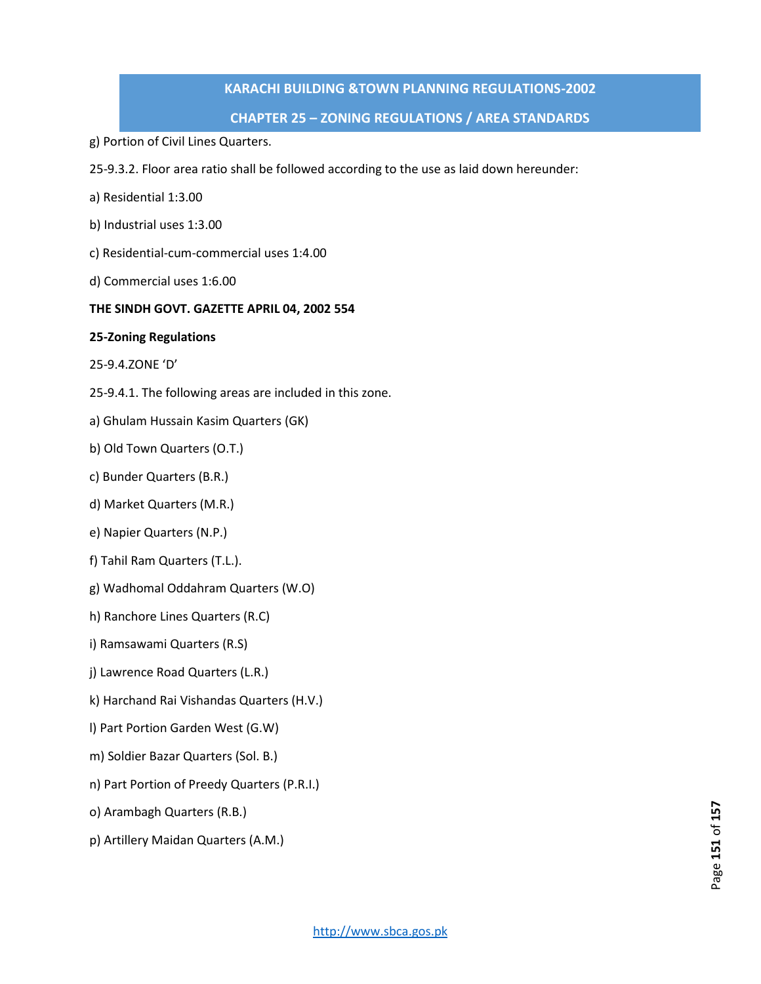# **CHAPTER 25 – ZONING REGULATIONS / AREA STANDARDS**

- g) Portion of Civil Lines Quarters.
- 25-9.3.2. Floor area ratio shall be followed according to the use as laid down hereunder:
- a) Residential 1:3.00
- b) Industrial uses 1:3.00
- c) Residential-cum-commercial uses 1:4.00
- d) Commercial uses 1:6.00

#### **THE SINDH GOVT. GAZETTE APRIL 04, 2002 554**

#### **25-Zoning Regulations**

- 25-9.4.ZONE 'D'
- 25-9.4.1. The following areas are included in this zone.
- a) Ghulam Hussain Kasim Quarters (GK)
- b) Old Town Quarters (O.T.)
- c) Bunder Quarters (B.R.)
- d) Market Quarters (M.R.)
- e) Napier Quarters (N.P.)
- f) Tahil Ram Quarters (T.L.).
- g) Wadhomal Oddahram Quarters (W.O)
- h) Ranchore Lines Quarters (R.C)
- i) Ramsawami Quarters (R.S)
- j) Lawrence Road Quarters (L.R.)
- k) Harchand Rai Vishandas Quarters (H.V.)
- l) Part Portion Garden West (G.W)
- m) Soldier Bazar Quarters (Sol. B.)
- n) Part Portion of Preedy Quarters (P.R.I.)
- o) Arambagh Quarters (R.B.)
- p) Artillery Maidan Quarters (A.M.)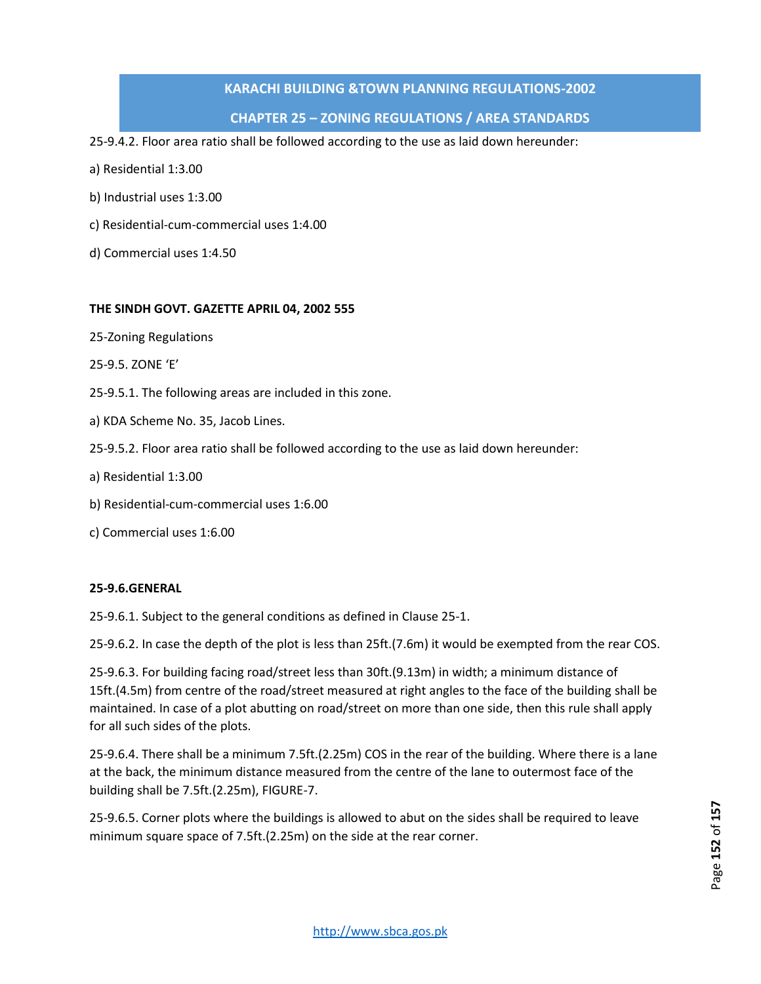# **CHAPTER 25 – ZONING REGULATIONS / AREA STANDARDS**

25-9.4.2. Floor area ratio shall be followed according to the use as laid down hereunder:

- a) Residential 1:3.00
- b) Industrial uses 1:3.00
- c) Residential-cum-commercial uses 1:4.00
- d) Commercial uses 1:4.50

#### **THE SINDH GOVT. GAZETTE APRIL 04, 2002 555**

- 25-Zoning Regulations
- 25-9.5. ZONE 'E'
- 25-9.5.1. The following areas are included in this zone.
- a) KDA Scheme No. 35, Jacob Lines.
- 25-9.5.2. Floor area ratio shall be followed according to the use as laid down hereunder:
- a) Residential 1:3.00
- b) Residential-cum-commercial uses 1:6.00
- c) Commercial uses 1:6.00

#### **25-9.6.GENERAL**

25-9.6.1. Subject to the general conditions as defined in Clause 25-1.

25-9.6.2. In case the depth of the plot is less than 25ft.(7.6m) it would be exempted from the rear COS.

25-9.6.3. For building facing road/street less than 30ft.(9.13m) in width; a minimum distance of 15ft.(4.5m) from centre of the road/street measured at right angles to the face of the building shall be maintained. In case of a plot abutting on road/street on more than one side, then this rule shall apply for all such sides of the plots.

25-9.6.4. There shall be a minimum 7.5ft.(2.25m) COS in the rear of the building. Where there is a lane at the back, the minimum distance measured from the centre of the lane to outermost face of the building shall be 7.5ft.(2.25m), FIGURE-7.

25-9.6.5. Corner plots where the buildings is allowed to abut on the sides shall be required to leave minimum square space of 7.5ft.(2.25m) on the side at the rear corner.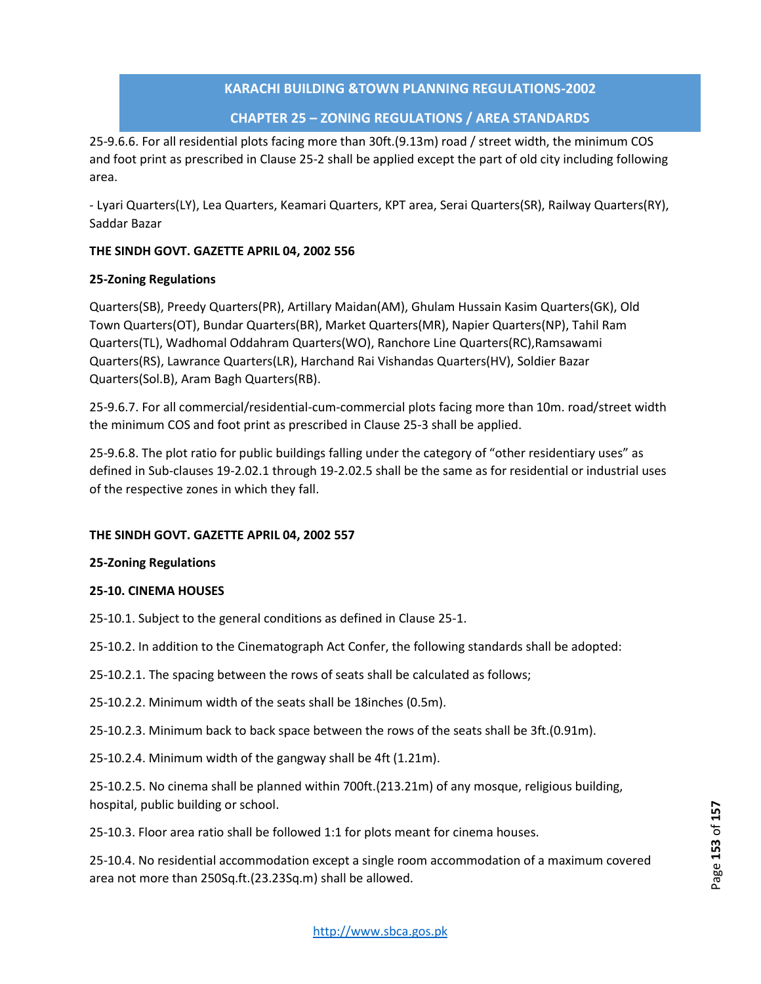# **CHAPTER 25 – ZONING REGULATIONS / AREA STANDARDS**

25-9.6.6. For all residential plots facing more than 30ft.(9.13m) road / street width, the minimum COS and foot print as prescribed in Clause 25-2 shall be applied except the part of old city including following area.

- Lyari Quarters(LY), Lea Quarters, Keamari Quarters, KPT area, Serai Quarters(SR), Railway Quarters(RY), Saddar Bazar

# **THE SINDH GOVT. GAZETTE APRIL 04, 2002 556**

# **25-Zoning Regulations**

Quarters(SB), Preedy Quarters(PR), Artillary Maidan(AM), Ghulam Hussain Kasim Quarters(GK), Old Town Quarters(OT), Bundar Quarters(BR), Market Quarters(MR), Napier Quarters(NP), Tahil Ram Quarters(TL), Wadhomal Oddahram Quarters(WO), Ranchore Line Quarters(RC),Ramsawami Quarters(RS), Lawrance Quarters(LR), Harchand Rai Vishandas Quarters(HV), Soldier Bazar Quarters(Sol.B), Aram Bagh Quarters(RB).

25-9.6.7. For all commercial/residential-cum-commercial plots facing more than 10m. road/street width the minimum COS and foot print as prescribed in Clause 25-3 shall be applied.

25-9.6.8. The plot ratio for public buildings falling under the category of "other residentiary uses" as defined in Sub-clauses 19-2.02.1 through 19-2.02.5 shall be the same as for residential or industrial uses of the respective zones in which they fall.

# **THE SINDH GOVT. GAZETTE APRIL 04, 2002 557**

# **25-Zoning Regulations**

# **25-10. CINEMA HOUSES**

25-10.1. Subject to the general conditions as defined in Clause 25-1.

- 25-10.2. In addition to the Cinematograph Act Confer, the following standards shall be adopted:
- 25-10.2.1. The spacing between the rows of seats shall be calculated as follows;
- 25-10.2.2. Minimum width of the seats shall be 18inches (0.5m).
- 25-10.2.3. Minimum back to back space between the rows of the seats shall be 3ft.(0.91m).

25-10.2.4. Minimum width of the gangway shall be 4ft (1.21m).

25-10.2.5. No cinema shall be planned within 700ft.(213.21m) of any mosque, religious building, hospital, public building or school.

25-10.3. Floor area ratio shall be followed 1:1 for plots meant for cinema houses.

25-10.4. No residential accommodation except a single room accommodation of a maximum covered area not more than 250Sq.ft.(23.23Sq.m) shall be allowed.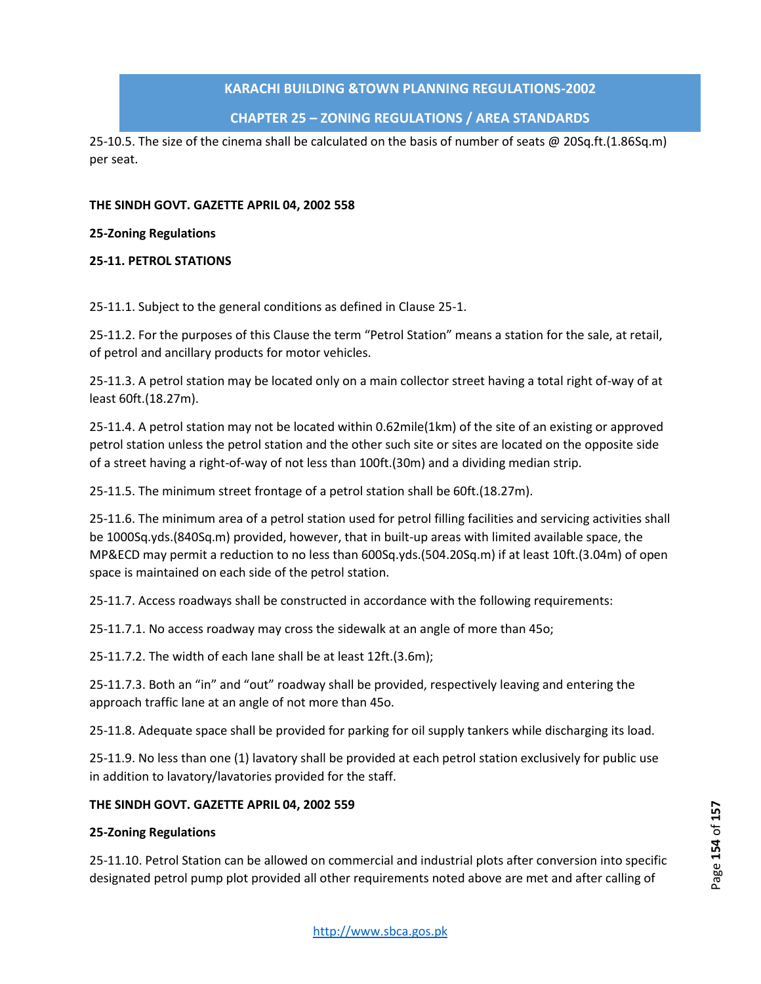# **CHAPTER 25 – ZONING REGULATIONS / AREA STANDARDS**

25-10.5. The size of the cinema shall be calculated on the basis of number of seats @ 20Sq.ft.(1.86Sq.m) per seat.

#### **THE SINDH GOVT. GAZETTE APRIL 04, 2002 558**

#### **25-Zoning Regulations**

#### **25-11. PETROL STATIONS**

25-11.1. Subject to the general conditions as defined in Clause 25-1.

25-11.2. For the purposes of this Clause the term "Petrol Station" means a station for the sale, at retail, of petrol and ancillary products for motor vehicles.

25-11.3. A petrol station may be located only on a main collector street having a total right of-way of at least 60ft.(18.27m).

25-11.4. A petrol station may not be located within 0.62mile(1km) of the site of an existing or approved petrol station unless the petrol station and the other such site or sites are located on the opposite side of a street having a right-of-way of not less than 100ft.(30m) and a dividing median strip.

25-11.5. The minimum street frontage of a petrol station shall be 60ft.(18.27m).

25-11.6. The minimum area of a petrol station used for petrol filling facilities and servicing activities shall be 1000Sq.yds.(840Sq.m) provided, however, that in built-up areas with limited available space, the MP&ECD may permit a reduction to no less than 600Sq.yds.(504.20Sq.m) if at least 10ft.(3.04m) of open space is maintained on each side of the petrol station.

25-11.7. Access roadways shall be constructed in accordance with the following requirements:

25-11.7.1. No access roadway may cross the sidewalk at an angle of more than 45o;

25-11.7.2. The width of each lane shall be at least 12ft.(3.6m);

25-11.7.3. Both an "in" and "out" roadway shall be provided, respectively leaving and entering the approach traffic lane at an angle of not more than 45o.

25-11.8. Adequate space shall be provided for parking for oil supply tankers while discharging its load.

25-11.9. No less than one (1) lavatory shall be provided at each petrol station exclusively for public use in addition to lavatory/lavatories provided for the staff.

#### **THE SINDH GOVT. GAZETTE APRIL 04, 2002 559**

#### **25-Zoning Regulations**

25-11.10. Petrol Station can be allowed on commercial and industrial plots after conversion into specific designated petrol pump plot provided all other requirements noted above are met and after calling of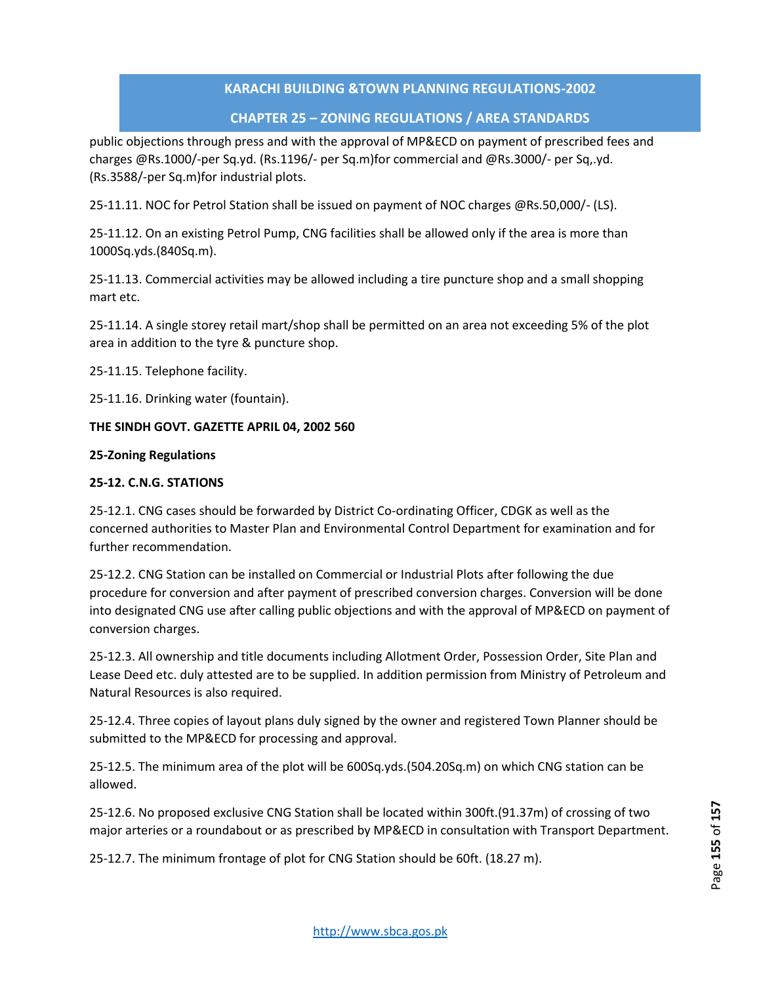# **CHAPTER 25 – ZONING REGULATIONS / AREA STANDARDS**

public objections through press and with the approval of MP&ECD on payment of prescribed fees and charges @Rs.1000/-per Sq.yd. (Rs.1196/- per Sq.m)for commercial and @Rs.3000/- per Sq,.yd. (Rs.3588/-per Sq.m)for industrial plots.

25-11.11. NOC for Petrol Station shall be issued on payment of NOC charges @Rs.50,000/- (LS).

25-11.12. On an existing Petrol Pump, CNG facilities shall be allowed only if the area is more than 1000Sq.yds.(840Sq.m).

25-11.13. Commercial activities may be allowed including a tire puncture shop and a small shopping mart etc.

25-11.14. A single storey retail mart/shop shall be permitted on an area not exceeding 5% of the plot area in addition to the tyre & puncture shop.

25-11.15. Telephone facility.

25-11.16. Drinking water (fountain).

#### **THE SINDH GOVT. GAZETTE APRIL 04, 2002 560**

#### **25-Zoning Regulations**

#### **25-12. C.N.G. STATIONS**

25-12.1. CNG cases should be forwarded by District Co-ordinating Officer, CDGK as well as the concerned authorities to Master Plan and Environmental Control Department for examination and for further recommendation.

25-12.2. CNG Station can be installed on Commercial or Industrial Plots after following the due procedure for conversion and after payment of prescribed conversion charges. Conversion will be done into designated CNG use after calling public objections and with the approval of MP&ECD on payment of conversion charges.

25-12.3. All ownership and title documents including Allotment Order, Possession Order, Site Plan and Lease Deed etc. duly attested are to be supplied. In addition permission from Ministry of Petroleum and Natural Resources is also required.

25-12.4. Three copies of layout plans duly signed by the owner and registered Town Planner should be submitted to the MP&ECD for processing and approval.

25-12.5. The minimum area of the plot will be 600Sq.yds.(504.20Sq.m) on which CNG station can be allowed.

25-12.6. No proposed exclusive CNG Station shall be located within 300ft.(91.37m) of crossing of two major arteries or a roundabout or as prescribed by MP&ECD in consultation with Transport Department.

25-12.7. The minimum frontage of plot for CNG Station should be 60ft. (18.27 m).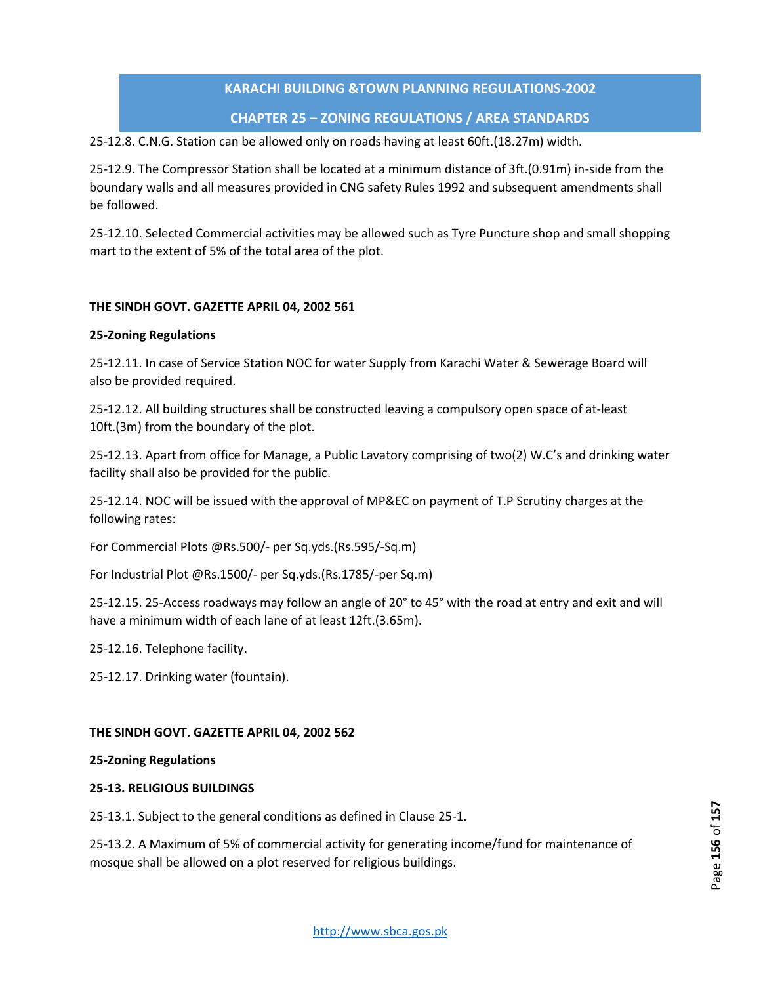# **CHAPTER 25 – ZONING REGULATIONS / AREA STANDARDS**

25-12.8. C.N.G. Station can be allowed only on roads having at least 60ft.(18.27m) width.

25-12.9. The Compressor Station shall be located at a minimum distance of 3ft.(0.91m) in-side from the boundary walls and all measures provided in CNG safety Rules 1992 and subsequent amendments shall be followed.

25-12.10. Selected Commercial activities may be allowed such as Tyre Puncture shop and small shopping mart to the extent of 5% of the total area of the plot.

# **THE SINDH GOVT. GAZETTE APRIL 04, 2002 561**

# **25-Zoning Regulations**

25-12.11. In case of Service Station NOC for water Supply from Karachi Water & Sewerage Board will also be provided required.

25-12.12. All building structures shall be constructed leaving a compulsory open space of at-least 10ft.(3m) from the boundary of the plot.

25-12.13. Apart from office for Manage, a Public Lavatory comprising of two(2) W.C's and drinking water facility shall also be provided for the public.

25-12.14. NOC will be issued with the approval of MP&EC on payment of T.P Scrutiny charges at the following rates:

For Commercial Plots @Rs.500/- per Sq.yds.(Rs.595/-Sq.m)

For Industrial Plot @Rs.1500/- per Sq.yds.(Rs.1785/-per Sq.m)

25-12.15. 25-Access roadways may follow an angle of 20° to 45° with the road at entry and exit and will have a minimum width of each lane of at least 12ft.(3.65m).

25-12.16. Telephone facility.

25-12.17. Drinking water (fountain).

# **THE SINDH GOVT. GAZETTE APRIL 04, 2002 562**

# **25-Zoning Regulations**

# **25-13. RELIGIOUS BUILDINGS**

25-13.1. Subject to the general conditions as defined in Clause 25-1.

25-13.2. A Maximum of 5% of commercial activity for generating income/fund for maintenance of mosque shall be allowed on a plot reserved for religious buildings.